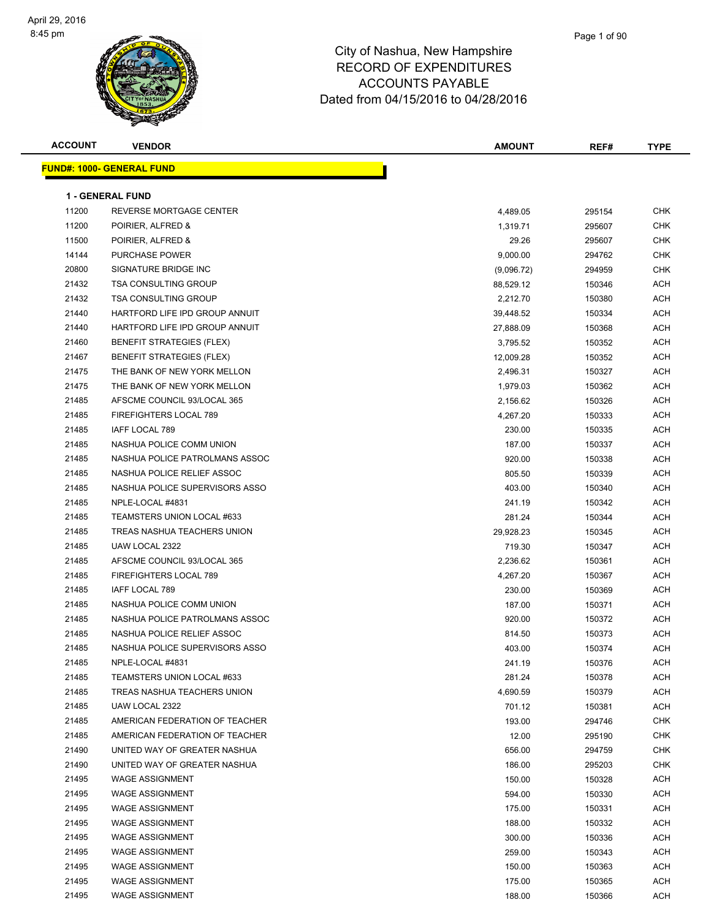

| <u> FUND#: 1000- GENERAL FUND</u><br><b>1 - GENERAL FUND</b><br>11200<br>REVERSE MORTGAGE CENTER<br>4,489.05<br>295154<br>CHK<br>11200<br><b>CHK</b><br>POIRIER, ALFRED &<br>1,319.71<br>295607<br>11500<br>POIRIER, ALFRED &<br><b>CHK</b><br>29.26<br>295607<br>14144<br>PURCHASE POWER<br>CHK<br>9,000.00<br>294762<br>20800<br>SIGNATURE BRIDGE INC<br>CHK<br>(9,096.72)<br>294959<br>21432<br><b>TSA CONSULTING GROUP</b><br>ACH<br>88,529.12<br>150346<br>21432<br><b>TSA CONSULTING GROUP</b><br>2,212.70<br>150380<br>ACH<br>21440<br>HARTFORD LIFE IPD GROUP ANNUIT<br>ACH<br>39,448.52<br>150334<br>21440<br>HARTFORD LIFE IPD GROUP ANNUIT<br>27,888.09<br>150368<br>ACH<br>21460<br><b>BENEFIT STRATEGIES (FLEX)</b><br>ACH<br>150352<br>3,795.52<br>21467<br><b>BENEFIT STRATEGIES (FLEX)</b><br>ACH<br>12,009.28<br>150352<br>21475<br>THE BANK OF NEW YORK MELLON<br>2,496.31<br>150327<br>ACH<br>21475<br>THE BANK OF NEW YORK MELLON<br>ACH<br>1,979.03<br>150362<br>21485<br>AFSCME COUNCIL 93/LOCAL 365<br>150326<br>ACH<br>2,156.62<br>21485<br>FIREFIGHTERS LOCAL 789<br>ACH<br>4,267.20<br>150333<br>21485<br>IAFF LOCAL 789<br>ACH<br>230.00<br>150335<br>21485<br>NASHUA POLICE COMM UNION<br>ACH<br>187.00<br>150337<br>21485<br>NASHUA POLICE PATROLMANS ASSOC<br>920.00<br>150338<br>ACH<br>21485<br>NASHUA POLICE RELIEF ASSOC<br>ACH<br>805.50<br>150339<br>21485<br>NASHUA POLICE SUPERVISORS ASSO<br>403.00<br>150340<br>ACH<br>21485<br>NPLE-LOCAL #4831<br>ACH<br>241.19<br>150342<br>21485<br>TEAMSTERS UNION LOCAL #633<br>281.24<br>150344<br>ACH<br>21485<br>TREAS NASHUA TEACHERS UNION<br>ACH<br>29,928.23<br>150345<br>21485<br>UAW LOCAL 2322<br><b>ACH</b><br>719.30<br>150347<br>21485<br>AFSCME COUNCIL 93/LOCAL 365<br>ACH<br>2,236.62<br>150361<br>21485<br>FIREFIGHTERS LOCAL 789<br>ACH<br>150367<br>4,267.20<br>IAFF LOCAL 789<br>21485<br>230.00<br>ACH<br>150369<br>21485<br>NASHUA POLICE COMM UNION<br>ACH<br>187.00<br>150371<br>21485<br>NASHUA POLICE PATROLMANS ASSOC<br>920.00<br>150372<br>ACH<br>21485<br>NASHUA POLICE RELIEF ASSOC<br>ACH<br>814.50<br>150373<br>21485<br>NASHUA POLICE SUPERVISORS ASSO<br>403.00<br>150374<br>ACH<br>21485<br>NPLE-LOCAL #4831<br>241.19<br>150376<br>ACH<br>21485<br>TEAMSTERS UNION LOCAL #633<br>281.24<br>150378<br>ACH<br>21485<br>TREAS NASHUA TEACHERS UNION<br>ACH<br>4,690.59<br>150379<br>21485<br>UAW LOCAL 2322<br><b>ACH</b><br>701.12<br>150381<br>21485<br>AMERICAN FEDERATION OF TEACHER<br>CHK<br>193.00<br>294746<br>21485<br>AMERICAN FEDERATION OF TEACHER<br><b>CHK</b><br>12.00<br>295190<br>21490<br>UNITED WAY OF GREATER NASHUA<br><b>CHK</b><br>656.00<br>294759<br>21490<br>UNITED WAY OF GREATER NASHUA<br>186.00<br>295203<br><b>CHK</b><br>21495<br><b>WAGE ASSIGNMENT</b><br>150.00<br>ACH<br>150328<br>21495<br><b>ACH</b><br><b>WAGE ASSIGNMENT</b><br>594.00<br>150330<br>21495<br><b>WAGE ASSIGNMENT</b><br>175.00<br>150331<br>ACH<br>21495<br><b>WAGE ASSIGNMENT</b><br>188.00<br>ACH<br>150332<br>21495<br><b>WAGE ASSIGNMENT</b><br>300.00<br>150336<br>ACH<br>21495<br><b>WAGE ASSIGNMENT</b><br>ACH<br>259.00<br>150343<br>21495<br><b>WAGE ASSIGNMENT</b><br>150.00<br>ACH<br>150363 | <b>ACCOUNT</b> | <b>VENDOR</b>          | <b>AMOUNT</b> | REF#   | <b>TYPE</b> |
|--------------------------------------------------------------------------------------------------------------------------------------------------------------------------------------------------------------------------------------------------------------------------------------------------------------------------------------------------------------------------------------------------------------------------------------------------------------------------------------------------------------------------------------------------------------------------------------------------------------------------------------------------------------------------------------------------------------------------------------------------------------------------------------------------------------------------------------------------------------------------------------------------------------------------------------------------------------------------------------------------------------------------------------------------------------------------------------------------------------------------------------------------------------------------------------------------------------------------------------------------------------------------------------------------------------------------------------------------------------------------------------------------------------------------------------------------------------------------------------------------------------------------------------------------------------------------------------------------------------------------------------------------------------------------------------------------------------------------------------------------------------------------------------------------------------------------------------------------------------------------------------------------------------------------------------------------------------------------------------------------------------------------------------------------------------------------------------------------------------------------------------------------------------------------------------------------------------------------------------------------------------------------------------------------------------------------------------------------------------------------------------------------------------------------------------------------------------------------------------------------------------------------------------------------------------------------------------------------------------------------------------------------------------------------------------------------------------------------------------------------------------------------------------------------------------------------------------------------------------------------------------------------------------------------------------------------------------------------------------------------------------------------------------------------------------------------------------------------------------------------------------------------------------------------------------------------------------------------------|----------------|------------------------|---------------|--------|-------------|
|                                                                                                                                                                                                                                                                                                                                                                                                                                                                                                                                                                                                                                                                                                                                                                                                                                                                                                                                                                                                                                                                                                                                                                                                                                                                                                                                                                                                                                                                                                                                                                                                                                                                                                                                                                                                                                                                                                                                                                                                                                                                                                                                                                                                                                                                                                                                                                                                                                                                                                                                                                                                                                                                                                                                                                                                                                                                                                                                                                                                                                                                                                                                                                                                                                |                |                        |               |        |             |
|                                                                                                                                                                                                                                                                                                                                                                                                                                                                                                                                                                                                                                                                                                                                                                                                                                                                                                                                                                                                                                                                                                                                                                                                                                                                                                                                                                                                                                                                                                                                                                                                                                                                                                                                                                                                                                                                                                                                                                                                                                                                                                                                                                                                                                                                                                                                                                                                                                                                                                                                                                                                                                                                                                                                                                                                                                                                                                                                                                                                                                                                                                                                                                                                                                |                |                        |               |        |             |
|                                                                                                                                                                                                                                                                                                                                                                                                                                                                                                                                                                                                                                                                                                                                                                                                                                                                                                                                                                                                                                                                                                                                                                                                                                                                                                                                                                                                                                                                                                                                                                                                                                                                                                                                                                                                                                                                                                                                                                                                                                                                                                                                                                                                                                                                                                                                                                                                                                                                                                                                                                                                                                                                                                                                                                                                                                                                                                                                                                                                                                                                                                                                                                                                                                |                |                        |               |        |             |
|                                                                                                                                                                                                                                                                                                                                                                                                                                                                                                                                                                                                                                                                                                                                                                                                                                                                                                                                                                                                                                                                                                                                                                                                                                                                                                                                                                                                                                                                                                                                                                                                                                                                                                                                                                                                                                                                                                                                                                                                                                                                                                                                                                                                                                                                                                                                                                                                                                                                                                                                                                                                                                                                                                                                                                                                                                                                                                                                                                                                                                                                                                                                                                                                                                |                |                        |               |        |             |
|                                                                                                                                                                                                                                                                                                                                                                                                                                                                                                                                                                                                                                                                                                                                                                                                                                                                                                                                                                                                                                                                                                                                                                                                                                                                                                                                                                                                                                                                                                                                                                                                                                                                                                                                                                                                                                                                                                                                                                                                                                                                                                                                                                                                                                                                                                                                                                                                                                                                                                                                                                                                                                                                                                                                                                                                                                                                                                                                                                                                                                                                                                                                                                                                                                |                |                        |               |        |             |
|                                                                                                                                                                                                                                                                                                                                                                                                                                                                                                                                                                                                                                                                                                                                                                                                                                                                                                                                                                                                                                                                                                                                                                                                                                                                                                                                                                                                                                                                                                                                                                                                                                                                                                                                                                                                                                                                                                                                                                                                                                                                                                                                                                                                                                                                                                                                                                                                                                                                                                                                                                                                                                                                                                                                                                                                                                                                                                                                                                                                                                                                                                                                                                                                                                |                |                        |               |        |             |
|                                                                                                                                                                                                                                                                                                                                                                                                                                                                                                                                                                                                                                                                                                                                                                                                                                                                                                                                                                                                                                                                                                                                                                                                                                                                                                                                                                                                                                                                                                                                                                                                                                                                                                                                                                                                                                                                                                                                                                                                                                                                                                                                                                                                                                                                                                                                                                                                                                                                                                                                                                                                                                                                                                                                                                                                                                                                                                                                                                                                                                                                                                                                                                                                                                |                |                        |               |        |             |
|                                                                                                                                                                                                                                                                                                                                                                                                                                                                                                                                                                                                                                                                                                                                                                                                                                                                                                                                                                                                                                                                                                                                                                                                                                                                                                                                                                                                                                                                                                                                                                                                                                                                                                                                                                                                                                                                                                                                                                                                                                                                                                                                                                                                                                                                                                                                                                                                                                                                                                                                                                                                                                                                                                                                                                                                                                                                                                                                                                                                                                                                                                                                                                                                                                |                |                        |               |        |             |
|                                                                                                                                                                                                                                                                                                                                                                                                                                                                                                                                                                                                                                                                                                                                                                                                                                                                                                                                                                                                                                                                                                                                                                                                                                                                                                                                                                                                                                                                                                                                                                                                                                                                                                                                                                                                                                                                                                                                                                                                                                                                                                                                                                                                                                                                                                                                                                                                                                                                                                                                                                                                                                                                                                                                                                                                                                                                                                                                                                                                                                                                                                                                                                                                                                |                |                        |               |        |             |
|                                                                                                                                                                                                                                                                                                                                                                                                                                                                                                                                                                                                                                                                                                                                                                                                                                                                                                                                                                                                                                                                                                                                                                                                                                                                                                                                                                                                                                                                                                                                                                                                                                                                                                                                                                                                                                                                                                                                                                                                                                                                                                                                                                                                                                                                                                                                                                                                                                                                                                                                                                                                                                                                                                                                                                                                                                                                                                                                                                                                                                                                                                                                                                                                                                |                |                        |               |        |             |
|                                                                                                                                                                                                                                                                                                                                                                                                                                                                                                                                                                                                                                                                                                                                                                                                                                                                                                                                                                                                                                                                                                                                                                                                                                                                                                                                                                                                                                                                                                                                                                                                                                                                                                                                                                                                                                                                                                                                                                                                                                                                                                                                                                                                                                                                                                                                                                                                                                                                                                                                                                                                                                                                                                                                                                                                                                                                                                                                                                                                                                                                                                                                                                                                                                |                |                        |               |        |             |
|                                                                                                                                                                                                                                                                                                                                                                                                                                                                                                                                                                                                                                                                                                                                                                                                                                                                                                                                                                                                                                                                                                                                                                                                                                                                                                                                                                                                                                                                                                                                                                                                                                                                                                                                                                                                                                                                                                                                                                                                                                                                                                                                                                                                                                                                                                                                                                                                                                                                                                                                                                                                                                                                                                                                                                                                                                                                                                                                                                                                                                                                                                                                                                                                                                |                |                        |               |        |             |
|                                                                                                                                                                                                                                                                                                                                                                                                                                                                                                                                                                                                                                                                                                                                                                                                                                                                                                                                                                                                                                                                                                                                                                                                                                                                                                                                                                                                                                                                                                                                                                                                                                                                                                                                                                                                                                                                                                                                                                                                                                                                                                                                                                                                                                                                                                                                                                                                                                                                                                                                                                                                                                                                                                                                                                                                                                                                                                                                                                                                                                                                                                                                                                                                                                |                |                        |               |        |             |
|                                                                                                                                                                                                                                                                                                                                                                                                                                                                                                                                                                                                                                                                                                                                                                                                                                                                                                                                                                                                                                                                                                                                                                                                                                                                                                                                                                                                                                                                                                                                                                                                                                                                                                                                                                                                                                                                                                                                                                                                                                                                                                                                                                                                                                                                                                                                                                                                                                                                                                                                                                                                                                                                                                                                                                                                                                                                                                                                                                                                                                                                                                                                                                                                                                |                |                        |               |        |             |
|                                                                                                                                                                                                                                                                                                                                                                                                                                                                                                                                                                                                                                                                                                                                                                                                                                                                                                                                                                                                                                                                                                                                                                                                                                                                                                                                                                                                                                                                                                                                                                                                                                                                                                                                                                                                                                                                                                                                                                                                                                                                                                                                                                                                                                                                                                                                                                                                                                                                                                                                                                                                                                                                                                                                                                                                                                                                                                                                                                                                                                                                                                                                                                                                                                |                |                        |               |        |             |
|                                                                                                                                                                                                                                                                                                                                                                                                                                                                                                                                                                                                                                                                                                                                                                                                                                                                                                                                                                                                                                                                                                                                                                                                                                                                                                                                                                                                                                                                                                                                                                                                                                                                                                                                                                                                                                                                                                                                                                                                                                                                                                                                                                                                                                                                                                                                                                                                                                                                                                                                                                                                                                                                                                                                                                                                                                                                                                                                                                                                                                                                                                                                                                                                                                |                |                        |               |        |             |
|                                                                                                                                                                                                                                                                                                                                                                                                                                                                                                                                                                                                                                                                                                                                                                                                                                                                                                                                                                                                                                                                                                                                                                                                                                                                                                                                                                                                                                                                                                                                                                                                                                                                                                                                                                                                                                                                                                                                                                                                                                                                                                                                                                                                                                                                                                                                                                                                                                                                                                                                                                                                                                                                                                                                                                                                                                                                                                                                                                                                                                                                                                                                                                                                                                |                |                        |               |        |             |
|                                                                                                                                                                                                                                                                                                                                                                                                                                                                                                                                                                                                                                                                                                                                                                                                                                                                                                                                                                                                                                                                                                                                                                                                                                                                                                                                                                                                                                                                                                                                                                                                                                                                                                                                                                                                                                                                                                                                                                                                                                                                                                                                                                                                                                                                                                                                                                                                                                                                                                                                                                                                                                                                                                                                                                                                                                                                                                                                                                                                                                                                                                                                                                                                                                |                |                        |               |        |             |
|                                                                                                                                                                                                                                                                                                                                                                                                                                                                                                                                                                                                                                                                                                                                                                                                                                                                                                                                                                                                                                                                                                                                                                                                                                                                                                                                                                                                                                                                                                                                                                                                                                                                                                                                                                                                                                                                                                                                                                                                                                                                                                                                                                                                                                                                                                                                                                                                                                                                                                                                                                                                                                                                                                                                                                                                                                                                                                                                                                                                                                                                                                                                                                                                                                |                |                        |               |        |             |
|                                                                                                                                                                                                                                                                                                                                                                                                                                                                                                                                                                                                                                                                                                                                                                                                                                                                                                                                                                                                                                                                                                                                                                                                                                                                                                                                                                                                                                                                                                                                                                                                                                                                                                                                                                                                                                                                                                                                                                                                                                                                                                                                                                                                                                                                                                                                                                                                                                                                                                                                                                                                                                                                                                                                                                                                                                                                                                                                                                                                                                                                                                                                                                                                                                |                |                        |               |        |             |
|                                                                                                                                                                                                                                                                                                                                                                                                                                                                                                                                                                                                                                                                                                                                                                                                                                                                                                                                                                                                                                                                                                                                                                                                                                                                                                                                                                                                                                                                                                                                                                                                                                                                                                                                                                                                                                                                                                                                                                                                                                                                                                                                                                                                                                                                                                                                                                                                                                                                                                                                                                                                                                                                                                                                                                                                                                                                                                                                                                                                                                                                                                                                                                                                                                |                |                        |               |        |             |
|                                                                                                                                                                                                                                                                                                                                                                                                                                                                                                                                                                                                                                                                                                                                                                                                                                                                                                                                                                                                                                                                                                                                                                                                                                                                                                                                                                                                                                                                                                                                                                                                                                                                                                                                                                                                                                                                                                                                                                                                                                                                                                                                                                                                                                                                                                                                                                                                                                                                                                                                                                                                                                                                                                                                                                                                                                                                                                                                                                                                                                                                                                                                                                                                                                |                |                        |               |        |             |
|                                                                                                                                                                                                                                                                                                                                                                                                                                                                                                                                                                                                                                                                                                                                                                                                                                                                                                                                                                                                                                                                                                                                                                                                                                                                                                                                                                                                                                                                                                                                                                                                                                                                                                                                                                                                                                                                                                                                                                                                                                                                                                                                                                                                                                                                                                                                                                                                                                                                                                                                                                                                                                                                                                                                                                                                                                                                                                                                                                                                                                                                                                                                                                                                                                |                |                        |               |        |             |
|                                                                                                                                                                                                                                                                                                                                                                                                                                                                                                                                                                                                                                                                                                                                                                                                                                                                                                                                                                                                                                                                                                                                                                                                                                                                                                                                                                                                                                                                                                                                                                                                                                                                                                                                                                                                                                                                                                                                                                                                                                                                                                                                                                                                                                                                                                                                                                                                                                                                                                                                                                                                                                                                                                                                                                                                                                                                                                                                                                                                                                                                                                                                                                                                                                |                |                        |               |        |             |
|                                                                                                                                                                                                                                                                                                                                                                                                                                                                                                                                                                                                                                                                                                                                                                                                                                                                                                                                                                                                                                                                                                                                                                                                                                                                                                                                                                                                                                                                                                                                                                                                                                                                                                                                                                                                                                                                                                                                                                                                                                                                                                                                                                                                                                                                                                                                                                                                                                                                                                                                                                                                                                                                                                                                                                                                                                                                                                                                                                                                                                                                                                                                                                                                                                |                |                        |               |        |             |
|                                                                                                                                                                                                                                                                                                                                                                                                                                                                                                                                                                                                                                                                                                                                                                                                                                                                                                                                                                                                                                                                                                                                                                                                                                                                                                                                                                                                                                                                                                                                                                                                                                                                                                                                                                                                                                                                                                                                                                                                                                                                                                                                                                                                                                                                                                                                                                                                                                                                                                                                                                                                                                                                                                                                                                                                                                                                                                                                                                                                                                                                                                                                                                                                                                |                |                        |               |        |             |
|                                                                                                                                                                                                                                                                                                                                                                                                                                                                                                                                                                                                                                                                                                                                                                                                                                                                                                                                                                                                                                                                                                                                                                                                                                                                                                                                                                                                                                                                                                                                                                                                                                                                                                                                                                                                                                                                                                                                                                                                                                                                                                                                                                                                                                                                                                                                                                                                                                                                                                                                                                                                                                                                                                                                                                                                                                                                                                                                                                                                                                                                                                                                                                                                                                |                |                        |               |        |             |
|                                                                                                                                                                                                                                                                                                                                                                                                                                                                                                                                                                                                                                                                                                                                                                                                                                                                                                                                                                                                                                                                                                                                                                                                                                                                                                                                                                                                                                                                                                                                                                                                                                                                                                                                                                                                                                                                                                                                                                                                                                                                                                                                                                                                                                                                                                                                                                                                                                                                                                                                                                                                                                                                                                                                                                                                                                                                                                                                                                                                                                                                                                                                                                                                                                |                |                        |               |        |             |
|                                                                                                                                                                                                                                                                                                                                                                                                                                                                                                                                                                                                                                                                                                                                                                                                                                                                                                                                                                                                                                                                                                                                                                                                                                                                                                                                                                                                                                                                                                                                                                                                                                                                                                                                                                                                                                                                                                                                                                                                                                                                                                                                                                                                                                                                                                                                                                                                                                                                                                                                                                                                                                                                                                                                                                                                                                                                                                                                                                                                                                                                                                                                                                                                                                |                |                        |               |        |             |
|                                                                                                                                                                                                                                                                                                                                                                                                                                                                                                                                                                                                                                                                                                                                                                                                                                                                                                                                                                                                                                                                                                                                                                                                                                                                                                                                                                                                                                                                                                                                                                                                                                                                                                                                                                                                                                                                                                                                                                                                                                                                                                                                                                                                                                                                                                                                                                                                                                                                                                                                                                                                                                                                                                                                                                                                                                                                                                                                                                                                                                                                                                                                                                                                                                |                |                        |               |        |             |
|                                                                                                                                                                                                                                                                                                                                                                                                                                                                                                                                                                                                                                                                                                                                                                                                                                                                                                                                                                                                                                                                                                                                                                                                                                                                                                                                                                                                                                                                                                                                                                                                                                                                                                                                                                                                                                                                                                                                                                                                                                                                                                                                                                                                                                                                                                                                                                                                                                                                                                                                                                                                                                                                                                                                                                                                                                                                                                                                                                                                                                                                                                                                                                                                                                |                |                        |               |        |             |
|                                                                                                                                                                                                                                                                                                                                                                                                                                                                                                                                                                                                                                                                                                                                                                                                                                                                                                                                                                                                                                                                                                                                                                                                                                                                                                                                                                                                                                                                                                                                                                                                                                                                                                                                                                                                                                                                                                                                                                                                                                                                                                                                                                                                                                                                                                                                                                                                                                                                                                                                                                                                                                                                                                                                                                                                                                                                                                                                                                                                                                                                                                                                                                                                                                |                |                        |               |        |             |
|                                                                                                                                                                                                                                                                                                                                                                                                                                                                                                                                                                                                                                                                                                                                                                                                                                                                                                                                                                                                                                                                                                                                                                                                                                                                                                                                                                                                                                                                                                                                                                                                                                                                                                                                                                                                                                                                                                                                                                                                                                                                                                                                                                                                                                                                                                                                                                                                                                                                                                                                                                                                                                                                                                                                                                                                                                                                                                                                                                                                                                                                                                                                                                                                                                |                |                        |               |        |             |
|                                                                                                                                                                                                                                                                                                                                                                                                                                                                                                                                                                                                                                                                                                                                                                                                                                                                                                                                                                                                                                                                                                                                                                                                                                                                                                                                                                                                                                                                                                                                                                                                                                                                                                                                                                                                                                                                                                                                                                                                                                                                                                                                                                                                                                                                                                                                                                                                                                                                                                                                                                                                                                                                                                                                                                                                                                                                                                                                                                                                                                                                                                                                                                                                                                |                |                        |               |        |             |
|                                                                                                                                                                                                                                                                                                                                                                                                                                                                                                                                                                                                                                                                                                                                                                                                                                                                                                                                                                                                                                                                                                                                                                                                                                                                                                                                                                                                                                                                                                                                                                                                                                                                                                                                                                                                                                                                                                                                                                                                                                                                                                                                                                                                                                                                                                                                                                                                                                                                                                                                                                                                                                                                                                                                                                                                                                                                                                                                                                                                                                                                                                                                                                                                                                |                |                        |               |        |             |
|                                                                                                                                                                                                                                                                                                                                                                                                                                                                                                                                                                                                                                                                                                                                                                                                                                                                                                                                                                                                                                                                                                                                                                                                                                                                                                                                                                                                                                                                                                                                                                                                                                                                                                                                                                                                                                                                                                                                                                                                                                                                                                                                                                                                                                                                                                                                                                                                                                                                                                                                                                                                                                                                                                                                                                                                                                                                                                                                                                                                                                                                                                                                                                                                                                |                |                        |               |        |             |
|                                                                                                                                                                                                                                                                                                                                                                                                                                                                                                                                                                                                                                                                                                                                                                                                                                                                                                                                                                                                                                                                                                                                                                                                                                                                                                                                                                                                                                                                                                                                                                                                                                                                                                                                                                                                                                                                                                                                                                                                                                                                                                                                                                                                                                                                                                                                                                                                                                                                                                                                                                                                                                                                                                                                                                                                                                                                                                                                                                                                                                                                                                                                                                                                                                |                |                        |               |        |             |
|                                                                                                                                                                                                                                                                                                                                                                                                                                                                                                                                                                                                                                                                                                                                                                                                                                                                                                                                                                                                                                                                                                                                                                                                                                                                                                                                                                                                                                                                                                                                                                                                                                                                                                                                                                                                                                                                                                                                                                                                                                                                                                                                                                                                                                                                                                                                                                                                                                                                                                                                                                                                                                                                                                                                                                                                                                                                                                                                                                                                                                                                                                                                                                                                                                |                |                        |               |        |             |
|                                                                                                                                                                                                                                                                                                                                                                                                                                                                                                                                                                                                                                                                                                                                                                                                                                                                                                                                                                                                                                                                                                                                                                                                                                                                                                                                                                                                                                                                                                                                                                                                                                                                                                                                                                                                                                                                                                                                                                                                                                                                                                                                                                                                                                                                                                                                                                                                                                                                                                                                                                                                                                                                                                                                                                                                                                                                                                                                                                                                                                                                                                                                                                                                                                |                |                        |               |        |             |
|                                                                                                                                                                                                                                                                                                                                                                                                                                                                                                                                                                                                                                                                                                                                                                                                                                                                                                                                                                                                                                                                                                                                                                                                                                                                                                                                                                                                                                                                                                                                                                                                                                                                                                                                                                                                                                                                                                                                                                                                                                                                                                                                                                                                                                                                                                                                                                                                                                                                                                                                                                                                                                                                                                                                                                                                                                                                                                                                                                                                                                                                                                                                                                                                                                |                |                        |               |        |             |
|                                                                                                                                                                                                                                                                                                                                                                                                                                                                                                                                                                                                                                                                                                                                                                                                                                                                                                                                                                                                                                                                                                                                                                                                                                                                                                                                                                                                                                                                                                                                                                                                                                                                                                                                                                                                                                                                                                                                                                                                                                                                                                                                                                                                                                                                                                                                                                                                                                                                                                                                                                                                                                                                                                                                                                                                                                                                                                                                                                                                                                                                                                                                                                                                                                |                |                        |               |        |             |
|                                                                                                                                                                                                                                                                                                                                                                                                                                                                                                                                                                                                                                                                                                                                                                                                                                                                                                                                                                                                                                                                                                                                                                                                                                                                                                                                                                                                                                                                                                                                                                                                                                                                                                                                                                                                                                                                                                                                                                                                                                                                                                                                                                                                                                                                                                                                                                                                                                                                                                                                                                                                                                                                                                                                                                                                                                                                                                                                                                                                                                                                                                                                                                                                                                |                |                        |               |        |             |
|                                                                                                                                                                                                                                                                                                                                                                                                                                                                                                                                                                                                                                                                                                                                                                                                                                                                                                                                                                                                                                                                                                                                                                                                                                                                                                                                                                                                                                                                                                                                                                                                                                                                                                                                                                                                                                                                                                                                                                                                                                                                                                                                                                                                                                                                                                                                                                                                                                                                                                                                                                                                                                                                                                                                                                                                                                                                                                                                                                                                                                                                                                                                                                                                                                |                |                        |               |        |             |
|                                                                                                                                                                                                                                                                                                                                                                                                                                                                                                                                                                                                                                                                                                                                                                                                                                                                                                                                                                                                                                                                                                                                                                                                                                                                                                                                                                                                                                                                                                                                                                                                                                                                                                                                                                                                                                                                                                                                                                                                                                                                                                                                                                                                                                                                                                                                                                                                                                                                                                                                                                                                                                                                                                                                                                                                                                                                                                                                                                                                                                                                                                                                                                                                                                |                |                        |               |        |             |
|                                                                                                                                                                                                                                                                                                                                                                                                                                                                                                                                                                                                                                                                                                                                                                                                                                                                                                                                                                                                                                                                                                                                                                                                                                                                                                                                                                                                                                                                                                                                                                                                                                                                                                                                                                                                                                                                                                                                                                                                                                                                                                                                                                                                                                                                                                                                                                                                                                                                                                                                                                                                                                                                                                                                                                                                                                                                                                                                                                                                                                                                                                                                                                                                                                |                |                        |               |        |             |
|                                                                                                                                                                                                                                                                                                                                                                                                                                                                                                                                                                                                                                                                                                                                                                                                                                                                                                                                                                                                                                                                                                                                                                                                                                                                                                                                                                                                                                                                                                                                                                                                                                                                                                                                                                                                                                                                                                                                                                                                                                                                                                                                                                                                                                                                                                                                                                                                                                                                                                                                                                                                                                                                                                                                                                                                                                                                                                                                                                                                                                                                                                                                                                                                                                |                |                        |               |        |             |
|                                                                                                                                                                                                                                                                                                                                                                                                                                                                                                                                                                                                                                                                                                                                                                                                                                                                                                                                                                                                                                                                                                                                                                                                                                                                                                                                                                                                                                                                                                                                                                                                                                                                                                                                                                                                                                                                                                                                                                                                                                                                                                                                                                                                                                                                                                                                                                                                                                                                                                                                                                                                                                                                                                                                                                                                                                                                                                                                                                                                                                                                                                                                                                                                                                |                |                        |               |        |             |
|                                                                                                                                                                                                                                                                                                                                                                                                                                                                                                                                                                                                                                                                                                                                                                                                                                                                                                                                                                                                                                                                                                                                                                                                                                                                                                                                                                                                                                                                                                                                                                                                                                                                                                                                                                                                                                                                                                                                                                                                                                                                                                                                                                                                                                                                                                                                                                                                                                                                                                                                                                                                                                                                                                                                                                                                                                                                                                                                                                                                                                                                                                                                                                                                                                |                |                        |               |        |             |
|                                                                                                                                                                                                                                                                                                                                                                                                                                                                                                                                                                                                                                                                                                                                                                                                                                                                                                                                                                                                                                                                                                                                                                                                                                                                                                                                                                                                                                                                                                                                                                                                                                                                                                                                                                                                                                                                                                                                                                                                                                                                                                                                                                                                                                                                                                                                                                                                                                                                                                                                                                                                                                                                                                                                                                                                                                                                                                                                                                                                                                                                                                                                                                                                                                |                |                        |               |        |             |
|                                                                                                                                                                                                                                                                                                                                                                                                                                                                                                                                                                                                                                                                                                                                                                                                                                                                                                                                                                                                                                                                                                                                                                                                                                                                                                                                                                                                                                                                                                                                                                                                                                                                                                                                                                                                                                                                                                                                                                                                                                                                                                                                                                                                                                                                                                                                                                                                                                                                                                                                                                                                                                                                                                                                                                                                                                                                                                                                                                                                                                                                                                                                                                                                                                | 21495          | <b>WAGE ASSIGNMENT</b> | 175.00        | 150365 | ACH         |
| 21495<br><b>WAGE ASSIGNMENT</b><br>188.00<br>150366<br>ACH                                                                                                                                                                                                                                                                                                                                                                                                                                                                                                                                                                                                                                                                                                                                                                                                                                                                                                                                                                                                                                                                                                                                                                                                                                                                                                                                                                                                                                                                                                                                                                                                                                                                                                                                                                                                                                                                                                                                                                                                                                                                                                                                                                                                                                                                                                                                                                                                                                                                                                                                                                                                                                                                                                                                                                                                                                                                                                                                                                                                                                                                                                                                                                     |                |                        |               |        |             |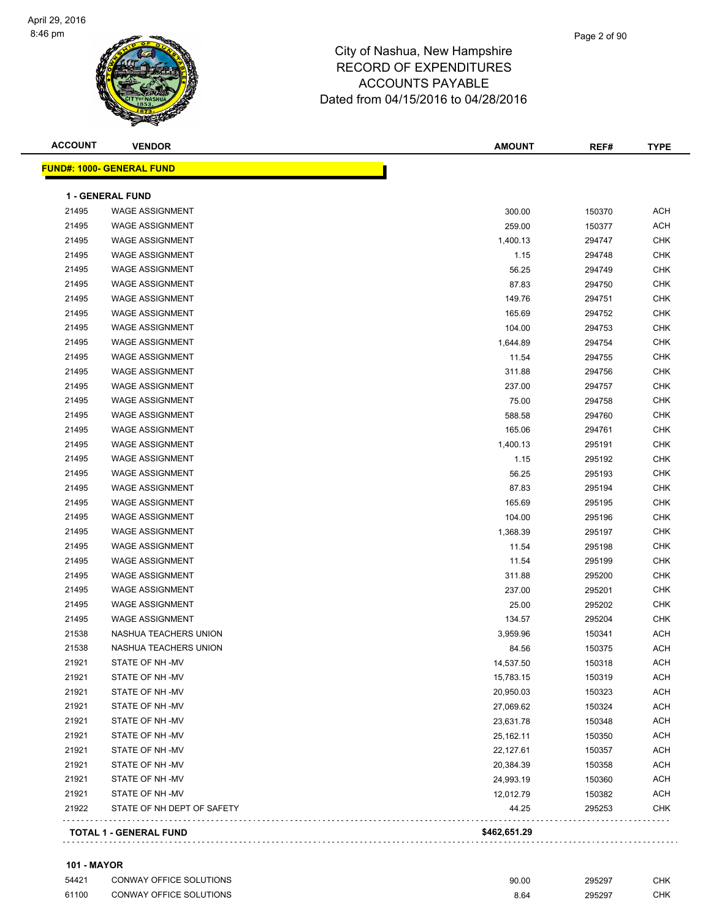| <b>ACCOUNT</b> | <b>VENDOR</b>                    | <b>AMOUNT</b> | REF#   | <b>TYPE</b> |
|----------------|----------------------------------|---------------|--------|-------------|
|                | <b>FUND#: 1000- GENERAL FUND</b> |               |        |             |
|                | <b>1 - GENERAL FUND</b>          |               |        |             |
| 21495          | <b>WAGE ASSIGNMENT</b>           | 300.00        | 150370 | <b>ACH</b>  |
| 21495          | <b>WAGE ASSIGNMENT</b>           | 259.00        | 150377 | <b>ACH</b>  |
| 21495          | <b>WAGE ASSIGNMENT</b>           | 1,400.13      | 294747 | <b>CHK</b>  |
| 21495          | <b>WAGE ASSIGNMENT</b>           | 1.15          | 294748 | <b>CHK</b>  |
| 21495          | <b>WAGE ASSIGNMENT</b>           | 56.25         | 294749 | <b>CHK</b>  |
| 21495          | <b>WAGE ASSIGNMENT</b>           | 87.83         | 294750 | <b>CHK</b>  |
| 21495          | <b>WAGE ASSIGNMENT</b>           | 149.76        | 294751 | <b>CHK</b>  |
| 21495          | <b>WAGE ASSIGNMENT</b>           | 165.69        | 294752 | <b>CHK</b>  |
| 21495          | <b>WAGE ASSIGNMENT</b>           | 104.00        | 294753 | <b>CHK</b>  |
| 21495          | <b>WAGE ASSIGNMENT</b>           | 1,644.89      | 294754 | <b>CHK</b>  |
| 21495          | <b>WAGE ASSIGNMENT</b>           | 11.54         | 294755 | <b>CHK</b>  |
| 21495          | <b>WAGE ASSIGNMENT</b>           | 311.88        | 294756 | <b>CHK</b>  |
| 21495          | <b>WAGE ASSIGNMENT</b>           | 237.00        | 294757 | <b>CHK</b>  |
| 21495          | <b>WAGE ASSIGNMENT</b>           | 75.00         | 294758 | <b>CHK</b>  |
| 21495          | <b>WAGE ASSIGNMENT</b>           | 588.58        | 294760 | <b>CHK</b>  |
| 21495          | <b>WAGE ASSIGNMENT</b>           | 165.06        | 294761 | <b>CHK</b>  |
| 21495          | <b>WAGE ASSIGNMENT</b>           | 1,400.13      | 295191 | <b>CHK</b>  |
| 21495          | <b>WAGE ASSIGNMENT</b>           | 1.15          | 295192 | <b>CHK</b>  |
| 21495          | <b>WAGE ASSIGNMENT</b>           | 56.25         | 295193 | <b>CHK</b>  |
| 21495          | <b>WAGE ASSIGNMENT</b>           | 87.83         | 295194 | <b>CHK</b>  |
| 21495          | <b>WAGE ASSIGNMENT</b>           | 165.69        | 295195 | <b>CHK</b>  |
| 21495          | <b>WAGE ASSIGNMENT</b>           | 104.00        | 295196 | <b>CHK</b>  |
| 21495          | <b>WAGE ASSIGNMENT</b>           | 1,368.39      | 295197 | <b>CHK</b>  |
| 21495          | <b>WAGE ASSIGNMENT</b>           | 11.54         | 295198 | <b>CHK</b>  |
| 21495          | <b>WAGE ASSIGNMENT</b>           | 11.54         | 295199 | <b>CHK</b>  |
| 21495          | <b>WAGE ASSIGNMENT</b>           | 311.88        | 295200 | <b>CHK</b>  |
| 21495          | <b>WAGE ASSIGNMENT</b>           | 237.00        | 295201 | <b>CHK</b>  |
| 21495          | <b>WAGE ASSIGNMENT</b>           | 25.00         | 295202 | <b>CHK</b>  |
| 21495          | <b>WAGE ASSIGNMENT</b>           | 134.57        | 295204 | <b>CHK</b>  |
| 21538          | NASHUA TEACHERS UNION            | 3,959.96      | 150341 | <b>ACH</b>  |
| 21538          | NASHUA TEACHERS UNION            | 84.56         | 150375 | <b>ACH</b>  |
| 21921          | STATE OF NH -MV                  | 14,537.50     | 150318 | ACH         |
| 21921          | STATE OF NH -MV                  | 15,783.15     | 150319 | <b>ACH</b>  |
| 21921          | STATE OF NH-MV                   | 20,950.03     | 150323 | <b>ACH</b>  |
| 21921          | STATE OF NH -MV                  | 27,069.62     | 150324 | <b>ACH</b>  |
| 21921          | STATE OF NH-MV                   | 23,631.78     | 150348 | <b>ACH</b>  |
| 21921          | STATE OF NH -MV                  | 25,162.11     | 150350 | <b>ACH</b>  |
| 21921          | STATE OF NH-MV                   | 22,127.61     | 150357 | <b>ACH</b>  |
| 21921          | STATE OF NH -MV                  | 20,384.39     | 150358 | <b>ACH</b>  |
| 21921          | STATE OF NH-MV                   | 24,993.19     | 150360 | <b>ACH</b>  |
| 21921          | STATE OF NH-MV                   | 12,012.79     | 150382 | <b>ACH</b>  |
| 21922          | STATE OF NH DEPT OF SAFETY       | 44.25         | 295253 | <b>CHK</b>  |
|                | <b>TOTAL 1 - GENERAL FUND</b>    | \$462,651.29  |        |             |

#### **101 - MAYOR**

| 54421 | CONWAY OFFICE SOLUTIONS | 90.00 | 295297 | СНК |
|-------|-------------------------|-------|--------|-----|
| 61100 | CONWAY OFFICE SOLUTIONS | 8.64  | 295297 | СНК |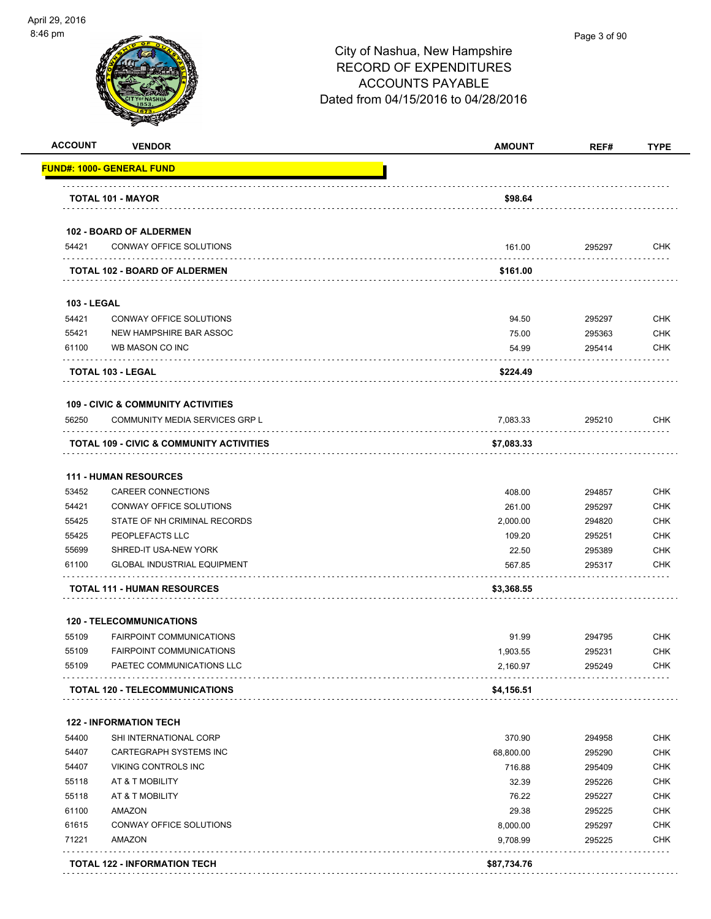| <u> FUND#: 1000- GENERAL FUND</u><br><b>TOTAL 101 - MAYOR</b><br>54421<br><b>103 - LEGAL</b><br>54421<br>55421<br>61100<br>TOTAL 103 - LEGAL<br>56250<br><b>111 - HUMAN RESOURCES</b><br>53452<br>54421<br>55425<br>55425<br>55699<br>61100 | <b>102 - BOARD OF ALDERMEN</b><br>CONWAY OFFICE SOLUTIONS<br><b>TOTAL 102 - BOARD OF ALDERMEN</b><br>CONWAY OFFICE SOLUTIONS<br>NEW HAMPSHIRE BAR ASSOC<br>WB MASON CO INC<br><b>109 - CIVIC &amp; COMMUNITY ACTIVITIES</b><br>COMMUNITY MEDIA SERVICES GRP L<br>TOTAL 109 - CIVIC & COMMUNITY ACTIVITIES | \$98.64<br>161.00<br>\$161.00<br>94.50<br>75.00<br>54.99<br>\$224.49<br>7,083.33 | 295297<br>295297<br>295363<br>295414 | <b>CHK</b><br><b>CHK</b><br>CHK<br><b>CHK</b> |
|---------------------------------------------------------------------------------------------------------------------------------------------------------------------------------------------------------------------------------------------|-----------------------------------------------------------------------------------------------------------------------------------------------------------------------------------------------------------------------------------------------------------------------------------------------------------|----------------------------------------------------------------------------------|--------------------------------------|-----------------------------------------------|
|                                                                                                                                                                                                                                             |                                                                                                                                                                                                                                                                                                           |                                                                                  |                                      |                                               |
|                                                                                                                                                                                                                                             |                                                                                                                                                                                                                                                                                                           |                                                                                  |                                      |                                               |
|                                                                                                                                                                                                                                             |                                                                                                                                                                                                                                                                                                           |                                                                                  |                                      |                                               |
|                                                                                                                                                                                                                                             |                                                                                                                                                                                                                                                                                                           |                                                                                  |                                      |                                               |
|                                                                                                                                                                                                                                             |                                                                                                                                                                                                                                                                                                           |                                                                                  |                                      |                                               |
|                                                                                                                                                                                                                                             |                                                                                                                                                                                                                                                                                                           |                                                                                  |                                      |                                               |
|                                                                                                                                                                                                                                             |                                                                                                                                                                                                                                                                                                           |                                                                                  |                                      |                                               |
|                                                                                                                                                                                                                                             |                                                                                                                                                                                                                                                                                                           |                                                                                  |                                      |                                               |
|                                                                                                                                                                                                                                             |                                                                                                                                                                                                                                                                                                           |                                                                                  |                                      |                                               |
|                                                                                                                                                                                                                                             |                                                                                                                                                                                                                                                                                                           |                                                                                  |                                      |                                               |
|                                                                                                                                                                                                                                             |                                                                                                                                                                                                                                                                                                           |                                                                                  |                                      |                                               |
|                                                                                                                                                                                                                                             |                                                                                                                                                                                                                                                                                                           |                                                                                  |                                      |                                               |
|                                                                                                                                                                                                                                             |                                                                                                                                                                                                                                                                                                           |                                                                                  | 295210                               | <b>CHK</b>                                    |
|                                                                                                                                                                                                                                             |                                                                                                                                                                                                                                                                                                           | \$7,083.33                                                                       |                                      |                                               |
|                                                                                                                                                                                                                                             |                                                                                                                                                                                                                                                                                                           |                                                                                  |                                      |                                               |
|                                                                                                                                                                                                                                             | CAREER CONNECTIONS                                                                                                                                                                                                                                                                                        | 408.00                                                                           | 294857                               | <b>CHK</b>                                    |
|                                                                                                                                                                                                                                             | CONWAY OFFICE SOLUTIONS                                                                                                                                                                                                                                                                                   | 261.00                                                                           | 295297                               | <b>CHK</b>                                    |
|                                                                                                                                                                                                                                             | STATE OF NH CRIMINAL RECORDS                                                                                                                                                                                                                                                                              | 2,000.00                                                                         | 294820                               | <b>CHK</b>                                    |
|                                                                                                                                                                                                                                             | PEOPLEFACTS LLC                                                                                                                                                                                                                                                                                           | 109.20                                                                           | 295251                               | <b>CHK</b>                                    |
|                                                                                                                                                                                                                                             | SHRED-IT USA-NEW YORK                                                                                                                                                                                                                                                                                     | 22.50                                                                            | 295389                               | <b>CHK</b>                                    |
|                                                                                                                                                                                                                                             | <b>GLOBAL INDUSTRIAL EQUIPMENT</b>                                                                                                                                                                                                                                                                        | 567.85                                                                           | 295317                               | <b>CHK</b>                                    |
|                                                                                                                                                                                                                                             | <b>TOTAL 111 - HUMAN RESOURCES</b>                                                                                                                                                                                                                                                                        | \$3,368.55                                                                       |                                      |                                               |
|                                                                                                                                                                                                                                             | <b>120 - TELECOMMUNICATIONS</b>                                                                                                                                                                                                                                                                           |                                                                                  |                                      |                                               |
| 55109                                                                                                                                                                                                                                       | <b>FAIRPOINT COMMUNICATIONS</b>                                                                                                                                                                                                                                                                           | 91.99                                                                            | 294795                               | CHK                                           |
| 55109                                                                                                                                                                                                                                       | <b>FAIRPOINT COMMUNICATIONS</b>                                                                                                                                                                                                                                                                           | 1,903.55                                                                         | 295231                               | <b>CHK</b>                                    |
| 55109                                                                                                                                                                                                                                       | PAETEC COMMUNICATIONS LLC                                                                                                                                                                                                                                                                                 | 2,160.97                                                                         | 295249                               | <b>CHK</b>                                    |
|                                                                                                                                                                                                                                             | <b>TOTAL 120 - TELECOMMUNICATIONS</b>                                                                                                                                                                                                                                                                     | \$4,156.51                                                                       |                                      |                                               |
| <b>122 - INFORMATION TECH</b>                                                                                                                                                                                                               |                                                                                                                                                                                                                                                                                                           |                                                                                  |                                      |                                               |
| 54400                                                                                                                                                                                                                                       | SHI INTERNATIONAL CORP                                                                                                                                                                                                                                                                                    | 370.90                                                                           | 294958                               | <b>CHK</b>                                    |
| 54407                                                                                                                                                                                                                                       | CARTEGRAPH SYSTEMS INC                                                                                                                                                                                                                                                                                    | 68,800.00                                                                        | 295290                               | <b>CHK</b>                                    |
| 54407                                                                                                                                                                                                                                       | <b>VIKING CONTROLS INC</b>                                                                                                                                                                                                                                                                                | 716.88                                                                           | 295409                               | <b>CHK</b>                                    |
| 55118                                                                                                                                                                                                                                       | AT & T MOBILITY                                                                                                                                                                                                                                                                                           | 32.39                                                                            | 295226                               | <b>CHK</b>                                    |
| 55118                                                                                                                                                                                                                                       | AT & T MOBILITY                                                                                                                                                                                                                                                                                           | 76.22                                                                            | 295227                               | <b>CHK</b>                                    |
| 61100                                                                                                                                                                                                                                       | AMAZON                                                                                                                                                                                                                                                                                                    | 29.38                                                                            | 295225                               | <b>CHK</b>                                    |
| 61615                                                                                                                                                                                                                                       | CONWAY OFFICE SOLUTIONS                                                                                                                                                                                                                                                                                   | 8,000.00                                                                         | 295297                               | <b>CHK</b>                                    |
| 71221<br>AMAZON                                                                                                                                                                                                                             |                                                                                                                                                                                                                                                                                                           | 9,708.99                                                                         | 295225                               | <b>CHK</b>                                    |
| <b>TOTAL 122 - INFORMATION TECH</b>                                                                                                                                                                                                         |                                                                                                                                                                                                                                                                                                           | \$87,734.76                                                                      |                                      |                                               |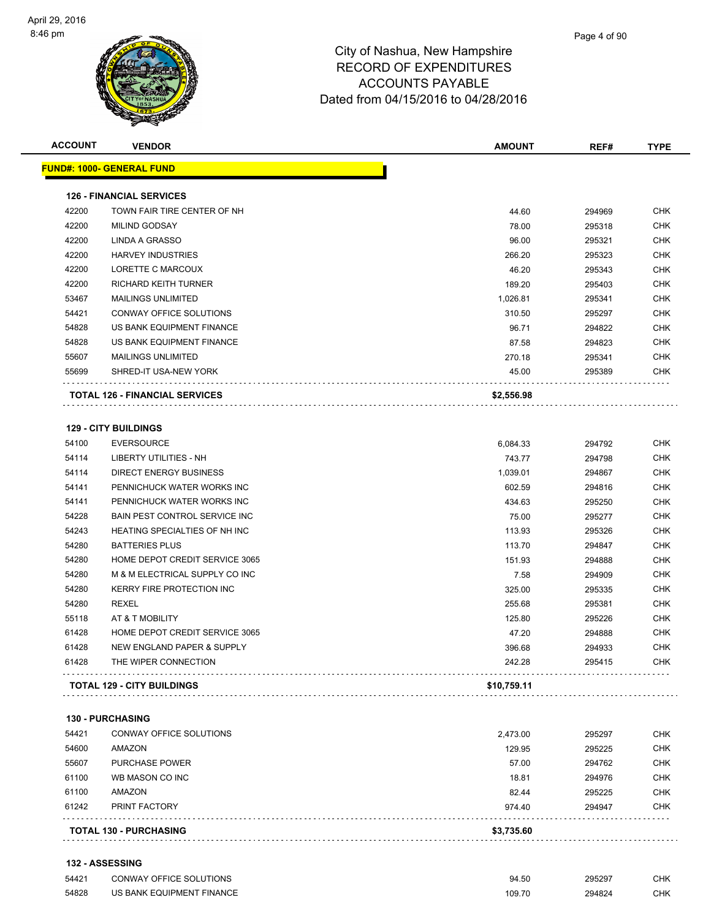

| <b>ACCOUNT</b> | <b>VENDOR</b>                         | <b>AMOUNT</b> | REF#   | <b>TYPE</b> |
|----------------|---------------------------------------|---------------|--------|-------------|
|                | <u> FUND#: 1000- GENERAL FUND</u>     |               |        |             |
|                | <b>126 - FINANCIAL SERVICES</b>       |               |        |             |
| 42200          | TOWN FAIR TIRE CENTER OF NH           | 44.60         | 294969 | CHK         |
| 42200          | <b>MILIND GODSAY</b>                  | 78.00         | 295318 | <b>CHK</b>  |
| 42200          | LINDA A GRASSO                        | 96.00         | 295321 | <b>CHK</b>  |
| 42200          | <b>HARVEY INDUSTRIES</b>              | 266.20        | 295323 | <b>CHK</b>  |
| 42200          | LORETTE C MARCOUX                     | 46.20         | 295343 | <b>CHK</b>  |
| 42200          | RICHARD KEITH TURNER                  | 189.20        | 295403 | <b>CHK</b>  |
| 53467          | <b>MAILINGS UNLIMITED</b>             | 1,026.81      | 295341 | <b>CHK</b>  |
| 54421          | CONWAY OFFICE SOLUTIONS               | 310.50        | 295297 | <b>CHK</b>  |
| 54828          | US BANK EQUIPMENT FINANCE             | 96.71         | 294822 | <b>CHK</b>  |
| 54828          | US BANK EQUIPMENT FINANCE             | 87.58         | 294823 | <b>CHK</b>  |
| 55607          | <b>MAILINGS UNLIMITED</b>             | 270.18        | 295341 | <b>CHK</b>  |
| 55699          | SHRED-IT USA-NEW YORK                 | 45.00         | 295389 | <b>CHK</b>  |
|                | <b>TOTAL 126 - FINANCIAL SERVICES</b> | \$2,556.98    |        |             |
|                |                                       |               |        |             |
|                | <b>129 - CITY BUILDINGS</b>           |               |        |             |
| 54100          | <b>EVERSOURCE</b>                     | 6,084.33      | 294792 | CHK         |
| 54114          | LIBERTY UTILITIES - NH                | 743.77        | 294798 | <b>CHK</b>  |
| 54114          | <b>DIRECT ENERGY BUSINESS</b>         | 1,039.01      | 294867 | CHK         |
| 54141          | PENNICHUCK WATER WORKS INC            | 602.59        | 294816 | <b>CHK</b>  |
| 54141          | PENNICHUCK WATER WORKS INC            | 434.63        | 295250 | CHK         |
| 54228          | <b>BAIN PEST CONTROL SERVICE INC</b>  | 75.00         | 295277 | <b>CHK</b>  |
| 54243          | HEATING SPECIALTIES OF NH INC         | 113.93        | 295326 | <b>CHK</b>  |
| 54280          | <b>BATTERIES PLUS</b>                 | 113.70        | 294847 | <b>CHK</b>  |
| 54280          | HOME DEPOT CREDIT SERVICE 3065        | 151.93        | 294888 | <b>CHK</b>  |
| 54280          | M & M ELECTRICAL SUPPLY CO INC        | 7.58          | 294909 | <b>CHK</b>  |
| 54280          | KERRY FIRE PROTECTION INC             | 325.00        | 295335 | CHK         |
| 54280          | <b>REXEL</b>                          | 255.68        | 295381 | <b>CHK</b>  |
| 55118          | AT & T MOBILITY                       | 125.80        | 295226 | <b>CHK</b>  |
| 61428          | HOME DEPOT CREDIT SERVICE 3065        | 47.20         | 294888 | <b>CHK</b>  |
| 61428          | NEW ENGLAND PAPER & SUPPLY            | 396.68        | 294933 | <b>CHK</b>  |
| 61428          | THE WIPER CONNECTION                  | 242.28        | 295415 | CHK<br>.    |
|                | <b>TOTAL 129 - CITY BUILDINGS</b>     | \$10,759.11   |        |             |
|                | <b>130 - PURCHASING</b>               |               |        |             |
| 54421          | CONWAY OFFICE SOLUTIONS               | 2,473.00      | 295297 | CHK         |
| 54600          | AMAZON                                | 129.95        | 295225 | <b>CHK</b>  |

|       | <b>TOTAL 130 - PURCHASING</b> | \$3,735.60 |        |            |
|-------|-------------------------------|------------|--------|------------|
| 61242 | PRINT FACTORY                 | 974.40     | 294947 | <b>CHK</b> |
| 61100 | AMAZON                        | 82.44      | 295225 | <b>CHK</b> |
| 61100 | WB MASON CO INC               | 18.81      | 294976 | <b>CHK</b> |
| 55607 | <b>PURCHASE POWER</b>         | 57.00      | 294762 | <b>CHK</b> |
| 54600 | AMAZON                        | 129.95     | 295225 | <b>CHK</b> |
| 54421 | CONWAY OFFICE SOLUTIONS       | 2,473.00   | 295297 | <b>CHK</b> |

**132 - ASSESSING**

| 54421 | <b>CONWAY OFFICE SOLUTIONS</b> | 94.50  | 295297 | CHK |
|-------|--------------------------------|--------|--------|-----|
| 54828 | US BANK EQUIPMENT FINANCE      | 109.70 | 294824 | CHK |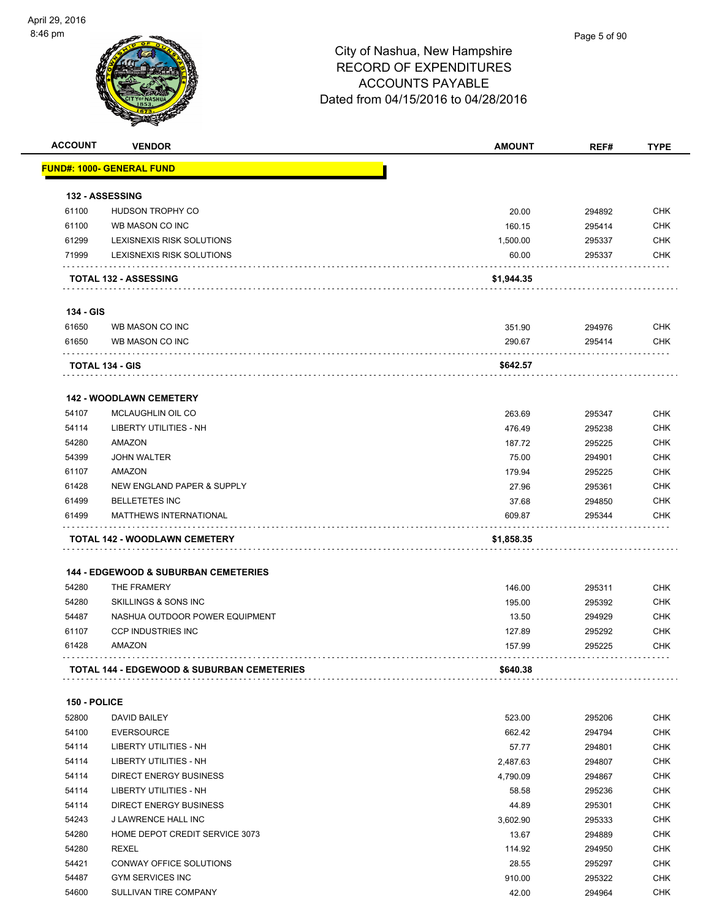| <b>ACCOUNT</b> | <b>VENDOR</b>                                         | <b>AMOUNT</b> | REF#   | <b>TYPE</b> |
|----------------|-------------------------------------------------------|---------------|--------|-------------|
|                | <b>FUND#: 1000- GENERAL FUND</b>                      |               |        |             |
|                |                                                       |               |        |             |
|                | <b>132 - ASSESSING</b>                                |               |        |             |
| 61100          | HUDSON TROPHY CO                                      | 20.00         | 294892 | <b>CHK</b>  |
| 61100          | WB MASON CO INC                                       | 160.15        | 295414 | <b>CHK</b>  |
| 61299          | LEXISNEXIS RISK SOLUTIONS                             | 1,500.00      | 295337 | <b>CHK</b>  |
| 71999          | LEXISNEXIS RISK SOLUTIONS                             | 60.00         | 295337 | <b>CHK</b>  |
|                | <b>TOTAL 132 - ASSESSING</b>                          | \$1,944.35    |        |             |
| 134 - GIS      |                                                       |               |        |             |
| 61650          | WB MASON CO INC                                       | 351.90        | 294976 | <b>CHK</b>  |
| 61650          | WB MASON CO INC                                       | 290.67        | 295414 | CHK         |
|                | <b>TOTAL 134 - GIS</b>                                | \$642.57      |        |             |
|                | 142 - WOODLAWN CEMETERY                               |               |        |             |
| 54107          | <b>MCLAUGHLIN OIL CO</b>                              | 263.69        | 295347 | <b>CHK</b>  |
| 54114          | <b>LIBERTY UTILITIES - NH</b>                         | 476.49        |        | <b>CHK</b>  |
| 54280          | AMAZON                                                |               | 295238 |             |
|                | <b>JOHN WALTER</b>                                    | 187.72        | 295225 | <b>CHK</b>  |
| 54399          |                                                       | 75.00         | 294901 | <b>CHK</b>  |
| 61107          | AMAZON                                                | 179.94        | 295225 | <b>CHK</b>  |
| 61428          | NEW ENGLAND PAPER & SUPPLY                            | 27.96         | 295361 | <b>CHK</b>  |
| 61499          | <b>BELLETETES INC</b>                                 | 37.68         | 294850 | <b>CHK</b>  |
| 61499          | <b>MATTHEWS INTERNATIONAL</b>                         | 609.87        | 295344 | <b>CHK</b>  |
|                | TOTAL 142 - WOODLAWN CEMETERY                         | \$1,858.35    |        |             |
|                | <b>144 - EDGEWOOD &amp; SUBURBAN CEMETERIES</b>       |               |        |             |
| 54280          | THE FRAMERY                                           | 146.00        | 295311 | <b>CHK</b>  |
| 54280          | SKILLINGS & SONS INC                                  | 195.00        | 295392 | CHK         |
| 54487          | NASHUA OUTDOOR POWER EQUIPMENT                        | 13.50         | 294929 | <b>CHK</b>  |
| 61107          | <b>CCP INDUSTRIES INC</b>                             | 127.89        | 295292 | <b>CHK</b>  |
| 61428          | AMAZON                                                | 157.99        | 295225 | CHK         |
|                | <b>TOTAL 144 - EDGEWOOD &amp; SUBURBAN CEMETERIES</b> | \$640.38      |        |             |
|                |                                                       |               |        |             |
| 150 - POLICE   |                                                       |               |        |             |
| 52800          | DAVID BAILEY                                          | 523.00        | 295206 | CHK         |
| 54100          | <b>EVERSOURCE</b>                                     | 662.42        | 294794 | <b>CHK</b>  |
| 54114          | <b>LIBERTY UTILITIES - NH</b>                         | 57.77         | 294801 | CHK         |
| 54114          | <b>LIBERTY UTILITIES - NH</b>                         | 2,487.63      | 294807 | <b>CHK</b>  |
| 54114          | <b>DIRECT ENERGY BUSINESS</b>                         | 4,790.09      | 294867 | CHK         |
| 54114          | LIBERTY UTILITIES - NH                                | 58.58         | 295236 | CHK         |
| 54114          | <b>DIRECT ENERGY BUSINESS</b>                         | 44.89         | 295301 | CHK         |
| 54243          | J LAWRENCE HALL INC                                   | 3,602.90      | 295333 | CHK         |
| 54280          | HOME DEPOT CREDIT SERVICE 3073                        | 13.67         | 294889 | CHK         |
| 54280          | <b>REXEL</b>                                          | 114.92        | 294950 | CHK         |
| 54421          | CONWAY OFFICE SOLUTIONS                               | 28.55         | 295297 | CHK         |
| 54487          | <b>GYM SERVICES INC</b>                               | 910.00        | 295322 | CHK         |
| 54600          | SULLIVAN TIRE COMPANY                                 | 42.00         | 294964 | <b>CHK</b>  |
|                |                                                       |               |        |             |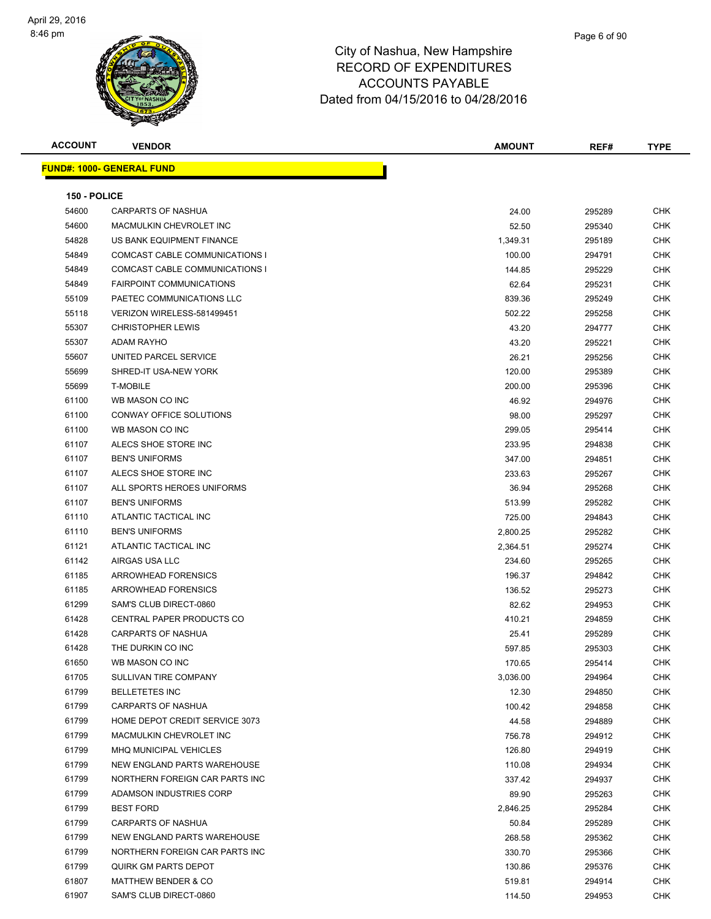| <b>ACCOUNT</b> | <b>VENDOR</b>                      | <b>AMOUNT</b> | REF#   | <b>TYPE</b> |
|----------------|------------------------------------|---------------|--------|-------------|
|                | <b>FUND#: 1000- GENERAL FUND</b>   |               |        |             |
|                |                                    |               |        |             |
| 150 - POLICE   |                                    |               |        |             |
| 54600          | <b>CARPARTS OF NASHUA</b>          | 24.00         | 295289 | <b>CHK</b>  |
| 54600          | MACMULKIN CHEVROLET INC            | 52.50         | 295340 | <b>CHK</b>  |
| 54828          | US BANK EQUIPMENT FINANCE          | 1,349.31      | 295189 | CHK         |
| 54849          | COMCAST CABLE COMMUNICATIONS I     | 100.00        | 294791 | CHK         |
| 54849          | COMCAST CABLE COMMUNICATIONS I     | 144.85        | 295229 | <b>CHK</b>  |
| 54849          | <b>FAIRPOINT COMMUNICATIONS</b>    | 62.64         | 295231 | CHK         |
| 55109          | PAETEC COMMUNICATIONS LLC          | 839.36        | 295249 | <b>CHK</b>  |
| 55118          | VERIZON WIRELESS-581499451         | 502.22        | 295258 | <b>CHK</b>  |
| 55307          | <b>CHRISTOPHER LEWIS</b>           | 43.20         | 294777 | <b>CHK</b>  |
| 55307          | <b>ADAM RAYHO</b>                  | 43.20         | 295221 | <b>CHK</b>  |
| 55607          | UNITED PARCEL SERVICE              | 26.21         | 295256 | CHK         |
| 55699          | SHRED-IT USA-NEW YORK              | 120.00        | 295389 | <b>CHK</b>  |
| 55699          | <b>T-MOBILE</b>                    | 200.00        | 295396 | CHK         |
| 61100          | WB MASON CO INC                    | 46.92         | 294976 | CHK         |
| 61100          | <b>CONWAY OFFICE SOLUTIONS</b>     | 98.00         | 295297 | CHK         |
| 61100          | WB MASON CO INC                    | 299.05        | 295414 | <b>CHK</b>  |
| 61107          | ALECS SHOE STORE INC               | 233.95        | 294838 | <b>CHK</b>  |
| 61107          | <b>BEN'S UNIFORMS</b>              | 347.00        | 294851 | <b>CHK</b>  |
| 61107          | ALECS SHOE STORE INC               | 233.63        | 295267 | <b>CHK</b>  |
| 61107          | ALL SPORTS HEROES UNIFORMS         | 36.94         | 295268 | <b>CHK</b>  |
| 61107          | <b>BEN'S UNIFORMS</b>              | 513.99        | 295282 | <b>CHK</b>  |
| 61110          | ATLANTIC TACTICAL INC              | 725.00        | 294843 | <b>CHK</b>  |
| 61110          | <b>BEN'S UNIFORMS</b>              | 2,800.25      | 295282 | <b>CHK</b>  |
| 61121          | ATLANTIC TACTICAL INC              | 2,364.51      | 295274 | <b>CHK</b>  |
| 61142          | AIRGAS USA LLC                     | 234.60        | 295265 | <b>CHK</b>  |
| 61185          | <b>ARROWHEAD FORENSICS</b>         | 196.37        | 294842 | <b>CHK</b>  |
| 61185          | <b>ARROWHEAD FORENSICS</b>         | 136.52        | 295273 | <b>CHK</b>  |
| 61299          | SAM'S CLUB DIRECT-0860             | 82.62         | 294953 | <b>CHK</b>  |
| 61428          | <b>CENTRAL PAPER PRODUCTS CO</b>   | 410.21        | 294859 | <b>CHK</b>  |
| 61428          | <b>CARPARTS OF NASHUA</b>          | 25.41         | 295289 | <b>CHK</b>  |
| 61428          | THE DURKIN CO INC                  | 597.85        | 295303 | <b>CHK</b>  |
| 61650          | WB MASON CO INC                    | 170.65        | 295414 | <b>CHK</b>  |
| 61705          | SULLIVAN TIRE COMPANY              | 3,036.00      | 294964 | <b>CHK</b>  |
| 61799          | <b>BELLETETES INC</b>              | 12.30         | 294850 | <b>CHK</b>  |
| 61799          | <b>CARPARTS OF NASHUA</b>          | 100.42        | 294858 | <b>CHK</b>  |
| 61799          | HOME DEPOT CREDIT SERVICE 3073     | 44.58         | 294889 | <b>CHK</b>  |
| 61799          | <b>MACMULKIN CHEVROLET INC</b>     | 756.78        | 294912 | CHK         |
| 61799          | <b>MHQ MUNICIPAL VEHICLES</b>      | 126.80        | 294919 | CHK         |
| 61799          | <b>NEW ENGLAND PARTS WAREHOUSE</b> | 110.08        | 294934 | <b>CHK</b>  |
| 61799          | NORTHERN FOREIGN CAR PARTS INC     | 337.42        | 294937 | CHK         |
| 61799          | ADAMSON INDUSTRIES CORP            | 89.90         | 295263 | CHK         |
| 61799          | <b>BEST FORD</b>                   | 2,846.25      | 295284 | <b>CHK</b>  |
| 61799          | <b>CARPARTS OF NASHUA</b>          | 50.84         | 295289 | CHK         |
| 61799          | NEW ENGLAND PARTS WAREHOUSE        | 268.58        | 295362 | CHK         |
| 61799          | NORTHERN FOREIGN CAR PARTS INC     | 330.70        | 295366 | <b>CHK</b>  |
| 61799          | <b>QUIRK GM PARTS DEPOT</b>        | 130.86        | 295376 | CHK         |
| 61807          | <b>MATTHEW BENDER &amp; CO</b>     | 519.81        | 294914 | CHK         |
| 61907          | SAM'S CLUB DIRECT-0860             | 114.50        | 294953 | CHK         |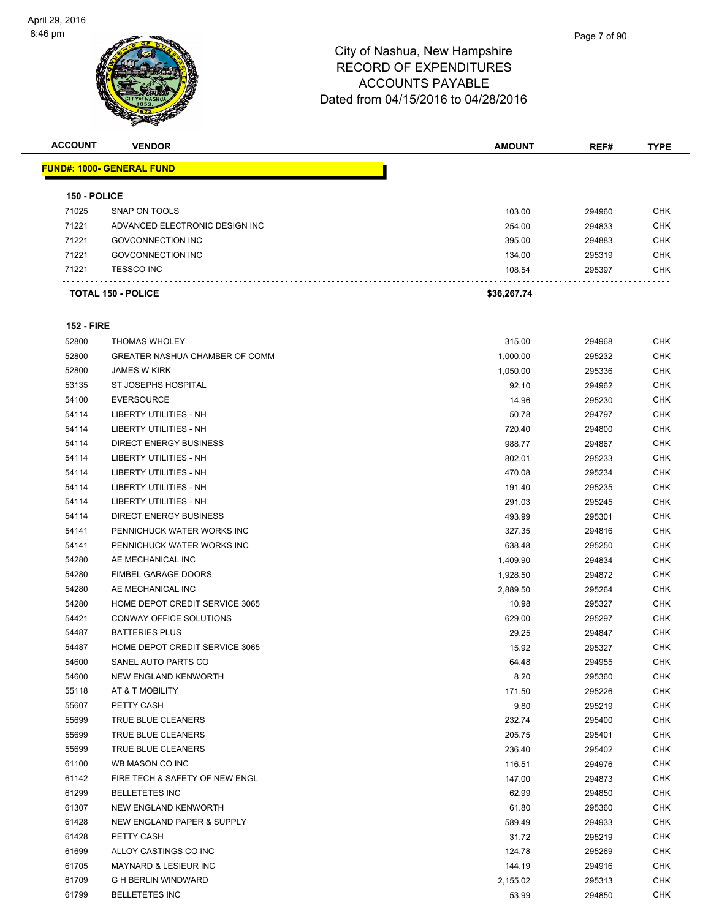

| <b>ACCOUNT</b>    | <b>VENDOR</b>                         | <b>AMOUNT</b> | REF#   | <b>TYPE</b> |
|-------------------|---------------------------------------|---------------|--------|-------------|
|                   | <u> FUND#: 1000- GENERAL FUND</u>     |               |        |             |
| 150 - POLICE      |                                       |               |        |             |
| 71025             | <b>SNAP ON TOOLS</b>                  | 103.00        | 294960 | <b>CHK</b>  |
| 71221             | ADVANCED ELECTRONIC DESIGN INC        | 254.00        | 294833 | <b>CHK</b>  |
| 71221             | <b>GOVCONNECTION INC</b>              | 395.00        | 294883 | CHK         |
| 71221             | <b>GOVCONNECTION INC</b>              | 134.00        | 295319 | <b>CHK</b>  |
| 71221             | <b>TESSCO INC</b>                     | 108.54        | 295397 | <b>CHK</b>  |
|                   | <b>TOTAL 150 - POLICE</b>             | \$36,267.74   |        |             |
|                   |                                       |               |        |             |
| <b>152 - FIRE</b> |                                       |               |        |             |
| 52800             | <b>THOMAS WHOLEY</b>                  | 315.00        | 294968 | CHK         |
| 52800             | <b>GREATER NASHUA CHAMBER OF COMM</b> | 1,000.00      | 295232 | <b>CHK</b>  |
| 52800             | <b>JAMES W KIRK</b>                   | 1,050.00      | 295336 | <b>CHK</b>  |
| 53135             | ST JOSEPHS HOSPITAL                   | 92.10         | 294962 | CHK         |
| 54100             | <b>EVERSOURCE</b>                     | 14.96         | 295230 | <b>CHK</b>  |
| 54114             | LIBERTY UTILITIES - NH                | 50.78         | 294797 | <b>CHK</b>  |
| 54114             | LIBERTY UTILITIES - NH                | 720.40        | 294800 | <b>CHK</b>  |
| 54114             | <b>DIRECT ENERGY BUSINESS</b>         | 988.77        | 294867 | <b>CHK</b>  |
| 54114             | LIBERTY UTILITIES - NH                | 802.01        | 295233 | CHK         |
| 54114             | LIBERTY UTILITIES - NH                | 470.08        | 295234 | <b>CHK</b>  |
| 54114             | LIBERTY UTILITIES - NH                | 191.40        | 295235 | CHK         |
| 54114             | LIBERTY UTILITIES - NH                | 291.03        | 295245 | CHK         |
| 54114             | <b>DIRECT ENERGY BUSINESS</b>         | 493.99        | 295301 | <b>CHK</b>  |
| 54141             | PENNICHUCK WATER WORKS INC            | 327.35        | 294816 | CHK         |
| 54141             | PENNICHUCK WATER WORKS INC            | 638.48        | 295250 | CHK         |
| 54280             | AE MECHANICAL INC                     | 1,409.90      | 294834 | <b>CHK</b>  |
| 54280             | <b>FIMBEL GARAGE DOORS</b>            | 1,928.50      | 294872 | CHK         |
| 54280             | AE MECHANICAL INC                     | 2,889.50      | 295264 | <b>CHK</b>  |
| 54280             | HOME DEPOT CREDIT SERVICE 3065        | 10.98         | 295327 | <b>CHK</b>  |
| 54421             | CONWAY OFFICE SOLUTIONS               | 629.00        | 295297 | CHK         |
| 54487             | <b>BATTERIES PLUS</b>                 | 29.25         | 294847 | CHK         |
| 54487             | HOME DEPOT CREDIT SERVICE 3065        | 15.92         | 295327 | CHK         |
| 54600             | SANEL AUTO PARTS CO                   | 64.48         | 294955 | <b>CHK</b>  |
| 54600             | NEW ENGLAND KENWORTH                  | 8.20          | 295360 | CHK         |
| 55118             | AT & T MOBILITY                       | 171.50        | 295226 | <b>CHK</b>  |
| 55607             | PETTY CASH                            | 9.80          | 295219 | <b>CHK</b>  |
| 55699             | TRUE BLUE CLEANERS                    | 232.74        | 295400 | <b>CHK</b>  |
| 55699             | TRUE BLUE CLEANERS                    | 205.75        | 295401 | <b>CHK</b>  |
| 55699             | TRUE BLUE CLEANERS                    | 236.40        | 295402 | <b>CHK</b>  |
| 61100             | WB MASON CO INC                       | 116.51        | 294976 | <b>CHK</b>  |
| 61142             | FIRE TECH & SAFETY OF NEW ENGL        | 147.00        | 294873 | <b>CHK</b>  |
| 61299             | <b>BELLETETES INC</b>                 | 62.99         | 294850 | <b>CHK</b>  |
| 61307             | NEW ENGLAND KENWORTH                  | 61.80         | 295360 | <b>CHK</b>  |
| 61428             | NEW ENGLAND PAPER & SUPPLY            | 589.49        | 294933 | <b>CHK</b>  |
| 61428             | PETTY CASH                            | 31.72         | 295219 | <b>CHK</b>  |
| 61699             | ALLOY CASTINGS CO INC                 | 124.78        | 295269 | <b>CHK</b>  |
| 61705             | MAYNARD & LESIEUR INC                 | 144.19        | 294916 | <b>CHK</b>  |
| 61709             | <b>G H BERLIN WINDWARD</b>            | 2,155.02      | 295313 | <b>CHK</b>  |
| 61799             | <b>BELLETETES INC</b>                 | 53.99         | 294850 | <b>CHK</b>  |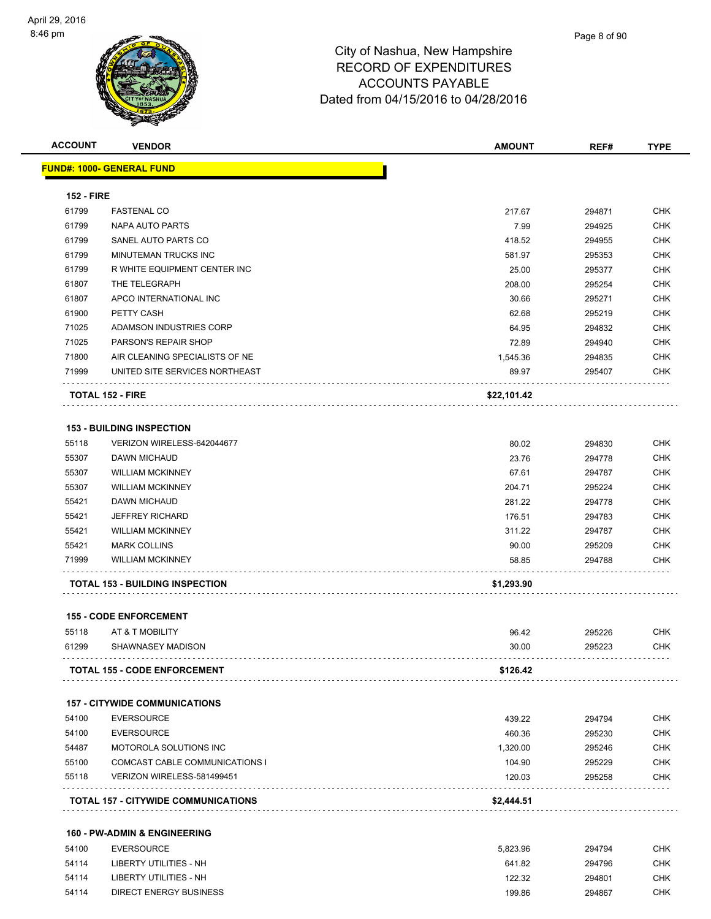| <b>FUND#: 1000- GENERAL FUND</b><br><b>152 - FIRE</b><br>61799<br><b>FASTENAL CO</b><br>217.67<br>294871<br>61799<br><b>NAPA AUTO PARTS</b><br>7.99<br>294925<br>61799<br>SANEL AUTO PARTS CO<br>418.52<br>294955<br>61799<br>MINUTEMAN TRUCKS INC<br>581.97<br>295353<br>61799<br>R WHITE EQUIPMENT CENTER INC<br>25.00<br>295377<br>61807<br>THE TELEGRAPH<br>208.00<br>295254<br>61807<br>APCO INTERNATIONAL INC<br>30.66<br>295271<br>61900<br>PETTY CASH<br>62.68<br>295219<br>71025<br>ADAMSON INDUSTRIES CORP<br>64.95<br>294832<br>71025<br>PARSON'S REPAIR SHOP<br>72.89<br>294940<br>71800<br>AIR CLEANING SPECIALISTS OF NE<br>1,545.36<br>294835<br>71999<br>UNITED SITE SERVICES NORTHEAST<br>89.97<br>295407<br>\$22,101.42<br><b>TOTAL 152 - FIRE</b><br><b>153 - BUILDING INSPECTION</b><br>55118<br>VERIZON WIRELESS-642044677<br>80.02<br>294830<br>55307<br><b>DAWN MICHAUD</b><br>23.76<br>294778<br>55307<br><b>WILLIAM MCKINNEY</b><br>67.61<br>294787<br>55307<br><b>WILLIAM MCKINNEY</b><br>204.71<br>295224<br>55421<br>DAWN MICHAUD<br>281.22<br>294778<br>55421<br><b>JEFFREY RICHARD</b><br>176.51<br>294783<br>55421<br><b>WILLIAM MCKINNEY</b><br>311.22<br>294787<br>55421<br><b>MARK COLLINS</b><br>90.00<br>295209<br>71999<br><b>WILLIAM MCKINNEY</b><br>58.85<br>294788<br>\$1,293.90<br><b>TOTAL 153 - BUILDING INSPECTION</b><br><b>155 - CODE ENFORCEMENT</b><br>55118<br>AT & T MOBILITY<br>96.42<br>295226<br>61299<br>SHAWNASEY MADISON<br>30.00<br>295223<br><b>TOTAL 155 - CODE ENFORCEMENT</b><br>\$126.42<br><b>157 - CITYWIDE COMMUNICATIONS</b><br>54100<br><b>EVERSOURCE</b><br>439.22<br>294794<br>54100<br><b>EVERSOURCE</b><br>460.36<br>295230<br>54487<br>MOTOROLA SOLUTIONS INC<br>1,320.00<br>295246<br>55100<br>COMCAST CABLE COMMUNICATIONS I<br>104.90<br>295229<br>55118<br>VERIZON WIRELESS-581499451<br>120.03<br>295258<br><b>TOTAL 157 - CITYWIDE COMMUNICATIONS</b><br>\$2,444.51 | <b>ACCOUNT</b> | <b>VENDOR</b> | <b>AMOUNT</b> | REF# | <b>TYPE</b> |
|---------------------------------------------------------------------------------------------------------------------------------------------------------------------------------------------------------------------------------------------------------------------------------------------------------------------------------------------------------------------------------------------------------------------------------------------------------------------------------------------------------------------------------------------------------------------------------------------------------------------------------------------------------------------------------------------------------------------------------------------------------------------------------------------------------------------------------------------------------------------------------------------------------------------------------------------------------------------------------------------------------------------------------------------------------------------------------------------------------------------------------------------------------------------------------------------------------------------------------------------------------------------------------------------------------------------------------------------------------------------------------------------------------------------------------------------------------------------------------------------------------------------------------------------------------------------------------------------------------------------------------------------------------------------------------------------------------------------------------------------------------------------------------------------------------------------------------------------------------------------------------------------------------------------------------------------------|----------------|---------------|---------------|------|-------------|
|                                                                                                                                                                                                                                                                                                                                                                                                                                                                                                                                                                                                                                                                                                                                                                                                                                                                                                                                                                                                                                                                                                                                                                                                                                                                                                                                                                                                                                                                                                                                                                                                                                                                                                                                                                                                                                                                                                                                                   |                |               |               |      |             |
|                                                                                                                                                                                                                                                                                                                                                                                                                                                                                                                                                                                                                                                                                                                                                                                                                                                                                                                                                                                                                                                                                                                                                                                                                                                                                                                                                                                                                                                                                                                                                                                                                                                                                                                                                                                                                                                                                                                                                   |                |               |               |      |             |
|                                                                                                                                                                                                                                                                                                                                                                                                                                                                                                                                                                                                                                                                                                                                                                                                                                                                                                                                                                                                                                                                                                                                                                                                                                                                                                                                                                                                                                                                                                                                                                                                                                                                                                                                                                                                                                                                                                                                                   |                |               |               |      | <b>CHK</b>  |
|                                                                                                                                                                                                                                                                                                                                                                                                                                                                                                                                                                                                                                                                                                                                                                                                                                                                                                                                                                                                                                                                                                                                                                                                                                                                                                                                                                                                                                                                                                                                                                                                                                                                                                                                                                                                                                                                                                                                                   |                |               |               |      | <b>CHK</b>  |
|                                                                                                                                                                                                                                                                                                                                                                                                                                                                                                                                                                                                                                                                                                                                                                                                                                                                                                                                                                                                                                                                                                                                                                                                                                                                                                                                                                                                                                                                                                                                                                                                                                                                                                                                                                                                                                                                                                                                                   |                |               |               |      | <b>CHK</b>  |
|                                                                                                                                                                                                                                                                                                                                                                                                                                                                                                                                                                                                                                                                                                                                                                                                                                                                                                                                                                                                                                                                                                                                                                                                                                                                                                                                                                                                                                                                                                                                                                                                                                                                                                                                                                                                                                                                                                                                                   |                |               |               |      | <b>CHK</b>  |
|                                                                                                                                                                                                                                                                                                                                                                                                                                                                                                                                                                                                                                                                                                                                                                                                                                                                                                                                                                                                                                                                                                                                                                                                                                                                                                                                                                                                                                                                                                                                                                                                                                                                                                                                                                                                                                                                                                                                                   |                |               |               |      | <b>CHK</b>  |
|                                                                                                                                                                                                                                                                                                                                                                                                                                                                                                                                                                                                                                                                                                                                                                                                                                                                                                                                                                                                                                                                                                                                                                                                                                                                                                                                                                                                                                                                                                                                                                                                                                                                                                                                                                                                                                                                                                                                                   |                |               |               |      | <b>CHK</b>  |
|                                                                                                                                                                                                                                                                                                                                                                                                                                                                                                                                                                                                                                                                                                                                                                                                                                                                                                                                                                                                                                                                                                                                                                                                                                                                                                                                                                                                                                                                                                                                                                                                                                                                                                                                                                                                                                                                                                                                                   |                |               |               |      | <b>CHK</b>  |
|                                                                                                                                                                                                                                                                                                                                                                                                                                                                                                                                                                                                                                                                                                                                                                                                                                                                                                                                                                                                                                                                                                                                                                                                                                                                                                                                                                                                                                                                                                                                                                                                                                                                                                                                                                                                                                                                                                                                                   |                |               |               |      | <b>CHK</b>  |
|                                                                                                                                                                                                                                                                                                                                                                                                                                                                                                                                                                                                                                                                                                                                                                                                                                                                                                                                                                                                                                                                                                                                                                                                                                                                                                                                                                                                                                                                                                                                                                                                                                                                                                                                                                                                                                                                                                                                                   |                |               |               |      | <b>CHK</b>  |
|                                                                                                                                                                                                                                                                                                                                                                                                                                                                                                                                                                                                                                                                                                                                                                                                                                                                                                                                                                                                                                                                                                                                                                                                                                                                                                                                                                                                                                                                                                                                                                                                                                                                                                                                                                                                                                                                                                                                                   |                |               |               |      | <b>CHK</b>  |
|                                                                                                                                                                                                                                                                                                                                                                                                                                                                                                                                                                                                                                                                                                                                                                                                                                                                                                                                                                                                                                                                                                                                                                                                                                                                                                                                                                                                                                                                                                                                                                                                                                                                                                                                                                                                                                                                                                                                                   |                |               |               |      | <b>CHK</b>  |
|                                                                                                                                                                                                                                                                                                                                                                                                                                                                                                                                                                                                                                                                                                                                                                                                                                                                                                                                                                                                                                                                                                                                                                                                                                                                                                                                                                                                                                                                                                                                                                                                                                                                                                                                                                                                                                                                                                                                                   |                |               |               |      | CHK         |
|                                                                                                                                                                                                                                                                                                                                                                                                                                                                                                                                                                                                                                                                                                                                                                                                                                                                                                                                                                                                                                                                                                                                                                                                                                                                                                                                                                                                                                                                                                                                                                                                                                                                                                                                                                                                                                                                                                                                                   |                |               |               |      |             |
|                                                                                                                                                                                                                                                                                                                                                                                                                                                                                                                                                                                                                                                                                                                                                                                                                                                                                                                                                                                                                                                                                                                                                                                                                                                                                                                                                                                                                                                                                                                                                                                                                                                                                                                                                                                                                                                                                                                                                   |                |               |               |      |             |
|                                                                                                                                                                                                                                                                                                                                                                                                                                                                                                                                                                                                                                                                                                                                                                                                                                                                                                                                                                                                                                                                                                                                                                                                                                                                                                                                                                                                                                                                                                                                                                                                                                                                                                                                                                                                                                                                                                                                                   |                |               |               |      | <b>CHK</b>  |
|                                                                                                                                                                                                                                                                                                                                                                                                                                                                                                                                                                                                                                                                                                                                                                                                                                                                                                                                                                                                                                                                                                                                                                                                                                                                                                                                                                                                                                                                                                                                                                                                                                                                                                                                                                                                                                                                                                                                                   |                |               |               |      | <b>CHK</b>  |
|                                                                                                                                                                                                                                                                                                                                                                                                                                                                                                                                                                                                                                                                                                                                                                                                                                                                                                                                                                                                                                                                                                                                                                                                                                                                                                                                                                                                                                                                                                                                                                                                                                                                                                                                                                                                                                                                                                                                                   |                |               |               |      | <b>CHK</b>  |
|                                                                                                                                                                                                                                                                                                                                                                                                                                                                                                                                                                                                                                                                                                                                                                                                                                                                                                                                                                                                                                                                                                                                                                                                                                                                                                                                                                                                                                                                                                                                                                                                                                                                                                                                                                                                                                                                                                                                                   |                |               |               |      | <b>CHK</b>  |
|                                                                                                                                                                                                                                                                                                                                                                                                                                                                                                                                                                                                                                                                                                                                                                                                                                                                                                                                                                                                                                                                                                                                                                                                                                                                                                                                                                                                                                                                                                                                                                                                                                                                                                                                                                                                                                                                                                                                                   |                |               |               |      | <b>CHK</b>  |
|                                                                                                                                                                                                                                                                                                                                                                                                                                                                                                                                                                                                                                                                                                                                                                                                                                                                                                                                                                                                                                                                                                                                                                                                                                                                                                                                                                                                                                                                                                                                                                                                                                                                                                                                                                                                                                                                                                                                                   |                |               |               |      | <b>CHK</b>  |
|                                                                                                                                                                                                                                                                                                                                                                                                                                                                                                                                                                                                                                                                                                                                                                                                                                                                                                                                                                                                                                                                                                                                                                                                                                                                                                                                                                                                                                                                                                                                                                                                                                                                                                                                                                                                                                                                                                                                                   |                |               |               |      | <b>CHK</b>  |
|                                                                                                                                                                                                                                                                                                                                                                                                                                                                                                                                                                                                                                                                                                                                                                                                                                                                                                                                                                                                                                                                                                                                                                                                                                                                                                                                                                                                                                                                                                                                                                                                                                                                                                                                                                                                                                                                                                                                                   |                |               |               |      | <b>CHK</b>  |
|                                                                                                                                                                                                                                                                                                                                                                                                                                                                                                                                                                                                                                                                                                                                                                                                                                                                                                                                                                                                                                                                                                                                                                                                                                                                                                                                                                                                                                                                                                                                                                                                                                                                                                                                                                                                                                                                                                                                                   |                |               |               |      | <b>CHK</b>  |
|                                                                                                                                                                                                                                                                                                                                                                                                                                                                                                                                                                                                                                                                                                                                                                                                                                                                                                                                                                                                                                                                                                                                                                                                                                                                                                                                                                                                                                                                                                                                                                                                                                                                                                                                                                                                                                                                                                                                                   |                |               |               |      |             |
|                                                                                                                                                                                                                                                                                                                                                                                                                                                                                                                                                                                                                                                                                                                                                                                                                                                                                                                                                                                                                                                                                                                                                                                                                                                                                                                                                                                                                                                                                                                                                                                                                                                                                                                                                                                                                                                                                                                                                   |                |               |               |      |             |
|                                                                                                                                                                                                                                                                                                                                                                                                                                                                                                                                                                                                                                                                                                                                                                                                                                                                                                                                                                                                                                                                                                                                                                                                                                                                                                                                                                                                                                                                                                                                                                                                                                                                                                                                                                                                                                                                                                                                                   |                |               |               |      | <b>CHK</b>  |
|                                                                                                                                                                                                                                                                                                                                                                                                                                                                                                                                                                                                                                                                                                                                                                                                                                                                                                                                                                                                                                                                                                                                                                                                                                                                                                                                                                                                                                                                                                                                                                                                                                                                                                                                                                                                                                                                                                                                                   |                |               |               |      | CHK         |
|                                                                                                                                                                                                                                                                                                                                                                                                                                                                                                                                                                                                                                                                                                                                                                                                                                                                                                                                                                                                                                                                                                                                                                                                                                                                                                                                                                                                                                                                                                                                                                                                                                                                                                                                                                                                                                                                                                                                                   |                |               |               |      |             |
|                                                                                                                                                                                                                                                                                                                                                                                                                                                                                                                                                                                                                                                                                                                                                                                                                                                                                                                                                                                                                                                                                                                                                                                                                                                                                                                                                                                                                                                                                                                                                                                                                                                                                                                                                                                                                                                                                                                                                   |                |               |               |      |             |
|                                                                                                                                                                                                                                                                                                                                                                                                                                                                                                                                                                                                                                                                                                                                                                                                                                                                                                                                                                                                                                                                                                                                                                                                                                                                                                                                                                                                                                                                                                                                                                                                                                                                                                                                                                                                                                                                                                                                                   |                |               |               |      | CHK         |
|                                                                                                                                                                                                                                                                                                                                                                                                                                                                                                                                                                                                                                                                                                                                                                                                                                                                                                                                                                                                                                                                                                                                                                                                                                                                                                                                                                                                                                                                                                                                                                                                                                                                                                                                                                                                                                                                                                                                                   |                |               |               |      | CHK         |
|                                                                                                                                                                                                                                                                                                                                                                                                                                                                                                                                                                                                                                                                                                                                                                                                                                                                                                                                                                                                                                                                                                                                                                                                                                                                                                                                                                                                                                                                                                                                                                                                                                                                                                                                                                                                                                                                                                                                                   |                |               |               |      | <b>CHK</b>  |
|                                                                                                                                                                                                                                                                                                                                                                                                                                                                                                                                                                                                                                                                                                                                                                                                                                                                                                                                                                                                                                                                                                                                                                                                                                                                                                                                                                                                                                                                                                                                                                                                                                                                                                                                                                                                                                                                                                                                                   |                |               |               |      | <b>CHK</b>  |
|                                                                                                                                                                                                                                                                                                                                                                                                                                                                                                                                                                                                                                                                                                                                                                                                                                                                                                                                                                                                                                                                                                                                                                                                                                                                                                                                                                                                                                                                                                                                                                                                                                                                                                                                                                                                                                                                                                                                                   |                |               |               |      | <b>CHK</b>  |
|                                                                                                                                                                                                                                                                                                                                                                                                                                                                                                                                                                                                                                                                                                                                                                                                                                                                                                                                                                                                                                                                                                                                                                                                                                                                                                                                                                                                                                                                                                                                                                                                                                                                                                                                                                                                                                                                                                                                                   |                |               |               |      |             |
|                                                                                                                                                                                                                                                                                                                                                                                                                                                                                                                                                                                                                                                                                                                                                                                                                                                                                                                                                                                                                                                                                                                                                                                                                                                                                                                                                                                                                                                                                                                                                                                                                                                                                                                                                                                                                                                                                                                                                   |                |               |               |      |             |

## **160 - PW-ADMIN & ENGINEERING**

| 54100 | <b>EVERSOURCE</b>      | 5.823.96 | 294794 | снк        |
|-------|------------------------|----------|--------|------------|
| 54114 | LIBERTY UTILITIES - NH | 641.82   | 294796 | <b>CHK</b> |
| 54114 | LIBERTY UTILITIES - NH | 122.32   | 294801 | CHK        |
| 54114 | DIRECT ENERGY BUSINESS | 199.86   | 294867 | CHK        |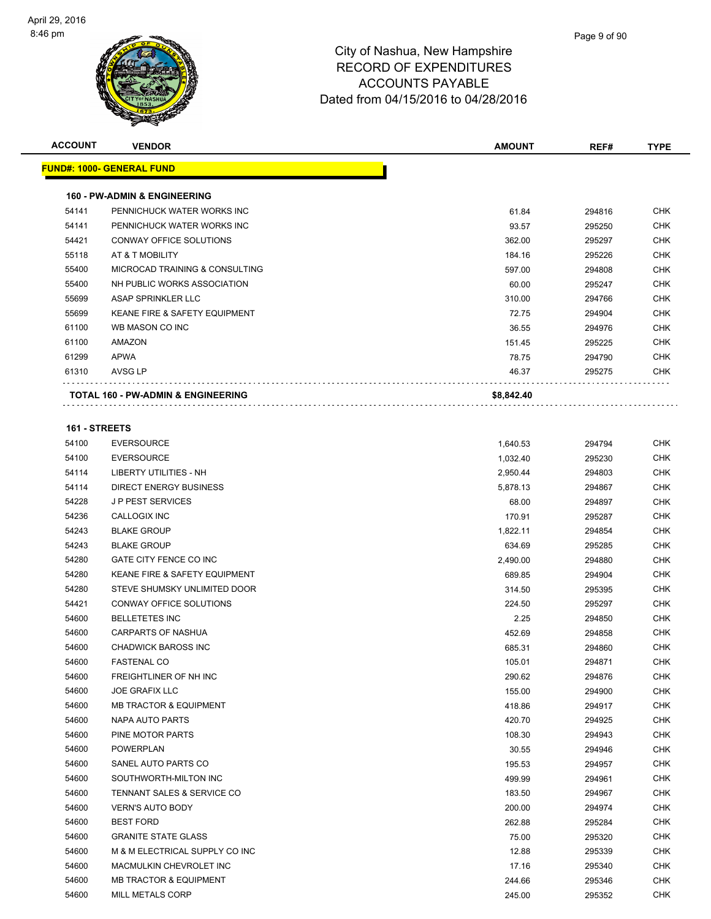| <b>ACCOUNT</b> | <b>VENDOR</b>                                           | <b>AMOUNT</b>  | REF#             | <b>TYPE</b>              |
|----------------|---------------------------------------------------------|----------------|------------------|--------------------------|
|                | <b>FUND#: 1000- GENERAL FUND</b>                        |                |                  |                          |
|                | <b>160 - PW-ADMIN &amp; ENGINEERING</b>                 |                |                  |                          |
| 54141          | PENNICHUCK WATER WORKS INC                              | 61.84          | 294816           | <b>CHK</b>               |
| 54141          | PENNICHUCK WATER WORKS INC                              | 93.57          | 295250           | <b>CHK</b>               |
| 54421          | CONWAY OFFICE SOLUTIONS                                 | 362.00         | 295297           | <b>CHK</b>               |
| 55118          | AT & T MOBILITY                                         | 184.16         | 295226           | <b>CHK</b>               |
| 55400          | MICROCAD TRAINING & CONSULTING                          | 597.00         | 294808           | <b>CHK</b>               |
| 55400          | NH PUBLIC WORKS ASSOCIATION                             | 60.00          | 295247           | <b>CHK</b>               |
| 55699          | ASAP SPRINKLER LLC                                      | 310.00         | 294766           | <b>CHK</b>               |
| 55699          | <b>KEANE FIRE &amp; SAFETY EQUIPMENT</b>                | 72.75          | 294904           | <b>CHK</b>               |
| 61100          | WB MASON CO INC                                         | 36.55          | 294976           | <b>CHK</b>               |
| 61100          | AMAZON                                                  | 151.45         | 295225           | <b>CHK</b>               |
| 61299          | <b>APWA</b>                                             | 78.75          | 294790           | <b>CHK</b>               |
| 61310          | AVSG LP                                                 | 46.37          | 295275           | CHK                      |
|                | <b>TOTAL 160 - PW-ADMIN &amp; ENGINEERING</b>           | \$8,842.40     |                  |                          |
|                |                                                         |                |                  |                          |
| 161 - STREETS  |                                                         |                |                  |                          |
| 54100          | <b>EVERSOURCE</b>                                       | 1,640.53       | 294794           | <b>CHK</b>               |
| 54100          | <b>EVERSOURCE</b>                                       | 1,032.40       | 295230           | <b>CHK</b>               |
| 54114          | LIBERTY UTILITIES - NH                                  | 2,950.44       | 294803           | <b>CHK</b>               |
| 54114          | <b>DIRECT ENERGY BUSINESS</b>                           | 5,878.13       | 294867           | <b>CHK</b>               |
| 54228          | <b>JP PEST SERVICES</b>                                 | 68.00          | 294897           | <b>CHK</b>               |
| 54236          | CALLOGIX INC                                            | 170.91         | 295287           | <b>CHK</b>               |
| 54243          | <b>BLAKE GROUP</b>                                      | 1,822.11       | 294854           | <b>CHK</b>               |
| 54243          | <b>BLAKE GROUP</b>                                      | 634.69         | 295285           | <b>CHK</b>               |
| 54280<br>54280 | GATE CITY FENCE CO INC<br>KEANE FIRE & SAFETY EQUIPMENT | 2,490.00       | 294880           | <b>CHK</b>               |
|                | STEVE SHUMSKY UNLIMITED DOOR                            | 689.85         | 294904           | <b>CHK</b><br><b>CHK</b> |
| 54280<br>54421 | CONWAY OFFICE SOLUTIONS                                 | 314.50         | 295395           |                          |
| 54600          | <b>BELLETETES INC</b>                                   | 224.50<br>2.25 | 295297           | <b>CHK</b><br><b>CHK</b> |
| 54600          | <b>CARPARTS OF NASHUA</b>                               | 452.69         | 294850<br>294858 | <b>CHK</b>               |
| 54600          | <b>CHADWICK BAROSS INC</b>                              | 685.31         | 294860           | <b>CHK</b>               |
| 54600          | <b>FASTENAL CO</b>                                      | 105.01         | 294871           | <b>CHK</b>               |
| 54600          | FREIGHTLINER OF NH INC                                  | 290.62         | 294876           | <b>CHK</b>               |
| 54600          | <b>JOE GRAFIX LLC</b>                                   | 155.00         | 294900           | <b>CHK</b>               |
| 54600          | <b>MB TRACTOR &amp; EQUIPMENT</b>                       | 418.86         | 294917           | <b>CHK</b>               |
| 54600          | NAPA AUTO PARTS                                         | 420.70         | 294925           | <b>CHK</b>               |
| 54600          | PINE MOTOR PARTS                                        | 108.30         | 294943           | <b>CHK</b>               |
| 54600          | <b>POWERPLAN</b>                                        | 30.55          | 294946           | <b>CHK</b>               |
| 54600          | SANEL AUTO PARTS CO                                     | 195.53         | 294957           | <b>CHK</b>               |
| 54600          | SOUTHWORTH-MILTON INC                                   | 499.99         | 294961           | <b>CHK</b>               |
| 54600          | TENNANT SALES & SERVICE CO                              | 183.50         | 294967           | <b>CHK</b>               |
| 54600          | <b>VERN'S AUTO BODY</b>                                 | 200.00         | 294974           | <b>CHK</b>               |
| 54600          | <b>BEST FORD</b>                                        | 262.88         | 295284           | <b>CHK</b>               |
| 54600          | <b>GRANITE STATE GLASS</b>                              | 75.00          | 295320           | <b>CHK</b>               |
| 54600          | M & M ELECTRICAL SUPPLY CO INC                          | 12.88          | 295339           | CHK                      |
| 54600          | MACMULKIN CHEVROLET INC                                 | 17.16          | 295340           | <b>CHK</b>               |
| 54600          | <b>MB TRACTOR &amp; EQUIPMENT</b>                       | 244.66         | 295346           | <b>CHK</b>               |
| 54600          | MILL METALS CORP                                        | 245.00         | 295352           | <b>CHK</b>               |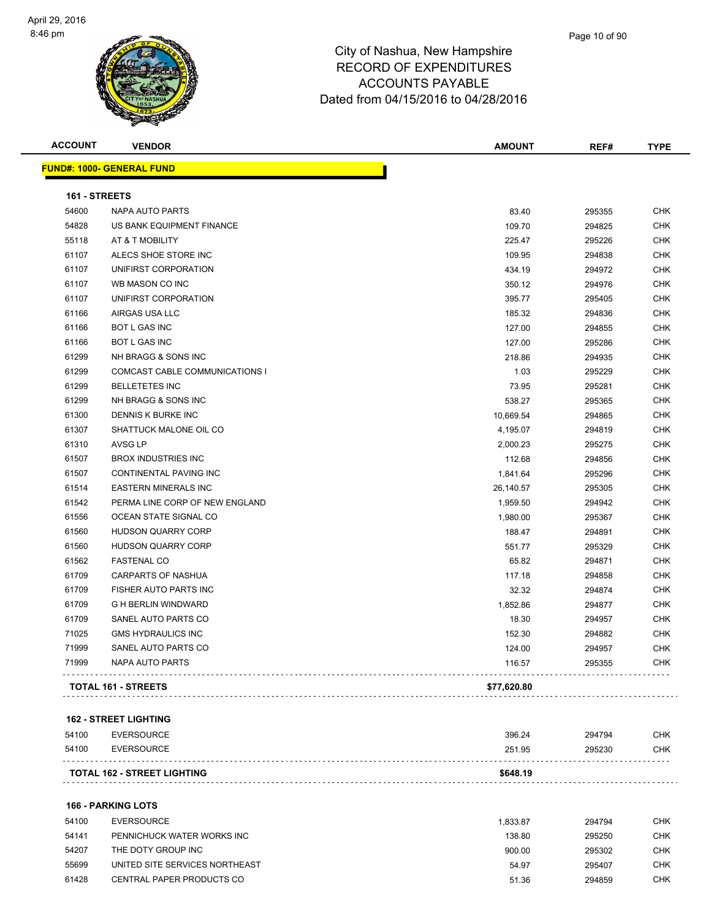

| <b>ACCOUNT</b> | <b>VENDOR</b>                     | <b>AMOUNT</b> | REF#   | <b>TYPE</b> |
|----------------|-----------------------------------|---------------|--------|-------------|
|                | <u> FUND#: 1000- GENERAL FUND</u> |               |        |             |
| 161 - STREETS  |                                   |               |        |             |
| 54600          | NAPA AUTO PARTS                   | 83.40         | 295355 | <b>CHK</b>  |
| 54828          | US BANK EQUIPMENT FINANCE         | 109.70        | 294825 | <b>CHK</b>  |
| 55118          | AT & T MOBILITY                   | 225.47        | 295226 | <b>CHK</b>  |
| 61107          | ALECS SHOE STORE INC              | 109.95        | 294838 | <b>CHK</b>  |
| 61107          | UNIFIRST CORPORATION              | 434.19        | 294972 | <b>CHK</b>  |
| 61107          | WB MASON CO INC                   | 350.12        | 294976 | <b>CHK</b>  |
| 61107          | UNIFIRST CORPORATION              | 395.77        | 295405 | CHK         |
| 61166          | AIRGAS USA LLC                    | 185.32        | 294836 | <b>CHK</b>  |
| 61166          | <b>BOT L GAS INC</b>              | 127.00        | 294855 | <b>CHK</b>  |
| 61166          | <b>BOT L GAS INC</b>              | 127.00        | 295286 | <b>CHK</b>  |
| 61299          | NH BRAGG & SONS INC               | 218.86        | 294935 | <b>CHK</b>  |
| 61299          | COMCAST CABLE COMMUNICATIONS I    | 1.03          | 295229 | <b>CHK</b>  |
| 61299          | <b>BELLETETES INC</b>             | 73.95         | 295281 | <b>CHK</b>  |
| 61299          | NH BRAGG & SONS INC               | 538.27        | 295365 | <b>CHK</b>  |
| 61300          | DENNIS K BURKE INC                | 10,669.54     | 294865 | <b>CHK</b>  |
| 61307          | SHATTUCK MALONE OIL CO            | 4,195.07      | 294819 | <b>CHK</b>  |
| 61310          | <b>AVSG LP</b>                    | 2,000.23      | 295275 | <b>CHK</b>  |
| 61507          | <b>BROX INDUSTRIES INC</b>        | 112.68        | 294856 | <b>CHK</b>  |
| 61507          | <b>CONTINENTAL PAVING INC</b>     | 1,841.64      | 295296 | <b>CHK</b>  |
| 61514          | <b>EASTERN MINERALS INC</b>       | 26,140.57     | 295305 | <b>CHK</b>  |
| 61542          | PERMA LINE CORP OF NEW ENGLAND    | 1,959.50      | 294942 | <b>CHK</b>  |
| 61556          | OCEAN STATE SIGNAL CO             | 1,980.00      | 295367 | <b>CHK</b>  |
| 61560          | <b>HUDSON QUARRY CORP</b>         | 188.47        | 294891 | <b>CHK</b>  |
| 61560          | <b>HUDSON QUARRY CORP</b>         | 551.77        | 295329 | <b>CHK</b>  |
| 61562          | <b>FASTENAL CO</b>                | 65.82         | 294871 | <b>CHK</b>  |
| 61709          | CARPARTS OF NASHUA                | 117.18        | 294858 | <b>CHK</b>  |
| 61709          | FISHER AUTO PARTS INC             | 32.32         | 294874 | <b>CHK</b>  |
| 61709          | <b>G H BERLIN WINDWARD</b>        | 1,852.86      | 294877 | <b>CHK</b>  |
| 61709          | SANEL AUTO PARTS CO               | 18.30         | 294957 | <b>CHK</b>  |
| 71025          | <b>GMS HYDRAULICS INC</b>         | 152.30        | 294882 | <b>CHK</b>  |
| 71999          | SANEL AUTO PARTS CO               | 124.00        | 294957 | <b>CHK</b>  |
| 71999          | NAPA AUTO PARTS                   | 116.57        | 295355 | CHK         |
|                | <b>TOTAL 161 - STREETS</b>        | \$77,620.80   |        |             |
|                |                                   |               |        |             |

#### **162 - STREET LIGHTING**

| 54100 | EVERSOURCE                         | 251.95   | 295230 | CHK |
|-------|------------------------------------|----------|--------|-----|
|       | <b>TOTAL 162 - STREET LIGHTING</b> | \$648.19 |        |     |

#### **166 - PARKING LOTS**

| 54100 | EVERSOURCE                     | 1.833.87 | 294794 | <b>CHK</b> |
|-------|--------------------------------|----------|--------|------------|
| 54141 | PENNICHUCK WATER WORKS INC     | 138.80   | 295250 | <b>CHK</b> |
| 54207 | THE DOTY GROUP INC             | 900.00   | 295302 | <b>CHK</b> |
| 55699 | UNITED SITE SERVICES NORTHEAST | 54.97    | 295407 | <b>CHK</b> |
| 61428 | CENTRAL PAPER PRODUCTS CO      | 51.36    | 294859 | <b>CHK</b> |
|       |                                |          |        |            |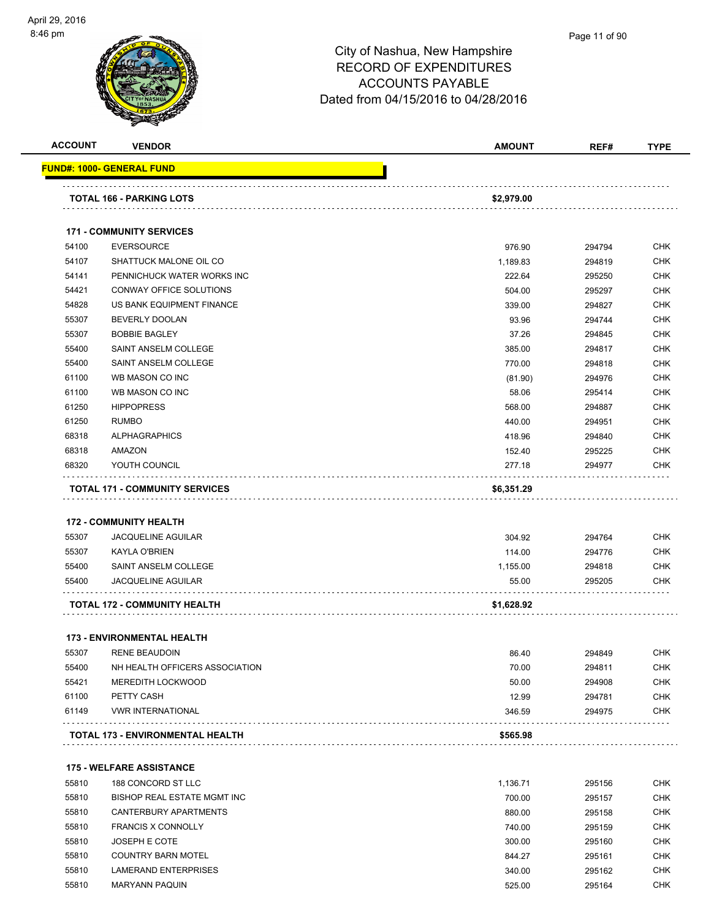

#### Page 11 of 90

| <b>ACCOUNT</b> | <b>VENDOR</b>                                              | <b>AMOUNT</b>    | REF#             | <b>TYPE</b> |
|----------------|------------------------------------------------------------|------------------|------------------|-------------|
|                | FUND#: 1000- GENERAL FUND                                  |                  |                  |             |
|                | <b>TOTAL 166 - PARKING LOTS</b>                            | \$2,979.00       |                  |             |
|                | <b>171 - COMMUNITY SERVICES</b>                            |                  |                  |             |
| 54100          | <b>EVERSOURCE</b>                                          | 976.90           | 294794           | <b>CHK</b>  |
| 54107          | SHATTUCK MALONE OIL CO                                     | 1,189.83         | 294819           | <b>CHK</b>  |
| 54141          | PENNICHUCK WATER WORKS INC                                 | 222.64           | 295250           | <b>CHK</b>  |
| 54421          | CONWAY OFFICE SOLUTIONS                                    | 504.00           | 295297           | <b>CHK</b>  |
| 54828          | US BANK EQUIPMENT FINANCE                                  | 339.00           | 294827           | CHK         |
| 55307          | <b>BEVERLY DOOLAN</b>                                      | 93.96            | 294744           | <b>CHK</b>  |
| 55307          | <b>BOBBIE BAGLEY</b>                                       | 37.26            | 294845           | CHK         |
| 55400          | SAINT ANSELM COLLEGE                                       | 385.00           | 294817           | <b>CHK</b>  |
| 55400          | SAINT ANSELM COLLEGE                                       | 770.00           | 294818           | <b>CHK</b>  |
| 61100          | WB MASON CO INC                                            | (81.90)          | 294976           | <b>CHK</b>  |
| 61100          | WB MASON CO INC                                            | 58.06            | 295414           | <b>CHK</b>  |
| 61250          | <b>HIPPOPRESS</b>                                          | 568.00           | 294887           | <b>CHK</b>  |
| 61250          | <b>RUMBO</b>                                               | 440.00           | 294951           | CHK         |
| 68318          | <b>ALPHAGRAPHICS</b>                                       | 418.96           | 294840           | <b>CHK</b>  |
| 68318          | <b>AMAZON</b>                                              | 152.40           | 295225           | <b>CHK</b>  |
| 68320          | YOUTH COUNCIL                                              | 277.18           | 294977           | <b>CHK</b>  |
|                |                                                            |                  |                  |             |
| 55307          | <b>172 - COMMUNITY HEALTH</b><br><b>JACQUELINE AGUILAR</b> | 304.92           | 294764           | <b>CHK</b>  |
| 55307          | <b>KAYLA O'BRIEN</b>                                       | 114.00           | 294776           | <b>CHK</b>  |
| 55400          | SAINT ANSELM COLLEGE                                       | 1,155.00         | 294818           | CHK         |
| 55400          | JACQUELINE AGUILAR                                         | 55.00            | 295205           | <b>CHK</b>  |
|                | <b>TOTAL 172 - COMMUNITY HEALTH</b>                        | \$1,628.92       |                  |             |
|                |                                                            |                  |                  |             |
| 55307          | <b>173 - ENVIRONMENTAL HEALTH</b><br><b>RENE BEAUDOIN</b>  | 86.40            | 294849           | CHK         |
| 55400          | NH HEALTH OFFICERS ASSOCIATION                             | 70.00            | 294811           | CHK         |
| 55421          | <b>MEREDITH LOCKWOOD</b>                                   | 50.00            | 294908           | <b>CHK</b>  |
| 61100          | PETTY CASH                                                 | 12.99            | 294781           | <b>CHK</b>  |
| 61149          | <b>VWR INTERNATIONAL</b>                                   | 346.59           | 294975           | <b>CHK</b>  |
|                | <b>TOTAL 173 - ENVIRONMENTAL HEALTH</b>                    | \$565.98         |                  |             |
|                | <b>175 - WELFARE ASSISTANCE</b>                            |                  |                  |             |
| 55810          | 188 CONCORD ST LLC                                         | 1,136.71         | 295156           | <b>CHK</b>  |
| 55810          | BISHOP REAL ESTATE MGMT INC                                | 700.00           | 295157           | <b>CHK</b>  |
| 55810          | <b>CANTERBURY APARTMENTS</b>                               | 880.00           | 295158           | <b>CHK</b>  |
| 55810          | <b>FRANCIS X CONNOLLY</b>                                  |                  |                  | <b>CHK</b>  |
|                | JOSEPH E COTE                                              | 740.00           | 295159           | <b>CHK</b>  |
| 55810<br>55810 | <b>COUNTRY BARN MOTEL</b>                                  | 300.00           | 295160           | <b>CHK</b>  |
| 55810          | <b>LAMERAND ENTERPRISES</b>                                | 844.27<br>340.00 | 295161<br>295162 | <b>CHK</b>  |
| 55810          | <b>MARYANN PAQUIN</b>                                      | 525.00           |                  | <b>CHK</b>  |
|                |                                                            |                  | 295164           |             |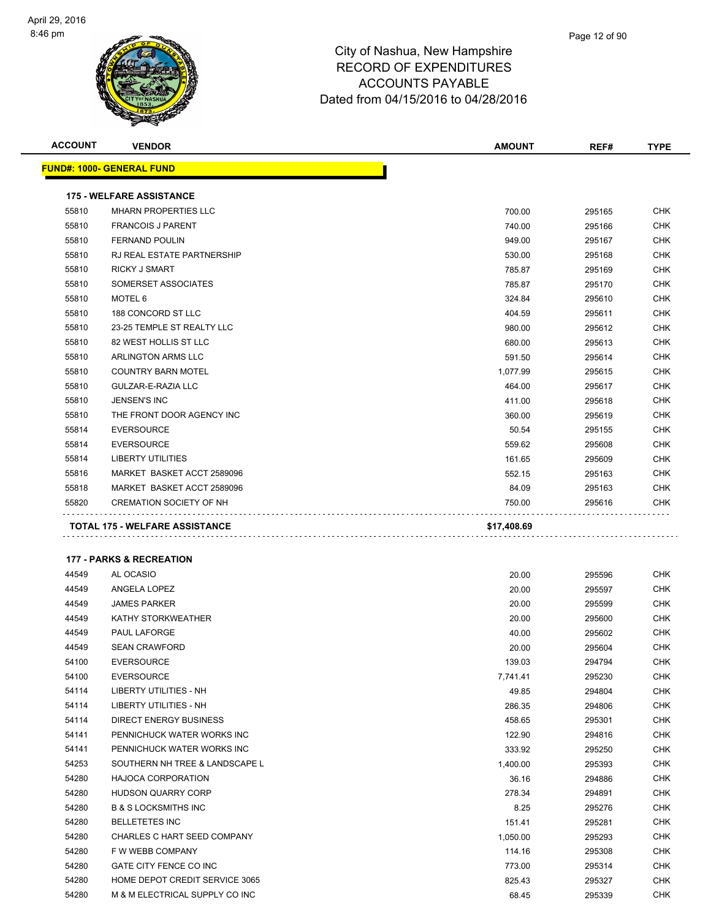

| <b>ACCOUNT</b> | <b>VENDOR</b>                       | <b>AMOUNT</b> | REF#   | <b>TYPE</b> |
|----------------|-------------------------------------|---------------|--------|-------------|
|                | <u> FUND#: 1000- GENERAL FUND</u>   |               |        |             |
|                | <b>175 - WELFARE ASSISTANCE</b>     |               |        |             |
| 55810          | <b>MHARN PROPERTIES LLC</b>         | 700.00        | 295165 | CHK         |
| 55810          | <b>FRANCOIS J PARENT</b>            | 740.00        | 295166 | CHK         |
| 55810          | <b>FERNAND POULIN</b>               | 949.00        | 295167 | CHK         |
| 55810          | RJ REAL ESTATE PARTNERSHIP          | 530.00        | 295168 | CHK         |
| 55810          | <b>RICKY J SMART</b>                | 785.87        | 295169 | <b>CHK</b>  |
| 55810          | SOMERSET ASSOCIATES                 | 785.87        | 295170 | CHK         |
| 55810          | MOTEL 6                             | 324.84        | 295610 | <b>CHK</b>  |
| 55810          | 188 CONCORD ST LLC                  | 404.59        | 295611 | <b>CHK</b>  |
| 55810          | 23-25 TEMPLE ST REALTY LLC          | 980.00        | 295612 | <b>CHK</b>  |
| 55810          | 82 WEST HOLLIS ST LLC               | 680.00        | 295613 | <b>CHK</b>  |
| 55810          | ARLINGTON ARMS LLC                  | 591.50        | 295614 | CHK         |
| 55810          | <b>COUNTRY BARN MOTEL</b>           | 1,077.99      | 295615 | CHK         |
| 55810          | GULZAR-E-RAZIA LLC                  | 464.00        | 295617 | <b>CHK</b>  |
| 55810          | <b>JENSEN'S INC</b>                 | 411.00        | 295618 | <b>CHK</b>  |
| 55810          | THE FRONT DOOR AGENCY INC           | 360.00        | 295619 | <b>CHK</b>  |
| 55814          | <b>EVERSOURCE</b>                   | 50.54         | 295155 | CHK         |
| 55814          | <b>EVERSOURCE</b>                   | 559.62        | 295608 | CHK         |
| 55814          | <b>LIBERTY UTILITIES</b>            | 161.65        | 295609 | CHK         |
| 55816          | MARKET BASKET ACCT 2589096          | 552.15        | 295163 | CHK         |
| 55818          | MARKET BASKET ACCT 2589096          | 84.09         | 295163 | CHK         |
| 55820          | <b>CREMATION SOCIETY OF NH</b>      | 750.00        | 295616 | CHK         |
|                | <b>177 - PARKS &amp; RECREATION</b> |               |        |             |
| 44549          | AL OCASIO                           | 20.00         | 295596 | <b>CHK</b>  |
| 44549          | ANGELA LOPEZ                        | 20.00         | 295597 | CHK         |
| 44549          | <b>JAMES PARKER</b>                 | 20.00         | 295599 | CHK         |
| 44549          | KATHY STORKWEATHER                  | 20.00         | 295600 | CHK         |
| 44549          | PAUL LAFORGE                        | 40.00         | 295602 | CHK         |
| 44549          | <b>SEAN CRAWFORD</b>                | 20.00         | 295604 | CHK         |
| 54100          | <b>EVERSOURCE</b>                   | 139.03        | 294794 | <b>CHK</b>  |
| 54100          | <b>EVERSOURCE</b>                   | 7,741.41      | 295230 | CHK         |
| 54114          | <b>LIBERTY UTILITIES - NH</b>       | 49.85         | 294804 | CHK         |
| 54114          | LIBERTY UTILITIES - NH              | 286.35        | 294806 | CHK         |
| 54114          | <b>DIRECT ENERGY BUSINESS</b>       | 458.65        | 295301 | <b>CHK</b>  |
| 54141          | PENNICHUCK WATER WORKS INC          | 122.90        | 294816 | CHK         |
| 54141          | PENNICHUCK WATER WORKS INC          | 333.92        | 295250 | CHK         |
| 54253          | SOUTHERN NH TREE & LANDSCAPE L      | 1,400.00      | 295393 | CHK         |
| 54280          | <b>HAJOCA CORPORATION</b>           | 36.16         | 294886 | CHK         |
| 54280          | HUDSON QUARRY CORP                  | 278.34        | 294891 | <b>CHK</b>  |
| 54280          | <b>B &amp; S LOCKSMITHS INC</b>     | 8.25          | 295276 | CHK         |
| 54280          | <b>BELLETETES INC</b>               | 151.41        | 295281 | <b>CHK</b>  |
| 54280          | CHARLES C HART SEED COMPANY         | 1,050.00      | 295293 | <b>CHK</b>  |
| 54280          | F W WEBB COMPANY                    | 114.16        | 295308 | CHK         |
| 54280          | GATE CITY FENCE CO INC              | 773.00        | 295314 | CHK         |
| 54280          | HOME DEPOT CREDIT SERVICE 3065      | 825.43        | 295327 | CHK         |
| 54280          | M & M ELECTRICAL SUPPLY CO INC      | 68.45         | 295339 | CHK         |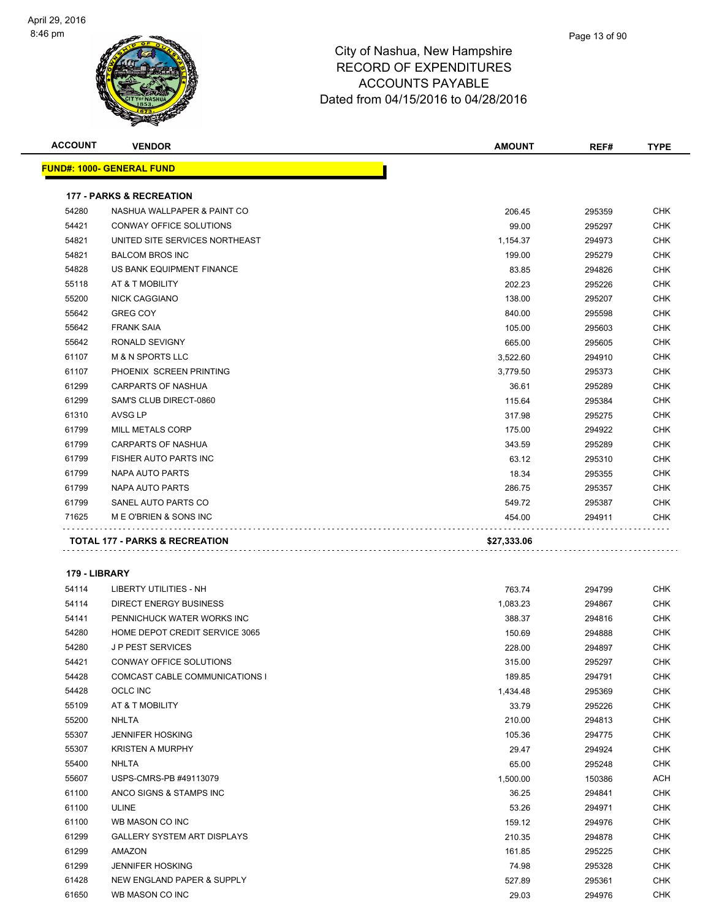| <b>ACCOUNT</b> | <b>VENDOR</b>                       | <b>AMOUNT</b>    | REF#             | <b>TYPE</b>              |
|----------------|-------------------------------------|------------------|------------------|--------------------------|
|                | <u> FUND#: 1000- GENERAL FUND</u>   |                  |                  |                          |
|                |                                     |                  |                  |                          |
|                | <b>177 - PARKS &amp; RECREATION</b> |                  |                  |                          |
| 54280          | NASHUA WALLPAPER & PAINT CO         | 206.45           | 295359           | <b>CHK</b>               |
| 54421          | CONWAY OFFICE SOLUTIONS             | 99.00            | 295297           | <b>CHK</b>               |
| 54821          | UNITED SITE SERVICES NORTHEAST      | 1,154.37         | 294973           | CHK                      |
| 54821          | <b>BALCOM BROS INC</b>              | 199.00           | 295279           | <b>CHK</b>               |
| 54828          | US BANK EQUIPMENT FINANCE           | 83.85            | 294826           | <b>CHK</b>               |
| 55118          | AT & T MOBILITY                     | 202.23           | 295226           | CHK                      |
| 55200          | <b>NICK CAGGIANO</b>                | 138.00           | 295207           | <b>CHK</b>               |
| 55642          | <b>GREG COY</b>                     | 840.00           | 295598           | <b>CHK</b>               |
| 55642          | <b>FRANK SAIA</b>                   | 105.00           | 295603           | <b>CHK</b>               |
| 55642          | RONALD SEVIGNY                      | 665.00           | 295605           | <b>CHK</b>               |
| 61107          | <b>M &amp; N SPORTS LLC</b>         | 3,522.60         | 294910           | <b>CHK</b>               |
| 61107          | PHOENIX SCREEN PRINTING             | 3,779.50         | 295373           | <b>CHK</b>               |
| 61299          | CARPARTS OF NASHUA                  | 36.61            | 295289           | <b>CHK</b>               |
| 61299          | SAM'S CLUB DIRECT-0860              | 115.64           | 295384           | CHK                      |
| 61310          | <b>AVSG LP</b>                      | 317.98           | 295275           | <b>CHK</b>               |
| 61799          | <b>MILL METALS CORP</b>             | 175.00           | 294922           | <b>CHK</b>               |
| 61799          | <b>CARPARTS OF NASHUA</b>           | 343.59           | 295289           | CHK                      |
| 61799          | FISHER AUTO PARTS INC               | 63.12            | 295310           | <b>CHK</b>               |
| 61799          | NAPA AUTO PARTS                     | 18.34            | 295355           | CHK                      |
| 61799          | NAPA AUTO PARTS                     | 286.75           | 295357           | <b>CHK</b>               |
| 61799          | SANEL AUTO PARTS CO                 | 549.72           | 295387           | <b>CHK</b>               |
| 71625          | M E O'BRIEN & SONS INC              | 454.00           | 294911           | CHK                      |
|                |                                     |                  |                  |                          |
|                | TOTAL 177 - PARKS & RECREATION      | \$27,333.06      |                  |                          |
| 179 - LIBRARY  |                                     |                  |                  |                          |
| 54114          | <b>LIBERTY UTILITIES - NH</b>       | 763.74           |                  | <b>CHK</b>               |
| 54114          | <b>DIRECT ENERGY BUSINESS</b>       |                  | 294799<br>294867 |                          |
| 54141          | PENNICHUCK WATER WORKS INC          | 1,083.23         |                  | <b>CHK</b><br><b>CHK</b> |
| 54280          | HOME DEPOT CREDIT SERVICE 3065      | 388.37<br>150.69 | 294816           | CHK                      |
| 54280          | <b>JP PEST SERVICES</b>             | 228.00           | 294888<br>294897 | <b>CHK</b>               |
| 54421          | CONWAY OFFICE SOLUTIONS             | 315.00           |                  | <b>CHK</b>               |
| 54428          | COMCAST CABLE COMMUNICATIONS I      | 189.85           | 295297<br>294791 | CHK                      |
| 54428          | OCLC INC                            | 1,434.48         |                  | <b>CHK</b>               |
| 55109          | AT & T MOBILITY                     | 33.79            | 295369<br>295226 | <b>CHK</b>               |
| 55200          | <b>NHLTA</b>                        | 210.00           | 294813           | <b>CHK</b>               |
| 55307          | <b>JENNIFER HOSKING</b>             | 105.36           | 294775           | <b>CHK</b>               |
| 55307          | <b>KRISTEN A MURPHY</b>             | 29.47            | 294924           | <b>CHK</b>               |
| 55400          | <b>NHLTA</b>                        | 65.00            | 295248           | <b>CHK</b>               |
| 55607          | USPS-CMRS-PB #49113079              | 1,500.00         | 150386           | ACH                      |
| 61100          | ANCO SIGNS & STAMPS INC             | 36.25            | 294841           | <b>CHK</b>               |
| 61100          | <b>ULINE</b>                        |                  |                  | <b>CHK</b>               |
| 61100          | WB MASON CO INC                     | 53.26<br>159.12  | 294971<br>294976 | <b>CHK</b>               |
| 61299          | <b>GALLERY SYSTEM ART DISPLAYS</b>  | 210.35           | 294878           | <b>CHK</b>               |
| 61299          | AMAZON                              | 161.85           |                  | <b>CHK</b>               |
| 61299          | <b>JENNIFER HOSKING</b>             | 74.98            | 295225<br>295328 | <b>CHK</b>               |
| 61428          | NEW ENGLAND PAPER & SUPPLY          | 527.89           |                  | <b>CHK</b>               |
| 61650          |                                     | 29.03            | 295361           | <b>CHK</b>               |
|                | WB MASON CO INC                     |                  | 294976           |                          |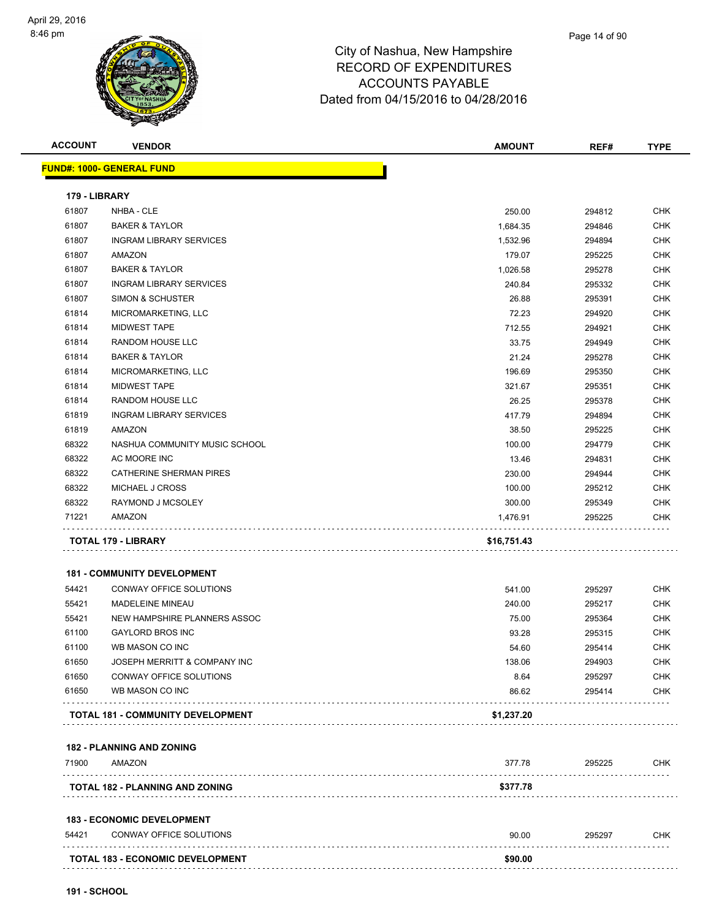# City of Nashua, New Hampshire RECORD OF EXPENDITURES

ACCOUNTS PAYABLE Dated from 04/15/2016 to 04/28/2016

| <b>ACCOUNT</b>         | <b>VENDOR</b>                           | <b>AMOUNT</b>  | REF#             | <b>TYPE</b> |
|------------------------|-----------------------------------------|----------------|------------------|-------------|
|                        | <b>FUND#: 1000- GENERAL FUND</b>        |                |                  |             |
|                        |                                         |                |                  |             |
| 179 - LIBRARY<br>61807 | NHBA - CLE                              | 250.00         | 294812           | <b>CHK</b>  |
| 61807                  | <b>BAKER &amp; TAYLOR</b>               | 1,684.35       |                  | <b>CHK</b>  |
| 61807                  | <b>INGRAM LIBRARY SERVICES</b>          | 1,532.96       | 294846<br>294894 | <b>CHK</b>  |
| 61807                  | AMAZON                                  | 179.07         | 295225           | <b>CHK</b>  |
| 61807                  | <b>BAKER &amp; TAYLOR</b>               | 1,026.58       | 295278           | <b>CHK</b>  |
| 61807                  | <b>INGRAM LIBRARY SERVICES</b>          | 240.84         |                  | <b>CHK</b>  |
| 61807                  | SIMON & SCHUSTER                        | 26.88          | 295332<br>295391 | <b>CHK</b>  |
| 61814                  | MICROMARKETING, LLC                     | 72.23          |                  | <b>CHK</b>  |
| 61814                  | <b>MIDWEST TAPE</b>                     | 712.55         | 294920<br>294921 | <b>CHK</b>  |
| 61814                  | RANDOM HOUSE LLC                        | 33.75          |                  | <b>CHK</b>  |
| 61814                  | <b>BAKER &amp; TAYLOR</b>               |                | 294949           | <b>CHK</b>  |
|                        |                                         | 21.24          | 295278           |             |
| 61814                  | MICROMARKETING, LLC                     | 196.69         | 295350           | <b>CHK</b>  |
| 61814                  | <b>MIDWEST TAPE</b>                     | 321.67         | 295351           | <b>CHK</b>  |
| 61814                  | RANDOM HOUSE LLC                        | 26.25          | 295378           | <b>CHK</b>  |
| 61819                  | <b>INGRAM LIBRARY SERVICES</b>          | 417.79         | 294894           | <b>CHK</b>  |
| 61819                  | AMAZON                                  | 38.50          | 295225           | <b>CHK</b>  |
| 68322                  | NASHUA COMMUNITY MUSIC SCHOOL           | 100.00         | 294779           | <b>CHK</b>  |
| 68322                  | AC MOORE INC                            | 13.46          | 294831           | <b>CHK</b>  |
| 68322                  | CATHERINE SHERMAN PIRES                 | 230.00         | 294944           | <b>CHK</b>  |
| 68322                  | MICHAEL J CROSS                         | 100.00         | 295212           | <b>CHK</b>  |
| 68322                  | RAYMOND J MCSOLEY                       | 300.00         | 295349           | <b>CHK</b>  |
| 71221                  | AMAZON                                  | 1,476.91       | 295225           | <b>CHK</b>  |
|                        | TOTAL 179 - LIBRARY                     | \$16,751.43    |                  |             |
|                        | <b>181 - COMMUNITY DEVELOPMENT</b>      |                |                  |             |
| 54421                  | CONWAY OFFICE SOLUTIONS                 | 541.00         | 295297           | <b>CHK</b>  |
| 55421                  | MADELEINE MINEAU                        | 240.00         | 295217           | <b>CHK</b>  |
| 55421                  | NEW HAMPSHIRE PLANNERS ASSOC            | 75.00          |                  | <b>CHK</b>  |
| 61100                  | <b>GAYLORD BROS INC</b>                 |                | 295364           | <b>CHK</b>  |
| 61100                  | WB MASON CO INC                         | 93.28<br>54.60 | 295315<br>295414 | CHK         |
| 61650                  | JOSEPH MERRITT & COMPANY INC            | 138.06         | 294903           | <b>CHK</b>  |
| 61650                  | CONWAY OFFICE SOLUTIONS                 | 8.64           | 295297           | <b>CHK</b>  |
| 61650                  | WB MASON CO INC                         | 86.62          | 295414           | <b>CHK</b>  |
|                        |                                         |                |                  |             |
|                        | TOTAL 181 - COMMUNITY DEVELOPMENT       | \$1,237.20     |                  |             |
|                        | <b>182 - PLANNING AND ZONING</b>        |                |                  |             |
| 71900                  | AMAZON                                  | 377.78         | 295225           | <b>CHK</b>  |
|                        | TOTAL 182 - PLANNING AND ZONING         | \$377.78       |                  |             |
|                        | <b>183 - ECONOMIC DEVELOPMENT</b>       |                |                  |             |
| 54421                  | CONWAY OFFICE SOLUTIONS                 | 90.00          | 295297           | <b>CHK</b>  |
|                        | <b>TOTAL 183 - ECONOMIC DEVELOPMENT</b> | \$90.00        |                  |             |
|                        |                                         |                |                  |             |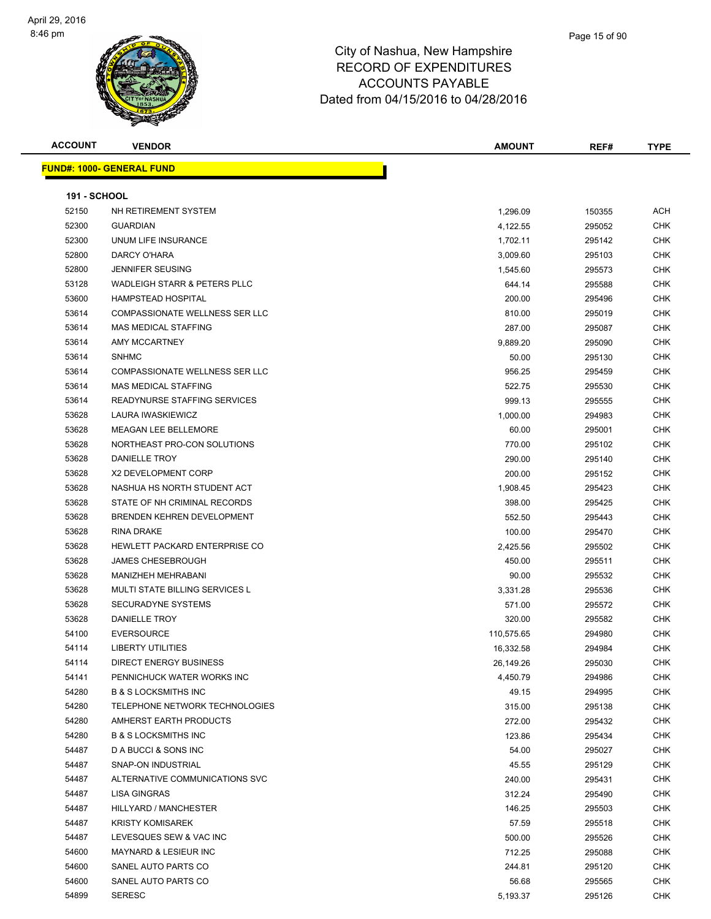

| <b>ACCOUNT</b>      | <b>VENDOR</b>                                  | <b>AMOUNT</b> | REF#             | <b>TYPE</b>       |
|---------------------|------------------------------------------------|---------------|------------------|-------------------|
|                     | <u> FUND#: 1000- GENERAL FUND</u>              |               |                  |                   |
|                     |                                                |               |                  |                   |
| <b>191 - SCHOOL</b> |                                                |               |                  |                   |
| 52150               | NH RETIREMENT SYSTEM                           | 1,296.09      | 150355           | ACH               |
| 52300               | <b>GUARDIAN</b>                                | 4,122.55      | 295052           | <b>CHK</b>        |
| 52300               | UNUM LIFE INSURANCE                            | 1,702.11      | 295142           | <b>CHK</b>        |
| 52800               | DARCY O'HARA                                   | 3,009.60      | 295103           | CHK               |
| 52800               | <b>JENNIFER SEUSING</b>                        | 1,545.60      | 295573           | <b>CHK</b>        |
| 53128               | WADLEIGH STARR & PETERS PLLC                   | 644.14        | 295588           | <b>CHK</b>        |
| 53600               | <b>HAMPSTEAD HOSPITAL</b>                      | 200.00        | 295496           | <b>CHK</b>        |
| 53614               | COMPASSIONATE WELLNESS SER LLC                 | 810.00        | 295019           | <b>CHK</b>        |
| 53614               | <b>MAS MEDICAL STAFFING</b>                    | 287.00        | 295087           | CHK               |
| 53614               | AMY MCCARTNEY                                  | 9,889.20      | 295090           | <b>CHK</b>        |
| 53614               | <b>SNHMC</b>                                   | 50.00         | 295130           | <b>CHK</b>        |
| 53614               | COMPASSIONATE WELLNESS SER LLC                 | 956.25        | 295459           | <b>CHK</b>        |
| 53614               | <b>MAS MEDICAL STAFFING</b>                    | 522.75        | 295530           | <b>CHK</b>        |
| 53614               | <b>READYNURSE STAFFING SERVICES</b>            | 999.13        | 295555           | <b>CHK</b>        |
| 53628               | LAURA IWASKIEWICZ                              | 1,000.00      | 294983           | CHK               |
| 53628               | <b>MEAGAN LEE BELLEMORE</b>                    | 60.00         | 295001           | <b>CHK</b>        |
| 53628               | NORTHEAST PRO-CON SOLUTIONS                    | 770.00        | 295102           | CHK               |
| 53628               | DANIELLE TROY                                  | 290.00        | 295140           | CHK               |
| 53628               | X2 DEVELOPMENT CORP                            | 200.00        |                  | <b>CHK</b>        |
| 53628               | NASHUA HS NORTH STUDENT ACT                    | 1,908.45      | 295152<br>295423 | CHK               |
| 53628               | STATE OF NH CRIMINAL RECORDS                   | 398.00        | 295425           | <b>CHK</b>        |
| 53628               | BRENDEN KEHREN DEVELOPMENT                     | 552.50        |                  | <b>CHK</b>        |
| 53628               | RINA DRAKE                                     |               | 295443           | CHK               |
| 53628               | HEWLETT PACKARD ENTERPRISE CO                  | 100.00        | 295470           | <b>CHK</b>        |
|                     |                                                | 2,425.56      | 295502           | <b>CHK</b>        |
| 53628               | <b>JAMES CHESEBROUGH</b><br>MANIZHEH MEHRABANI | 450.00        | 295511           | CHK               |
| 53628               | MULTI STATE BILLING SERVICES L                 | 90.00         | 295532           | <b>CHK</b>        |
| 53628               | <b>SECURADYNE SYSTEMS</b>                      | 3,331.28      | 295536           |                   |
| 53628               |                                                | 571.00        | 295572           | <b>CHK</b>        |
| 53628               | DANIELLE TROY<br><b>EVERSOURCE</b>             | 320.00        | 295582           | CHK<br><b>CHK</b> |
| 54100               |                                                | 110,575.65    | 294980           |                   |
| 54114               | LIBERTY UTILITIES                              | 16,332.58     | 294984           | CHK               |
| 54114               | DIRECT ENERGY BUSINESS                         | 26,149.26     | 295030           | <b>CHK</b>        |
| 54141               | PENNICHUCK WATER WORKS INC                     | 4,450.79      | 294986           | <b>CHK</b>        |
| 54280               | <b>B &amp; S LOCKSMITHS INC</b>                | 49.15         | 294995           | <b>CHK</b>        |
| 54280               | TELEPHONE NETWORK TECHNOLOGIES                 | 315.00        | 295138           | <b>CHK</b>        |
| 54280               | AMHERST EARTH PRODUCTS                         | 272.00        | 295432           | <b>CHK</b>        |
| 54280               | <b>B &amp; S LOCKSMITHS INC</b>                | 123.86        | 295434           | <b>CHK</b>        |
| 54487               | D A BUCCI & SONS INC                           | 54.00         | 295027           | <b>CHK</b>        |
| 54487               | SNAP-ON INDUSTRIAL                             | 45.55         | 295129           | <b>CHK</b>        |
| 54487               | ALTERNATIVE COMMUNICATIONS SVC                 | 240.00        | 295431           | <b>CHK</b>        |
| 54487               | LISA GINGRAS                                   | 312.24        | 295490           | <b>CHK</b>        |
| 54487               | HILLYARD / MANCHESTER                          | 146.25        | 295503           | <b>CHK</b>        |
| 54487               | <b>KRISTY KOMISAREK</b>                        | 57.59         | 295518           | <b>CHK</b>        |
| 54487               | LEVESQUES SEW & VAC INC                        | 500.00        | 295526           | <b>CHK</b>        |
| 54600               | MAYNARD & LESIEUR INC                          | 712.25        | 295088           | <b>CHK</b>        |
| 54600               | SANEL AUTO PARTS CO                            | 244.81        | 295120           | <b>CHK</b>        |
| 54600               | SANEL AUTO PARTS CO                            | 56.68         | 295565           | <b>CHK</b>        |
| 54899               | <b>SERESC</b>                                  | 5,193.37      | 295126           | <b>CHK</b>        |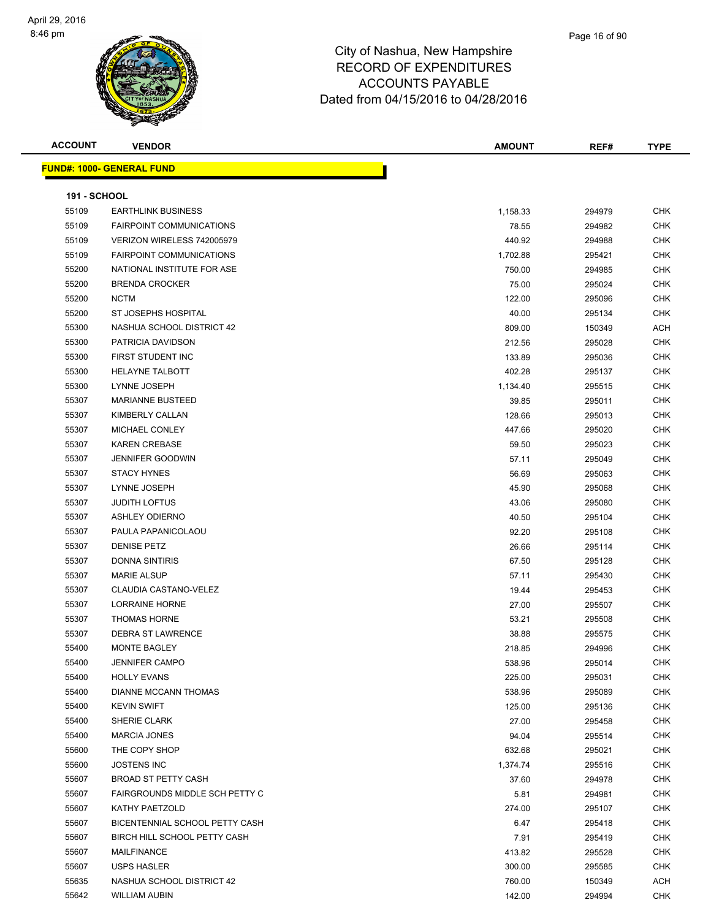#### Page 16 of 90

| <b>ACCOUNT</b>      | <b>VENDOR</b>                    | <b>AMOUNT</b> | REF#   | <b>TYPE</b> |
|---------------------|----------------------------------|---------------|--------|-------------|
|                     | <b>FUND#: 1000- GENERAL FUND</b> |               |        |             |
|                     |                                  |               |        |             |
| <b>191 - SCHOOL</b> |                                  |               |        |             |
| 55109               | <b>EARTHLINK BUSINESS</b>        | 1,158.33      | 294979 | <b>CHK</b>  |
| 55109               | <b>FAIRPOINT COMMUNICATIONS</b>  | 78.55         | 294982 | CHK         |
| 55109               | VERIZON WIRELESS 742005979       | 440.92        | 294988 | <b>CHK</b>  |
| 55109               | <b>FAIRPOINT COMMUNICATIONS</b>  | 1,702.88      | 295421 | CHK         |
| 55200               | NATIONAL INSTITUTE FOR ASE       | 750.00        | 294985 | <b>CHK</b>  |
| 55200               | <b>BRENDA CROCKER</b>            | 75.00         | 295024 | CHK         |
| 55200               | <b>NCTM</b>                      | 122.00        | 295096 | CHK         |
| 55200               | ST JOSEPHS HOSPITAL              | 40.00         | 295134 | CHK         |
| 55300               | NASHUA SCHOOL DISTRICT 42        | 809.00        | 150349 | <b>ACH</b>  |
| 55300               | PATRICIA DAVIDSON                | 212.56        | 295028 | <b>CHK</b>  |
| 55300               | FIRST STUDENT INC                | 133.89        | 295036 | <b>CHK</b>  |
| 55300               | <b>HELAYNE TALBOTT</b>           | 402.28        | 295137 | CHK         |
| 55300               | LYNNE JOSEPH                     | 1,134.40      | 295515 | CHK         |
| 55307               | <b>MARIANNE BUSTEED</b>          | 39.85         | 295011 | <b>CHK</b>  |
| 55307               | KIMBERLY CALLAN                  | 128.66        | 295013 | CHK         |
| 55307               | MICHAEL CONLEY                   | 447.66        | 295020 | <b>CHK</b>  |
| 55307               | <b>KAREN CREBASE</b>             | 59.50         | 295023 | CHK         |
| 55307               | <b>JENNIFER GOODWIN</b>          | 57.11         | 295049 | CHK         |
| 55307               | <b>STACY HYNES</b>               | 56.69         | 295063 | CHK         |
| 55307               | LYNNE JOSEPH                     | 45.90         | 295068 | CHK         |
| 55307               | <b>JUDITH LOFTUS</b>             | 43.06         | 295080 | CHK         |
| 55307               | <b>ASHLEY ODIERNO</b>            | 40.50         | 295104 | <b>CHK</b>  |
| 55307               | PAULA PAPANICOLAOU               | 92.20         | 295108 | <b>CHK</b>  |
| 55307               | <b>DENISE PETZ</b>               | 26.66         | 295114 | CHK         |
| 55307               | <b>DONNA SINTIRIS</b>            | 67.50         | 295128 | CHK         |
| 55307               | <b>MARIE ALSUP</b>               | 57.11         | 295430 | CHK         |
| 55307               | <b>CLAUDIA CASTANO-VELEZ</b>     | 19.44         | 295453 | <b>CHK</b>  |
| 55307               | LORRAINE HORNE                   | 27.00         | 295507 | CHK         |
| 55307               | <b>THOMAS HORNE</b>              | 53.21         | 295508 | CHK         |
| 55307               | <b>DEBRA ST LAWRENCE</b>         | 38.88         | 295575 | CHK         |
| 55400               | <b>MONTE BAGLEY</b>              | 218.85        | 294996 | <b>CHK</b>  |
| 55400               | <b>JENNIFER CAMPO</b>            | 538.96        | 295014 | CHK         |
| 55400               | <b>HOLLY EVANS</b>               | 225.00        | 295031 | <b>CHK</b>  |
| 55400               | DIANNE MCCANN THOMAS             | 538.96        | 295089 | <b>CHK</b>  |
| 55400               | <b>KEVIN SWIFT</b>               | 125.00        | 295136 | <b>CHK</b>  |
| 55400               | SHERIE CLARK                     | 27.00         | 295458 | <b>CHK</b>  |
| 55400               | <b>MARCIA JONES</b>              | 94.04         | 295514 | CHK         |
| 55600               | THE COPY SHOP                    | 632.68        | 295021 | CHK         |
| 55600               | <b>JOSTENS INC</b>               | 1,374.74      | 295516 | CHK         |
| 55607               | <b>BROAD ST PETTY CASH</b>       | 37.60         | 294978 | CHK         |
| 55607               | FAIRGROUNDS MIDDLE SCH PETTY C   | 5.81          | 294981 | CHK         |
| 55607               | KATHY PAETZOLD                   | 274.00        | 295107 | <b>CHK</b>  |
| 55607               | BICENTENNIAL SCHOOL PETTY CASH   | 6.47          | 295418 | <b>CHK</b>  |
| 55607               | BIRCH HILL SCHOOL PETTY CASH     | 7.91          | 295419 | <b>CHK</b>  |
| 55607               | MAILFINANCE                      | 413.82        | 295528 | CHK         |
| 55607               | <b>USPS HASLER</b>               | 300.00        | 295585 | <b>CHK</b>  |
| 55635               | NASHUA SCHOOL DISTRICT 42        | 760.00        | 150349 | <b>ACH</b>  |
| 55642               | <b>WILLIAM AUBIN</b>             | 142.00        | 294994 | <b>CHK</b>  |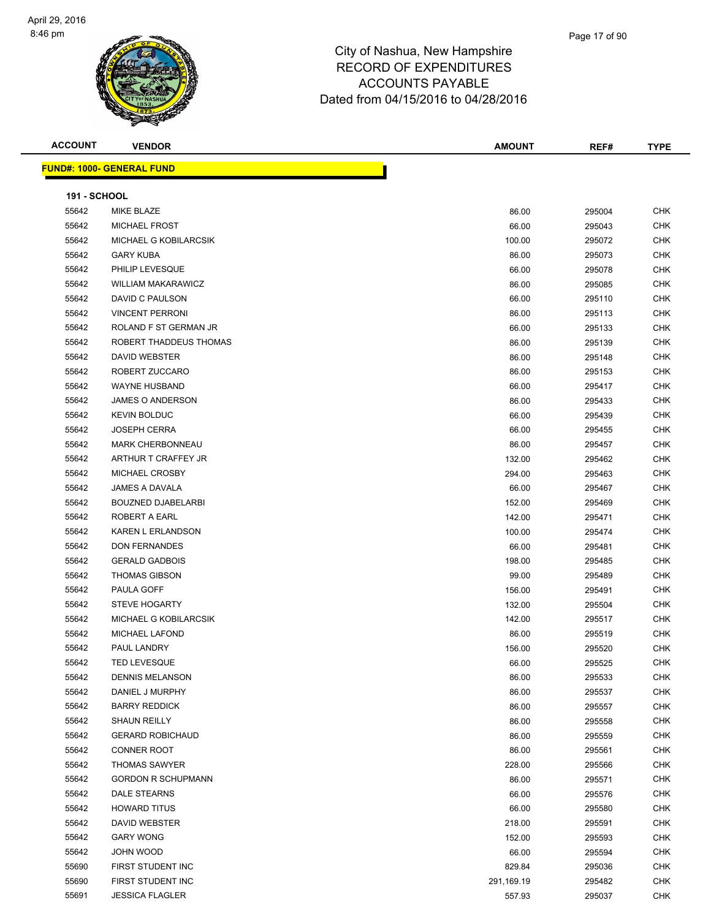

| <b>ACCOUNT</b> | <b>VENDOR</b>                    | <b>AMOUNT</b> | REF#   | <b>TYPE</b> |
|----------------|----------------------------------|---------------|--------|-------------|
|                | <b>FUND#: 1000- GENERAL FUND</b> |               |        |             |
| 191 - SCHOOL   |                                  |               |        |             |
| 55642          | MIKE BLAZE                       | 86.00         | 295004 | <b>CHK</b>  |
| 55642          | <b>MICHAEL FROST</b>             | 66.00         | 295043 | <b>CHK</b>  |
| 55642          | MICHAEL G KOBILARCSIK            | 100.00        | 295072 | <b>CHK</b>  |
| 55642          | <b>GARY KUBA</b>                 | 86.00         | 295073 | <b>CHK</b>  |
| 55642          | PHILIP LEVESQUE                  | 66.00         | 295078 | CHK         |
| 55642          | <b>WILLIAM MAKARAWICZ</b>        | 86.00         | 295085 | <b>CHK</b>  |
| 55642          | DAVID C PAULSON                  | 66.00         | 295110 | <b>CHK</b>  |
| 55642          | <b>VINCENT PERRONI</b>           | 86.00         | 295113 | <b>CHK</b>  |
| 55642          | ROLAND F ST GERMAN JR            | 66.00         | 295133 | <b>CHK</b>  |
| 55642          | ROBERT THADDEUS THOMAS           | 86.00         | 295139 | <b>CHK</b>  |
| 55642          | DAVID WEBSTER                    | 86.00         | 295148 | <b>CHK</b>  |
| 55642          | ROBERT ZUCCARO                   | 86.00         | 295153 | <b>CHK</b>  |
| 55642          | <b>WAYNE HUSBAND</b>             | 66.00         | 295417 | CHK         |
| 55642          | <b>JAMES O ANDERSON</b>          | 86.00         | 295433 | <b>CHK</b>  |
| 55642          | <b>KEVIN BOLDUC</b>              | 66.00         | 295439 | <b>CHK</b>  |
| 55642          | <b>JOSEPH CERRA</b>              | 66.00         | 295455 | <b>CHK</b>  |
| 55642          | <b>MARK CHERBONNEAU</b>          | 86.00         | 295457 | CHK         |
| 55642          | ARTHUR T CRAFFEY JR              | 132.00        | 295462 | <b>CHK</b>  |
| 55642          | MICHAEL CROSBY                   | 294.00        | 295463 | <b>CHK</b>  |
| 55642          | JAMES A DAVALA                   | 66.00         | 295467 | <b>CHK</b>  |
| 55642          | <b>BOUZNED DJABELARBI</b>        | 152.00        | 295469 | <b>CHK</b>  |
| 55642          | ROBERT A EARL                    | 142.00        | 295471 | <b>CHK</b>  |
| 55642          | KAREN L ERLANDSON                | 100.00        | 295474 | <b>CHK</b>  |
| 55642          | <b>DON FERNANDES</b>             | 66.00         | 295481 | <b>CHK</b>  |
| 55642          | <b>GERALD GADBOIS</b>            | 198.00        | 295485 | <b>CHK</b>  |
| 55642          | <b>THOMAS GIBSON</b>             | 99.00         | 295489 | <b>CHK</b>  |
| 55642          | PAULA GOFF                       | 156.00        | 295491 | CHK         |
| 55642          | <b>STEVE HOGARTY</b>             | 132.00        | 295504 | <b>CHK</b>  |
| 55642          | <b>MICHAEL G KOBILARCSIK</b>     | 142.00        | 295517 | <b>CHK</b>  |
| 55642          | <b>MICHAEL LAFOND</b>            | 86.00         | 295519 | <b>CHK</b>  |
| 55642          | PAUL LANDRY                      | 156.00        | 295520 | <b>CHK</b>  |
| 55642          | <b>TED LEVESQUE</b>              | 66.00         | 295525 | CHK         |
| 55642          | <b>DENNIS MELANSON</b>           | 86.00         | 295533 | <b>CHK</b>  |
| 55642          | DANIEL J MURPHY                  | 86.00         | 295537 | CHK         |
| 55642          | <b>BARRY REDDICK</b>             | 86.00         | 295557 | <b>CHK</b>  |
| 55642          | SHAUN REILLY                     | 86.00         | 295558 | <b>CHK</b>  |
| 55642          | <b>GERARD ROBICHAUD</b>          | 86.00         | 295559 | <b>CHK</b>  |
| 55642          | <b>CONNER ROOT</b>               | 86.00         | 295561 | <b>CHK</b>  |
| 55642          | <b>THOMAS SAWYER</b>             | 228.00        | 295566 | <b>CHK</b>  |
| 55642          | <b>GORDON R SCHUPMANN</b>        | 86.00         | 295571 | <b>CHK</b>  |
| 55642          | DALE STEARNS                     | 66.00         | 295576 | CHK         |
| 55642          | <b>HOWARD TITUS</b>              | 66.00         | 295580 | <b>CHK</b>  |
| 55642          | DAVID WEBSTER                    | 218.00        | 295591 | <b>CHK</b>  |
| 55642          | <b>GARY WONG</b>                 | 152.00        | 295593 | <b>CHK</b>  |
| 55642          | JOHN WOOD                        | 66.00         | 295594 | <b>CHK</b>  |
| 55690          | FIRST STUDENT INC                | 829.84        | 295036 | <b>CHK</b>  |
| 55690          | FIRST STUDENT INC                | 291,169.19    | 295482 | CHK         |
| 55691          | <b>JESSICA FLAGLER</b>           | 557.93        | 295037 | <b>CHK</b>  |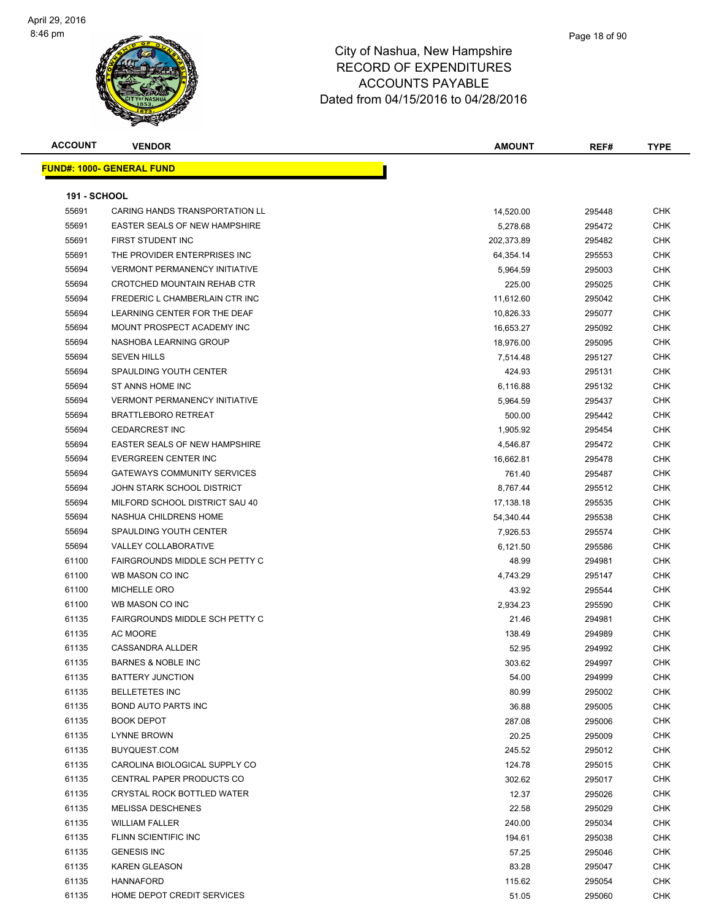#### Page 18 of 90

| <b>ACCOUNT</b>      | <b>VENDOR</b>                        | <b>AMOUNT</b> | REF#   | <b>TYPE</b> |
|---------------------|--------------------------------------|---------------|--------|-------------|
|                     | <b>FUND#: 1000- GENERAL FUND</b>     |               |        |             |
|                     |                                      |               |        |             |
| <b>191 - SCHOOL</b> |                                      |               |        |             |
| 55691               | CARING HANDS TRANSPORTATION LL       | 14,520.00     | 295448 | <b>CHK</b>  |
| 55691               | <b>EASTER SEALS OF NEW HAMPSHIRE</b> | 5,278.68      | 295472 | CHK         |
| 55691               | FIRST STUDENT INC                    | 202,373.89    | 295482 | <b>CHK</b>  |
| 55691               | THE PROVIDER ENTERPRISES INC         | 64,354.14     | 295553 | CHK         |
| 55694               | <b>VERMONT PERMANENCY INITIATIVE</b> | 5,964.59      | 295003 | <b>CHK</b>  |
| 55694               | CROTCHED MOUNTAIN REHAB CTR          | 225.00        | 295025 | <b>CHK</b>  |
| 55694               | FREDERIC L CHAMBERLAIN CTR INC       | 11,612.60     | 295042 | CHK         |
| 55694               | LEARNING CENTER FOR THE DEAF         | 10,826.33     | 295077 | CHK         |
| 55694               | MOUNT PROSPECT ACADEMY INC           | 16,653.27     | 295092 | <b>CHK</b>  |
| 55694               | NASHOBA LEARNING GROUP               | 18,976.00     | 295095 | <b>CHK</b>  |
| 55694               | <b>SEVEN HILLS</b>                   | 7,514.48      | 295127 | CHK         |
| 55694               | <b>SPAULDING YOUTH CENTER</b>        | 424.93        | 295131 | CHK         |
| 55694               | ST ANNS HOME INC                     | 6,116.88      | 295132 | CHK         |
| 55694               | <b>VERMONT PERMANENCY INITIATIVE</b> | 5,964.59      | 295437 | CHK         |
| 55694               | <b>BRATTLEBORO RETREAT</b>           | 500.00        | 295442 | CHK         |
| 55694               | <b>CEDARCREST INC</b>                | 1,905.92      | 295454 | CHK         |
| 55694               | <b>EASTER SEALS OF NEW HAMPSHIRE</b> | 4,546.87      | 295472 | CHK         |
| 55694               | EVERGREEN CENTER INC                 | 16,662.81     | 295478 | CHK         |
| 55694               | <b>GATEWAYS COMMUNITY SERVICES</b>   | 761.40        | 295487 | CHK         |
| 55694               | JOHN STARK SCHOOL DISTRICT           | 8,767.44      | 295512 | CHK         |
| 55694               | MILFORD SCHOOL DISTRICT SAU 40       | 17,138.18     | 295535 | <b>CHK</b>  |
| 55694               | NASHUA CHILDRENS HOME                | 54,340.44     | 295538 | <b>CHK</b>  |
| 55694               | SPAULDING YOUTH CENTER               | 7,926.53      | 295574 | CHK         |
| 55694               | <b>VALLEY COLLABORATIVE</b>          | 6,121.50      | 295586 | <b>CHK</b>  |
| 61100               | FAIRGROUNDS MIDDLE SCH PETTY C       | 48.99         | 294981 | <b>CHK</b>  |
| 61100               | WB MASON CO INC                      | 4,743.29      | 295147 | CHK         |
| 61100               | <b>MICHELLE ORO</b>                  | 43.92         | 295544 | <b>CHK</b>  |
| 61100               | WB MASON CO INC                      | 2,934.23      | 295590 | CHK         |
| 61135               | FAIRGROUNDS MIDDLE SCH PETTY C       | 21.46         | 294981 | CHK         |
| 61135               | <b>AC MOORE</b>                      | 138.49        | 294989 | CHK         |
| 61135               | <b>CASSANDRA ALLDER</b>              | 52.95         | 294992 | <b>CHK</b>  |
| 61135               | BARNES & NOBLE INC                   | 303.62        | 294997 | CHK         |
| 61135               | <b>BATTERY JUNCTION</b>              | 54.00         | 294999 | <b>CHK</b>  |
| 61135               | <b>BELLETETES INC</b>                | 80.99         | 295002 | CHK         |
| 61135               | <b>BOND AUTO PARTS INC</b>           | 36.88         | 295005 | <b>CHK</b>  |
| 61135               | <b>BOOK DEPOT</b>                    | 287.08        | 295006 | <b>CHK</b>  |
| 61135               | <b>LYNNE BROWN</b>                   | 20.25         | 295009 | <b>CHK</b>  |
| 61135               | BUYQUEST.COM                         | 245.52        | 295012 | <b>CHK</b>  |
| 61135               | CAROLINA BIOLOGICAL SUPPLY CO        | 124.78        | 295015 | <b>CHK</b>  |
| 61135               | <b>CENTRAL PAPER PRODUCTS CO</b>     | 302.62        | 295017 | <b>CHK</b>  |
| 61135               | CRYSTAL ROCK BOTTLED WATER           | 12.37         | 295026 | <b>CHK</b>  |
| 61135               | <b>MELISSA DESCHENES</b>             | 22.58         | 295029 | CHK         |
| 61135               | <b>WILLIAM FALLER</b>                | 240.00        | 295034 | CHK         |
| 61135               | FLINN SCIENTIFIC INC                 | 194.61        | 295038 | <b>CHK</b>  |
| 61135               | <b>GENESIS INC</b>                   | 57.25         | 295046 | CHK         |
| 61135               | KAREN GLEASON                        | 83.28         | 295047 | CHK         |
| 61135               | <b>HANNAFORD</b>                     | 115.62        | 295054 | CHK         |
| 61135               | HOME DEPOT CREDIT SERVICES           | 51.05         | 295060 | <b>CHK</b>  |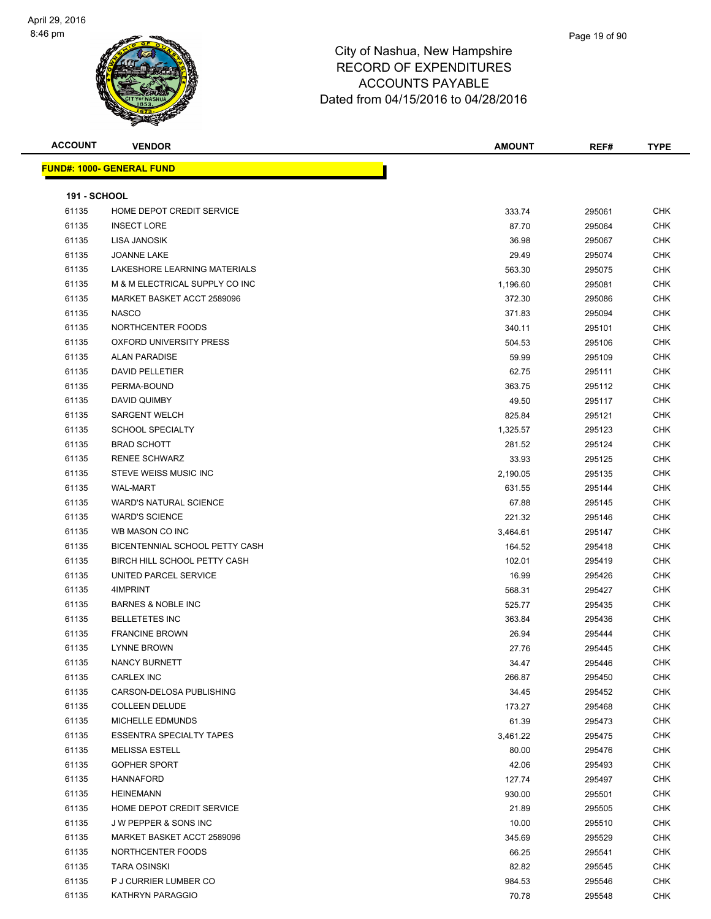

| <b>ACCOUNT</b>      | <b>VENDOR</b>                                      | <b>AMOUNT</b> | REF#   | <b>TYPE</b>              |
|---------------------|----------------------------------------------------|---------------|--------|--------------------------|
|                     | <b>FUND#: 1000- GENERAL FUND</b>                   |               |        |                          |
| <b>191 - SCHOOL</b> |                                                    |               |        |                          |
| 61135               | HOME DEPOT CREDIT SERVICE                          | 333.74        | 295061 | <b>CHK</b>               |
| 61135               | <b>INSECT LORE</b>                                 | 87.70         |        | <b>CHK</b>               |
| 61135               | LISA JANOSIK                                       |               | 295064 | <b>CHK</b>               |
|                     |                                                    | 36.98         | 295067 |                          |
| 61135               | <b>JOANNE LAKE</b><br>LAKESHORE LEARNING MATERIALS | 29.49         | 295074 | <b>CHK</b>               |
| 61135               |                                                    | 563.30        | 295075 | <b>CHK</b>               |
| 61135               | M & M ELECTRICAL SUPPLY CO INC                     | 1,196.60      | 295081 | <b>CHK</b>               |
| 61135               | MARKET BASKET ACCT 2589096                         | 372.30        | 295086 | <b>CHK</b>               |
| 61135               | <b>NASCO</b>                                       | 371.83        | 295094 | <b>CHK</b>               |
| 61135               | NORTHCENTER FOODS                                  | 340.11        | 295101 | <b>CHK</b>               |
| 61135               | OXFORD UNIVERSITY PRESS                            | 504.53        | 295106 | <b>CHK</b>               |
| 61135               | <b>ALAN PARADISE</b>                               | 59.99         | 295109 | <b>CHK</b>               |
| 61135               | <b>DAVID PELLETIER</b>                             | 62.75         | 295111 | <b>CHK</b>               |
| 61135               | PERMA-BOUND                                        | 363.75        | 295112 | <b>CHK</b>               |
| 61135               | DAVID QUIMBY                                       | 49.50         | 295117 | <b>CHK</b>               |
| 61135               | <b>SARGENT WELCH</b>                               | 825.84        | 295121 | <b>CHK</b>               |
| 61135               | <b>SCHOOL SPECIALTY</b>                            | 1,325.57      | 295123 | <b>CHK</b>               |
| 61135               | <b>BRAD SCHOTT</b>                                 | 281.52        | 295124 | <b>CHK</b>               |
| 61135               | <b>RENEE SCHWARZ</b>                               | 33.93         | 295125 | <b>CHK</b>               |
| 61135               | STEVE WEISS MUSIC INC                              | 2,190.05      | 295135 | <b>CHK</b>               |
| 61135               | <b>WAL-MART</b>                                    | 631.55        | 295144 | <b>CHK</b>               |
| 61135               | <b>WARD'S NATURAL SCIENCE</b>                      | 67.88         | 295145 | <b>CHK</b>               |
| 61135               | <b>WARD'S SCIENCE</b>                              | 221.32        | 295146 | CHK                      |
| 61135               | WB MASON CO INC                                    | 3,464.61      | 295147 | <b>CHK</b>               |
| 61135               | BICENTENNIAL SCHOOL PETTY CASH                     | 164.52        | 295418 | <b>CHK</b>               |
| 61135               | BIRCH HILL SCHOOL PETTY CASH                       | 102.01        | 295419 | <b>CHK</b>               |
| 61135               | UNITED PARCEL SERVICE                              | 16.99         | 295426 | <b>CHK</b>               |
| 61135               | 4IMPRINT                                           | 568.31        | 295427 | <b>CHK</b>               |
| 61135               | <b>BARNES &amp; NOBLE INC</b>                      | 525.77        | 295435 | <b>CHK</b>               |
| 61135               | <b>BELLETETES INC</b>                              | 363.84        | 295436 | <b>CHK</b>               |
| 61135               | <b>FRANCINE BROWN</b>                              | 26.94         | 295444 | <b>CHK</b>               |
| 61135               | <b>LYNNE BROWN</b>                                 | 27.76         | 295445 | <b>CHK</b>               |
| 61135               | NANCY BURNETT                                      | 34.47         | 295446 | <b>CHK</b>               |
| 61135               | CARLEX INC                                         | 266.87        | 295450 | <b>CHK</b>               |
| 61135               | CARSON-DELOSA PUBLISHING                           | 34.45         | 295452 | <b>CHK</b>               |
| 61135               | <b>COLLEEN DELUDE</b>                              | 173.27        | 295468 | <b>CHK</b>               |
| 61135               | MICHELLE EDMUNDS                                   | 61.39         | 295473 | <b>CHK</b>               |
| 61135               | <b>ESSENTRA SPECIALTY TAPES</b>                    | 3,461.22      | 295475 | <b>CHK</b>               |
| 61135               | <b>MELISSA ESTELL</b>                              | 80.00         | 295476 | <b>CHK</b>               |
| 61135               | <b>GOPHER SPORT</b>                                | 42.06         | 295493 | <b>CHK</b>               |
| 61135               | <b>HANNAFORD</b>                                   | 127.74        | 295497 | <b>CHK</b>               |
| 61135               | <b>HEINEMANN</b>                                   | 930.00        | 295501 | <b>CHK</b>               |
|                     |                                                    |               |        |                          |
| 61135<br>61135      | HOME DEPOT CREDIT SERVICE                          | 21.89         | 295505 | <b>CHK</b><br><b>CHK</b> |
|                     | J W PEPPER & SONS INC                              | 10.00         | 295510 |                          |
| 61135               | MARKET BASKET ACCT 2589096                         | 345.69        | 295529 | <b>CHK</b>               |
| 61135               | NORTHCENTER FOODS                                  | 66.25         | 295541 | <b>CHK</b>               |
| 61135               | <b>TARA OSINSKI</b>                                | 82.82         | 295545 | <b>CHK</b>               |
| 61135               | P J CURRIER LUMBER CO                              | 984.53        | 295546 | <b>CHK</b>               |
| 61135               | KATHRYN PARAGGIO                                   | 70.78         | 295548 | <b>CHK</b>               |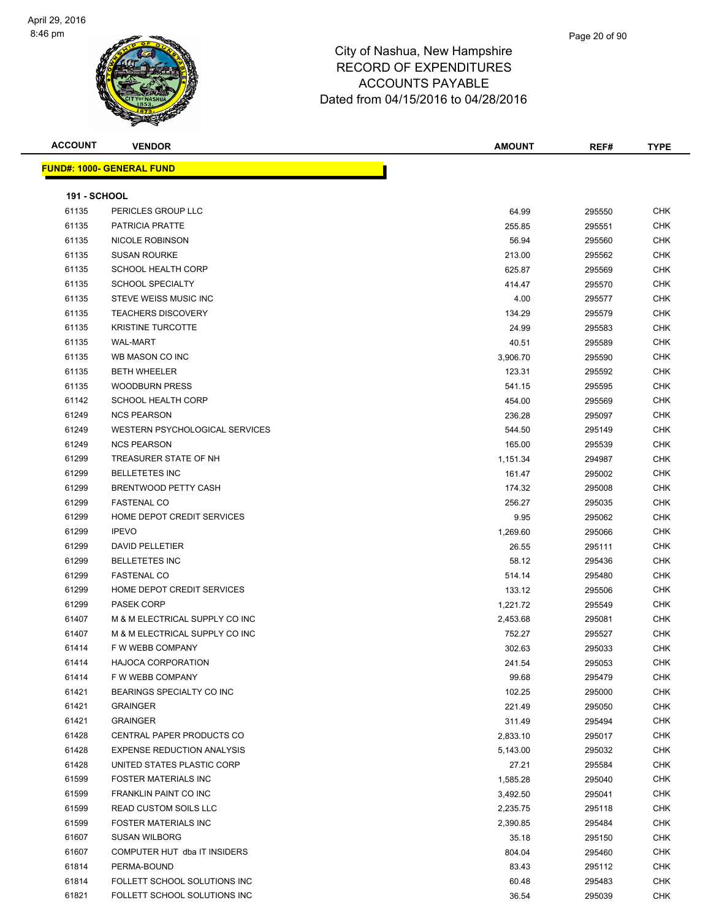

| <b>ACCOUNT</b>      | <b>VENDOR</b>                     | <b>AMOUNT</b> | REF#   | <b>TYPE</b> |
|---------------------|-----------------------------------|---------------|--------|-------------|
|                     | <u> FUND#: 1000- GENERAL FUND</u> |               |        |             |
|                     |                                   |               |        |             |
| <b>191 - SCHOOL</b> |                                   |               |        |             |
| 61135               | PERICLES GROUP LLC                | 64.99         | 295550 | <b>CHK</b>  |
| 61135               | <b>PATRICIA PRATTE</b>            | 255.85        | 295551 | <b>CHK</b>  |
| 61135               | NICOLE ROBINSON                   | 56.94         | 295560 | CHK         |
| 61135               | <b>SUSAN ROURKE</b>               | 213.00        | 295562 | <b>CHK</b>  |
| 61135               | <b>SCHOOL HEALTH CORP</b>         | 625.87        | 295569 | <b>CHK</b>  |
| 61135               | <b>SCHOOL SPECIALTY</b>           | 414.47        | 295570 | <b>CHK</b>  |
| 61135               | STEVE WEISS MUSIC INC             | 4.00          | 295577 | <b>CHK</b>  |
| 61135               | <b>TEACHERS DISCOVERY</b>         | 134.29        | 295579 | <b>CHK</b>  |
| 61135               | <b>KRISTINE TURCOTTE</b>          | 24.99         | 295583 | <b>CHK</b>  |
| 61135               | <b>WAL-MART</b>                   | 40.51         | 295589 | <b>CHK</b>  |
| 61135               | WB MASON CO INC                   | 3,906.70      | 295590 | <b>CHK</b>  |
| 61135               | <b>BETH WHEELER</b>               | 123.31        | 295592 | <b>CHK</b>  |
| 61135               | <b>WOODBURN PRESS</b>             | 541.15        | 295595 | <b>CHK</b>  |
| 61142               | SCHOOL HEALTH CORP                | 454.00        | 295569 | CHK         |
| 61249               | <b>NCS PEARSON</b>                | 236.28        | 295097 | <b>CHK</b>  |
| 61249               | WESTERN PSYCHOLOGICAL SERVICES    | 544.50        | 295149 | CHK         |
| 61249               | <b>NCS PEARSON</b>                | 165.00        | 295539 | <b>CHK</b>  |
| 61299               | TREASURER STATE OF NH             | 1,151.34      | 294987 | <b>CHK</b>  |
| 61299               | <b>BELLETETES INC</b>             | 161.47        | 295002 | <b>CHK</b>  |
| 61299               | BRENTWOOD PETTY CASH              | 174.32        | 295008 | <b>CHK</b>  |
| 61299               | <b>FASTENAL CO</b>                | 256.27        | 295035 | <b>CHK</b>  |
| 61299               | HOME DEPOT CREDIT SERVICES        | 9.95          | 295062 | <b>CHK</b>  |
| 61299               | <b>IPEVO</b>                      | 1,269.60      | 295066 | <b>CHK</b>  |
| 61299               | <b>DAVID PELLETIER</b>            | 26.55         | 295111 | <b>CHK</b>  |
| 61299               | <b>BELLETETES INC</b>             | 58.12         | 295436 | <b>CHK</b>  |
| 61299               | <b>FASTENAL CO</b>                | 514.14        | 295480 | <b>CHK</b>  |
| 61299               | HOME DEPOT CREDIT SERVICES        | 133.12        | 295506 | <b>CHK</b>  |
| 61299               | <b>PASEK CORP</b>                 | 1,221.72      | 295549 | <b>CHK</b>  |
| 61407               | M & M ELECTRICAL SUPPLY CO INC    | 2,453.68      | 295081 | <b>CHK</b>  |
| 61407               | M & M ELECTRICAL SUPPLY CO INC    | 752.27        | 295527 | <b>CHK</b>  |
| 61414               | F W WEBB COMPANY                  | 302.63        | 295033 | <b>CHK</b>  |
| 61414               | HAJOCA CORPORATION                | 241.54        | 295053 | <b>CHK</b>  |
| 61414               | F W WEBB COMPANY                  | 99.68         | 295479 | <b>CHK</b>  |
| 61421               | BEARINGS SPECIALTY CO INC         | 102.25        | 295000 | <b>CHK</b>  |
| 61421               | <b>GRAINGER</b>                   | 221.49        | 295050 | <b>CHK</b>  |
| 61421               | <b>GRAINGER</b>                   | 311.49        | 295494 | <b>CHK</b>  |
| 61428               | CENTRAL PAPER PRODUCTS CO         | 2,833.10      | 295017 | <b>CHK</b>  |
| 61428               | <b>EXPENSE REDUCTION ANALYSIS</b> | 5,143.00      | 295032 | <b>CHK</b>  |
| 61428               | UNITED STATES PLASTIC CORP        | 27.21         | 295584 | <b>CHK</b>  |
| 61599               | <b>FOSTER MATERIALS INC</b>       | 1,585.28      | 295040 | CHK         |
| 61599               | FRANKLIN PAINT CO INC             | 3,492.50      | 295041 | <b>CHK</b>  |
| 61599               | <b>READ CUSTOM SOILS LLC</b>      | 2,235.75      | 295118 | <b>CHK</b>  |
| 61599               | <b>FOSTER MATERIALS INC</b>       | 2,390.85      | 295484 | <b>CHK</b>  |
| 61607               | <b>SUSAN WILBORG</b>              | 35.18         | 295150 | <b>CHK</b>  |
| 61607               | COMPUTER HUT dba IT INSIDERS      | 804.04        | 295460 | <b>CHK</b>  |
| 61814               | PERMA-BOUND                       | 83.43         | 295112 | <b>CHK</b>  |
| 61814               | FOLLETT SCHOOL SOLUTIONS INC      | 60.48         | 295483 | CHK         |
| 61821               | FOLLETT SCHOOL SOLUTIONS INC      | 36.54         | 295039 | <b>CHK</b>  |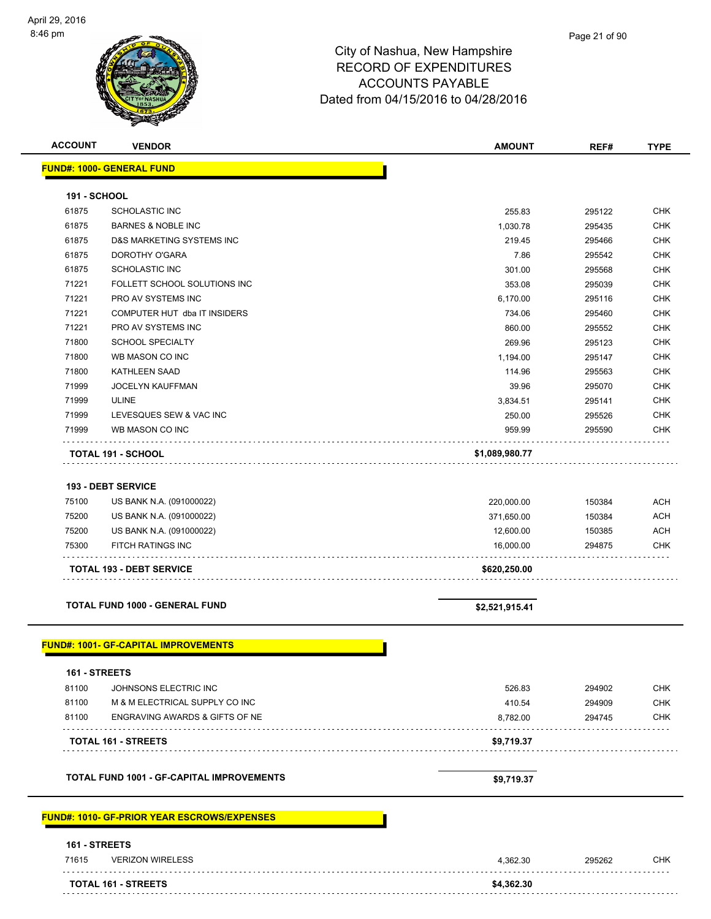| <b>ACCOUNT</b>      | <b>VENDOR</b>                                       | <b>AMOUNT</b>          | REF#             | <b>TYPE</b> |
|---------------------|-----------------------------------------------------|------------------------|------------------|-------------|
|                     | <b>FUND#: 1000- GENERAL FUND</b>                    |                        |                  |             |
|                     |                                                     |                        |                  |             |
| <b>191 - SCHOOL</b> |                                                     |                        |                  |             |
| 61875               | <b>SCHOLASTIC INC</b>                               | 255.83                 | 295122           | <b>CHK</b>  |
| 61875               | <b>BARNES &amp; NOBLE INC</b>                       | 1,030.78               | 295435           | <b>CHK</b>  |
| 61875               | D&S MARKETING SYSTEMS INC                           | 219.45                 | 295466           | <b>CHK</b>  |
| 61875               | DOROTHY O'GARA                                      | 7.86                   | 295542           | <b>CHK</b>  |
| 61875               | <b>SCHOLASTIC INC</b>                               | 301.00                 | 295568           | <b>CHK</b>  |
| 71221               | FOLLETT SCHOOL SOLUTIONS INC                        | 353.08                 | 295039           | <b>CHK</b>  |
| 71221               | PRO AV SYSTEMS INC                                  | 6,170.00               | 295116           | CHK         |
| 71221               | COMPUTER HUT dba IT INSIDERS                        | 734.06                 | 295460           | <b>CHK</b>  |
| 71221               | PRO AV SYSTEMS INC                                  | 860.00                 | 295552           | <b>CHK</b>  |
| 71800               | <b>SCHOOL SPECIALTY</b>                             | 269.96                 | 295123           | <b>CHK</b>  |
| 71800               | WB MASON CO INC                                     | 1,194.00               | 295147           | <b>CHK</b>  |
| 71800               | <b>KATHLEEN SAAD</b>                                | 114.96                 | 295563           | <b>CHK</b>  |
| 71999               | <b>JOCELYN KAUFFMAN</b>                             | 39.96                  | 295070           | CHK         |
| 71999               | <b>ULINE</b>                                        | 3,834.51               | 295141           | <b>CHK</b>  |
| 71999               | LEVESQUES SEW & VAC INC                             | 250.00                 | 295526           | CHK         |
| 71999               | WB MASON CO INC                                     | 959.99                 | 295590           | <b>CHK</b>  |
|                     | <b>TOTAL 191 - SCHOOL</b>                           | \$1,089,980.77         |                  |             |
|                     |                                                     |                        |                  |             |
|                     | <b>193 - DEBT SERVICE</b>                           |                        |                  |             |
|                     |                                                     |                        |                  |             |
| 75100               | US BANK N.A. (091000022)                            | 220,000.00             | 150384           | <b>ACH</b>  |
| 75200<br>75200      | US BANK N.A. (091000022)                            | 371,650.00             | 150384           | <b>ACH</b>  |
| 75300               | US BANK N.A. (091000022)<br>FITCH RATINGS INC       | 12,600.00<br>16,000.00 | 150385<br>294875 | ACH<br>CHK  |
|                     |                                                     |                        |                  |             |
|                     | <b>TOTAL 193 - DEBT SERVICE</b>                     | \$620,250.00           |                  |             |
|                     |                                                     |                        |                  |             |
|                     | <b>TOTAL FUND 1000 - GENERAL FUND</b>               |                        |                  |             |
|                     |                                                     | \$2,521,915.41         |                  |             |
|                     |                                                     |                        |                  |             |
|                     | <b>FUND#: 1001- GF-CAPITAL IMPROVEMENTS</b>         |                        |                  |             |
|                     |                                                     |                        |                  |             |
| 161 - STREETS       |                                                     |                        |                  |             |
| 81100               | JOHNSONS ELECTRIC INC                               | 526.83                 | 294902           | CHK         |
| 81100               | M & M ELECTRICAL SUPPLY CO INC                      | 410.54                 | 294909           | <b>CHK</b>  |
| 81100               | ENGRAVING AWARDS & GIFTS OF NE                      | 8,782.00               | 294745           | CHK         |
|                     | <b>TOTAL 161 - STREETS</b>                          | \$9,719.37             |                  |             |
|                     |                                                     |                        |                  |             |
|                     |                                                     |                        |                  |             |
|                     | <b>TOTAL FUND 1001 - GF-CAPITAL IMPROVEMENTS</b>    | \$9,719.37             |                  |             |
|                     |                                                     |                        |                  |             |
|                     | <u> FUND#: 1010- GF-PRIOR YEAR ESCROWS/EXPENSES</u> |                        |                  |             |
|                     |                                                     |                        |                  |             |
| 161 - STREETS       |                                                     |                        |                  |             |
| 71615               | <b>VERIZON WIRELESS</b>                             | 4,362.30               | 295262           | <b>CHK</b>  |
|                     |                                                     |                        |                  |             |
|                     | <b>TOTAL 161 - STREETS</b>                          | \$4,362.30             |                  |             |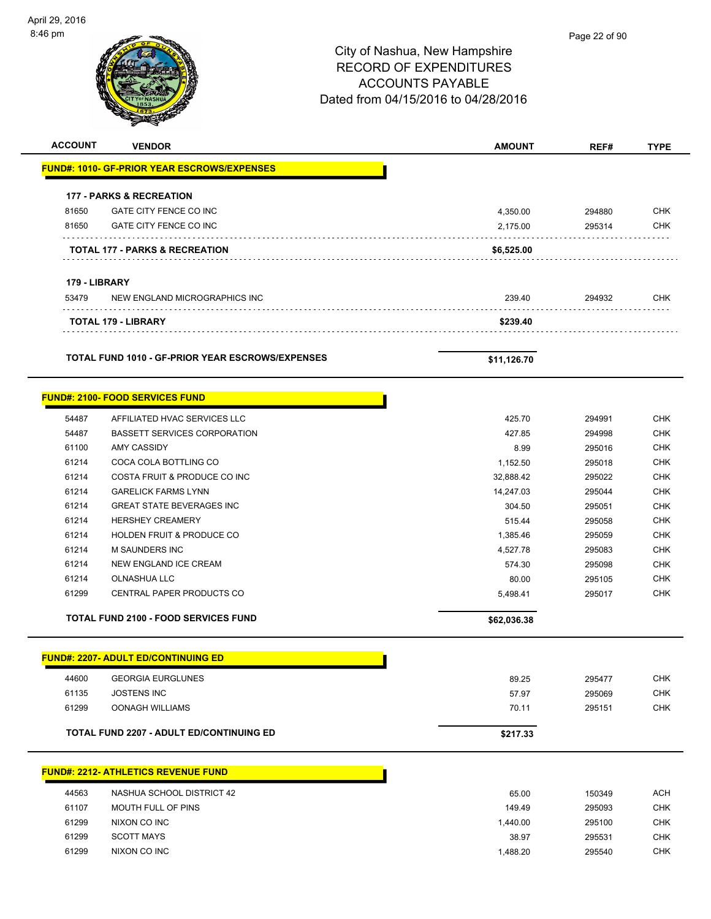$\overline{\phantom{a}}$ 

| <b>ACCOUNT</b> | <b>VENDOR</b>                                               | <b>AMOUNT</b>     | REF#             | <b>TYPE</b>              |
|----------------|-------------------------------------------------------------|-------------------|------------------|--------------------------|
|                | <b>FUND#: 1010- GF-PRIOR YEAR ESCROWS/EXPENSES</b>          |                   |                  |                          |
|                |                                                             |                   |                  |                          |
|                | <b>177 - PARKS &amp; RECREATION</b>                         |                   |                  |                          |
| 81650          | GATE CITY FENCE CO INC                                      | 4,350.00          | 294880           | <b>CHK</b>               |
| 81650          | GATE CITY FENCE CO INC                                      | 2,175.00          | 295314           | <b>CHK</b>               |
|                | <b>TOTAL 177 - PARKS &amp; RECREATION</b>                   | \$6,525.00        |                  |                          |
|                |                                                             |                   |                  |                          |
| 179 - LIBRARY  |                                                             |                   |                  |                          |
| 53479          | NEW ENGLAND MICROGRAPHICS INC                               | 239.40            | 294932           | <b>CHK</b>               |
|                | <b>TOTAL 179 - LIBRARY</b>                                  | \$239.40          |                  |                          |
|                | TOTAL FUND 1010 - GF-PRIOR YEAR ESCROWS/EXPENSES            | \$11,126.70       |                  |                          |
|                | <b>FUND#: 2100- FOOD SERVICES FUND</b>                      |                   |                  |                          |
|                |                                                             |                   |                  |                          |
| 54487          | AFFILIATED HVAC SERVICES LLC                                | 425.70            | 294991           | <b>CHK</b>               |
| 54487          | <b>BASSETT SERVICES CORPORATION</b>                         | 427.85            | 294998           | <b>CHK</b>               |
| 61100          | <b>AMY CASSIDY</b>                                          | 8.99              | 295016           | <b>CHK</b>               |
| 61214          | COCA COLA BOTTLING CO                                       | 1,152.50          | 295018           | <b>CHK</b>               |
| 61214          | COSTA FRUIT & PRODUCE CO INC                                | 32,888.42         | 295022           | <b>CHK</b>               |
| 61214          | <b>GARELICK FARMS LYNN</b>                                  | 14,247.03         | 295044           | <b>CHK</b>               |
| 61214<br>61214 | <b>GREAT STATE BEVERAGES INC</b><br><b>HERSHEY CREAMERY</b> | 304.50            | 295051           | <b>CHK</b>               |
|                |                                                             | 515.44            | 295058           | <b>CHK</b>               |
| 61214          | HOLDEN FRUIT & PRODUCE CO                                   | 1,385.46          | 295059           | <b>CHK</b>               |
| 61214          | M SAUNDERS INC                                              | 4,527.78          | 295083           | <b>CHK</b>               |
| 61214          | NEW ENGLAND ICE CREAM                                       | 574.30            | 295098           | <b>CHK</b>               |
| 61214<br>61299 | OLNASHUA LLC<br>CENTRAL PAPER PRODUCTS CO                   | 80.00<br>5,498.41 | 295105<br>295017 | <b>CHK</b><br><b>CHK</b> |
|                |                                                             |                   |                  |                          |
|                | <b>TOTAL FUND 2100 - FOOD SERVICES FUND</b>                 | \$62,036.38       |                  |                          |
|                | <b>FUND#: 2207- ADULT ED/CONTINUING ED</b>                  |                   |                  |                          |
| 44600          | <b>GEORGIA EURGLUNES</b>                                    | 89.25             | 295477           | <b>CHK</b>               |
| 61135          | <b>JOSTENS INC</b>                                          | 57.97             | 295069           | <b>CHK</b>               |
| 61299          | <b>OONAGH WILLIAMS</b>                                      | 70.11             | 295151           | <b>CHK</b>               |
|                | <b>TOTAL FUND 2207 - ADULT ED/CONTINUING ED</b>             |                   |                  |                          |
|                |                                                             | \$217.33          |                  |                          |
|                | <u> FUND#: 2212- ATHLETICS REVENUE FUND</u>                 |                   |                  |                          |
| 44563          | NASHUA SCHOOL DISTRICT 42                                   | 65.00             | 150349           | <b>ACH</b>               |
| 61107          | MOUTH FULL OF PINS                                          | 149.49            | 295093           | <b>CHK</b>               |
| 61299          | NIXON CO INC                                                | 1,440.00          | 295100           | <b>CHK</b>               |
| 61299          | <b>SCOTT MAYS</b>                                           | 38.97             | 295531           | <b>CHK</b>               |
| 61299          | NIXON CO INC                                                | 1,488.20          | 295540           | <b>CHK</b>               |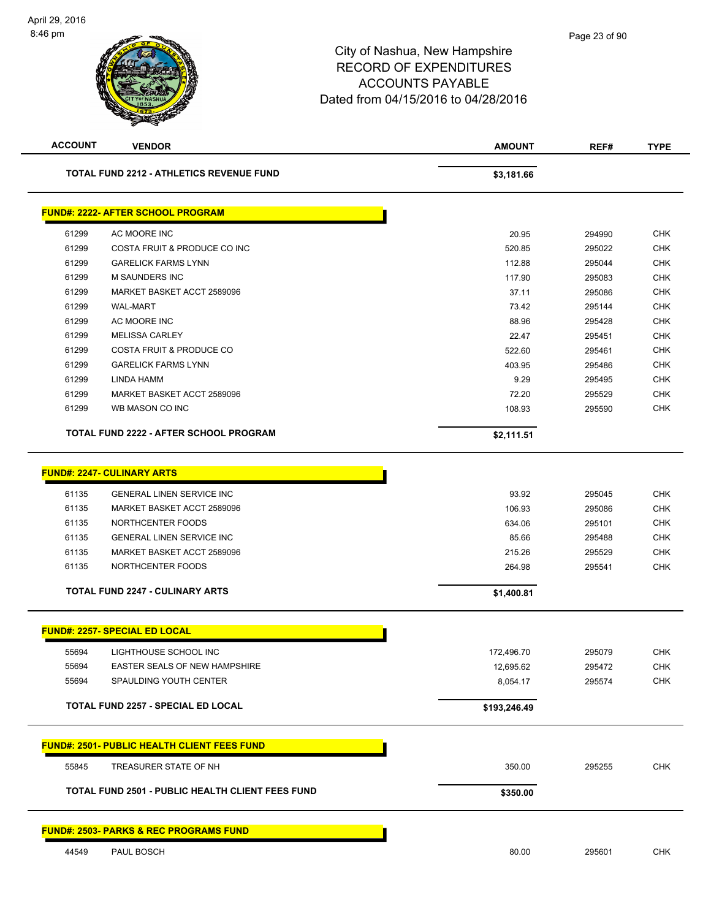| <b>ACCOUNT</b> | <b>VENDOR</b>                                           | <b>AMOUNT</b> | REF#   | <b>TYPE</b> |  |
|----------------|---------------------------------------------------------|---------------|--------|-------------|--|
|                | <b>TOTAL FUND 2212 - ATHLETICS REVENUE FUND</b>         | \$3,181.66    |        |             |  |
|                | <b>FUND#: 2222- AFTER SCHOOL PROGRAM</b>                |               |        |             |  |
| 61299          | AC MOORE INC                                            | 20.95         | 294990 | <b>CHK</b>  |  |
| 61299          | COSTA FRUIT & PRODUCE CO INC                            | 520.85        | 295022 | <b>CHK</b>  |  |
| 61299          | <b>GARELICK FARMS LYNN</b>                              | 112.88        | 295044 | <b>CHK</b>  |  |
| 61299          | <b>M SAUNDERS INC</b>                                   | 117.90        | 295083 | <b>CHK</b>  |  |
| 61299          | MARKET BASKET ACCT 2589096                              | 37.11         | 295086 | <b>CHK</b>  |  |
| 61299          | <b>WAL-MART</b>                                         | 73.42         | 295144 | <b>CHK</b>  |  |
| 61299          | AC MOORE INC                                            | 88.96         | 295428 | <b>CHK</b>  |  |
| 61299          | <b>MELISSA CARLEY</b>                                   | 22.47         | 295451 | <b>CHK</b>  |  |
| 61299          | COSTA FRUIT & PRODUCE CO                                | 522.60        | 295461 | <b>CHK</b>  |  |
| 61299          | <b>GARELICK FARMS LYNN</b>                              | 403.95        | 295486 | <b>CHK</b>  |  |
| 61299          | LINDA HAMM                                              | 9.29          | 295495 | <b>CHK</b>  |  |
| 61299          | MARKET BASKET ACCT 2589096                              | 72.20         | 295529 | <b>CHK</b>  |  |
| 61299          | WB MASON CO INC                                         | 108.93        | 295590 | <b>CHK</b>  |  |
|                | TOTAL FUND 2222 - AFTER SCHOOL PROGRAM                  | \$2,111.51    |        |             |  |
|                |                                                         |               |        |             |  |
|                | <b>FUND#: 2247- CULINARY ARTS</b>                       |               |        |             |  |
| 61135          | <b>GENERAL LINEN SERVICE INC</b>                        | 93.92         | 295045 | <b>CHK</b>  |  |
| 61135          | MARKET BASKET ACCT 2589096                              | 106.93        | 295086 | <b>CHK</b>  |  |
| 61135          | NORTHCENTER FOODS                                       | 634.06        | 295101 | <b>CHK</b>  |  |
| 61135          | <b>GENERAL LINEN SERVICE INC</b>                        | 85.66         | 295488 | <b>CHK</b>  |  |
| 61135          | MARKET BASKET ACCT 2589096                              | 215.26        | 295529 | <b>CHK</b>  |  |
| 61135          | NORTHCENTER FOODS                                       | 264.98        | 295541 | <b>CHK</b>  |  |
|                | <b>TOTAL FUND 2247 - CULINARY ARTS</b>                  | \$1,400.81    |        |             |  |
|                | <b>FUND#: 2257- SPECIAL ED LOCAL</b>                    |               |        |             |  |
| 55694          | LIGHTHOUSE SCHOOL INC                                   | 172,496.70    | 295079 | <b>CHK</b>  |  |
| 55694          | EASTER SEALS OF NEW HAMPSHIRE                           | 12,695.62     | 295472 | <b>CHK</b>  |  |
| 55694          | SPAULDING YOUTH CENTER                                  | 8,054.17      | 295574 | <b>CHK</b>  |  |
|                | <b>TOTAL FUND 2257 - SPECIAL ED LOCAL</b>               | \$193,246.49  |        |             |  |
|                |                                                         |               |        |             |  |
|                | <b>FUND#: 2501- PUBLIC HEALTH CLIENT FEES FUND</b>      |               |        |             |  |
| 55845          | TREASURER STATE OF NH                                   | 350.00        | 295255 | <b>CHK</b>  |  |
|                | <b>TOTAL FUND 2501 - PUBLIC HEALTH CLIENT FEES FUND</b> | \$350.00      |        |             |  |
|                | <b>FUND#: 2503- PARKS &amp; REC PROGRAMS FUND</b>       |               |        |             |  |
|                |                                                         |               |        |             |  |
| 44549          | PAUL BOSCH                                              | 80.00         | 295601 | <b>CHK</b>  |  |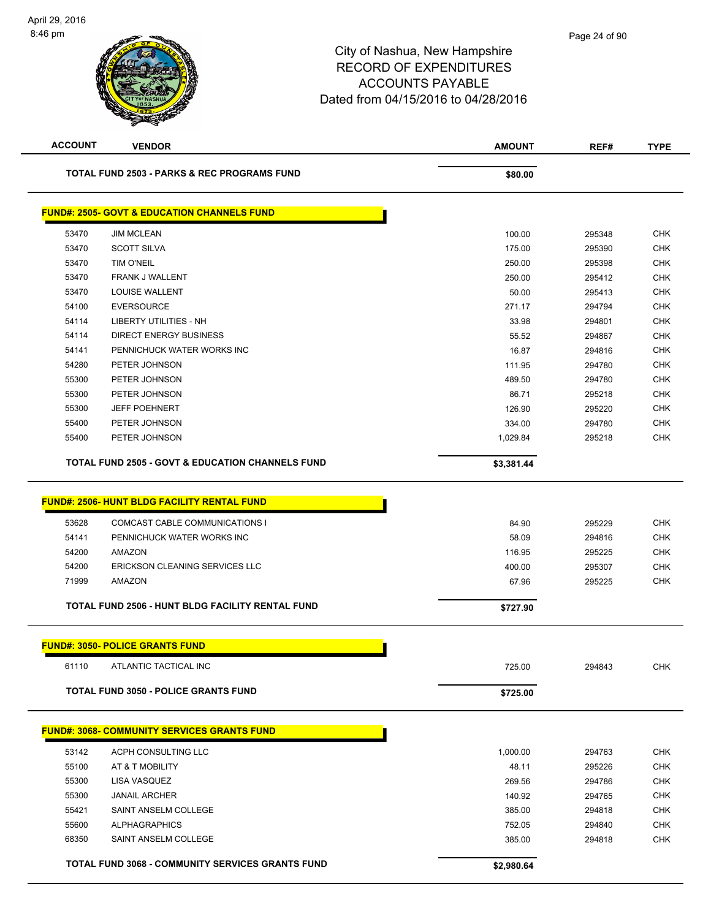| <b>TOTAL FUND 2503 - PARKS &amp; REC PROGRAMS FUND</b><br>\$80.00<br><b>FUND#: 2505- GOVT &amp; EDUCATION CHANNELS FUND</b><br>53470<br><b>JIM MCLEAN</b><br>100.00<br>295348<br>53470<br><b>SCOTT SILVA</b><br>175.00<br>295390<br>53470<br><b>TIM O'NEIL</b><br>250.00<br>295398<br>53470<br><b>FRANK J WALLENT</b><br>250.00<br>295412<br>53470<br><b>LOUISE WALLENT</b><br>50.00<br>295413<br>54100<br><b>EVERSOURCE</b><br>271.17<br>294794<br>54114<br>LIBERTY UTILITIES - NH<br>33.98<br>294801<br>54114<br>DIRECT ENERGY BUSINESS<br>55.52<br>294867<br>54141<br>PENNICHUCK WATER WORKS INC<br>16.87<br>294816<br>54280<br>PETER JOHNSON<br>111.95<br>294780<br>55300<br>PETER JOHNSON<br>489.50<br>294780<br>55300<br>PETER JOHNSON<br>86.71<br>295218<br>55300<br><b>JEFF POEHNERT</b><br>126.90<br>295220<br>55400<br>PETER JOHNSON<br>334.00<br>294780<br>55400<br>PETER JOHNSON<br>1,029.84<br>295218<br><b>TOTAL FUND 2505 - GOVT &amp; EDUCATION CHANNELS FUND</b><br>\$3,381.44<br><b>FUND#: 2506- HUNT BLDG FACILITY RENTAL FUND</b><br>53628<br>COMCAST CABLE COMMUNICATIONS I<br>84.90<br>295229<br>54141<br>PENNICHUCK WATER WORKS INC<br>58.09<br>294816<br>54200<br>AMAZON<br>116.95<br>295225<br>54200<br>ERICKSON CLEANING SERVICES LLC<br>400.00<br>295307<br>71999<br>AMAZON<br>67.96<br>295225<br>TOTAL FUND 2506 - HUNT BLDG FACILITY RENTAL FUND<br>\$727.90<br><b>FUND#: 3050- POLICE GRANTS FUND</b><br>ATLANTIC TACTICAL INC<br>61110<br>725.00<br>294843<br><b>TOTAL FUND 3050 - POLICE GRANTS FUND</b><br>\$725.00<br><b>FUND#: 3068- COMMUNITY SERVICES GRANTS FUND</b><br>ACPH CONSULTING LLC<br>53142<br>1,000.00<br>294763<br>55100<br>48.11<br>295226<br>AT & T MOBILITY<br>55300<br>LISA VASQUEZ<br>269.56<br>294786<br>55300<br><b>JANAIL ARCHER</b><br>140.92<br>294765<br>55421<br>SAINT ANSELM COLLEGE<br>385.00<br>294818<br>55600<br><b>ALPHAGRAPHICS</b><br>752.05<br>294840 | <b>ACCOUNT</b> | <b>VENDOR</b>        | <b>AMOUNT</b> | REF#   | <b>TYPE</b> |
|-----------------------------------------------------------------------------------------------------------------------------------------------------------------------------------------------------------------------------------------------------------------------------------------------------------------------------------------------------------------------------------------------------------------------------------------------------------------------------------------------------------------------------------------------------------------------------------------------------------------------------------------------------------------------------------------------------------------------------------------------------------------------------------------------------------------------------------------------------------------------------------------------------------------------------------------------------------------------------------------------------------------------------------------------------------------------------------------------------------------------------------------------------------------------------------------------------------------------------------------------------------------------------------------------------------------------------------------------------------------------------------------------------------------------------------------------------------------------------------------------------------------------------------------------------------------------------------------------------------------------------------------------------------------------------------------------------------------------------------------------------------------------------------------------------------------------------------------------------------------------------------------------------------------------------|----------------|----------------------|---------------|--------|-------------|
|                                                                                                                                                                                                                                                                                                                                                                                                                                                                                                                                                                                                                                                                                                                                                                                                                                                                                                                                                                                                                                                                                                                                                                                                                                                                                                                                                                                                                                                                                                                                                                                                                                                                                                                                                                                                                                                                                                                             |                |                      |               |        |             |
|                                                                                                                                                                                                                                                                                                                                                                                                                                                                                                                                                                                                                                                                                                                                                                                                                                                                                                                                                                                                                                                                                                                                                                                                                                                                                                                                                                                                                                                                                                                                                                                                                                                                                                                                                                                                                                                                                                                             |                |                      |               |        |             |
|                                                                                                                                                                                                                                                                                                                                                                                                                                                                                                                                                                                                                                                                                                                                                                                                                                                                                                                                                                                                                                                                                                                                                                                                                                                                                                                                                                                                                                                                                                                                                                                                                                                                                                                                                                                                                                                                                                                             |                |                      |               |        | <b>CHK</b>  |
|                                                                                                                                                                                                                                                                                                                                                                                                                                                                                                                                                                                                                                                                                                                                                                                                                                                                                                                                                                                                                                                                                                                                                                                                                                                                                                                                                                                                                                                                                                                                                                                                                                                                                                                                                                                                                                                                                                                             |                |                      |               |        | <b>CHK</b>  |
|                                                                                                                                                                                                                                                                                                                                                                                                                                                                                                                                                                                                                                                                                                                                                                                                                                                                                                                                                                                                                                                                                                                                                                                                                                                                                                                                                                                                                                                                                                                                                                                                                                                                                                                                                                                                                                                                                                                             |                |                      |               |        | <b>CHK</b>  |
|                                                                                                                                                                                                                                                                                                                                                                                                                                                                                                                                                                                                                                                                                                                                                                                                                                                                                                                                                                                                                                                                                                                                                                                                                                                                                                                                                                                                                                                                                                                                                                                                                                                                                                                                                                                                                                                                                                                             |                |                      |               |        | <b>CHK</b>  |
|                                                                                                                                                                                                                                                                                                                                                                                                                                                                                                                                                                                                                                                                                                                                                                                                                                                                                                                                                                                                                                                                                                                                                                                                                                                                                                                                                                                                                                                                                                                                                                                                                                                                                                                                                                                                                                                                                                                             |                |                      |               |        | <b>CHK</b>  |
|                                                                                                                                                                                                                                                                                                                                                                                                                                                                                                                                                                                                                                                                                                                                                                                                                                                                                                                                                                                                                                                                                                                                                                                                                                                                                                                                                                                                                                                                                                                                                                                                                                                                                                                                                                                                                                                                                                                             |                |                      |               |        | <b>CHK</b>  |
|                                                                                                                                                                                                                                                                                                                                                                                                                                                                                                                                                                                                                                                                                                                                                                                                                                                                                                                                                                                                                                                                                                                                                                                                                                                                                                                                                                                                                                                                                                                                                                                                                                                                                                                                                                                                                                                                                                                             |                |                      |               |        | <b>CHK</b>  |
|                                                                                                                                                                                                                                                                                                                                                                                                                                                                                                                                                                                                                                                                                                                                                                                                                                                                                                                                                                                                                                                                                                                                                                                                                                                                                                                                                                                                                                                                                                                                                                                                                                                                                                                                                                                                                                                                                                                             |                |                      |               |        | CHK         |
|                                                                                                                                                                                                                                                                                                                                                                                                                                                                                                                                                                                                                                                                                                                                                                                                                                                                                                                                                                                                                                                                                                                                                                                                                                                                                                                                                                                                                                                                                                                                                                                                                                                                                                                                                                                                                                                                                                                             |                |                      |               |        | <b>CHK</b>  |
|                                                                                                                                                                                                                                                                                                                                                                                                                                                                                                                                                                                                                                                                                                                                                                                                                                                                                                                                                                                                                                                                                                                                                                                                                                                                                                                                                                                                                                                                                                                                                                                                                                                                                                                                                                                                                                                                                                                             |                |                      |               |        | <b>CHK</b>  |
|                                                                                                                                                                                                                                                                                                                                                                                                                                                                                                                                                                                                                                                                                                                                                                                                                                                                                                                                                                                                                                                                                                                                                                                                                                                                                                                                                                                                                                                                                                                                                                                                                                                                                                                                                                                                                                                                                                                             |                |                      |               |        | <b>CHK</b>  |
|                                                                                                                                                                                                                                                                                                                                                                                                                                                                                                                                                                                                                                                                                                                                                                                                                                                                                                                                                                                                                                                                                                                                                                                                                                                                                                                                                                                                                                                                                                                                                                                                                                                                                                                                                                                                                                                                                                                             |                |                      |               |        | <b>CHK</b>  |
|                                                                                                                                                                                                                                                                                                                                                                                                                                                                                                                                                                                                                                                                                                                                                                                                                                                                                                                                                                                                                                                                                                                                                                                                                                                                                                                                                                                                                                                                                                                                                                                                                                                                                                                                                                                                                                                                                                                             |                |                      |               |        | <b>CHK</b>  |
|                                                                                                                                                                                                                                                                                                                                                                                                                                                                                                                                                                                                                                                                                                                                                                                                                                                                                                                                                                                                                                                                                                                                                                                                                                                                                                                                                                                                                                                                                                                                                                                                                                                                                                                                                                                                                                                                                                                             |                |                      |               |        | <b>CHK</b>  |
|                                                                                                                                                                                                                                                                                                                                                                                                                                                                                                                                                                                                                                                                                                                                                                                                                                                                                                                                                                                                                                                                                                                                                                                                                                                                                                                                                                                                                                                                                                                                                                                                                                                                                                                                                                                                                                                                                                                             |                |                      |               |        | <b>CHK</b>  |
|                                                                                                                                                                                                                                                                                                                                                                                                                                                                                                                                                                                                                                                                                                                                                                                                                                                                                                                                                                                                                                                                                                                                                                                                                                                                                                                                                                                                                                                                                                                                                                                                                                                                                                                                                                                                                                                                                                                             |                |                      |               |        |             |
|                                                                                                                                                                                                                                                                                                                                                                                                                                                                                                                                                                                                                                                                                                                                                                                                                                                                                                                                                                                                                                                                                                                                                                                                                                                                                                                                                                                                                                                                                                                                                                                                                                                                                                                                                                                                                                                                                                                             |                |                      |               |        |             |
|                                                                                                                                                                                                                                                                                                                                                                                                                                                                                                                                                                                                                                                                                                                                                                                                                                                                                                                                                                                                                                                                                                                                                                                                                                                                                                                                                                                                                                                                                                                                                                                                                                                                                                                                                                                                                                                                                                                             |                |                      |               |        |             |
|                                                                                                                                                                                                                                                                                                                                                                                                                                                                                                                                                                                                                                                                                                                                                                                                                                                                                                                                                                                                                                                                                                                                                                                                                                                                                                                                                                                                                                                                                                                                                                                                                                                                                                                                                                                                                                                                                                                             |                |                      |               |        | <b>CHK</b>  |
|                                                                                                                                                                                                                                                                                                                                                                                                                                                                                                                                                                                                                                                                                                                                                                                                                                                                                                                                                                                                                                                                                                                                                                                                                                                                                                                                                                                                                                                                                                                                                                                                                                                                                                                                                                                                                                                                                                                             |                |                      |               |        | <b>CHK</b>  |
|                                                                                                                                                                                                                                                                                                                                                                                                                                                                                                                                                                                                                                                                                                                                                                                                                                                                                                                                                                                                                                                                                                                                                                                                                                                                                                                                                                                                                                                                                                                                                                                                                                                                                                                                                                                                                                                                                                                             |                |                      |               |        | CHK         |
|                                                                                                                                                                                                                                                                                                                                                                                                                                                                                                                                                                                                                                                                                                                                                                                                                                                                                                                                                                                                                                                                                                                                                                                                                                                                                                                                                                                                                                                                                                                                                                                                                                                                                                                                                                                                                                                                                                                             |                |                      |               |        | <b>CHK</b>  |
|                                                                                                                                                                                                                                                                                                                                                                                                                                                                                                                                                                                                                                                                                                                                                                                                                                                                                                                                                                                                                                                                                                                                                                                                                                                                                                                                                                                                                                                                                                                                                                                                                                                                                                                                                                                                                                                                                                                             |                |                      |               |        | <b>CHK</b>  |
|                                                                                                                                                                                                                                                                                                                                                                                                                                                                                                                                                                                                                                                                                                                                                                                                                                                                                                                                                                                                                                                                                                                                                                                                                                                                                                                                                                                                                                                                                                                                                                                                                                                                                                                                                                                                                                                                                                                             |                |                      |               |        |             |
|                                                                                                                                                                                                                                                                                                                                                                                                                                                                                                                                                                                                                                                                                                                                                                                                                                                                                                                                                                                                                                                                                                                                                                                                                                                                                                                                                                                                                                                                                                                                                                                                                                                                                                                                                                                                                                                                                                                             |                |                      |               |        |             |
|                                                                                                                                                                                                                                                                                                                                                                                                                                                                                                                                                                                                                                                                                                                                                                                                                                                                                                                                                                                                                                                                                                                                                                                                                                                                                                                                                                                                                                                                                                                                                                                                                                                                                                                                                                                                                                                                                                                             |                |                      |               |        | CHK         |
|                                                                                                                                                                                                                                                                                                                                                                                                                                                                                                                                                                                                                                                                                                                                                                                                                                                                                                                                                                                                                                                                                                                                                                                                                                                                                                                                                                                                                                                                                                                                                                                                                                                                                                                                                                                                                                                                                                                             |                |                      |               |        |             |
|                                                                                                                                                                                                                                                                                                                                                                                                                                                                                                                                                                                                                                                                                                                                                                                                                                                                                                                                                                                                                                                                                                                                                                                                                                                                                                                                                                                                                                                                                                                                                                                                                                                                                                                                                                                                                                                                                                                             |                |                      |               |        |             |
|                                                                                                                                                                                                                                                                                                                                                                                                                                                                                                                                                                                                                                                                                                                                                                                                                                                                                                                                                                                                                                                                                                                                                                                                                                                                                                                                                                                                                                                                                                                                                                                                                                                                                                                                                                                                                                                                                                                             |                |                      |               |        |             |
|                                                                                                                                                                                                                                                                                                                                                                                                                                                                                                                                                                                                                                                                                                                                                                                                                                                                                                                                                                                                                                                                                                                                                                                                                                                                                                                                                                                                                                                                                                                                                                                                                                                                                                                                                                                                                                                                                                                             |                |                      |               |        | <b>CHK</b>  |
|                                                                                                                                                                                                                                                                                                                                                                                                                                                                                                                                                                                                                                                                                                                                                                                                                                                                                                                                                                                                                                                                                                                                                                                                                                                                                                                                                                                                                                                                                                                                                                                                                                                                                                                                                                                                                                                                                                                             |                |                      |               |        | <b>CHK</b>  |
|                                                                                                                                                                                                                                                                                                                                                                                                                                                                                                                                                                                                                                                                                                                                                                                                                                                                                                                                                                                                                                                                                                                                                                                                                                                                                                                                                                                                                                                                                                                                                                                                                                                                                                                                                                                                                                                                                                                             |                |                      |               |        | <b>CHK</b>  |
|                                                                                                                                                                                                                                                                                                                                                                                                                                                                                                                                                                                                                                                                                                                                                                                                                                                                                                                                                                                                                                                                                                                                                                                                                                                                                                                                                                                                                                                                                                                                                                                                                                                                                                                                                                                                                                                                                                                             |                |                      |               |        | <b>CHK</b>  |
|                                                                                                                                                                                                                                                                                                                                                                                                                                                                                                                                                                                                                                                                                                                                                                                                                                                                                                                                                                                                                                                                                                                                                                                                                                                                                                                                                                                                                                                                                                                                                                                                                                                                                                                                                                                                                                                                                                                             |                |                      |               |        | <b>CHK</b>  |
|                                                                                                                                                                                                                                                                                                                                                                                                                                                                                                                                                                                                                                                                                                                                                                                                                                                                                                                                                                                                                                                                                                                                                                                                                                                                                                                                                                                                                                                                                                                                                                                                                                                                                                                                                                                                                                                                                                                             |                |                      |               |        | <b>CHK</b>  |
|                                                                                                                                                                                                                                                                                                                                                                                                                                                                                                                                                                                                                                                                                                                                                                                                                                                                                                                                                                                                                                                                                                                                                                                                                                                                                                                                                                                                                                                                                                                                                                                                                                                                                                                                                                                                                                                                                                                             | 68350          | SAINT ANSELM COLLEGE | 385.00        | 294818 | <b>CHK</b>  |
| <b>TOTAL FUND 3068 - COMMUNITY SERVICES GRANTS FUND</b><br>\$2,980.64                                                                                                                                                                                                                                                                                                                                                                                                                                                                                                                                                                                                                                                                                                                                                                                                                                                                                                                                                                                                                                                                                                                                                                                                                                                                                                                                                                                                                                                                                                                                                                                                                                                                                                                                                                                                                                                       |                |                      |               |        |             |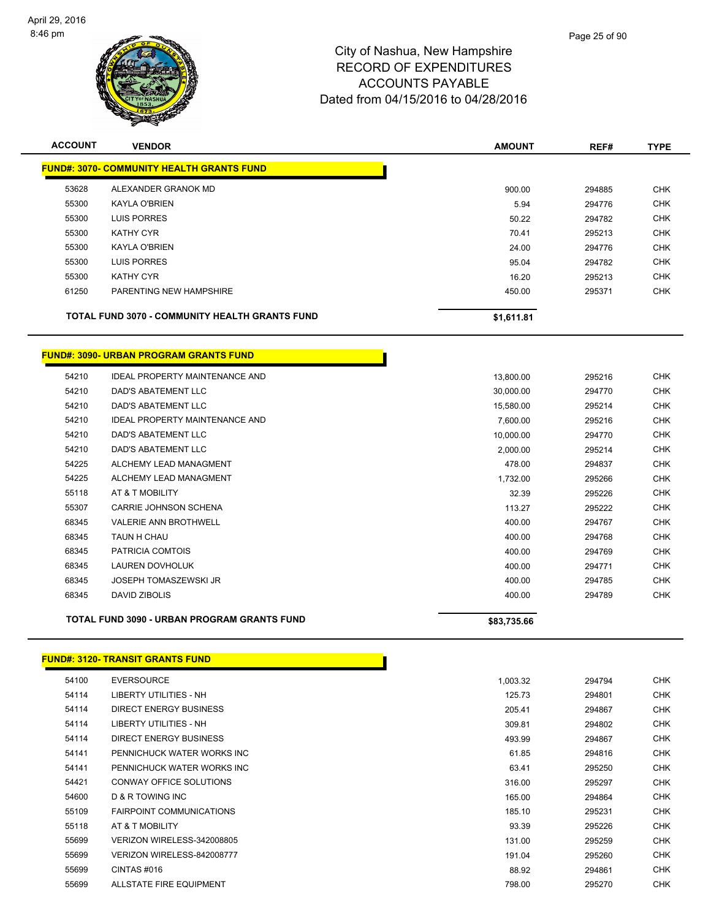

| <b>ACCOUNT</b>                                   | <b>VENDOR</b>                                         | <b>AMOUNT</b> | REF#   | <b>TYPE</b> |  |  |  |
|--------------------------------------------------|-------------------------------------------------------|---------------|--------|-------------|--|--|--|
| <b>FUND#: 3070- COMMUNITY HEALTH GRANTS FUND</b> |                                                       |               |        |             |  |  |  |
| 53628                                            | ALEXANDER GRANOK MD                                   | 900.00        | 294885 | <b>CHK</b>  |  |  |  |
| 55300                                            | <b>KAYLA O'BRIEN</b>                                  | 5.94          | 294776 | <b>CHK</b>  |  |  |  |
| 55300                                            | <b>LUIS PORRES</b>                                    | 50.22         | 294782 | <b>CHK</b>  |  |  |  |
| 55300                                            | KATHY CYR                                             | 70.41         | 295213 | <b>CHK</b>  |  |  |  |
| 55300                                            | <b>KAYLA O'BRIEN</b>                                  | 24.00         | 294776 | <b>CHK</b>  |  |  |  |
| 55300                                            | LUIS PORRES                                           | 95.04         | 294782 | <b>CHK</b>  |  |  |  |
| 55300                                            | <b>KATHY CYR</b>                                      | 16.20         | 295213 | <b>CHK</b>  |  |  |  |
| 61250                                            | PARENTING NEW HAMPSHIRE                               | 450.00        | 295371 | <b>CHK</b>  |  |  |  |
|                                                  | <b>TOTAL FUND 3070 - COMMUNITY HEALTH GRANTS FUND</b> | \$1,611.81    |        |             |  |  |  |

## **FUND#: 3090- URBAN PROGRAM GRANTS FUND**

|       | TOTAL FUND 3090 - URBAN PROGRAM GRANTS FUND | \$83,735.66 |        |            |
|-------|---------------------------------------------|-------------|--------|------------|
| 68345 | <b>DAVID ZIBOLIS</b>                        | 400.00      | 294789 | <b>CHK</b> |
| 68345 | <b>JOSEPH TOMASZEWSKI JR</b>                | 400.00      | 294785 | <b>CHK</b> |
| 68345 | <b>LAUREN DOVHOLUK</b>                      | 400.00      | 294771 | <b>CHK</b> |
| 68345 | PATRICIA COMTOIS                            | 400.00      | 294769 | <b>CHK</b> |
| 68345 | TAUN H CHAU                                 | 400.00      | 294768 | <b>CHK</b> |
| 68345 | <b>VALERIE ANN BROTHWELL</b>                | 400.00      | 294767 | <b>CHK</b> |
| 55307 | CARRIE JOHNSON SCHENA                       | 113.27      | 295222 | <b>CHK</b> |
| 55118 | AT & T MOBILITY                             | 32.39       | 295226 | <b>CHK</b> |
| 54225 | ALCHEMY LEAD MANAGMENT                      | 1,732.00    | 295266 | <b>CHK</b> |
| 54225 | ALCHEMY LEAD MANAGMENT                      | 478.00      | 294837 | <b>CHK</b> |
| 54210 | <b>DAD'S ABATEMENT LLC</b>                  | 2,000.00    | 295214 | <b>CHK</b> |
| 54210 | <b>DAD'S ABATEMENT LLC</b>                  | 10,000.00   | 294770 | <b>CHK</b> |
| 54210 | <b>IDEAL PROPERTY MAINTENANCE AND</b>       | 7,600.00    | 295216 | <b>CHK</b> |
| 54210 | DAD'S ABATEMENT LLC                         | 15,580.00   | 295214 | <b>CHK</b> |
| 54210 | DAD'S ABATEMENT LLC                         | 30,000.00   | 294770 | <b>CHK</b> |
| 54210 | <b>IDEAL PROPERTY MAINTENANCE AND</b>       | 13,800.00   | 295216 | <b>CHK</b> |

#### **FUND#: 3120- TRANSIT GRANTS FUND**

| 54100 | <b>EVERSOURCE</b>               | 1,003.32 | 294794 | <b>CHK</b> |
|-------|---------------------------------|----------|--------|------------|
| 54114 | LIBERTY UTILITIES - NH          | 125.73   | 294801 | <b>CHK</b> |
| 54114 | DIRECT ENERGY BUSINESS          | 205.41   | 294867 | <b>CHK</b> |
| 54114 | LIBERTY UTILITIES - NH          | 309.81   | 294802 | <b>CHK</b> |
| 54114 | DIRECT ENERGY BUSINESS          | 493.99   | 294867 | <b>CHK</b> |
| 54141 | PENNICHUCK WATER WORKS INC      | 61.85    | 294816 | <b>CHK</b> |
| 54141 | PENNICHUCK WATER WORKS INC      | 63.41    | 295250 | <b>CHK</b> |
| 54421 | CONWAY OFFICE SOLUTIONS         | 316.00   | 295297 | <b>CHK</b> |
| 54600 | <b>D &amp; R TOWING INC</b>     | 165.00   | 294864 | <b>CHK</b> |
| 55109 | <b>FAIRPOINT COMMUNICATIONS</b> | 185.10   | 295231 | <b>CHK</b> |
| 55118 | AT & T MOBILITY                 | 93.39    | 295226 | <b>CHK</b> |
| 55699 | VERIZON WIRELESS-342008805      | 131.00   | 295259 | <b>CHK</b> |
| 55699 | VERIZON WIRELESS-842008777      | 191.04   | 295260 | <b>CHK</b> |
| 55699 | CINTAS#016                      | 88.92    | 294861 | <b>CHK</b> |
| 55699 | ALLSTATE FIRE EQUIPMENT         | 798.00   | 295270 | <b>CHK</b> |
|       |                                 |          |        |            |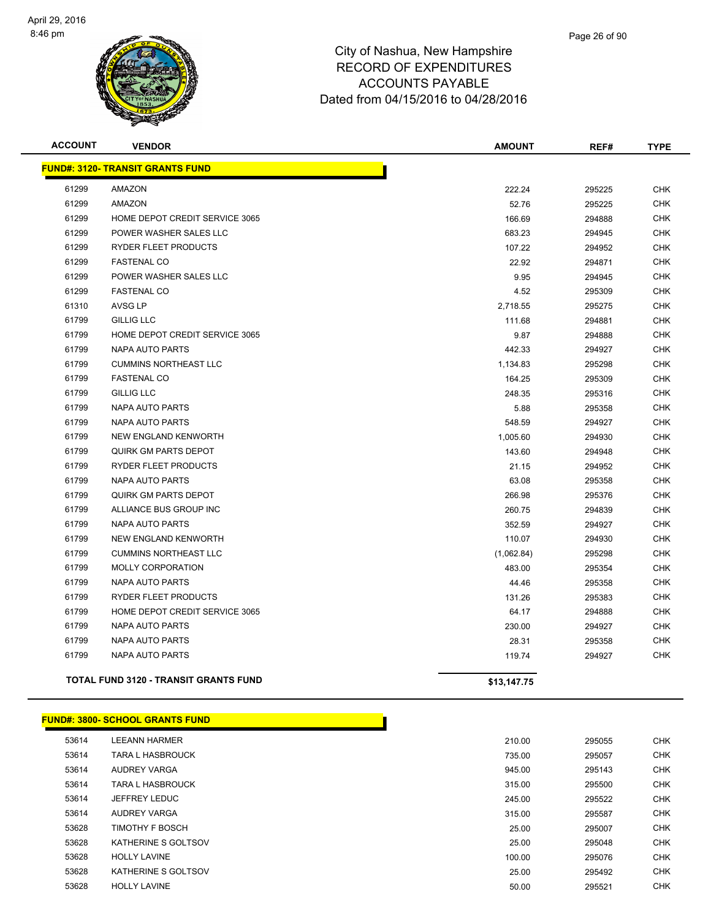

| <b>ACCOUNT</b> | <b>VENDOR</b>                                | <b>AMOUNT</b> | REF#   | <b>TYPE</b> |
|----------------|----------------------------------------------|---------------|--------|-------------|
|                | <b>FUND#: 3120- TRANSIT GRANTS FUND</b>      |               |        |             |
| 61299          | <b>AMAZON</b>                                | 222.24        | 295225 | <b>CHK</b>  |
| 61299          | AMAZON                                       | 52.76         | 295225 | <b>CHK</b>  |
| 61299          | HOME DEPOT CREDIT SERVICE 3065               | 166.69        | 294888 | <b>CHK</b>  |
| 61299          | POWER WASHER SALES LLC                       | 683.23        | 294945 | <b>CHK</b>  |
| 61299          | RYDER FLEET PRODUCTS                         | 107.22        | 294952 | <b>CHK</b>  |
| 61299          | <b>FASTENAL CO</b>                           | 22.92         | 294871 | <b>CHK</b>  |
| 61299          | POWER WASHER SALES LLC                       | 9.95          | 294945 | <b>CHK</b>  |
| 61299          | <b>FASTENAL CO</b>                           | 4.52          | 295309 | <b>CHK</b>  |
| 61310          | <b>AVSG LP</b>                               | 2,718.55      | 295275 | <b>CHK</b>  |
| 61799          | <b>GILLIG LLC</b>                            | 111.68        | 294881 | <b>CHK</b>  |
| 61799          | HOME DEPOT CREDIT SERVICE 3065               | 9.87          | 294888 | <b>CHK</b>  |
| 61799          | NAPA AUTO PARTS                              | 442.33        | 294927 | <b>CHK</b>  |
| 61799          | <b>CUMMINS NORTHEAST LLC</b>                 | 1,134.83      | 295298 | <b>CHK</b>  |
| 61799          | <b>FASTENAL CO</b>                           | 164.25        | 295309 | <b>CHK</b>  |
| 61799          | <b>GILLIG LLC</b>                            | 248.35        | 295316 | <b>CHK</b>  |
| 61799          | NAPA AUTO PARTS                              | 5.88          | 295358 | <b>CHK</b>  |
| 61799          | <b>NAPA AUTO PARTS</b>                       | 548.59        | 294927 | <b>CHK</b>  |
| 61799          | NEW ENGLAND KENWORTH                         | 1,005.60      | 294930 | <b>CHK</b>  |
| 61799          | <b>QUIRK GM PARTS DEPOT</b>                  | 143.60        | 294948 | <b>CHK</b>  |
| 61799          | RYDER FLEET PRODUCTS                         | 21.15         | 294952 | <b>CHK</b>  |
| 61799          | <b>NAPA AUTO PARTS</b>                       | 63.08         | 295358 | <b>CHK</b>  |
| 61799          | <b>QUIRK GM PARTS DEPOT</b>                  | 266.98        | 295376 | <b>CHK</b>  |
| 61799          | ALLIANCE BUS GROUP INC                       | 260.75        | 294839 | <b>CHK</b>  |
| 61799          | <b>NAPA AUTO PARTS</b>                       | 352.59        | 294927 | <b>CHK</b>  |
| 61799          | <b>NEW ENGLAND KENWORTH</b>                  | 110.07        | 294930 | <b>CHK</b>  |
| 61799          | <b>CUMMINS NORTHEAST LLC</b>                 | (1,062.84)    | 295298 | <b>CHK</b>  |
| 61799          | MOLLY CORPORATION                            | 483.00        | 295354 | <b>CHK</b>  |
| 61799          | <b>NAPA AUTO PARTS</b>                       | 44.46         | 295358 | <b>CHK</b>  |
| 61799          | RYDER FLEET PRODUCTS                         | 131.26        | 295383 | <b>CHK</b>  |
| 61799          | HOME DEPOT CREDIT SERVICE 3065               | 64.17         | 294888 | <b>CHK</b>  |
| 61799          | NAPA AUTO PARTS                              | 230.00        | 294927 | <b>CHK</b>  |
| 61799          | <b>NAPA AUTO PARTS</b>                       | 28.31         | 295358 | <b>CHK</b>  |
| 61799          | NAPA AUTO PARTS                              | 119.74        | 294927 | <b>CHK</b>  |
|                | <b>TOTAL FUND 3120 - TRANSIT GRANTS FUND</b> | \$13,147.75   |        |             |

#### **FUND#: 3800- SCHOOL GRANTS FUND**

| 53614 | LEEANN HARMER           | 210.00 | 295055 | CHK |
|-------|-------------------------|--------|--------|-----|
| 53614 | <b>TARA L HASBROUCK</b> | 735.00 | 295057 | CHK |
| 53614 | AUDREY VARGA            | 945.00 | 295143 | CHK |
| 53614 | <b>TARA L HASBROUCK</b> | 315.00 | 295500 | CHK |
| 53614 | JEFFREY LEDUC           | 245.00 | 295522 | CHK |
| 53614 | <b>AUDREY VARGA</b>     | 315.00 | 295587 | CHK |
| 53628 | <b>TIMOTHY F BOSCH</b>  | 25.00  | 295007 | CHK |
| 53628 | KATHERINE S GOLTSOV     | 25.00  | 295048 | CHK |
| 53628 | <b>HOLLY LAVINE</b>     | 100.00 | 295076 | CHK |
| 53628 | KATHERINE S GOLTSOV     | 25.00  | 295492 | CHK |
| 53628 | <b>HOLLY LAVINE</b>     | 50.00  | 295521 | CHK |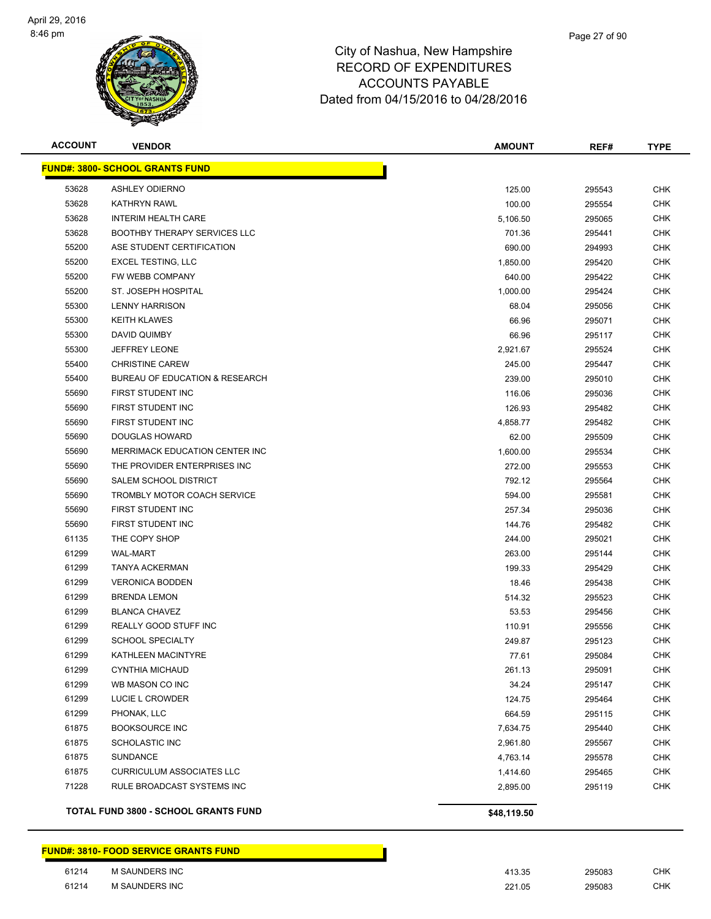

| <b>ACCOUNT</b> | <b>VENDOR</b>                               | <b>AMOUNT</b> | REF#   | <b>TYPE</b> |
|----------------|---------------------------------------------|---------------|--------|-------------|
|                | <b>FUND#: 3800- SCHOOL GRANTS FUND</b>      |               |        |             |
| 53628          | <b>ASHLEY ODIERNO</b>                       | 125.00        | 295543 | <b>CHK</b>  |
| 53628          | <b>KATHRYN RAWL</b>                         | 100.00        | 295554 | <b>CHK</b>  |
| 53628          | <b>INTERIM HEALTH CARE</b>                  | 5,106.50      | 295065 | <b>CHK</b>  |
| 53628          | <b>BOOTHBY THERAPY SERVICES LLC</b>         | 701.36        | 295441 | <b>CHK</b>  |
| 55200          | ASE STUDENT CERTIFICATION                   | 690.00        | 294993 | <b>CHK</b>  |
| 55200          | <b>EXCEL TESTING, LLC</b>                   | 1,850.00      | 295420 | <b>CHK</b>  |
| 55200          | FW WEBB COMPANY                             | 640.00        | 295422 | <b>CHK</b>  |
| 55200          | ST. JOSEPH HOSPITAL                         | 1,000.00      | 295424 | <b>CHK</b>  |
| 55300          | <b>LENNY HARRISON</b>                       | 68.04         | 295056 | <b>CHK</b>  |
| 55300          | <b>KEITH KLAWES</b>                         | 66.96         | 295071 | <b>CHK</b>  |
| 55300          | DAVID QUIMBY                                | 66.96         | 295117 | <b>CHK</b>  |
| 55300          | <b>JEFFREY LEONE</b>                        | 2,921.67      | 295524 | <b>CHK</b>  |
| 55400          | <b>CHRISTINE CAREW</b>                      | 245.00        | 295447 | <b>CHK</b>  |
| 55400          | <b>BUREAU OF EDUCATION &amp; RESEARCH</b>   | 239.00        | 295010 | <b>CHK</b>  |
| 55690          | FIRST STUDENT INC                           | 116.06        | 295036 | <b>CHK</b>  |
| 55690          | FIRST STUDENT INC                           | 126.93        | 295482 | <b>CHK</b>  |
| 55690          | FIRST STUDENT INC                           | 4,858.77      | 295482 | <b>CHK</b>  |
| 55690          | DOUGLAS HOWARD                              | 62.00         | 295509 | CHK         |
| 55690          | MERRIMACK EDUCATION CENTER INC              | 1,600.00      | 295534 | <b>CHK</b>  |
| 55690          | THE PROVIDER ENTERPRISES INC                | 272.00        | 295553 | <b>CHK</b>  |
| 55690          | SALEM SCHOOL DISTRICT                       | 792.12        | 295564 | CHK         |
| 55690          | TROMBLY MOTOR COACH SERVICE                 | 594.00        | 295581 | <b>CHK</b>  |
| 55690          | FIRST STUDENT INC                           | 257.34        | 295036 | <b>CHK</b>  |
| 55690          | FIRST STUDENT INC                           | 144.76        | 295482 | <b>CHK</b>  |
| 61135          | THE COPY SHOP                               | 244.00        | 295021 | <b>CHK</b>  |
| 61299          | <b>WAL-MART</b>                             | 263.00        | 295144 | CHK         |
| 61299          | TANYA ACKERMAN                              | 199.33        | 295429 | <b>CHK</b>  |
| 61299          | <b>VERONICA BODDEN</b>                      | 18.46         | 295438 | CHK         |
| 61299          | <b>BRENDA LEMON</b>                         | 514.32        | 295523 | CHK         |
| 61299          | <b>BLANCA CHAVEZ</b>                        | 53.53         | 295456 | CHK         |
| 61299          | REALLY GOOD STUFF INC                       | 110.91        | 295556 | <b>CHK</b>  |
| 61299          | <b>SCHOOL SPECIALTY</b>                     | 249.87        | 295123 | CHK         |
| 61299          | KATHLEEN MACINTYRE                          | 77.61         | 295084 | <b>CHK</b>  |
| 61299          | <b>CYNTHIA MICHAUD</b>                      | 261.13        | 295091 | CHK         |
| 61299          | WB MASON CO INC                             | 34.24         | 295147 | <b>CHK</b>  |
| 61299          | LUCIE L CROWDER                             | 124.75        | 295464 | <b>CHK</b>  |
| 61299          | PHONAK, LLC                                 | 664.59        | 295115 | <b>CHK</b>  |
| 61875          | <b>BOOKSOURCE INC</b>                       | 7,634.75      | 295440 | <b>CHK</b>  |
| 61875          | SCHOLASTIC INC                              | 2,961.80      | 295567 | <b>CHK</b>  |
| 61875          | <b>SUNDANCE</b>                             | 4,763.14      | 295578 | <b>CHK</b>  |
| 61875          | <b>CURRICULUM ASSOCIATES LLC</b>            | 1,414.60      | 295465 | <b>CHK</b>  |
| 71228          | RULE BROADCAST SYSTEMS INC                  | 2,895.00      | 295119 | <b>CHK</b>  |
|                | <b>TOTAL FUND 3800 - SCHOOL GRANTS FUND</b> | \$48,119.50   |        |             |

**FUND#: 3810- FOOD SERVICE GRANTS FUND**

| 61214 | <b>SAUNDERS INC</b> | 11235<br>ں ں ا | 295083 | СНК |
|-------|---------------------|----------------|--------|-----|
| 61214 | I SAUNDERS INC      | 221.05         | 295083 | СНК |
|       |                     | $\sim$ $\sim$  | .      |     |

| ມ | ຂອວບ໐ວ | ◡⊓г |
|---|--------|-----|
| 5 | 295083 | CHI |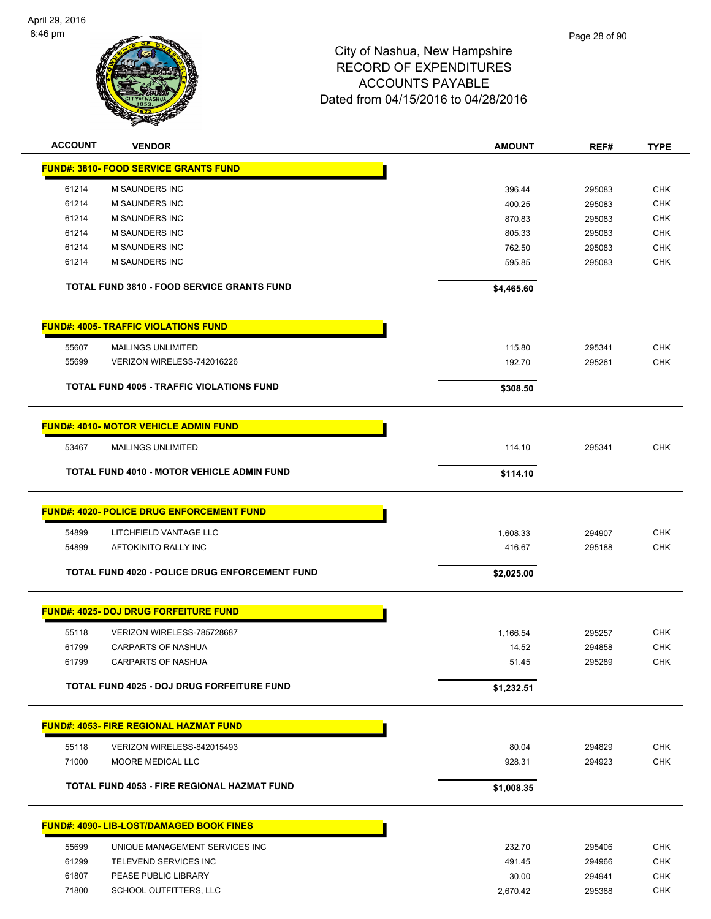

| <b>ACCOUNT</b> | <b>VENDOR</b>                                     | <b>AMOUNT</b> | REF#   | <b>TYPE</b> |
|----------------|---------------------------------------------------|---------------|--------|-------------|
|                | <b>FUND#: 3810- FOOD SERVICE GRANTS FUND</b>      |               |        |             |
| 61214          | M SAUNDERS INC                                    | 396.44        | 295083 | CHK         |
| 61214          | <b>M SAUNDERS INC</b>                             | 400.25        | 295083 | <b>CHK</b>  |
| 61214          | <b>M SAUNDERS INC</b>                             | 870.83        | 295083 | <b>CHK</b>  |
| 61214          | M SAUNDERS INC                                    | 805.33        | 295083 | <b>CHK</b>  |
| 61214          | <b>M SAUNDERS INC</b>                             | 762.50        | 295083 | <b>CHK</b>  |
| 61214          | <b>M SAUNDERS INC</b>                             | 595.85        | 295083 | <b>CHK</b>  |
|                | <b>TOTAL FUND 3810 - FOOD SERVICE GRANTS FUND</b> | \$4,465.60    |        |             |
|                | <b>FUND#: 4005- TRAFFIC VIOLATIONS FUND</b>       |               |        |             |
| 55607          | <b>MAILINGS UNLIMITED</b>                         | 115.80        | 295341 | <b>CHK</b>  |
| 55699          | VERIZON WIRELESS-742016226                        | 192.70        | 295261 | <b>CHK</b>  |
|                | <b>TOTAL FUND 4005 - TRAFFIC VIOLATIONS FUND</b>  | \$308.50      |        |             |
|                | <b>FUND#: 4010- MOTOR VEHICLE ADMIN FUND</b>      |               |        |             |
| 53467          | <b>MAILINGS UNLIMITED</b>                         | 114.10        | 295341 | <b>CHK</b>  |
|                | <b>TOTAL FUND 4010 - MOTOR VEHICLE ADMIN FUND</b> | \$114.10      |        |             |
|                | <b>FUND#: 4020- POLICE DRUG ENFORCEMENT FUND</b>  |               |        |             |
| 54899          | LITCHFIELD VANTAGE LLC                            | 1,608.33      | 294907 | <b>CHK</b>  |
| 54899          | AFTOKINITO RALLY INC                              | 416.67        | 295188 | <b>CHK</b>  |
|                |                                                   |               |        |             |
|                | TOTAL FUND 4020 - POLICE DRUG ENFORCEMENT FUND    | \$2,025.00    |        |             |
|                | <b>FUND#: 4025- DOJ DRUG FORFEITURE FUND</b>      |               |        |             |
| 55118          | VERIZON WIRELESS-785728687                        | 1,166.54      | 295257 | <b>CHK</b>  |
| 61799          | <b>CARPARTS OF NASHUA</b>                         | 14.52         | 294858 | <b>CHK</b>  |
| 61799          | <b>CARPARTS OF NASHUA</b>                         | 51.45         | 295289 | <b>CHK</b>  |
|                | TOTAL FUND 4025 - DOJ DRUG FORFEITURE FUND        | \$1,232.51    |        |             |
|                | <b>FUND#: 4053- FIRE REGIONAL HAZMAT FUND</b>     |               |        |             |
| 55118          | VERIZON WIRELESS-842015493                        | 80.04         | 294829 | <b>CHK</b>  |
| 71000          | MOORE MEDICAL LLC                                 | 928.31        | 294923 | <b>CHK</b>  |
|                | TOTAL FUND 4053 - FIRE REGIONAL HAZMAT FUND       | \$1,008.35    |        |             |
|                |                                                   |               |        |             |
|                | <b>FUND#: 4090- LIB-LOST/DAMAGED BOOK FINES</b>   |               |        |             |
| 55699          | UNIQUE MANAGEMENT SERVICES INC                    | 232.70        | 295406 | <b>CHK</b>  |
| 61299          | TELEVEND SERVICES INC                             | 491.45        | 294966 | <b>CHK</b>  |
| 61807          | PEASE PUBLIC LIBRARY                              | 30.00         | 294941 | <b>CHK</b>  |
| 71800          | SCHOOL OUTFITTERS, LLC                            | 2,670.42      | 295388 | <b>CHK</b>  |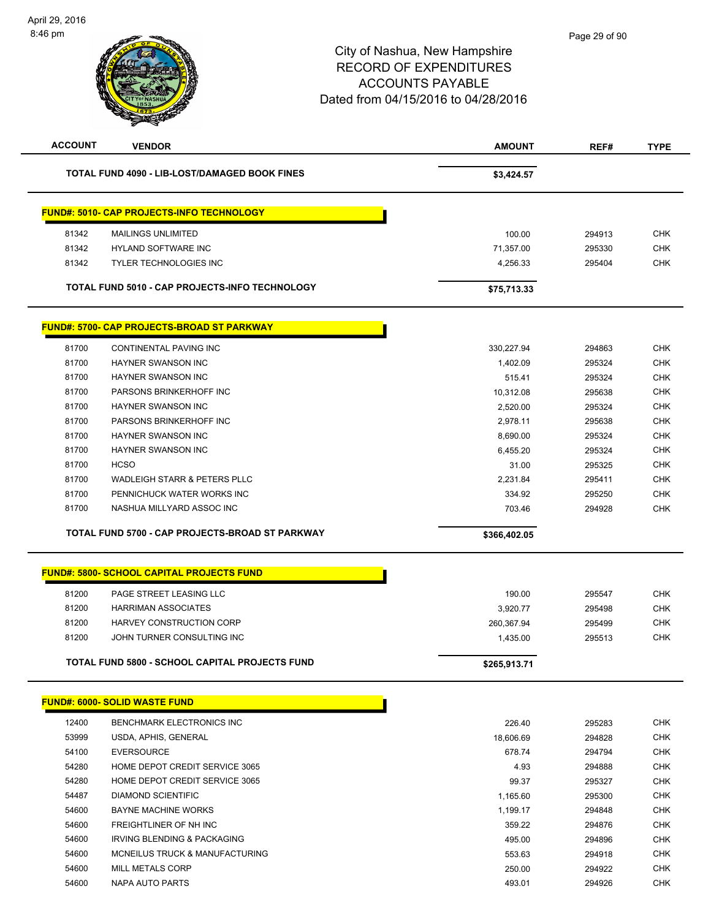| <b>ACCOUNT</b> | <b>VENDOR</b>                                        | <b>AMOUNT</b> | REF#   | <b>TYPE</b> |
|----------------|------------------------------------------------------|---------------|--------|-------------|
|                | <b>TOTAL FUND 4090 - LIB-LOST/DAMAGED BOOK FINES</b> | \$3,424.57    |        |             |
|                | <b>FUND#: 5010- CAP PROJECTS-INFO TECHNOLOGY</b>     |               |        |             |
| 81342          | <b>MAILINGS UNLIMITED</b>                            | 100.00        | 294913 | <b>CHK</b>  |
| 81342          | <b>HYLAND SOFTWARE INC</b>                           | 71,357.00     | 295330 | <b>CHK</b>  |
| 81342          | <b>TYLER TECHNOLOGIES INC</b>                        | 4,256.33      | 295404 | <b>CHK</b>  |
|                | TOTAL FUND 5010 - CAP PROJECTS-INFO TECHNOLOGY       | \$75,713.33   |        |             |
|                | <b>FUND#: 5700- CAP PROJECTS-BROAD ST PARKWAY</b>    |               |        |             |
| 81700          | CONTINENTAL PAVING INC                               | 330,227.94    | 294863 | <b>CHK</b>  |
| 81700          | <b>HAYNER SWANSON INC</b>                            | 1,402.09      | 295324 | <b>CHK</b>  |
| 81700          | <b>HAYNER SWANSON INC</b>                            | 515.41        | 295324 | <b>CHK</b>  |
| 81700          | PARSONS BRINKERHOFF INC                              | 10,312.08     | 295638 | <b>CHK</b>  |
| 81700          | <b>HAYNER SWANSON INC</b>                            | 2,520.00      | 295324 | <b>CHK</b>  |
| 81700          | PARSONS BRINKERHOFF INC                              | 2,978.11      | 295638 | <b>CHK</b>  |
| 81700          | <b>HAYNER SWANSON INC</b>                            | 8,690.00      | 295324 | <b>CHK</b>  |
| 81700          | HAYNER SWANSON INC                                   | 6,455.20      | 295324 | <b>CHK</b>  |
| 81700          | <b>HCSO</b>                                          | 31.00         | 295325 | <b>CHK</b>  |
| 81700          | WADLEIGH STARR & PETERS PLLC                         | 2,231.84      | 295411 | <b>CHK</b>  |
| 81700          | PENNICHUCK WATER WORKS INC                           | 334.92        | 295250 | <b>CHK</b>  |
| 81700          | NASHUA MILLYARD ASSOC INC                            | 703.46        | 294928 | <b>CHK</b>  |
|                | TOTAL FUND 5700 - CAP PROJECTS-BROAD ST PARKWAY      | \$366,402.05  |        |             |
|                | <b>FUND#: 5800- SCHOOL CAPITAL PROJECTS FUND</b>     |               |        |             |
| 81200          | PAGE STREET LEASING LLC                              | 190.00        | 295547 | <b>CHK</b>  |
| 81200          | <b>HARRIMAN ASSOCIATES</b>                           | 3,920.77      | 295498 | <b>CHK</b>  |
| 81200          | HARVEY CONSTRUCTION CORP                             | 260,367.94    | 295499 | <b>CHK</b>  |
| 81200          | JOHN TURNER CONSULTING INC                           | 1,435.00      | 295513 | <b>CHK</b>  |
|                | TOTAL FUND 5800 - SCHOOL CAPITAL PROJECTS FUND       | \$265,913.71  |        |             |
|                | <b>FUND#: 6000- SOLID WASTE FUND</b>                 |               |        |             |
|                | BENCHMARK ELECTRONICS INC                            |               |        | <b>CHK</b>  |
| 12400          |                                                      | 226.40        | 295283 |             |
| 53999          | USDA, APHIS, GENERAL                                 | 18,606.69     | 294828 | <b>CHK</b>  |
| 54100          | <b>EVERSOURCE</b>                                    | 678.74        | 294794 | <b>CHK</b>  |
| 54280          | HOME DEPOT CREDIT SERVICE 3065                       | 4.93          | 294888 | <b>CHK</b>  |
| 54280          | HOME DEPOT CREDIT SERVICE 3065                       | 99.37         | 295327 | <b>CHK</b>  |
| 54487          | <b>DIAMOND SCIENTIFIC</b>                            | 1,165.60      | 295300 | <b>CHK</b>  |
| 54600          | <b>BAYNE MACHINE WORKS</b>                           | 1,199.17      | 294848 | <b>CHK</b>  |
| 54600          | FREIGHTLINER OF NH INC                               | 359.22        | 294876 | <b>CHK</b>  |
| 54600          | IRVING BLENDING & PACKAGING                          | 495.00        | 294896 | <b>CHK</b>  |
| 54600          | MCNEILUS TRUCK & MANUFACTURING                       | 553.63        | 294918 | <b>CHK</b>  |
| 54600          | <b>MILL METALS CORP</b>                              | 250.00        | 294922 | <b>CHK</b>  |
| 54600          | NAPA AUTO PARTS                                      | 493.01        | 294926 | <b>CHK</b>  |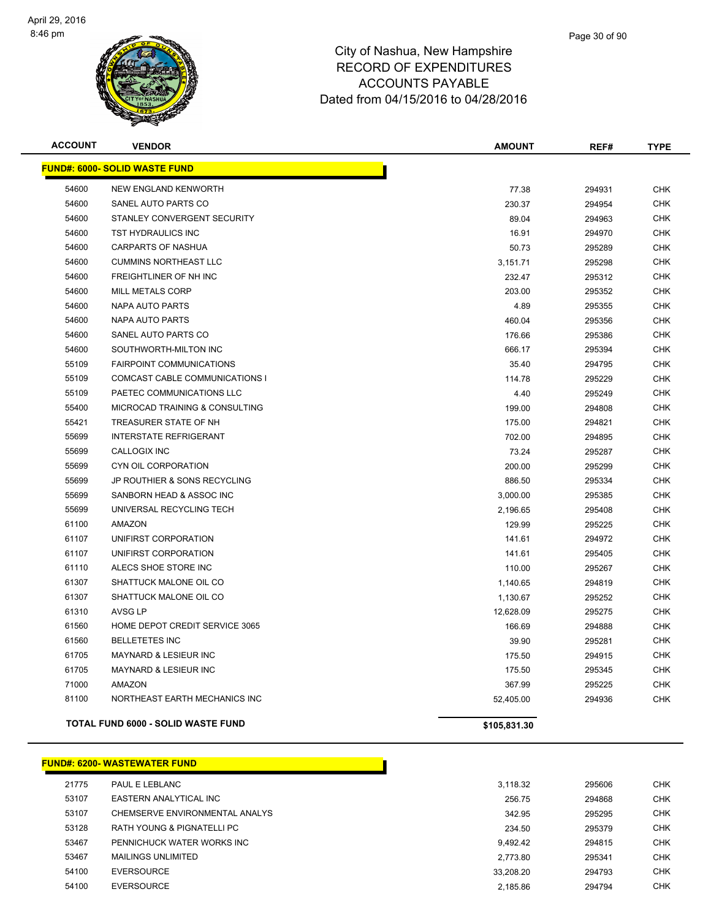

| <b>ACCOUNT</b> | <b>VENDOR</b>                             | <b>AMOUNT</b> | REF#   | <b>TYPE</b> |
|----------------|-------------------------------------------|---------------|--------|-------------|
|                | <b>FUND#: 6000- SOLID WASTE FUND</b>      |               |        |             |
| 54600          | <b>NEW ENGLAND KENWORTH</b>               | 77.38         | 294931 | <b>CHK</b>  |
| 54600          | SANEL AUTO PARTS CO                       | 230.37        | 294954 | <b>CHK</b>  |
| 54600          | STANLEY CONVERGENT SECURITY               | 89.04         | 294963 | <b>CHK</b>  |
| 54600          | TST HYDRAULICS INC                        | 16.91         | 294970 | <b>CHK</b>  |
| 54600          | <b>CARPARTS OF NASHUA</b>                 | 50.73         | 295289 | <b>CHK</b>  |
| 54600          | <b>CUMMINS NORTHEAST LLC</b>              | 3,151.71      | 295298 | <b>CHK</b>  |
| 54600          | FREIGHTLINER OF NH INC                    | 232.47        | 295312 | <b>CHK</b>  |
| 54600          | MILL METALS CORP                          | 203.00        | 295352 | <b>CHK</b>  |
| 54600          | <b>NAPA AUTO PARTS</b>                    | 4.89          | 295355 | <b>CHK</b>  |
| 54600          | <b>NAPA AUTO PARTS</b>                    | 460.04        | 295356 | <b>CHK</b>  |
| 54600          | SANEL AUTO PARTS CO                       | 176.66        | 295386 | <b>CHK</b>  |
| 54600          | SOUTHWORTH-MILTON INC                     | 666.17        | 295394 | <b>CHK</b>  |
| 55109          | <b>FAIRPOINT COMMUNICATIONS</b>           | 35.40         | 294795 | <b>CHK</b>  |
| 55109          | COMCAST CABLE COMMUNICATIONS I            | 114.78        | 295229 | <b>CHK</b>  |
| 55109          | PAETEC COMMUNICATIONS LLC                 | 4.40          | 295249 | <b>CHK</b>  |
| 55400          | MICROCAD TRAINING & CONSULTING            | 199.00        | 294808 | <b>CHK</b>  |
| 55421          | TREASURER STATE OF NH                     | 175.00        | 294821 | <b>CHK</b>  |
| 55699          | <b>INTERSTATE REFRIGERANT</b>             | 702.00        | 294895 | <b>CHK</b>  |
| 55699          | <b>CALLOGIX INC</b>                       | 73.24         | 295287 | <b>CHK</b>  |
| 55699          | CYN OIL CORPORATION                       | 200.00        | 295299 | <b>CHK</b>  |
| 55699          | <b>JP ROUTHIER &amp; SONS RECYCLING</b>   | 886.50        | 295334 | <b>CHK</b>  |
| 55699          | SANBORN HEAD & ASSOC INC                  | 3,000.00      | 295385 | <b>CHK</b>  |
| 55699          | UNIVERSAL RECYCLING TECH                  | 2,196.65      | 295408 | <b>CHK</b>  |
| 61100          | <b>AMAZON</b>                             | 129.99        | 295225 | <b>CHK</b>  |
| 61107          | UNIFIRST CORPORATION                      | 141.61        | 294972 | <b>CHK</b>  |
| 61107          | UNIFIRST CORPORATION                      | 141.61        | 295405 | <b>CHK</b>  |
| 61110          | ALECS SHOE STORE INC                      | 110.00        | 295267 | <b>CHK</b>  |
| 61307          | SHATTUCK MALONE OIL CO                    | 1,140.65      | 294819 | <b>CHK</b>  |
| 61307          | SHATTUCK MALONE OIL CO                    | 1,130.67      | 295252 | <b>CHK</b>  |
| 61310          | AVSG LP                                   | 12,628.09     | 295275 | <b>CHK</b>  |
| 61560          | HOME DEPOT CREDIT SERVICE 3065            | 166.69        | 294888 | <b>CHK</b>  |
| 61560          | <b>BELLETETES INC</b>                     | 39.90         | 295281 | <b>CHK</b>  |
| 61705          | MAYNARD & LESIEUR INC                     | 175.50        | 294915 | <b>CHK</b>  |
| 61705          | <b>MAYNARD &amp; LESIEUR INC</b>          | 175.50        | 295345 | <b>CHK</b>  |
| 71000          | <b>AMAZON</b>                             | 367.99        | 295225 | <b>CHK</b>  |
| 81100          | NORTHEAST EARTH MECHANICS INC             | 52,405.00     | 294936 | <b>CHK</b>  |
|                | <b>TOTAL FUND 6000 - SOLID WASTE FUND</b> | \$105,831.30  |        |             |

#### **FUND#: 6200- WASTEWATER FUND**

| 21775 | PAUL E LEBLANC                 | 3.118.32  | 295606 | <b>CHK</b> |
|-------|--------------------------------|-----------|--------|------------|
| 53107 | EASTERN ANALYTICAL INC         | 256.75    | 294868 | <b>CHK</b> |
| 53107 | CHEMSERVE ENVIRONMENTAL ANALYS | 342.95    | 295295 | <b>CHK</b> |
| 53128 | RATH YOUNG & PIGNATELLI PC     | 234.50    | 295379 | <b>CHK</b> |
| 53467 | PENNICHUCK WATER WORKS INC     | 9.492.42  | 294815 | <b>CHK</b> |
| 53467 | <b>MAILINGS UNLIMITED</b>      | 2.773.80  | 295341 | <b>CHK</b> |
| 54100 | <b>EVERSOURCE</b>              | 33.208.20 | 294793 | <b>CHK</b> |
| 54100 | EVERSOURCE                     | 2.185.86  | 294794 | <b>CHK</b> |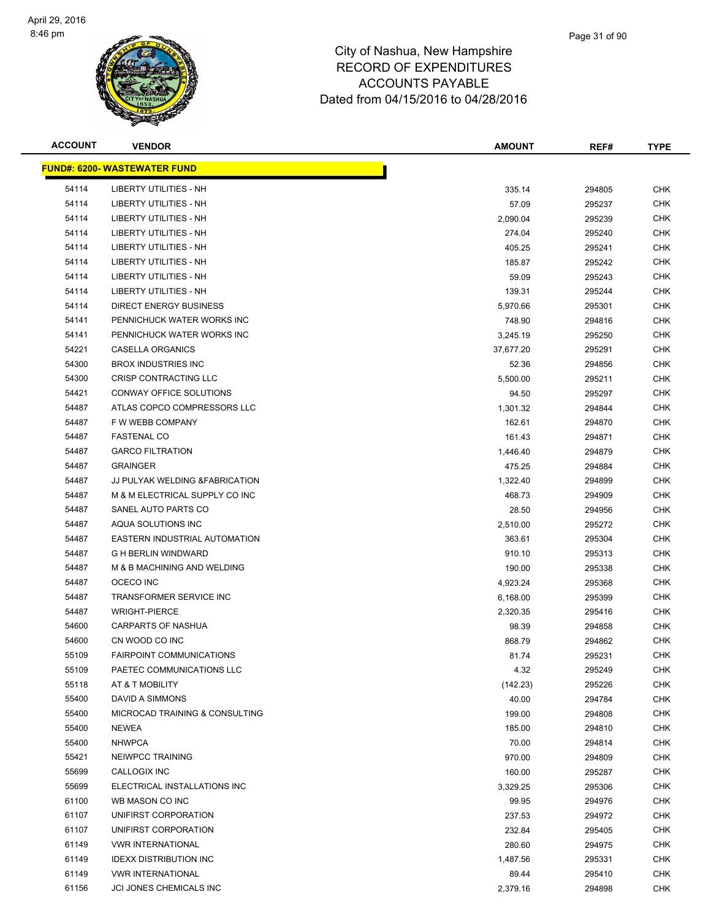

| <b>ACCOUNT</b> | <b>VENDOR</b>                        | <b>AMOUNT</b> | REF#   | <b>TYPE</b> |
|----------------|--------------------------------------|---------------|--------|-------------|
|                | <u> FUND#: 6200- WASTEWATER FUND</u> |               |        |             |
| 54114          | <b>LIBERTY UTILITIES - NH</b>        | 335.14        | 294805 | <b>CHK</b>  |
| 54114          | <b>LIBERTY UTILITIES - NH</b>        | 57.09         | 295237 | <b>CHK</b>  |
| 54114          | <b>LIBERTY UTILITIES - NH</b>        | 2,090.04      | 295239 | <b>CHK</b>  |
| 54114          | <b>LIBERTY UTILITIES - NH</b>        | 274.04        | 295240 | <b>CHK</b>  |
| 54114          | LIBERTY UTILITIES - NH               | 405.25        | 295241 | <b>CHK</b>  |
| 54114          | LIBERTY UTILITIES - NH               | 185.87        | 295242 | <b>CHK</b>  |
| 54114          | <b>LIBERTY UTILITIES - NH</b>        | 59.09         | 295243 | <b>CHK</b>  |
| 54114          | <b>LIBERTY UTILITIES - NH</b>        | 139.31        | 295244 | <b>CHK</b>  |
| 54114          | DIRECT ENERGY BUSINESS               | 5,970.66      | 295301 | CHK         |
| 54141          | PENNICHUCK WATER WORKS INC           | 748.90        | 294816 | <b>CHK</b>  |
| 54141          | PENNICHUCK WATER WORKS INC           | 3,245.19      | 295250 | CHK         |
| 54221          | CASELLA ORGANICS                     | 37,677.20     | 295291 | CHK         |
| 54300          | <b>BROX INDUSTRIES INC</b>           | 52.36         | 294856 | <b>CHK</b>  |
| 54300          | CRISP CONTRACTING LLC                | 5,500.00      | 295211 | <b>CHK</b>  |
| 54421          | CONWAY OFFICE SOLUTIONS              | 94.50         | 295297 | <b>CHK</b>  |
| 54487          | ATLAS COPCO COMPRESSORS LLC          | 1,301.32      | 294844 | CHK         |
| 54487          | F W WEBB COMPANY                     | 162.61        | 294870 | <b>CHK</b>  |
| 54487          | <b>FASTENAL CO</b>                   | 161.43        | 294871 | <b>CHK</b>  |
| 54487          | <b>GARCO FILTRATION</b>              | 1,446.40      | 294879 | <b>CHK</b>  |
| 54487          | <b>GRAINGER</b>                      | 475.25        | 294884 | <b>CHK</b>  |
| 54487          | JJ PULYAK WELDING & FABRICATION      | 1,322.40      | 294899 | <b>CHK</b>  |
| 54487          | M & M ELECTRICAL SUPPLY CO INC       | 468.73        | 294909 | CHK         |
| 54487          | SANEL AUTO PARTS CO                  | 28.50         | 294956 | <b>CHK</b>  |
| 54487          | AQUA SOLUTIONS INC                   | 2,510.00      | 295272 | <b>CHK</b>  |
| 54487          | EASTERN INDUSTRIAL AUTOMATION        | 363.61        | 295304 | <b>CHK</b>  |
| 54487          | <b>G H BERLIN WINDWARD</b>           | 910.10        | 295313 | <b>CHK</b>  |
| 54487          | M & B MACHINING AND WELDING          | 190.00        | 295338 | <b>CHK</b>  |
| 54487          | OCECO INC                            | 4,923.24      | 295368 | <b>CHK</b>  |
| 54487          | <b>TRANSFORMER SERVICE INC</b>       | 6,168.00      | 295399 | <b>CHK</b>  |
| 54487          | <b>WRIGHT-PIERCE</b>                 | 2,320.35      | 295416 | CHK         |
| 54600          | CARPARTS OF NASHUA                   | 98.39         | 294858 | CHK         |
| 54600          | CN WOOD CO INC                       | 868.79        | 294862 | CHK         |
| 55109          | <b>FAIRPOINT COMMUNICATIONS</b>      | 81.74         | 295231 | <b>CHK</b>  |
| 55109          | PAETEC COMMUNICATIONS LLC            | 4.32          | 295249 | <b>CHK</b>  |
| 55118          | AT & T MOBILITY                      | (142.23)      | 295226 | <b>CHK</b>  |
| 55400          | DAVID A SIMMONS                      | 40.00         | 294784 | <b>CHK</b>  |
| 55400          | MICROCAD TRAINING & CONSULTING       | 199.00        | 294808 | <b>CHK</b>  |
| 55400          | NEWEA                                | 185.00        | 294810 | <b>CHK</b>  |
| 55400          | <b>NHWPCA</b>                        | 70.00         | 294814 | <b>CHK</b>  |
| 55421          | NEIWPCC TRAINING                     | 970.00        | 294809 | <b>CHK</b>  |
| 55699          | CALLOGIX INC                         | 160.00        | 295287 | <b>CHK</b>  |
| 55699          | ELECTRICAL INSTALLATIONS INC         | 3,329.25      | 295306 | <b>CHK</b>  |
| 61100          | WB MASON CO INC                      | 99.95         | 294976 | <b>CHK</b>  |
| 61107          | UNIFIRST CORPORATION                 | 237.53        | 294972 | <b>CHK</b>  |
| 61107          | UNIFIRST CORPORATION                 | 232.84        | 295405 | <b>CHK</b>  |
| 61149          | <b>VWR INTERNATIONAL</b>             | 280.60        | 294975 | <b>CHK</b>  |
| 61149          | <b>IDEXX DISTRIBUTION INC</b>        | 1,487.56      | 295331 | <b>CHK</b>  |
| 61149          | <b>VWR INTERNATIONAL</b>             | 89.44         | 295410 | <b>CHK</b>  |
| 61156          | JCI JONES CHEMICALS INC              | 2,379.16      | 294898 | <b>CHK</b>  |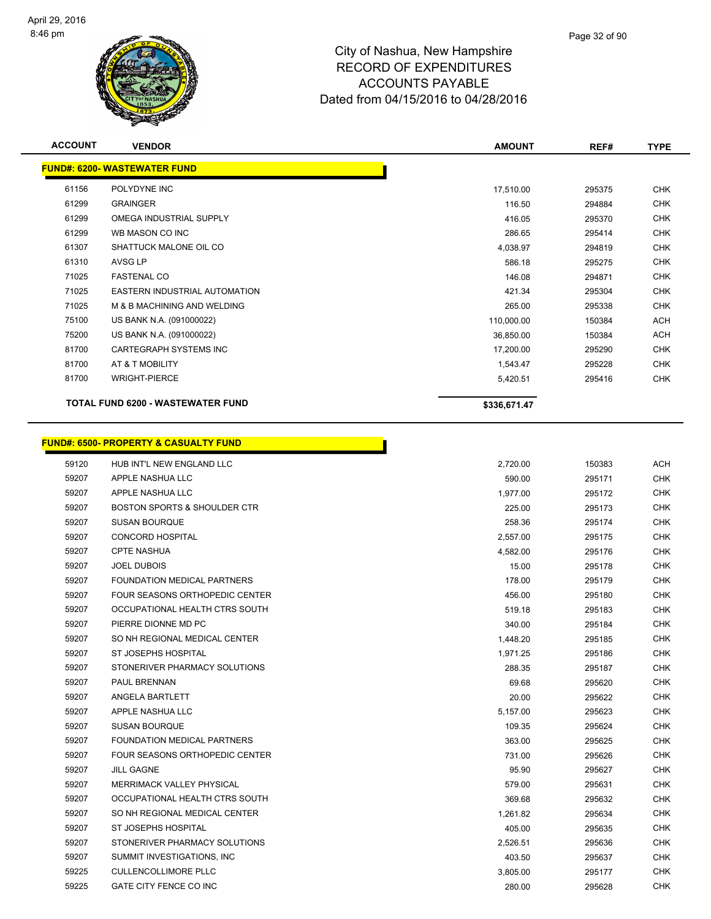

| <b>ACCOUNT</b> | <b>VENDOR</b>                                    | <b>AMOUNT</b> | REF#   | <b>TYPE</b> |
|----------------|--------------------------------------------------|---------------|--------|-------------|
|                | <b>FUND#: 6200- WASTEWATER FUND</b>              |               |        |             |
| 61156          | POLYDYNE INC                                     | 17,510.00     | 295375 | <b>CHK</b>  |
| 61299          | <b>GRAINGER</b>                                  | 116.50        | 294884 | <b>CHK</b>  |
| 61299          | OMEGA INDUSTRIAL SUPPLY                          | 416.05        | 295370 | <b>CHK</b>  |
| 61299          | WB MASON CO INC                                  | 286.65        | 295414 | <b>CHK</b>  |
| 61307          | SHATTUCK MALONE OIL CO                           | 4,038.97      | 294819 | <b>CHK</b>  |
| 61310          | <b>AVSG LP</b>                                   | 586.18        | 295275 | <b>CHK</b>  |
| 71025          | <b>FASTENAL CO</b>                               | 146.08        | 294871 | <b>CHK</b>  |
| 71025          | EASTERN INDUSTRIAL AUTOMATION                    | 421.34        | 295304 | <b>CHK</b>  |
| 71025          | M & B MACHINING AND WELDING                      | 265.00        | 295338 | <b>CHK</b>  |
| 75100          | US BANK N.A. (091000022)                         | 110,000.00    | 150384 | <b>ACH</b>  |
| 75200          | US BANK N.A. (091000022)                         | 36,850.00     | 150384 | <b>ACH</b>  |
| 81700          | CARTEGRAPH SYSTEMS INC                           | 17,200.00     | 295290 | <b>CHK</b>  |
| 81700          | AT & T MOBILITY                                  | 1,543.47      | 295228 | <b>CHK</b>  |
| 81700          | <b>WRIGHT-PIERCE</b>                             | 5,420.51      | 295416 | <b>CHK</b>  |
|                | <b>TOTAL FUND 6200 - WASTEWATER FUND</b>         | \$336,671.47  |        |             |
|                | <b>FUND#: 6500- PROPERTY &amp; CASUALTY FUND</b> |               |        |             |
| 59120          | HUB INT'L NEW ENGLAND LLC                        | 2,720.00      | 150383 | <b>ACH</b>  |
| 59207          | APPLE NASHUA LLC                                 | 590.00        | 295171 | <b>CHK</b>  |
| 59207          | APPLE NASHUA LLC                                 | 1,977.00      | 295172 | <b>CHK</b>  |
| 59207          | <b>BOSTON SPORTS &amp; SHOULDER CTR</b>          | 225.00        | 295173 | <b>CHK</b>  |
| 59207          | <b>SUSAN BOURQUE</b>                             | 258.36        | 295174 | <b>CHK</b>  |
| 59207          | <b>CONCORD HOSPITAL</b>                          | 2,557.00      | 295175 | <b>CHK</b>  |
| 59207          | <b>CPTE NASHUA</b>                               | 4,582.00      | 295176 | <b>CHK</b>  |
| 59207          | <b>JOEL DUBOIS</b>                               | 15.00         | 295178 | <b>CHK</b>  |
| 59207          | FOUNDATION MEDICAL PARTNERS                      | 178.00        | 295179 | <b>CHK</b>  |
| 59207          | FOUR SEASONS ORTHOPEDIC CENTER                   | 456.00        | 295180 | <b>CHK</b>  |
| 59207          | OCCUPATIONAL HEALTH CTRS SOUTH                   | 519.18        | 295183 | <b>CHK</b>  |
| 59207          | PIERRE DIONNE MD PC                              | 340.00        | 295184 | <b>CHK</b>  |
| 59207          | SO NH REGIONAL MEDICAL CENTER                    | 1,448.20      | 295185 | <b>CHK</b>  |
| 59207          | ST JOSEPHS HOSPITAL                              | 1,971.25      | 295186 | <b>CHK</b>  |
| 59207          | STONERIVER PHARMACY SOLUTIONS                    | 288.35        | 295187 | <b>CHK</b>  |
| 59207          | PAUL BRENNAN                                     | 69.68         | 295620 | <b>CHK</b>  |
| 59207          | ANGELA BARTLETT                                  | 20.00         | 295622 | <b>CHK</b>  |
| 59207          | APPLE NASHUA LLC                                 | 5.157.00      | 295623 | <b>CHK</b>  |

 SUSAN BOURQUE 109.35 295624 CHK FOUNDATION MEDICAL PARTNERS 363.00 295625 CHK FOUR SEASONS ORTHOPEDIC CENTER 731.00 295626 CHK JILL GAGNE 95.90 295627 CHK MERRIMACK VALLEY PHYSICAL 579.00 295631 CHK OCCUPATIONAL HEALTH CTRS SOUTH 369.68 295632 CHK 59207 SO NH REGIONAL MEDICAL CENTER **1,261.82** 295634 CHK ST JOSEPHS HOSPITAL 405.00 295635 CHK STONERIVER PHARMACY SOLUTIONS 2,526.51 295636 CHK SUMMIT INVESTIGATIONS, INC 403.50 295637 CHK CULLENCOLLIMORE PLLC 3,805.00 295177 CHK GATE CITY FENCE CO INC 280.00 295628 CHK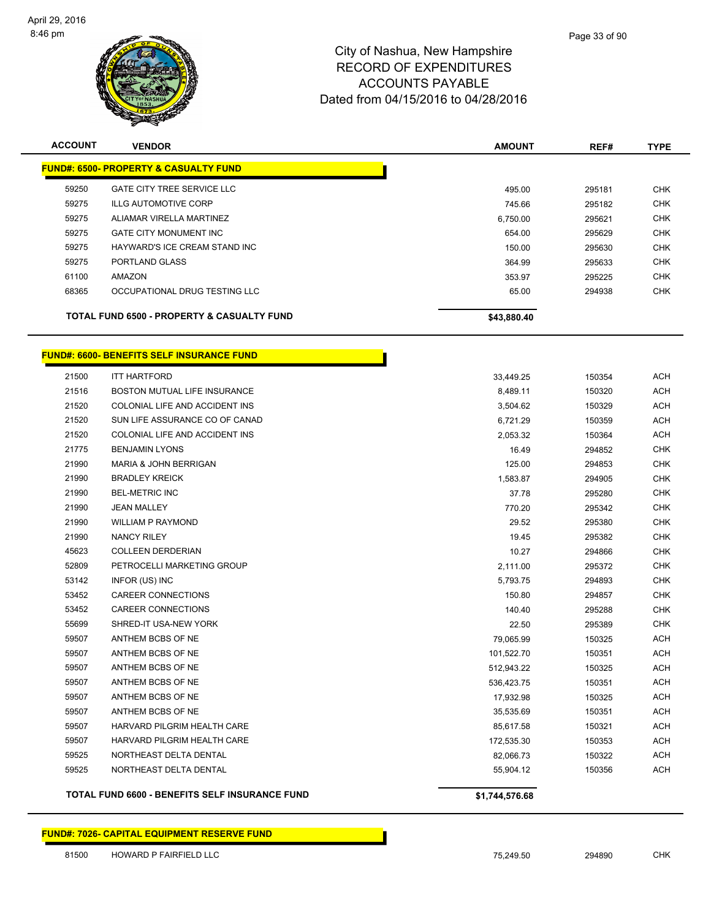

| <b>ACCOUNT</b> | <b>VENDOR</b>                                         | <b>AMOUNT</b> | REF#   | <b>TYPE</b> |
|----------------|-------------------------------------------------------|---------------|--------|-------------|
|                | <b>FUND#: 6500- PROPERTY &amp; CASUALTY FUND</b>      |               |        |             |
| 59250          | <b>GATE CITY TREE SERVICE LLC</b>                     | 495.00        | 295181 | <b>CHK</b>  |
| 59275          | <b>ILLG AUTOMOTIVE CORP</b>                           | 745.66        | 295182 | <b>CHK</b>  |
| 59275          | ALIAMAR VIRELLA MARTINEZ                              | 6.750.00      | 295621 | <b>CHK</b>  |
| 59275          | <b>GATE CITY MONUMENT INC</b>                         | 654.00        | 295629 | <b>CHK</b>  |
| 59275          | HAYWARD'S ICE CREAM STAND INC                         | 150.00        | 295630 | <b>CHK</b>  |
| 59275          | PORTLAND GLASS                                        | 364.99        | 295633 | <b>CHK</b>  |
| 61100          | AMAZON                                                | 353.97        | 295225 | <b>CHK</b>  |
| 68365          | OCCUPATIONAL DRUG TESTING LLC                         | 65.00         | 294938 | <b>CHK</b>  |
|                | <b>TOTAL FUND 6500 - PROPERTY &amp; CASUALTY FUND</b> | \$43,880.40   |        |             |

T.

#### **FUND#: 6600- BENEFITS SELF INSURANCE FUND**

|       | <b>TOTAL FUND 6600 - BENEFITS SELF INSURANCE FUND</b> | \$1,744,576.68 |        |            |
|-------|-------------------------------------------------------|----------------|--------|------------|
| 59525 | NORTHEAST DELTA DENTAL                                | 55,904.12      | 150356 | <b>ACH</b> |
| 59525 | NORTHEAST DELTA DENTAL                                | 82,066.73      | 150322 | <b>ACH</b> |
| 59507 | HARVARD PILGRIM HEALTH CARE                           | 172,535.30     | 150353 | <b>ACH</b> |
| 59507 | HARVARD PILGRIM HEALTH CARE                           | 85,617.58      | 150321 | <b>ACH</b> |
| 59507 | ANTHEM BCBS OF NE                                     | 35,535.69      | 150351 | <b>ACH</b> |
| 59507 | ANTHEM BCBS OF NE                                     | 17,932.98      | 150325 | <b>ACH</b> |
| 59507 | ANTHEM BCBS OF NE                                     | 536,423.75     | 150351 | <b>ACH</b> |
| 59507 | ANTHEM BCBS OF NE                                     | 512,943.22     | 150325 | <b>ACH</b> |
| 59507 | ANTHEM BCBS OF NE                                     | 101,522.70     | 150351 | <b>ACH</b> |
| 59507 | ANTHEM BCBS OF NE                                     | 79,065.99      | 150325 | <b>ACH</b> |
| 55699 | SHRED-IT USA-NEW YORK                                 | 22.50          | 295389 | <b>CHK</b> |
| 53452 | <b>CAREER CONNECTIONS</b>                             | 140.40         | 295288 | <b>CHK</b> |
| 53452 | <b>CAREER CONNECTIONS</b>                             | 150.80         | 294857 | <b>CHK</b> |
| 53142 | INFOR (US) INC                                        | 5,793.75       | 294893 | <b>CHK</b> |
| 52809 | PETROCELLI MARKETING GROUP                            | 2,111.00       | 295372 | <b>CHK</b> |
| 45623 | <b>COLLEEN DERDERIAN</b>                              | 10.27          | 294866 | <b>CHK</b> |
| 21990 | <b>NANCY RILEY</b>                                    | 19.45          | 295382 | <b>CHK</b> |
| 21990 | <b>WILLIAM P RAYMOND</b>                              | 29.52          | 295380 | <b>CHK</b> |
| 21990 | <b>JEAN MALLEY</b>                                    | 770.20         | 295342 | <b>CHK</b> |
| 21990 | <b>BEL-METRIC INC</b>                                 | 37.78          | 295280 | <b>CHK</b> |
| 21990 | <b>BRADLEY KREICK</b>                                 | 1,583.87       | 294905 | <b>CHK</b> |
| 21990 | <b>MARIA &amp; JOHN BERRIGAN</b>                      | 125.00         | 294853 | <b>CHK</b> |
| 21775 | <b>BENJAMIN LYONS</b>                                 | 16.49          | 294852 | <b>CHK</b> |
| 21520 | COLONIAL LIFE AND ACCIDENT INS                        | 2,053.32       | 150364 | <b>ACH</b> |
| 21520 | SUN LIFE ASSURANCE CO OF CANAD                        | 6,721.29       | 150359 | <b>ACH</b> |
| 21520 | COLONIAL LIFE AND ACCIDENT INS                        | 3,504.62       | 150329 | <b>ACH</b> |
| 21516 | BOSTON MUTUAL LIFE INSURANCE                          | 8,489.11       | 150320 | <b>ACH</b> |
| 21500 | <b>ITT HARTFORD</b>                                   | 33,449.25      | 150354 | <b>ACH</b> |

**FUND#: 7026- CAPITAL EQUIPMENT RESERVE FUND**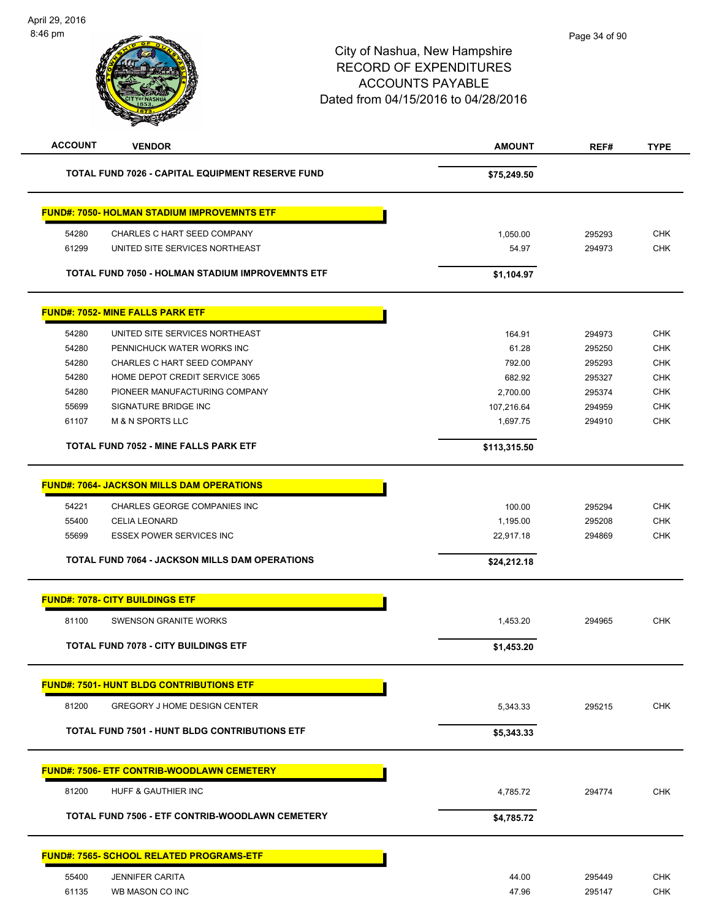| <b>ACCOUNT</b> | <b>VENDOR</b>                                           | <b>AMOUNT</b> | REF#   | <b>TYPE</b> |
|----------------|---------------------------------------------------------|---------------|--------|-------------|
|                | <b>TOTAL FUND 7026 - CAPITAL EQUIPMENT RESERVE FUND</b> | \$75,249.50   |        |             |
|                | <b>FUND#: 7050- HOLMAN STADIUM IMPROVEMNTS ETF</b>      |               |        |             |
| 54280          | CHARLES C HART SEED COMPANY                             | 1,050.00      | 295293 | <b>CHK</b>  |
| 61299          | UNITED SITE SERVICES NORTHEAST                          | 54.97         | 294973 | <b>CHK</b>  |
|                | <b>TOTAL FUND 7050 - HOLMAN STADIUM IMPROVEMNTS ETF</b> | \$1,104.97    |        |             |
|                | <b>FUND#: 7052- MINE FALLS PARK ETF</b>                 |               |        |             |
| 54280          | UNITED SITE SERVICES NORTHEAST                          | 164.91        | 294973 | <b>CHK</b>  |
| 54280          | PENNICHUCK WATER WORKS INC                              | 61.28         | 295250 | <b>CHK</b>  |
| 54280          | CHARLES C HART SEED COMPANY                             | 792.00        | 295293 | <b>CHK</b>  |
| 54280          | HOME DEPOT CREDIT SERVICE 3065                          | 682.92        | 295327 | <b>CHK</b>  |
| 54280          | PIONEER MANUFACTURING COMPANY                           | 2,700.00      | 295374 | <b>CHK</b>  |
| 55699          | SIGNATURE BRIDGE INC                                    | 107,216.64    | 294959 | <b>CHK</b>  |
| 61107          | <b>M &amp; N SPORTS LLC</b>                             | 1,697.75      | 294910 | <b>CHK</b>  |
|                | <b>TOTAL FUND 7052 - MINE FALLS PARK ETF</b>            | \$113,315.50  |        |             |
|                | <b>FUND#: 7064- JACKSON MILLS DAM OPERATIONS</b>        |               |        |             |
| 54221          | CHARLES GEORGE COMPANIES INC                            | 100.00        | 295294 | <b>CHK</b>  |
| 55400          | <b>CELIA LEONARD</b>                                    | 1,195.00      | 295208 | <b>CHK</b>  |
| 55699          | <b>ESSEX POWER SERVICES INC</b>                         | 22,917.18     | 294869 | <b>CHK</b>  |
|                | <b>TOTAL FUND 7064 - JACKSON MILLS DAM OPERATIONS</b>   | \$24,212.18   |        |             |
|                | <b>FUND#: 7078- CITY BUILDINGS ETF</b>                  |               |        |             |
|                |                                                         |               |        |             |
| 81100          | <b>SWENSON GRANITE WORKS</b>                            | 1,453.20      | 294965 | <b>CHK</b>  |
|                | <b>TOTAL FUND 7078 - CITY BUILDINGS ETF</b>             | \$1,453.20    |        |             |
|                | <b>FUND#: 7501- HUNT BLDG CONTRIBUTIONS ETF</b>         |               |        |             |
| 81200          | <b>GREGORY J HOME DESIGN CENTER</b>                     | 5,343.33      | 295215 | <b>CHK</b>  |
|                | <b>TOTAL FUND 7501 - HUNT BLDG CONTRIBUTIONS ETF</b>    | \$5,343.33    |        |             |
|                | <b>FUND#: 7506- ETF CONTRIB-WOODLAWN CEMETERY</b>       |               |        |             |
|                |                                                         |               |        |             |
| 81200          | HUFF & GAUTHIER INC                                     | 4,785.72      | 294774 | <b>CHK</b>  |
|                | TOTAL FUND 7506 - ETF CONTRIB-WOODLAWN CEMETERY         | \$4,785.72    |        |             |
|                | <b>FUND#: 7565- SCHOOL RELATED PROGRAMS-ETF</b>         |               |        |             |
| 55400          | <b>JENNIFER CARITA</b>                                  | 44.00         | 295449 | <b>CHK</b>  |
| 61135          | WB MASON CO INC                                         | 47.96         | 295147 | <b>CHK</b>  |
|                |                                                         |               |        |             |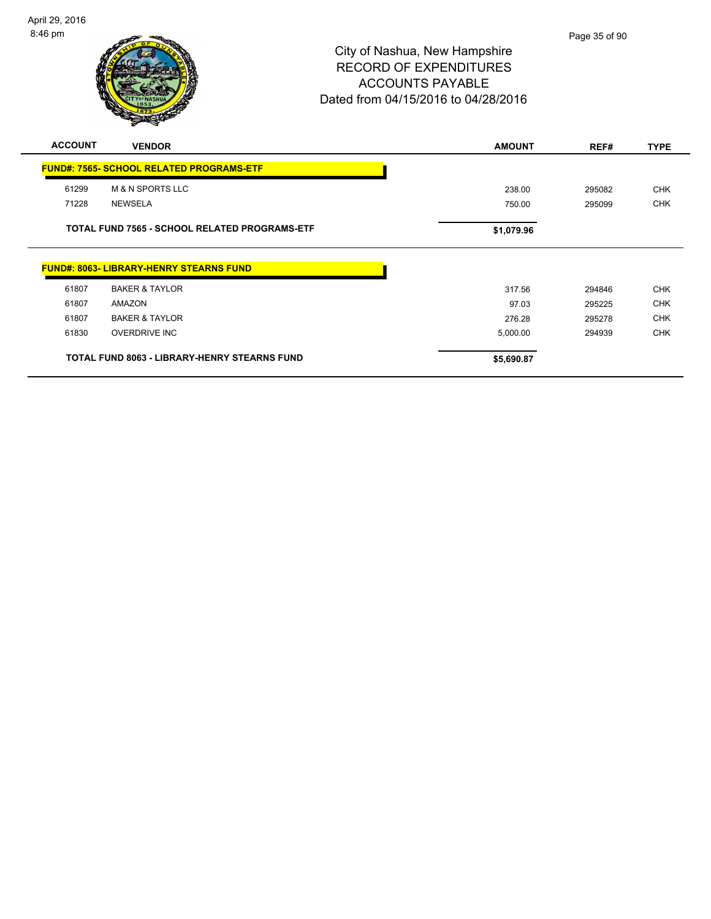

| <b>ACCOUNT</b> | <b>VENDOR</b>                                        | <b>AMOUNT</b> | REF#   | <b>TYPE</b> |
|----------------|------------------------------------------------------|---------------|--------|-------------|
|                | <b>FUND#: 7565- SCHOOL RELATED PROGRAMS-ETF</b>      |               |        |             |
| 61299          | <b>M &amp; N SPORTS LLC</b>                          | 238.00        | 295082 | <b>CHK</b>  |
| 71228          | <b>NEWSELA</b>                                       | 750.00        | 295099 | <b>CHK</b>  |
|                | <b>TOTAL FUND 7565 - SCHOOL RELATED PROGRAMS-ETF</b> | \$1,079.96    |        |             |
|                | <b>FUND#: 8063- LIBRARY-HENRY STEARNS FUND</b>       |               |        |             |
| 61807          | <b>BAKER &amp; TAYLOR</b>                            | 317.56        | 294846 | <b>CHK</b>  |
| 61807          | AMAZON                                               | 97.03         | 295225 | <b>CHK</b>  |
| 61807          | <b>BAKER &amp; TAYLOR</b>                            | 276.28        | 295278 | <b>CHK</b>  |
| 61830          | <b>OVERDRIVE INC</b>                                 | 5,000.00      | 294939 | <b>CHK</b>  |
|                | <b>TOTAL FUND 8063 - LIBRARY-HENRY STEARNS FUND</b>  | \$5,690.87    |        |             |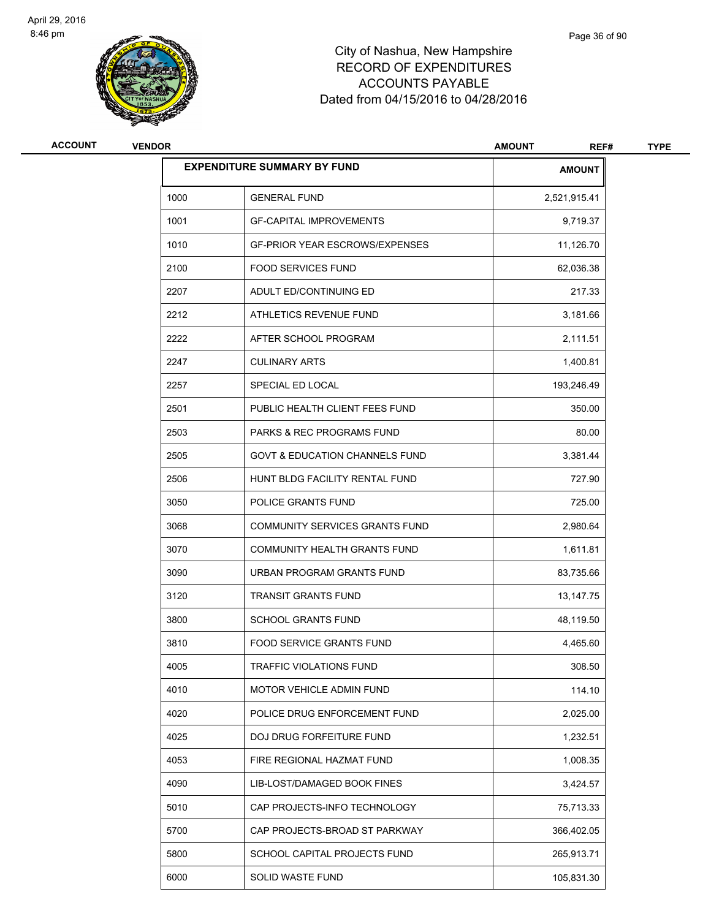

| ACCOUNT | <b>VENDOR</b>                      |                                           | <b>AMOUNT</b><br>REF# | <b>TYPE</b> |
|---------|------------------------------------|-------------------------------------------|-----------------------|-------------|
|         | <b>EXPENDITURE SUMMARY BY FUND</b> |                                           | <b>AMOUNT</b>         |             |
|         | 1000                               | <b>GENERAL FUND</b>                       | 2,521,915.41          |             |
|         | 1001                               | <b>GF-CAPITAL IMPROVEMENTS</b>            | 9,719.37              |             |
|         | 1010                               | <b>GF-PRIOR YEAR ESCROWS/EXPENSES</b>     | 11,126.70             |             |
|         | 2100                               | <b>FOOD SERVICES FUND</b>                 | 62,036.38             |             |
|         | 2207                               | ADULT ED/CONTINUING ED                    | 217.33                |             |
|         | 2212                               | ATHLETICS REVENUE FUND                    | 3,181.66              |             |
|         | 2222                               | AFTER SCHOOL PROGRAM                      | 2,111.51              |             |
|         | 2247                               | <b>CULINARY ARTS</b>                      | 1,400.81              |             |
|         | 2257                               | SPECIAL ED LOCAL                          | 193,246.49            |             |
|         | 2501                               | PUBLIC HEALTH CLIENT FEES FUND            | 350.00                |             |
|         | 2503                               | <b>PARKS &amp; REC PROGRAMS FUND</b>      | 80.00                 |             |
|         | 2505                               | <b>GOVT &amp; EDUCATION CHANNELS FUND</b> | 3,381.44              |             |
|         | 2506                               | HUNT BLDG FACILITY RENTAL FUND            | 727.90                |             |
|         | 3050                               | POLICE GRANTS FUND                        | 725.00                |             |
|         | 3068                               | COMMUNITY SERVICES GRANTS FUND            | 2,980.64              |             |
|         | 3070                               | COMMUNITY HEALTH GRANTS FUND              | 1,611.81              |             |
|         | 3090                               | URBAN PROGRAM GRANTS FUND                 | 83,735.66             |             |
|         | 3120                               | <b>TRANSIT GRANTS FUND</b>                | 13,147.75             |             |
|         | 3800                               | <b>SCHOOL GRANTS FUND</b>                 | 48,119.50             |             |
|         | 3810                               | FOOD SERVICE GRANTS FUND                  | 4,465.60              |             |
|         | 4005                               | TRAFFIC VIOLATIONS FUND                   | 308.50                |             |
|         | 4010                               | MOTOR VEHICLE ADMIN FUND                  | 114.10                |             |
|         | 4020                               | POLICE DRUG ENFORCEMENT FUND              | 2,025.00              |             |
|         | 4025                               | DOJ DRUG FORFEITURE FUND                  | 1,232.51              |             |
|         | 4053                               | FIRE REGIONAL HAZMAT FUND                 | 1,008.35              |             |
|         | 4090                               | LIB-LOST/DAMAGED BOOK FINES               | 3,424.57              |             |
|         | 5010                               | CAP PROJECTS-INFO TECHNOLOGY              | 75,713.33             |             |
|         | 5700                               | CAP PROJECTS-BROAD ST PARKWAY             | 366,402.05            |             |
|         | 5800                               | SCHOOL CAPITAL PROJECTS FUND              | 265,913.71            |             |
|         | 6000                               | SOLID WASTE FUND                          | 105,831.30            |             |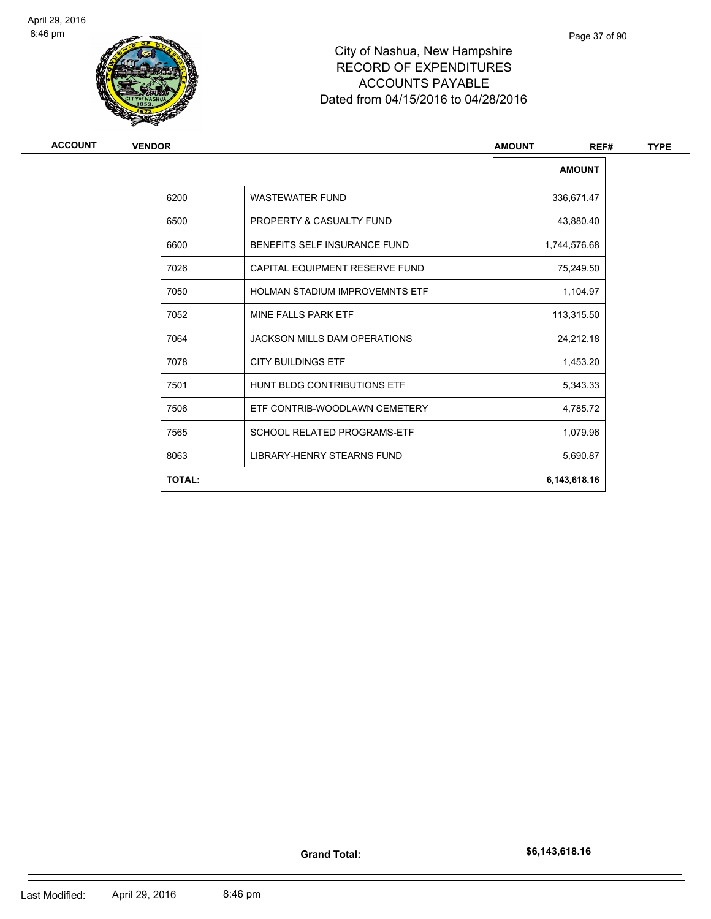

# City of Nashua, New Hampshire RECORD OF EXPENDITURES ACCOUNTS PAYABLE Dated from 04/15/2016 to 04/28/2016

| <b>ACCOUNT</b> | <b>VENDOR</b> |                                       | <b>AMOUNT</b><br>REF# | <b>TYPE</b> |  |
|----------------|---------------|---------------------------------------|-----------------------|-------------|--|
|                |               |                                       | <b>AMOUNT</b>         |             |  |
|                | 6200          | <b>WASTEWATER FUND</b>                | 336,671.47            |             |  |
|                | 6500          | PROPERTY & CASUALTY FUND              | 43,880.40             |             |  |
|                | 6600          | BENEFITS SELF INSURANCE FUND          | 1,744,576.68          |             |  |
|                | 7026          | CAPITAL EQUIPMENT RESERVE FUND        | 75,249.50             |             |  |
|                | 7050          | <b>HOLMAN STADIUM IMPROVEMNTS ETF</b> | 1,104.97              |             |  |
|                | 7052          | MINE FALLS PARK ETF                   | 113,315.50            |             |  |
|                | 7064          | <b>JACKSON MILLS DAM OPERATIONS</b>   | 24,212.18             |             |  |
|                | 7078          | <b>CITY BUILDINGS ETF</b>             | 1,453.20              |             |  |
|                | 7501          | HUNT BLDG CONTRIBUTIONS ETF           | 5,343.33              |             |  |
|                | 7506          | ETF CONTRIB-WOODLAWN CEMETERY         | 4,785.72              |             |  |
|                | 7565          | <b>SCHOOL RELATED PROGRAMS-ETF</b>    | 1,079.96              |             |  |
|                | 8063          | LIBRARY-HENRY STEARNS FUND            | 5,690.87              |             |  |
|                | <b>TOTAL:</b> |                                       | 6,143,618.16          |             |  |

Page 37 of 90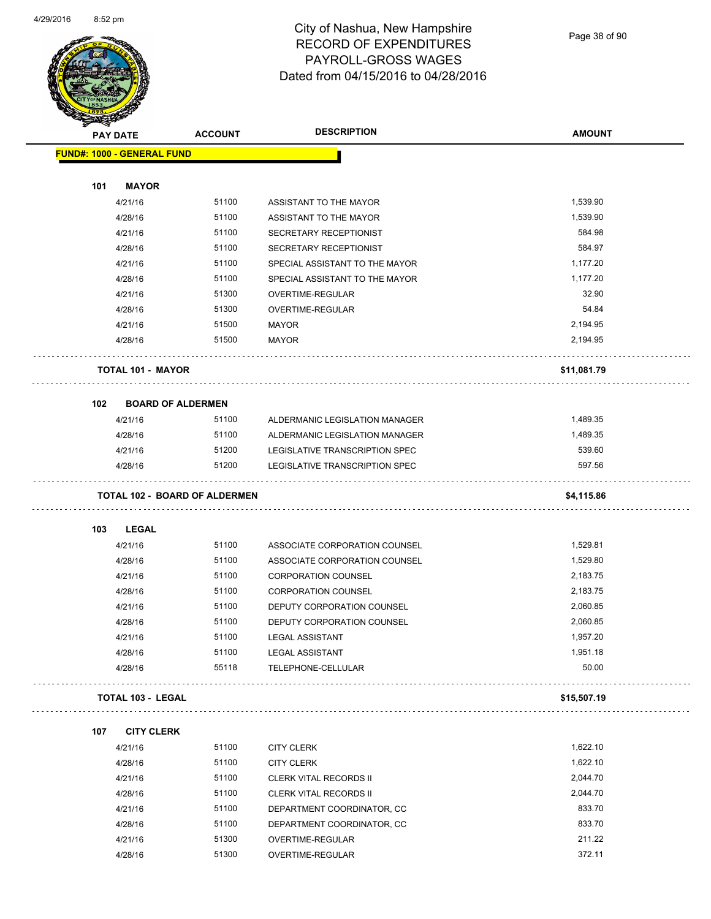

Page 38 of 90

| <b>PAY DATE</b>                   | <b>ACCOUNT</b>                       | <b>DESCRIPTION</b>             | <b>AMOUNT</b> |
|-----------------------------------|--------------------------------------|--------------------------------|---------------|
| <b>FUND#: 1000 - GENERAL FUND</b> |                                      |                                |               |
|                                   |                                      |                                |               |
| 101<br><b>MAYOR</b>               |                                      |                                |               |
| 4/21/16                           | 51100                                | ASSISTANT TO THE MAYOR         | 1,539.90      |
| 4/28/16                           | 51100                                | ASSISTANT TO THE MAYOR         | 1,539.90      |
| 4/21/16                           | 51100                                | SECRETARY RECEPTIONIST         | 584.98        |
| 4/28/16                           | 51100                                | SECRETARY RECEPTIONIST         | 584.97        |
| 4/21/16                           | 51100                                | SPECIAL ASSISTANT TO THE MAYOR | 1,177.20      |
| 4/28/16                           | 51100                                | SPECIAL ASSISTANT TO THE MAYOR | 1,177.20      |
| 4/21/16                           | 51300                                | OVERTIME-REGULAR               | 32.90         |
| 4/28/16                           | 51300                                | OVERTIME-REGULAR               | 54.84         |
| 4/21/16                           | 51500                                | <b>MAYOR</b>                   | 2,194.95      |
| 4/28/16                           | 51500                                | <b>MAYOR</b>                   | 2,194.95      |
| <b>TOTAL 101 - MAYOR</b>          |                                      |                                | \$11,081.79   |
| 102                               | <b>BOARD OF ALDERMEN</b>             |                                |               |
| 4/21/16                           | 51100                                | ALDERMANIC LEGISLATION MANAGER | 1,489.35      |
| 4/28/16                           | 51100                                | ALDERMANIC LEGISLATION MANAGER | 1,489.35      |
| 4/21/16                           | 51200                                | LEGISLATIVE TRANSCRIPTION SPEC | 539.60        |
| 4/28/16                           | 51200                                | LEGISLATIVE TRANSCRIPTION SPEC | 597.56        |
|                                   | <b>TOTAL 102 - BOARD OF ALDERMEN</b> |                                | \$4,115.86    |
| 103<br><b>LEGAL</b>               |                                      |                                |               |
| 4/21/16                           | 51100                                | ASSOCIATE CORPORATION COUNSEL  | 1,529.81      |
| 4/28/16                           | 51100                                | ASSOCIATE CORPORATION COUNSEL  | 1,529.80      |
| 4/21/16                           | 51100                                | <b>CORPORATION COUNSEL</b>     | 2,183.75      |
| 4/28/16                           | 51100                                | <b>CORPORATION COUNSEL</b>     | 2,183.75      |
| 4/21/16                           | 51100                                | DEPUTY CORPORATION COUNSEL     | 2,060.85      |
| 4/28/16                           | 51100                                | DEPUTY CORPORATION COUNSEL     | 2,060.85      |
| 4/21/16                           | 51100                                | <b>LEGAL ASSISTANT</b>         | 1,957.20      |
| 4/28/16                           | 51100                                | <b>LEGAL ASSISTANT</b>         | 1,951.18      |
| 4/28/16                           | 55118                                | TELEPHONE-CELLULAR             | 50.00         |
| <b>TOTAL 103 - LEGAL</b>          |                                      |                                | \$15,507.19   |
| 107<br><b>CITY CLERK</b>          |                                      |                                |               |
| 4/21/16                           | 51100                                | <b>CITY CLERK</b>              | 1,622.10      |
| 4/28/16                           | 51100                                | <b>CITY CLERK</b>              | 1,622.10      |
| 4/21/16                           | 51100                                | CLERK VITAL RECORDS II         | 2,044.70      |
| 4/28/16                           | 51100                                | CLERK VITAL RECORDS II         | 2,044.70      |
| 4/21/16                           | 51100                                | DEPARTMENT COORDINATOR, CC     | 833.70        |
| 4/28/16                           | 51100                                | DEPARTMENT COORDINATOR, CC     | 833.70        |
| 4/21/16                           | 51300                                | OVERTIME-REGULAR               | 211.22        |
| 4/28/16                           | 51300                                | OVERTIME-REGULAR               | 372.11        |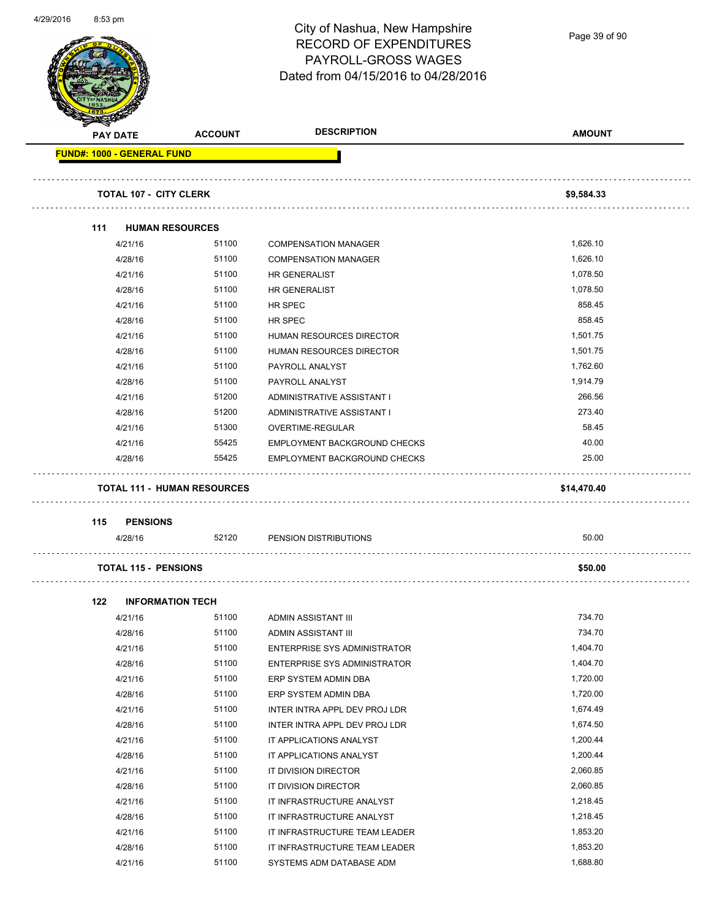|                                   |                                    | City of Nashua, New Hampshire<br><b>RECORD OF EXPENDITURES</b><br>PAYROLL-GROSS WAGES | Page 39 of 90 |
|-----------------------------------|------------------------------------|---------------------------------------------------------------------------------------|---------------|
|                                   |                                    | Dated from 04/15/2016 to 04/28/2016                                                   |               |
| <b>PAY DATE</b>                   | <b>ACCOUNT</b>                     | <b>DESCRIPTION</b>                                                                    | <b>AMOUNT</b> |
| <b>FUND#: 1000 - GENERAL FUND</b> |                                    |                                                                                       |               |
| <b>TOTAL 107 - CITY CLERK</b>     |                                    |                                                                                       | \$9,584.33    |
| 111                               | <b>HUMAN RESOURCES</b>             |                                                                                       |               |
| 4/21/16                           | 51100                              | <b>COMPENSATION MANAGER</b>                                                           | 1,626.10      |
| 4/28/16                           | 51100                              | <b>COMPENSATION MANAGER</b>                                                           | 1,626.10      |
| 4/21/16                           | 51100                              | HR GENERALIST                                                                         | 1,078.50      |
| 4/28/16                           | 51100                              | HR GENERALIST                                                                         | 1,078.50      |
| 4/21/16                           | 51100                              | HR SPEC                                                                               | 858.45        |
| 4/28/16                           | 51100                              | <b>HR SPEC</b>                                                                        | 858.45        |
| 4/21/16                           | 51100                              | <b>HUMAN RESOURCES DIRECTOR</b>                                                       | 1,501.75      |
| 4/28/16                           | 51100                              | <b>HUMAN RESOURCES DIRECTOR</b>                                                       | 1,501.75      |
| 4/21/16                           | 51100                              | PAYROLL ANALYST                                                                       | 1,762.60      |
| 4/28/16                           | 51100                              | PAYROLL ANALYST                                                                       | 1,914.79      |
| 4/21/16                           | 51200                              | ADMINISTRATIVE ASSISTANT I                                                            | 266.56        |
| 4/28/16                           | 51200                              | ADMINISTRATIVE ASSISTANT I                                                            | 273.40        |
| 4/21/16                           | 51300                              | OVERTIME-REGULAR                                                                      | 58.45         |
| 4/21/16                           | 55425                              | EMPLOYMENT BACKGROUND CHECKS                                                          | 40.00         |
| 4/28/16                           | 55425                              | <b>EMPLOYMENT BACKGROUND CHECKS</b>                                                   | 25.00         |
|                                   | <b>TOTAL 111 - HUMAN RESOURCES</b> |                                                                                       | \$14,470.40   |
| 115<br><b>PENSIONS</b>            |                                    |                                                                                       |               |
| 4/28/16                           | 52120                              | PENSION DISTRIBUTIONS                                                                 | 50.00         |
| <b>TOTAL 115 - PENSIONS</b>       |                                    |                                                                                       | \$50.00       |
| 122                               | <b>INFORMATION TECH</b>            |                                                                                       |               |
| 4/21/16                           | 51100                              | ADMIN ASSISTANT III                                                                   | 734.70        |
| 4/28/16                           | 51100                              | ADMIN ASSISTANT III                                                                   | 734.70        |
| 4/21/16                           | 51100                              | ENTERPRISE SYS ADMINISTRATOR                                                          | 1,404.70      |
| 4/28/16                           | 51100                              | <b>ENTERPRISE SYS ADMINISTRATOR</b>                                                   | 1,404.70      |
| 4/21/16                           | 51100                              | ERP SYSTEM ADMIN DBA                                                                  | 1,720.00      |
| 4/28/16                           | 51100                              | ERP SYSTEM ADMIN DBA                                                                  | 1,720.00      |
| 4/21/16                           | 51100                              | INTER INTRA APPL DEV PROJ LDR                                                         | 1,674.49      |
| 4/28/16                           | 51100                              | INTER INTRA APPL DEV PROJ LDR                                                         | 1,674.50      |
| 4/21/16                           | 51100                              | IT APPLICATIONS ANALYST                                                               | 1,200.44      |
| 4/28/16                           | 51100                              | IT APPLICATIONS ANALYST                                                               | 1,200.44      |
| 4/21/16                           | 51100                              | IT DIVISION DIRECTOR                                                                  | 2,060.85      |
| 4/28/16                           | 51100                              | IT DIVISION DIRECTOR                                                                  | 2,060.85      |
| 4/21/16                           | 51100                              | IT INFRASTRUCTURE ANALYST                                                             | 1,218.45      |
| 4/28/16                           | 51100                              | IT INFRASTRUCTURE ANALYST                                                             | 1,218.45      |
| 4/21/16                           | 51100                              | IT INFRASTRUCTURE TEAM LEADER                                                         | 1,853.20      |
| 4/28/16                           | 51100                              | IT INFRASTRUCTURE TEAM LEADER                                                         | 1,853.20      |

4/21/16 51100 SYSTEMS ADM DATABASE ADM

4/29/2016 8:53 pm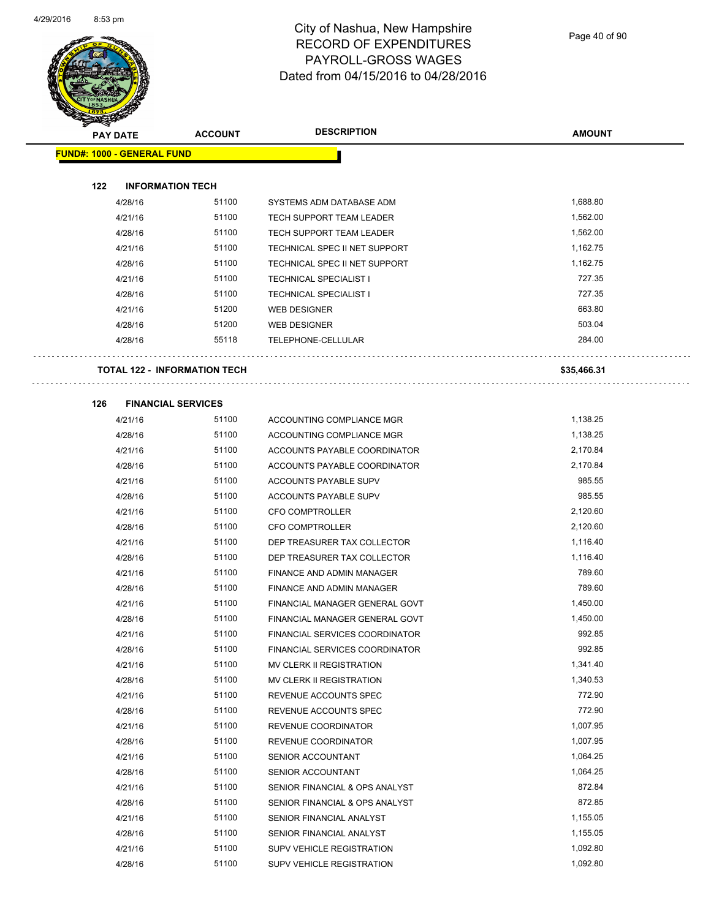

Page 40 of 90

| <b>PAY DATE</b>                   | <b>ACCOUNT</b>                      | <b>DESCRIPTION</b>              | <b>AMOUNT</b> |
|-----------------------------------|-------------------------------------|---------------------------------|---------------|
| <b>FUND#: 1000 - GENERAL FUND</b> |                                     |                                 |               |
| 122                               | <b>INFORMATION TECH</b>             |                                 |               |
| 4/28/16                           | 51100                               | SYSTEMS ADM DATABASE ADM        | 1,688.80      |
| 4/21/16                           | 51100                               | <b>TECH SUPPORT TEAM LEADER</b> | 1,562.00      |
| 4/28/16                           | 51100                               | TECH SUPPORT TEAM LEADER        | 1,562.00      |
| 4/21/16                           | 51100                               | TECHNICAL SPEC II NET SUPPORT   | 1,162.75      |
| 4/28/16                           | 51100                               | TECHNICAL SPEC II NET SUPPORT   | 1,162.75      |
| 4/21/16                           | 51100                               | <b>TECHNICAL SPECIALIST I</b>   | 727.35        |
| 4/28/16                           | 51100                               | <b>TECHNICAL SPECIALIST I</b>   | 727.35        |
| 4/21/16                           | 51200                               | <b>WEB DESIGNER</b>             | 663.80        |
| 4/28/16                           | 51200                               | WEB DESIGNER                    | 503.04        |
| 4/28/16                           | 55118                               | TELEPHONE-CELLULAR              | 284.00        |
|                                   |                                     |                                 |               |
|                                   | <b>TOTAL 122 - INFORMATION TECH</b> |                                 | \$35,466.31   |
| 126                               | <b>FINANCIAL SERVICES</b>           |                                 |               |
| 4/21/16                           | 51100                               | ACCOUNTING COMPLIANCE MGR       | 1,138.25      |
| 4/28/16                           | 51100                               | ACCOUNTING COMPLIANCE MGR       | 1,138.25      |
| 4/21/16                           | 51100                               | ACCOUNTS PAYABLE COORDINATOR    | 2,170.84      |
| 4/28/16                           | 51100                               | ACCOUNTS PAYABLE COORDINATOR    | 2,170.84      |
| 4/21/16                           | 51100                               | ACCOUNTS PAYABLE SUPV           | 985.55        |
| 4/28/16                           | 51100                               | ACCOUNTS PAYABLE SUPV           | 985.55        |
| 4/21/16                           | 51100                               | CFO COMPTROLLER                 | 2,120.60      |
| 4/28/16                           | 51100                               | <b>CFO COMPTROLLER</b>          | 2,120.60      |
| 4/21/16                           | 51100                               | DEP TREASURER TAX COLLECTOR     | 1,116.40      |
| 4/28/16                           | 51100                               | DEP TREASURER TAX COLLECTOR     | 1,116.40      |
| 4/21/16                           | 51100                               | FINANCE AND ADMIN MANAGER       | 789.60        |
| 4/28/16                           | 51100                               | FINANCE AND ADMIN MANAGER       | 789.60        |
| 4/21/16                           | 51100                               | FINANCIAL MANAGER GENERAL GOVT  | 1,450.00      |
| 4/28/16                           | 51100                               | FINANCIAL MANAGER GENERAL GOVT  | 1,450.00      |
| 4/21/16                           | 51100                               | FINANCIAL SERVICES COORDINATOR  | 992.85        |
| 4/28/16                           | 51100                               | FINANCIAL SERVICES COORDINATOR  | 992.85        |
| 4/21/16                           | 51100                               | MV CLERK II REGISTRATION        | 1,341.40      |
| 4/28/16                           | 51100                               | MV CLERK II REGISTRATION        | 1,340.53      |
| 4/21/16                           | 51100                               | REVENUE ACCOUNTS SPEC           | 772.90        |
| 4/28/16                           | 51100                               | REVENUE ACCOUNTS SPEC           | 772.90        |
| 4/21/16                           | 51100                               | REVENUE COORDINATOR             | 1,007.95      |
| 4/28/16                           | 51100                               | REVENUE COORDINATOR             | 1,007.95      |
| 4/21/16                           | 51100                               | SENIOR ACCOUNTANT               | 1,064.25      |
| 4/28/16                           | 51100                               | SENIOR ACCOUNTANT               | 1,064.25      |
| 4/21/16                           | 51100                               | SENIOR FINANCIAL & OPS ANALYST  | 872.84        |
| 4/28/16                           | 51100                               | SENIOR FINANCIAL & OPS ANALYST  | 872.85        |
| 4/21/16                           | 51100                               | SENIOR FINANCIAL ANALYST        | 1,155.05      |
| 4/28/16                           | 51100                               | SENIOR FINANCIAL ANALYST        | 1,155.05      |
| 4/21/16                           | 51100                               | SUPV VEHICLE REGISTRATION       | 1,092.80      |
| 4/28/16                           | 51100                               | SUPV VEHICLE REGISTRATION       | 1,092.80      |
|                                   |                                     |                                 |               |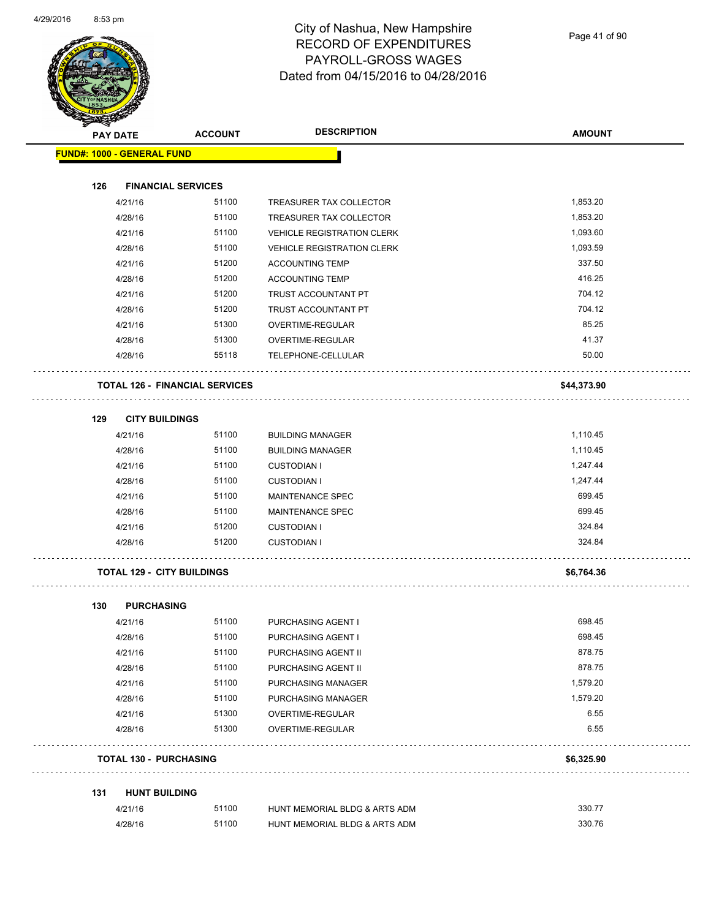

|     | <b>PAY DATE</b>                   | <b>ACCOUNT</b>                        | <b>DESCRIPTION</b>                | <b>AMOUNT</b> |
|-----|-----------------------------------|---------------------------------------|-----------------------------------|---------------|
|     | <b>FUND#: 1000 - GENERAL FUND</b> |                                       |                                   |               |
| 126 |                                   | <b>FINANCIAL SERVICES</b>             |                                   |               |
|     | 4/21/16                           | 51100                                 | TREASURER TAX COLLECTOR           | 1,853.20      |
|     | 4/28/16                           | 51100                                 | TREASURER TAX COLLECTOR           | 1,853.20      |
|     | 4/21/16                           | 51100                                 | <b>VEHICLE REGISTRATION CLERK</b> | 1,093.60      |
|     | 4/28/16                           | 51100                                 | <b>VEHICLE REGISTRATION CLERK</b> | 1,093.59      |
|     | 4/21/16                           | 51200                                 | <b>ACCOUNTING TEMP</b>            | 337.50        |
|     | 4/28/16                           | 51200                                 | <b>ACCOUNTING TEMP</b>            | 416.25        |
|     | 4/21/16                           | 51200                                 | TRUST ACCOUNTANT PT               | 704.12        |
|     | 4/28/16                           | 51200                                 | TRUST ACCOUNTANT PT               | 704.12        |
|     | 4/21/16                           | 51300                                 | OVERTIME-REGULAR                  | 85.25         |
|     | 4/28/16                           | 51300                                 | OVERTIME-REGULAR                  | 41.37         |
|     | 4/28/16                           | 55118                                 | TELEPHONE-CELLULAR                | 50.00         |
|     |                                   | <b>TOTAL 126 - FINANCIAL SERVICES</b> |                                   | \$44,373.90   |
| 129 | <b>CITY BUILDINGS</b>             |                                       |                                   |               |
|     | 4/21/16                           | 51100                                 | <b>BUILDING MANAGER</b>           | 1,110.45      |
|     | 4/28/16                           | 51100                                 | <b>BUILDING MANAGER</b>           | 1,110.45      |
|     | 4/21/16                           | 51100                                 | <b>CUSTODIAN I</b>                | 1,247.44      |
|     | 4/28/16                           | 51100                                 | <b>CUSTODIAN I</b>                | 1,247.44      |
|     | 4/21/16                           | 51100                                 | MAINTENANCE SPEC                  | 699.45        |
|     | 4/28/16                           | 51100                                 | MAINTENANCE SPEC                  | 699.45        |
|     | 4/21/16                           | 51200                                 | <b>CUSTODIAN I</b>                | 324.84        |
|     | 4/28/16                           | 51200                                 | <b>CUSTODIAN I</b>                | 324.84        |
|     |                                   | <b>TOTAL 129 - CITY BUILDINGS</b>     |                                   | \$6,764.36    |
| 130 | <b>PURCHASING</b>                 |                                       |                                   |               |
|     | 4/21/16                           | 51100                                 | PURCHASING AGENT I                | 698.45        |
|     | 4/28/16                           | 51100                                 | PURCHASING AGENT I                | 698.45        |
|     | 4/21/16                           | 51100                                 | PURCHASING AGENT II               | 878.75        |
|     | 4/28/16                           | 51100                                 | PURCHASING AGENT II               | 878.75        |
|     | 4/21/16                           | 51100                                 | PURCHASING MANAGER                | 1,579.20      |
|     | 4/28/16                           | 51100                                 | PURCHASING MANAGER                | 1,579.20      |
|     | 4/21/16                           | 51300                                 | OVERTIME-REGULAR                  | 6.55          |
|     | 4/28/16                           | 51300                                 | OVERTIME-REGULAR                  | 6.55          |
|     | <b>TOTAL 130 - PURCHASING</b>     |                                       |                                   | \$6,325.90    |
| 131 | <b>HUNT BUILDING</b>              |                                       |                                   |               |
|     | 4/21/16                           | 51100                                 | HUNT MEMORIAL BLDG & ARTS ADM     | 330.77        |
|     | 4/28/16                           | 51100                                 | HUNT MEMORIAL BLDG & ARTS ADM     | 330.76        |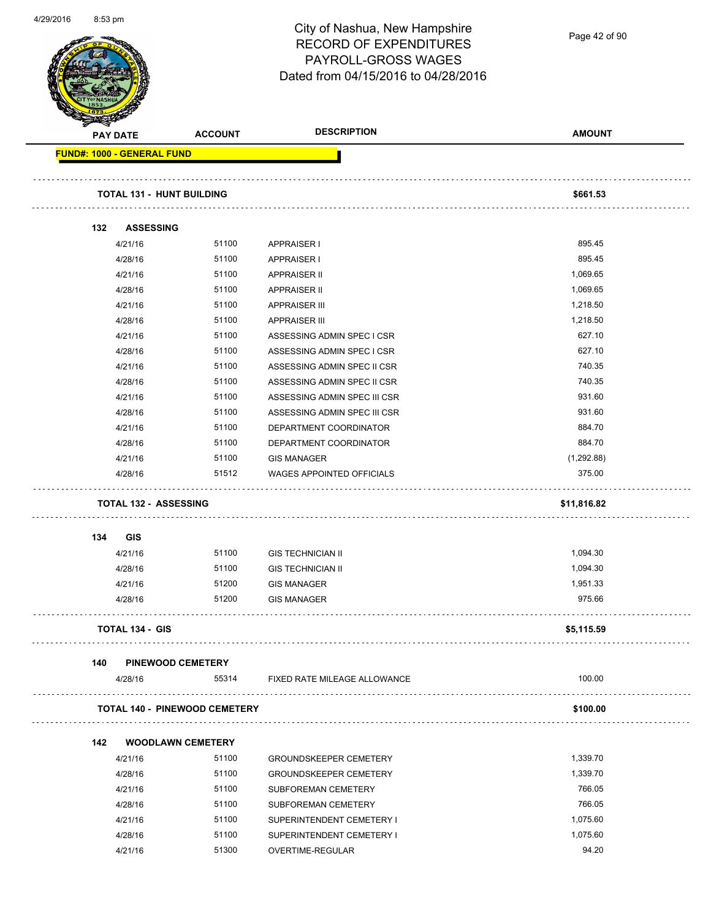Page 42 of 90

|     | <b>PAY DATE</b>                      | <b>ACCOUNT</b> | <b>DESCRIPTION</b>               | <b>AMOUNT</b> |
|-----|--------------------------------------|----------------|----------------------------------|---------------|
|     | <b>FUND#: 1000 - GENERAL FUND</b>    |                |                                  |               |
|     | <b>TOTAL 131 - HUNT BUILDING</b>     |                |                                  | \$661.53      |
| 132 | <b>ASSESSING</b>                     |                |                                  |               |
|     | 4/21/16                              | 51100          | APPRAISER I                      | 895.45        |
|     | 4/28/16                              | 51100          | <b>APPRAISER I</b>               | 895.45        |
|     | 4/21/16                              | 51100          | <b>APPRAISER II</b>              | 1,069.65      |
|     | 4/28/16                              | 51100          | <b>APPRAISER II</b>              | 1,069.65      |
|     | 4/21/16                              | 51100          | <b>APPRAISER III</b>             | 1,218.50      |
|     | 4/28/16                              | 51100          | <b>APPRAISER III</b>             | 1,218.50      |
|     | 4/21/16                              | 51100          | ASSESSING ADMIN SPEC I CSR       | 627.10        |
|     | 4/28/16                              | 51100          | ASSESSING ADMIN SPEC I CSR       | 627.10        |
|     | 4/21/16                              | 51100          | ASSESSING ADMIN SPEC II CSR      | 740.35        |
|     | 4/28/16                              | 51100          | ASSESSING ADMIN SPEC II CSR      | 740.35        |
|     | 4/21/16                              | 51100          | ASSESSING ADMIN SPEC III CSR     | 931.60        |
|     | 4/28/16                              | 51100          | ASSESSING ADMIN SPEC III CSR     | 931.60        |
|     | 4/21/16                              | 51100          | DEPARTMENT COORDINATOR           | 884.70        |
|     | 4/28/16                              | 51100          | DEPARTMENT COORDINATOR           | 884.70        |
|     | 4/21/16                              | 51100          | <b>GIS MANAGER</b>               | (1,292.88)    |
|     | 4/28/16                              | 51512          | <b>WAGES APPOINTED OFFICIALS</b> | 375.00        |
|     | <b>TOTAL 132 - ASSESSING</b>         |                |                                  | \$11,816.82   |
| 134 | <b>GIS</b>                           |                |                                  |               |
|     | 4/21/16                              | 51100          | <b>GIS TECHNICIAN II</b>         | 1,094.30      |
|     | 4/28/16                              | 51100          | <b>GIS TECHNICIAN II</b>         | 1,094.30      |
|     | 4/21/16                              | 51200          | <b>GIS MANAGER</b>               | 1,951.33      |
|     | 4/28/16                              | 51200          | <b>GIS MANAGER</b>               | 975.66        |
|     | <b>TOTAL 134 - GIS</b>               |                |                                  | \$5,115.59    |
| 140 | <b>PINEWOOD CEMETERY</b>             |                |                                  |               |
|     | 4/28/16                              | 55314          | FIXED RATE MILEAGE ALLOWANCE     | 100.00        |
|     | <b>TOTAL 140 - PINEWOOD CEMETERY</b> |                |                                  | \$100.00      |
| 142 | <b>WOODLAWN CEMETERY</b>             |                |                                  |               |
|     | 4/21/16                              | 51100          | <b>GROUNDSKEEPER CEMETERY</b>    | 1,339.70      |
|     | 4/28/16                              | 51100          | <b>GROUNDSKEEPER CEMETERY</b>    | 1,339.70      |
|     | 4/21/16                              | 51100          | SUBFOREMAN CEMETERY              | 766.05        |
|     | 4/28/16                              | 51100          | SUBFOREMAN CEMETERY              | 766.05        |
|     | 4/21/16                              | 51100          | SUPERINTENDENT CEMETERY I        | 1,075.60      |
|     | 4/28/16                              | 51100          | SUPERINTENDENT CEMETERY I        | 1,075.60      |
|     | 4/21/16                              | 51300          | OVERTIME-REGULAR                 | 94.20         |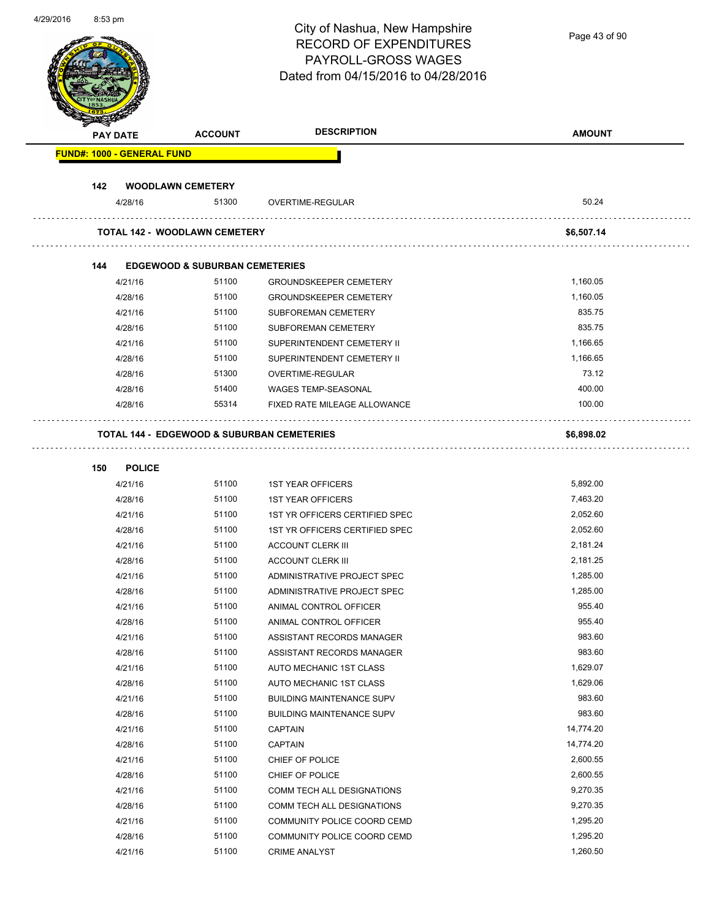| 4/29/2010 | 8:53 pm |                 |                                                       | City of Nashua, New Hampshire<br><b>RECORD OF EXPENDITURES</b><br>PAYROLL-GROSS WAGES<br>Dated from 04/15/2016 to 04/28/2016 | Page 43 of 90 |
|-----------|---------|-----------------|-------------------------------------------------------|------------------------------------------------------------------------------------------------------------------------------|---------------|
|           |         | <b>PAY DATE</b> | <b>ACCOUNT</b>                                        | <b>DESCRIPTION</b>                                                                                                           | <b>AMOUNT</b> |
|           |         |                 | <b>FUND#: 1000 - GENERAL FUND</b>                     |                                                                                                                              |               |
|           |         |                 |                                                       |                                                                                                                              |               |
|           | 142     |                 | <b>WOODLAWN CEMETERY</b>                              |                                                                                                                              |               |
|           |         | 4/28/16         | 51300                                                 | OVERTIME-REGULAR                                                                                                             | 50.24         |
|           |         |                 | <b>TOTAL 142 - WOODLAWN CEMETERY</b>                  |                                                                                                                              | \$6,507.14    |
|           |         |                 |                                                       |                                                                                                                              |               |
|           | 144     |                 | <b>EDGEWOOD &amp; SUBURBAN CEMETERIES</b>             |                                                                                                                              |               |
|           |         | 4/21/16         | 51100                                                 | <b>GROUNDSKEEPER CEMETERY</b>                                                                                                | 1,160.05      |
|           |         | 4/28/16         | 51100                                                 | <b>GROUNDSKEEPER CEMETERY</b>                                                                                                | 1,160.05      |
|           |         | 4/21/16         | 51100                                                 | SUBFOREMAN CEMETERY                                                                                                          | 835.75        |
|           |         | 4/28/16         | 51100                                                 | <b>SUBFOREMAN CEMETERY</b>                                                                                                   | 835.75        |
|           |         | 4/21/16         | 51100                                                 | SUPERINTENDENT CEMETERY II                                                                                                   | 1,166.65      |
|           |         | 4/28/16         | 51100                                                 | SUPERINTENDENT CEMETERY II                                                                                                   | 1,166.65      |
|           |         | 4/28/16         | 51300                                                 | OVERTIME-REGULAR                                                                                                             | 73.12         |
|           |         | 4/28/16         | 51400                                                 | <b>WAGES TEMP-SEASONAL</b>                                                                                                   | 400.00        |
|           |         | 4/28/16         | 55314                                                 | FIXED RATE MILEAGE ALLOWANCE                                                                                                 | 100.00        |
|           |         |                 | <b>TOTAL 144 - EDGEWOOD &amp; SUBURBAN CEMETERIES</b> |                                                                                                                              | \$6,898.02    |
|           | 150     | <b>POLICE</b>   |                                                       |                                                                                                                              |               |
|           |         | 4/21/16         | 51100                                                 | <b>1ST YEAR OFFICERS</b>                                                                                                     | 5,892.00      |
|           |         | 4/28/16         | 51100                                                 | <b>1ST YEAR OFFICERS</b>                                                                                                     | 7,463.20      |
|           |         | 4/21/16         | 51100                                                 | 1ST YR OFFICERS CERTIFIED SPEC                                                                                               | 2,052.60      |
|           |         | 4/28/16         | 51100                                                 | 1ST YR OFFICERS CERTIFIED SPEC                                                                                               | 2,052.60      |
|           |         | 4/21/16         | 51100                                                 | <b>ACCOUNT CLERK III</b>                                                                                                     | 2,181.24      |
|           |         | 4/28/16         | 51100                                                 | <b>ACCOUNT CLERK III</b>                                                                                                     | 2,181.25      |
|           |         | 4/21/16         | 51100                                                 | ADMINISTRATIVE PROJECT SPEC                                                                                                  | 1,285.00      |
|           |         | 4/28/16         | 51100                                                 | ADMINISTRATIVE PROJECT SPEC                                                                                                  | 1,285.00      |
|           |         | 4/21/16         | 51100                                                 | ANIMAL CONTROL OFFICER                                                                                                       | 955.40        |
|           |         | 4/28/16         | 51100                                                 | ANIMAL CONTROL OFFICER                                                                                                       | 955.40        |
|           |         | 4/21/16         | 51100                                                 | ASSISTANT RECORDS MANAGER                                                                                                    | 983.60        |
|           |         | 4/28/16         | 51100                                                 | ASSISTANT RECORDS MANAGER                                                                                                    | 983.60        |
|           |         | 4/21/16         | 51100                                                 | AUTO MECHANIC 1ST CLASS                                                                                                      | 1,629.07      |
|           |         | 4/28/16         | 51100                                                 | AUTO MECHANIC 1ST CLASS                                                                                                      | 1,629.06      |
|           |         | 4/21/16         | 51100                                                 | <b>BUILDING MAINTENANCE SUPV</b>                                                                                             | 983.60        |
|           |         | 4/28/16         | 51100                                                 | <b>BUILDING MAINTENANCE SUPV</b>                                                                                             | 983.60        |
|           |         | 4/21/16         | 51100                                                 | <b>CAPTAIN</b>                                                                                                               | 14,774.20     |
|           |         | 4/28/16         | 51100                                                 | <b>CAPTAIN</b>                                                                                                               | 14,774.20     |
|           |         | 4/21/16         | 51100                                                 | CHIEF OF POLICE                                                                                                              | 2,600.55      |
|           |         | 4/28/16         | 51100                                                 | CHIEF OF POLICE                                                                                                              | 2,600.55      |
|           |         | 4/21/16         | 51100                                                 | COMM TECH ALL DESIGNATIONS                                                                                                   | 9,270.35      |
|           |         | 4/28/16         | 51100                                                 | COMM TECH ALL DESIGNATIONS                                                                                                   | 9,270.35      |
|           |         | 4/21/16         | 51100                                                 | COMMUNITY POLICE COORD CEMD                                                                                                  | 1,295.20      |
|           |         | 4/28/16         | 51100                                                 | COMMUNITY POLICE COORD CEMD                                                                                                  | 1,295.20      |
|           |         | 4/21/16         | 51100                                                 | <b>CRIME ANALYST</b>                                                                                                         | 1,260.50      |
|           |         |                 |                                                       |                                                                                                                              |               |

4/29/2016 8:53 pm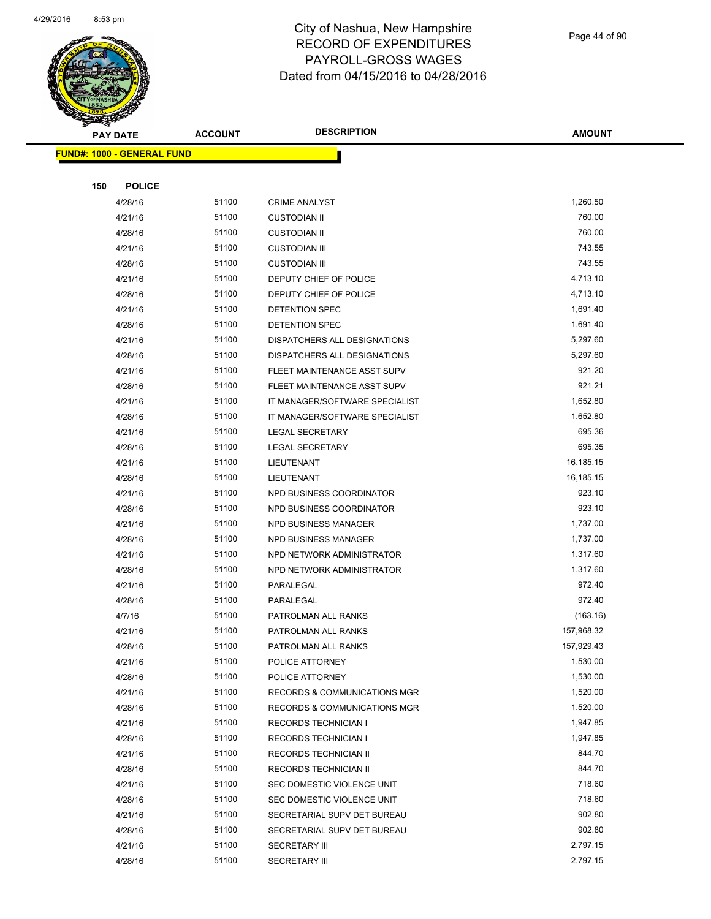

Page 44 of 90

| <b>PAY DATE</b>                   | <b>ACCOUNT</b> | <b>DESCRIPTION</b>                           | <b>AMOUNT</b>    |
|-----------------------------------|----------------|----------------------------------------------|------------------|
| <b>FUND#: 1000 - GENERAL FUND</b> |                |                                              |                  |
|                                   |                |                                              |                  |
| 150<br><b>POLICE</b>              |                |                                              |                  |
| 4/28/16                           | 51100          | <b>CRIME ANALYST</b>                         | 1,260.50         |
| 4/21/16                           | 51100          | <b>CUSTODIAN II</b>                          | 760.00           |
| 4/28/16                           | 51100          | <b>CUSTODIAN II</b>                          | 760.00           |
| 4/21/16                           | 51100          | <b>CUSTODIAN III</b>                         | 743.55           |
| 4/28/16                           | 51100          | <b>CUSTODIAN III</b>                         | 743.55           |
| 4/21/16                           | 51100          | DEPUTY CHIEF OF POLICE                       | 4,713.10         |
| 4/28/16                           | 51100          | DEPUTY CHIEF OF POLICE                       | 4,713.10         |
| 4/21/16                           | 51100          | DETENTION SPEC                               | 1,691.40         |
| 4/28/16                           | 51100          | DETENTION SPEC                               | 1,691.40         |
| 4/21/16                           | 51100          | DISPATCHERS ALL DESIGNATIONS                 | 5,297.60         |
| 4/28/16                           | 51100          | DISPATCHERS ALL DESIGNATIONS                 | 5,297.60         |
| 4/21/16                           | 51100          | FLEET MAINTENANCE ASST SUPV                  | 921.20           |
| 4/28/16                           | 51100          | FLEET MAINTENANCE ASST SUPV                  | 921.21           |
| 4/21/16                           | 51100          | IT MANAGER/SOFTWARE SPECIALIST               | 1,652.80         |
| 4/28/16                           | 51100          | IT MANAGER/SOFTWARE SPECIALIST               | 1,652.80         |
| 4/21/16                           | 51100          | LEGAL SECRETARY                              | 695.36           |
| 4/28/16                           | 51100          | <b>LEGAL SECRETARY</b>                       | 695.35           |
| 4/21/16                           | 51100          | LIEUTENANT                                   | 16,185.15        |
| 4/28/16                           | 51100          | LIEUTENANT                                   | 16,185.15        |
| 4/21/16                           | 51100          | NPD BUSINESS COORDINATOR                     | 923.10           |
| 4/28/16                           | 51100          | NPD BUSINESS COORDINATOR                     | 923.10           |
| 4/21/16                           | 51100          | NPD BUSINESS MANAGER                         | 1,737.00         |
| 4/28/16                           | 51100          | NPD BUSINESS MANAGER                         | 1,737.00         |
| 4/21/16                           | 51100          | NPD NETWORK ADMINISTRATOR                    | 1,317.60         |
| 4/28/16                           | 51100          | NPD NETWORK ADMINISTRATOR                    | 1,317.60         |
| 4/21/16                           | 51100          | PARALEGAL                                    | 972.40           |
| 4/28/16                           | 51100          | PARALEGAL                                    | 972.40           |
| 4/7/16                            | 51100          | PATROLMAN ALL RANKS                          | (163.16)         |
| 4/21/16                           | 51100          | PATROLMAN ALL RANKS                          | 157,968.32       |
| 4/28/16                           | 51100          | PATROLMAN ALL RANKS                          | 157,929.43       |
| 4/21/16                           | 51100          | POLICE ATTORNEY                              | 1,530.00         |
| 4/28/16                           | 51100          | POLICE ATTORNEY                              | 1,530.00         |
| 4/21/16                           | 51100          | <b>RECORDS &amp; COMMUNICATIONS MGR</b>      | 1,520.00         |
| 4/28/16                           | 51100          | <b>RECORDS &amp; COMMUNICATIONS MGR</b>      | 1,520.00         |
| 4/21/16                           | 51100          | <b>RECORDS TECHNICIAN I</b>                  | 1,947.85         |
| 4/28/16                           | 51100          | <b>RECORDS TECHNICIAN I</b>                  | 1,947.85         |
| 4/21/16                           | 51100          | <b>RECORDS TECHNICIAN II</b>                 | 844.70           |
| 4/28/16                           | 51100          | RECORDS TECHNICIAN II                        | 844.70           |
| 4/21/16                           | 51100          | SEC DOMESTIC VIOLENCE UNIT                   | 718.60           |
| 4/28/16                           | 51100<br>51100 | SEC DOMESTIC VIOLENCE UNIT                   | 718.60<br>902.80 |
| 4/21/16                           | 51100          | SECRETARIAL SUPV DET BUREAU                  | 902.80           |
| 4/28/16<br>4/21/16                | 51100          | SECRETARIAL SUPV DET BUREAU                  | 2,797.15         |
|                                   | 51100          | <b>SECRETARY III</b><br><b>SECRETARY III</b> | 2,797.15         |
| 4/28/16                           |                |                                              |                  |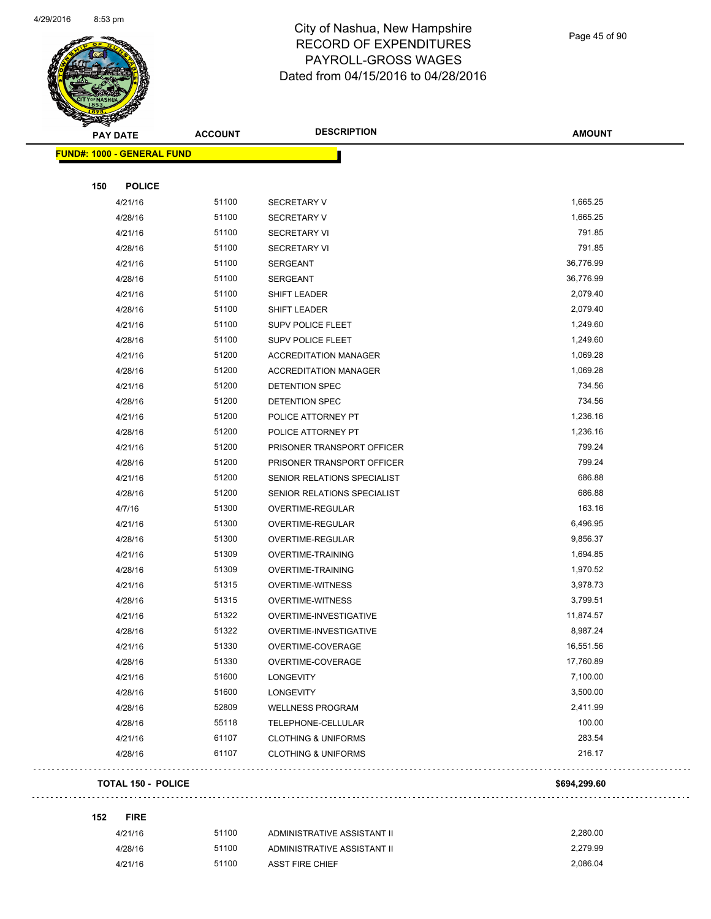

Page 45 of 90

| <b>Andri</b><br><b>PAY DATE</b>   | <b>ACCOUNT</b> | <b>DESCRIPTION</b>             | <b>AMOUNT</b> |
|-----------------------------------|----------------|--------------------------------|---------------|
| <b>FUND#: 1000 - GENERAL FUND</b> |                |                                |               |
|                                   |                |                                |               |
| 150<br><b>POLICE</b>              |                |                                |               |
| 4/21/16                           | 51100          | <b>SECRETARY V</b>             | 1,665.25      |
| 4/28/16                           | 51100          | <b>SECRETARY V</b>             | 1,665.25      |
| 4/21/16                           | 51100          | <b>SECRETARY VI</b>            | 791.85        |
| 4/28/16                           | 51100          | <b>SECRETARY VI</b>            | 791.85        |
| 4/21/16                           | 51100          | <b>SERGEANT</b>                | 36,776.99     |
| 4/28/16                           | 51100          | SERGEANT                       | 36,776.99     |
| 4/21/16                           | 51100          | SHIFT LEADER                   | 2,079.40      |
| 4/28/16                           | 51100          | SHIFT LEADER                   | 2,079.40      |
| 4/21/16                           | 51100          | <b>SUPV POLICE FLEET</b>       | 1,249.60      |
| 4/28/16                           | 51100          | SUPV POLICE FLEET              | 1,249.60      |
| 4/21/16                           | 51200          | <b>ACCREDITATION MANAGER</b>   | 1,069.28      |
| 4/28/16                           | 51200          | <b>ACCREDITATION MANAGER</b>   | 1,069.28      |
| 4/21/16                           | 51200          | DETENTION SPEC                 | 734.56        |
| 4/28/16                           | 51200          | DETENTION SPEC                 | 734.56        |
| 4/21/16                           | 51200          | POLICE ATTORNEY PT             | 1,236.16      |
| 4/28/16                           | 51200          | POLICE ATTORNEY PT             | 1,236.16      |
| 4/21/16                           | 51200          | PRISONER TRANSPORT OFFICER     | 799.24        |
| 4/28/16                           | 51200          | PRISONER TRANSPORT OFFICER     | 799.24        |
| 4/21/16                           | 51200          | SENIOR RELATIONS SPECIALIST    | 686.88        |
| 4/28/16                           | 51200          | SENIOR RELATIONS SPECIALIST    | 686.88        |
| 4/7/16                            | 51300          | OVERTIME-REGULAR               | 163.16        |
| 4/21/16                           | 51300          | OVERTIME-REGULAR               | 6,496.95      |
| 4/28/16                           | 51300          | OVERTIME-REGULAR               | 9,856.37      |
| 4/21/16                           | 51309          | <b>OVERTIME-TRAINING</b>       | 1,694.85      |
| 4/28/16                           | 51309          | <b>OVERTIME-TRAINING</b>       | 1,970.52      |
| 4/21/16                           | 51315          | OVERTIME-WITNESS               | 3,978.73      |
| 4/28/16                           | 51315          | OVERTIME-WITNESS               | 3,799.51      |
| 4/21/16                           | 51322          | OVERTIME-INVESTIGATIVE         | 11,874.57     |
| 4/28/16                           | 51322          | OVERTIME-INVESTIGATIVE         | 8,987.24      |
| 4/21/16                           | 51330          | OVERTIME-COVERAGE              | 16,551.56     |
| 4/28/16                           | 51330          | OVERTIME-COVERAGE              | 17,760.89     |
| 4/21/16                           | 51600          | <b>LONGEVITY</b>               | 7,100.00      |
| 4/28/16                           | 51600          | <b>LONGEVITY</b>               | 3,500.00      |
| 4/28/16                           | 52809          | <b>WELLNESS PROGRAM</b>        | 2,411.99      |
| 4/28/16                           | 55118          | TELEPHONE-CELLULAR             | 100.00        |
| 4/21/16                           | 61107          | <b>CLOTHING &amp; UNIFORMS</b> | 283.54        |
| 4/28/16                           | 61107          | <b>CLOTHING &amp; UNIFORMS</b> | 216.17        |
| <b>TOTAL 150 - POLICE</b>         |                |                                | \$694,299.60  |
| 152<br><b>FIRE</b>                |                |                                |               |
| 4/21/16                           | 51100          | ADMINISTRATIVE ASSISTANT II    | 2,280.00      |
| 4/28/16                           | 51100          | ADMINISTRATIVE ASSISTANT II    | 2,279.99      |
| 4/21/16                           | 51100          | <b>ASST FIRE CHIEF</b>         | 2,086.04      |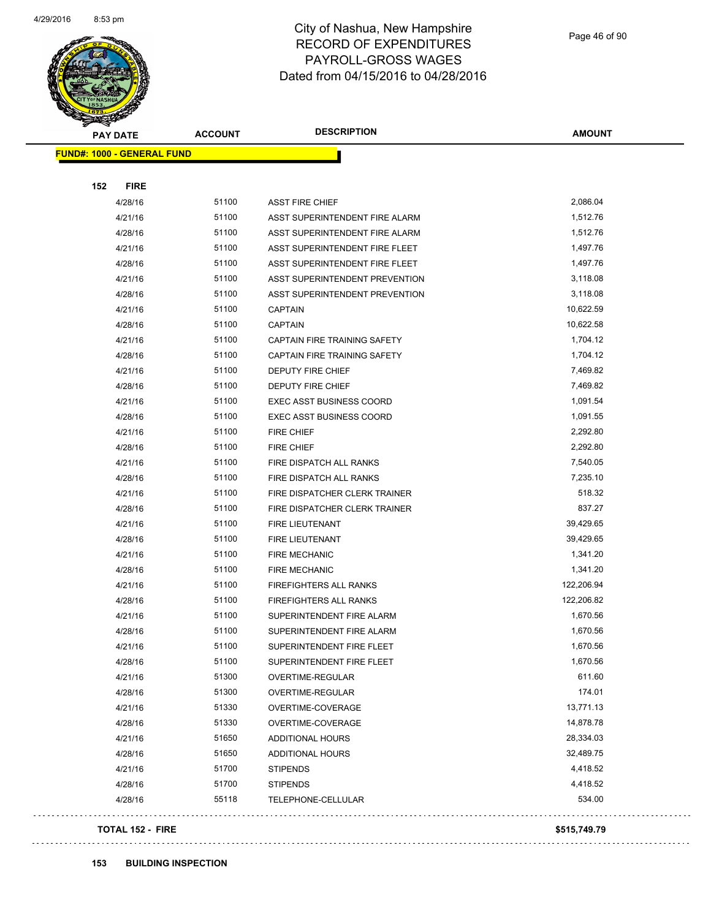

Page 46 of 90

|     | <b>PAY DATE</b>                   | <b>ACCOUNT</b> | <b>DESCRIPTION</b>              | <b>AMOUNT</b> |
|-----|-----------------------------------|----------------|---------------------------------|---------------|
|     | <b>FUND#: 1000 - GENERAL FUND</b> |                |                                 |               |
|     |                                   |                |                                 |               |
| 152 | <b>FIRE</b>                       |                |                                 |               |
|     | 4/28/16                           | 51100          | <b>ASST FIRE CHIEF</b>          | 2,086.04      |
|     | 4/21/16                           | 51100          | ASST SUPERINTENDENT FIRE ALARM  | 1,512.76      |
|     | 4/28/16                           | 51100          | ASST SUPERINTENDENT FIRE ALARM  | 1,512.76      |
|     | 4/21/16                           | 51100          | ASST SUPERINTENDENT FIRE FLEET  | 1,497.76      |
|     | 4/28/16                           | 51100          | ASST SUPERINTENDENT FIRE FLEET  | 1,497.76      |
|     | 4/21/16                           | 51100          | ASST SUPERINTENDENT PREVENTION  | 3,118.08      |
|     | 4/28/16                           | 51100          | ASST SUPERINTENDENT PREVENTION  | 3,118.08      |
|     | 4/21/16                           | 51100          | <b>CAPTAIN</b>                  | 10,622.59     |
|     | 4/28/16                           | 51100          | <b>CAPTAIN</b>                  | 10,622.58     |
|     | 4/21/16                           | 51100          | CAPTAIN FIRE TRAINING SAFETY    | 1,704.12      |
|     | 4/28/16                           | 51100          | CAPTAIN FIRE TRAINING SAFETY    | 1,704.12      |
|     | 4/21/16                           | 51100          | DEPUTY FIRE CHIEF               | 7,469.82      |
|     | 4/28/16                           | 51100          | <b>DEPUTY FIRE CHIEF</b>        | 7,469.82      |
|     | 4/21/16                           | 51100          | <b>EXEC ASST BUSINESS COORD</b> | 1,091.54      |
|     | 4/28/16                           | 51100          | <b>EXEC ASST BUSINESS COORD</b> | 1,091.55      |
|     | 4/21/16                           | 51100          | <b>FIRE CHIEF</b>               | 2,292.80      |
|     | 4/28/16                           | 51100          | <b>FIRE CHIEF</b>               | 2,292.80      |
|     | 4/21/16                           | 51100          | FIRE DISPATCH ALL RANKS         | 7,540.05      |
|     | 4/28/16                           | 51100          | FIRE DISPATCH ALL RANKS         | 7,235.10      |
|     | 4/21/16                           | 51100          | FIRE DISPATCHER CLERK TRAINER   | 518.32        |
|     | 4/28/16                           | 51100          | FIRE DISPATCHER CLERK TRAINER   | 837.27        |
|     | 4/21/16                           | 51100          | <b>FIRE LIEUTENANT</b>          | 39,429.65     |
|     | 4/28/16                           | 51100          | <b>FIRE LIEUTENANT</b>          | 39,429.65     |
|     | 4/21/16                           | 51100          | <b>FIRE MECHANIC</b>            | 1,341.20      |
|     | 4/28/16                           | 51100          | <b>FIRE MECHANIC</b>            | 1,341.20      |
|     | 4/21/16                           | 51100          | FIREFIGHTERS ALL RANKS          | 122,206.94    |
|     | 4/28/16                           | 51100          | FIREFIGHTERS ALL RANKS          | 122,206.82    |
|     | 4/21/16                           | 51100          | SUPERINTENDENT FIRE ALARM       | 1,670.56      |
|     | 4/28/16                           | 51100          | SUPERINTENDENT FIRE ALARM       | 1,670.56      |
|     | 4/21/16                           | 51100          | SUPERINTENDENT FIRE FLEET       | 1,670.56      |
|     | 4/28/16                           | 51100          | SUPERINTENDENT FIRE FLEET       | 1,670.56      |
|     | 4/21/16                           | 51300          | OVERTIME-REGULAR                | 611.60        |
|     | 4/28/16                           | 51300          | OVERTIME-REGULAR                | 174.01        |
|     | 4/21/16                           | 51330          | OVERTIME-COVERAGE               | 13,771.13     |
|     | 4/28/16                           | 51330          | OVERTIME-COVERAGE               | 14,878.78     |
|     | 4/21/16                           | 51650          | <b>ADDITIONAL HOURS</b>         | 28,334.03     |
|     | 4/28/16                           | 51650          | <b>ADDITIONAL HOURS</b>         | 32,489.75     |
|     | 4/21/16                           | 51700          | <b>STIPENDS</b>                 | 4,418.52      |
|     | 4/28/16                           | 51700          | <b>STIPENDS</b>                 | 4,418.52      |
|     | 4/28/16                           | 55118          | TELEPHONE-CELLULAR              | 534.00        |
|     |                                   |                |                                 |               |

#### **TOTAL 152 - FIRE \$515,749.79**

 $\bar{z}$  ,  $\bar{z}$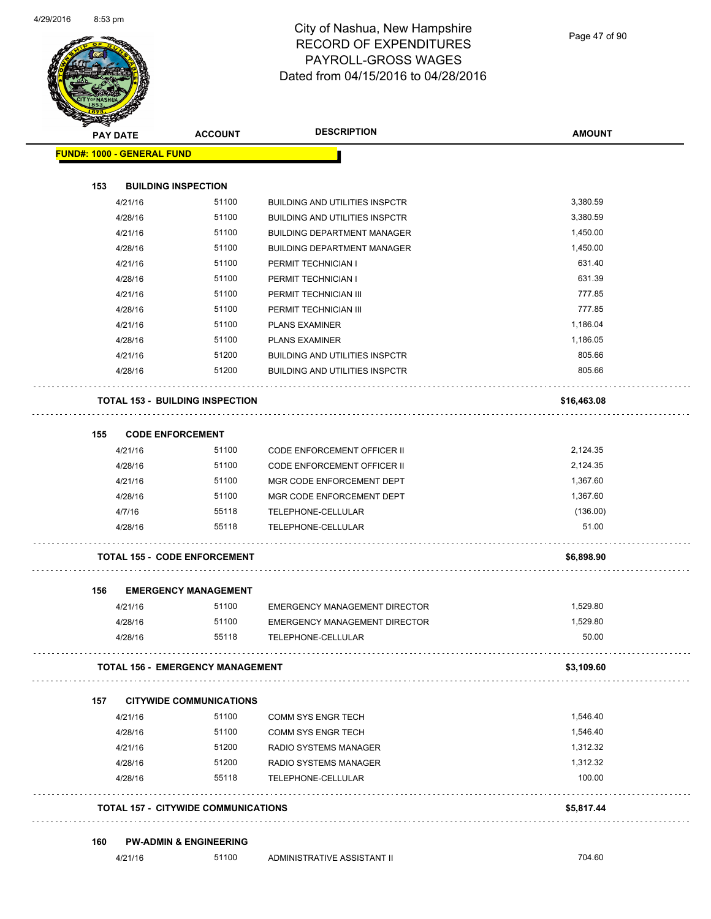

| <b>STATER</b>                     |                 |                                            |                                       |                   |
|-----------------------------------|-----------------|--------------------------------------------|---------------------------------------|-------------------|
|                                   | <b>PAY DATE</b> | <b>ACCOUNT</b>                             | <b>DESCRIPTION</b>                    | <b>AMOUNT</b>     |
| <b>FUND#: 1000 - GENERAL FUND</b> |                 |                                            |                                       |                   |
|                                   |                 |                                            |                                       |                   |
| 153                               |                 | <b>BUILDING INSPECTION</b>                 |                                       |                   |
|                                   | 4/21/16         | 51100                                      | <b>BUILDING AND UTILITIES INSPCTR</b> | 3,380.59          |
|                                   | 4/28/16         | 51100                                      | <b>BUILDING AND UTILITIES INSPCTR</b> | 3,380.59          |
|                                   | 4/21/16         | 51100                                      | <b>BUILDING DEPARTMENT MANAGER</b>    | 1,450.00          |
|                                   | 4/28/16         | 51100                                      | <b>BUILDING DEPARTMENT MANAGER</b>    | 1,450.00          |
|                                   | 4/21/16         | 51100                                      | PERMIT TECHNICIAN I                   | 631.40            |
|                                   | 4/28/16         | 51100                                      | PERMIT TECHNICIAN I                   | 631.39            |
|                                   | 4/21/16         | 51100                                      | PERMIT TECHNICIAN III                 | 777.85            |
|                                   | 4/28/16         | 51100                                      | PERMIT TECHNICIAN III                 | 777.85            |
|                                   | 4/21/16         | 51100                                      | <b>PLANS EXAMINER</b>                 | 1,186.04          |
|                                   | 4/28/16         | 51100                                      | <b>PLANS EXAMINER</b>                 | 1,186.05          |
|                                   | 4/21/16         | 51200                                      | <b>BUILDING AND UTILITIES INSPCTR</b> | 805.66            |
|                                   | 4/28/16         | 51200                                      | <b>BUILDING AND UTILITIES INSPCTR</b> | 805.66            |
|                                   |                 | <b>TOTAL 153 - BUILDING INSPECTION</b>     |                                       | \$16,463.08       |
|                                   |                 |                                            |                                       |                   |
| 155                               |                 | <b>CODE ENFORCEMENT</b>                    |                                       |                   |
|                                   | 4/21/16         | 51100                                      | <b>CODE ENFORCEMENT OFFICER II</b>    | 2,124.35          |
|                                   | 4/28/16         | 51100                                      | <b>CODE ENFORCEMENT OFFICER II</b>    | 2,124.35          |
|                                   | 4/21/16         | 51100                                      | MGR CODE ENFORCEMENT DEPT             | 1,367.60          |
|                                   | 4/28/16         | 51100                                      | MGR CODE ENFORCEMENT DEPT             | 1,367.60          |
|                                   | 4/7/16          | 55118                                      | TELEPHONE-CELLULAR                    | (136.00)          |
|                                   | 4/28/16         | 55118                                      | TELEPHONE-CELLULAR                    | 51.00             |
|                                   |                 | <b>TOTAL 155 - CODE ENFORCEMENT</b>        |                                       | \$6,898.90        |
|                                   |                 |                                            |                                       |                   |
| 156                               |                 | <b>EMERGENCY MANAGEMENT</b>                |                                       |                   |
|                                   | 4/21/16         | 51100                                      | <b>EMERGENCY MANAGEMENT DIRECTOR</b>  | 1,529.80          |
|                                   | 4/28/16         | 51100                                      | <b>EMERGENCY MANAGEMENT DIRECTOR</b>  | 1,529.80<br>50.00 |
|                                   | 4/28/16         | 55118                                      | TELEPHONE-CELLULAR                    |                   |
|                                   |                 | <b>TOTAL 156 - EMERGENCY MANAGEMENT</b>    |                                       | \$3,109.60        |
| 157                               |                 | <b>CITYWIDE COMMUNICATIONS</b>             |                                       |                   |
|                                   | 4/21/16         | 51100                                      | COMM SYS ENGR TECH                    | 1,546.40          |
|                                   | 4/28/16         | 51100                                      | <b>COMM SYS ENGR TECH</b>             | 1,546.40          |
|                                   | 4/21/16         | 51200                                      | RADIO SYSTEMS MANAGER                 | 1,312.32          |
|                                   | 4/28/16         | 51200                                      | RADIO SYSTEMS MANAGER                 | 1,312.32          |
|                                   | 4/28/16         | 55118                                      | TELEPHONE-CELLULAR                    | 100.00            |
|                                   |                 | <b>TOTAL 157 - CITYWIDE COMMUNICATIONS</b> |                                       | \$5,817.44        |
| 160                               |                 | <b>PW-ADMIN &amp; ENGINEERING</b>          |                                       |                   |
|                                   | 4/21/16         | 51100                                      | ADMINISTRATIVE ASSISTANT II           | 704.60            |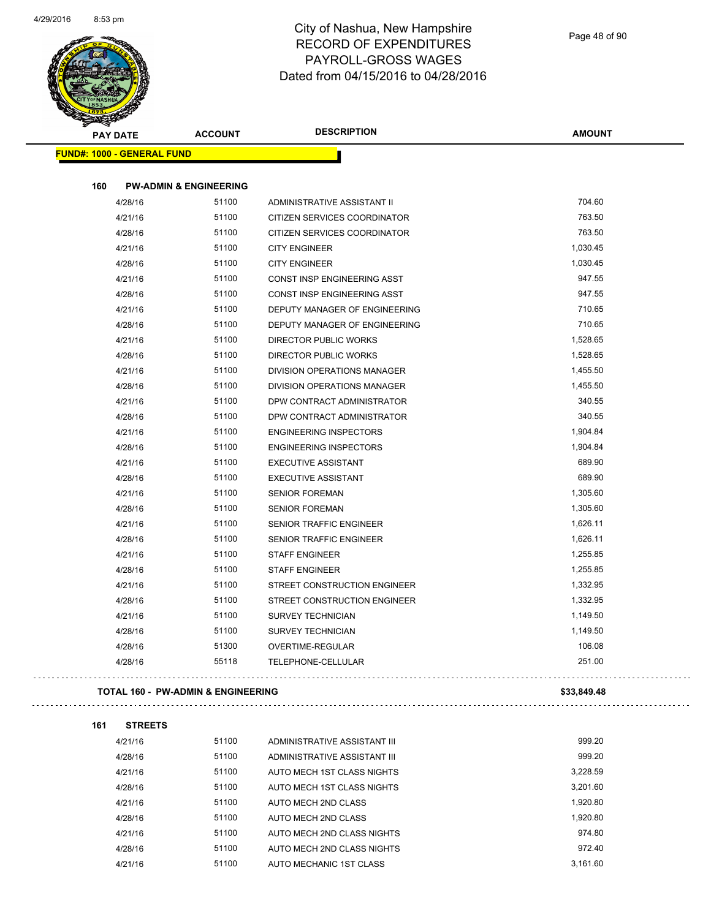

| <b>PAY DATE</b>                   | <b>ACCOUNT</b>                                | <b>DESCRIPTION</b>            | <b>AMOUNT</b> |
|-----------------------------------|-----------------------------------------------|-------------------------------|---------------|
| <b>FUND#: 1000 - GENERAL FUND</b> |                                               |                               |               |
|                                   |                                               |                               |               |
| 160                               | <b>PW-ADMIN &amp; ENGINEERING</b>             |                               |               |
| 4/28/16                           | 51100                                         | ADMINISTRATIVE ASSISTANT II   | 704.60        |
| 4/21/16                           | 51100                                         | CITIZEN SERVICES COORDINATOR  | 763.50        |
| 4/28/16                           | 51100                                         | CITIZEN SERVICES COORDINATOR  | 763.50        |
| 4/21/16                           | 51100                                         | <b>CITY ENGINEER</b>          | 1,030.45      |
| 4/28/16                           | 51100                                         | <b>CITY ENGINEER</b>          | 1,030.45      |
| 4/21/16                           | 51100                                         | CONST INSP ENGINEERING ASST   | 947.55        |
| 4/28/16                           | 51100                                         | CONST INSP ENGINEERING ASST   | 947.55        |
| 4/21/16                           | 51100                                         | DEPUTY MANAGER OF ENGINEERING | 710.65        |
| 4/28/16                           | 51100                                         | DEPUTY MANAGER OF ENGINEERING | 710.65        |
| 4/21/16                           | 51100                                         | DIRECTOR PUBLIC WORKS         | 1,528.65      |
| 4/28/16                           | 51100                                         | <b>DIRECTOR PUBLIC WORKS</b>  | 1,528.65      |
| 4/21/16                           | 51100                                         | DIVISION OPERATIONS MANAGER   | 1,455.50      |
| 4/28/16                           | 51100                                         | DIVISION OPERATIONS MANAGER   | 1,455.50      |
| 4/21/16                           | 51100                                         | DPW CONTRACT ADMINISTRATOR    | 340.55        |
| 4/28/16                           | 51100                                         | DPW CONTRACT ADMINISTRATOR    | 340.55        |
| 4/21/16                           | 51100                                         | <b>ENGINEERING INSPECTORS</b> | 1,904.84      |
| 4/28/16                           | 51100                                         | <b>ENGINEERING INSPECTORS</b> | 1,904.84      |
| 4/21/16                           | 51100                                         | <b>EXECUTIVE ASSISTANT</b>    | 689.90        |
| 4/28/16                           | 51100                                         | <b>EXECUTIVE ASSISTANT</b>    | 689.90        |
| 4/21/16                           | 51100                                         | <b>SENIOR FOREMAN</b>         | 1,305.60      |
| 4/28/16                           | 51100                                         | <b>SENIOR FOREMAN</b>         | 1,305.60      |
| 4/21/16                           | 51100                                         | SENIOR TRAFFIC ENGINEER       | 1,626.11      |
| 4/28/16                           | 51100                                         | SENIOR TRAFFIC ENGINEER       | 1,626.11      |
| 4/21/16                           | 51100                                         | <b>STAFF ENGINEER</b>         | 1,255.85      |
| 4/28/16                           | 51100                                         | <b>STAFF ENGINEER</b>         | 1,255.85      |
| 4/21/16                           | 51100                                         | STREET CONSTRUCTION ENGINEER  | 1,332.95      |
| 4/28/16                           | 51100                                         | STREET CONSTRUCTION ENGINEER  | 1,332.95      |
| 4/21/16                           | 51100                                         | <b>SURVEY TECHNICIAN</b>      | 1,149.50      |
| 4/28/16                           | 51100                                         | SURVEY TECHNICIAN             | 1,149.50      |
| 4/28/16                           | 51300                                         | OVERTIME-REGULAR              | 106.08        |
| 4/28/16                           | 55118                                         | TELEPHONE-CELLULAR            | 251.00        |
|                                   | <b>TOTAL 160 - PW-ADMIN &amp; ENGINEERING</b> |                               | \$33,849.48   |
| 161<br><b>STREETS</b>             |                                               |                               |               |
| 4/21/16                           | 51100                                         | ADMINISTRATIVE ASSISTANT III  | 999.20        |
| 4/28/16                           | 51100                                         | ADMINISTRATIVE ASSISTANT III  | 999.20        |
| 4/21/16                           | 51100                                         | AUTO MECH 1ST CLASS NIGHTS    | 3,228.59      |
| 4/28/16                           | 51100                                         | AUTO MECH 1ST CLASS NIGHTS    | 3,201.60      |
| 4/21/16                           | 51100                                         | AUTO MECH 2ND CLASS           | 1,920.80      |
| 4/28/16                           | 51100                                         | AUTO MECH 2ND CLASS           | 1,920.80      |
| 4/21/16                           | 51100                                         | AUTO MECH 2ND CLASS NIGHTS    | 974.80        |

4/28/16 51100 AUTO MECH 2ND CLASS NIGHTS 972.40 4/21/16 51100 AUTO MECHANIC 1ST CLASS 3,161.60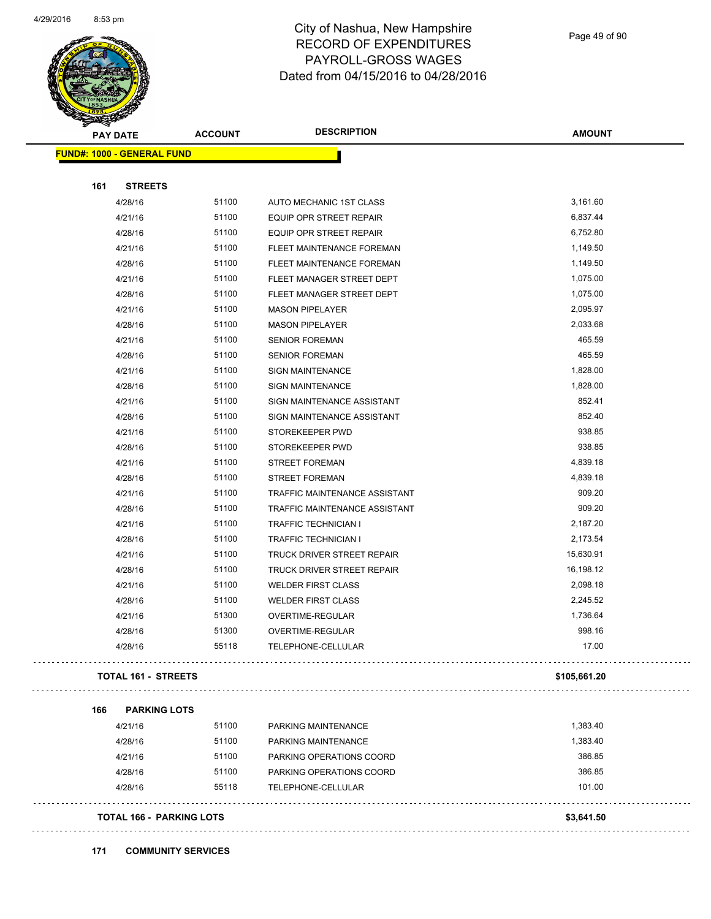

Page 49 of 90

 $\ddot{\phantom{0}}$ 

| <b>PAY DATE</b>                   | <b>ACCOUNT</b> | <b>DESCRIPTION</b>                                 | <b>AMOUNT</b> |
|-----------------------------------|----------------|----------------------------------------------------|---------------|
| <b>FUND#: 1000 - GENERAL FUND</b> |                |                                                    |               |
|                                   |                |                                                    |               |
| 161<br><b>STREETS</b>             | 51100          |                                                    | 3,161.60      |
| 4/28/16<br>4/21/16                | 51100          | AUTO MECHANIC 1ST CLASS<br>EQUIP OPR STREET REPAIR | 6,837.44      |
| 4/28/16                           | 51100          | EQUIP OPR STREET REPAIR                            | 6,752.80      |
| 4/21/16                           | 51100          | FLEET MAINTENANCE FOREMAN                          | 1,149.50      |
| 4/28/16                           | 51100          | FLEET MAINTENANCE FOREMAN                          | 1,149.50      |
| 4/21/16                           | 51100          | FLEET MANAGER STREET DEPT                          | 1,075.00      |
| 4/28/16                           | 51100          | FLEET MANAGER STREET DEPT                          | 1,075.00      |
| 4/21/16                           | 51100          | <b>MASON PIPELAYER</b>                             | 2,095.97      |
| 4/28/16                           | 51100          | <b>MASON PIPELAYER</b>                             | 2,033.68      |
| 4/21/16                           | 51100          | <b>SENIOR FOREMAN</b>                              | 465.59        |
| 4/28/16                           | 51100          | <b>SENIOR FOREMAN</b>                              | 465.59        |
| 4/21/16                           | 51100          | <b>SIGN MAINTENANCE</b>                            | 1,828.00      |
| 4/28/16                           | 51100          | <b>SIGN MAINTENANCE</b>                            | 1,828.00      |
| 4/21/16                           | 51100          | SIGN MAINTENANCE ASSISTANT                         | 852.41        |
| 4/28/16                           | 51100          | SIGN MAINTENANCE ASSISTANT                         | 852.40        |
| 4/21/16                           | 51100          | STOREKEEPER PWD                                    | 938.85        |
| 4/28/16                           | 51100          | STOREKEEPER PWD                                    | 938.85        |
| 4/21/16                           | 51100          | <b>STREET FOREMAN</b>                              | 4,839.18      |
| 4/28/16                           | 51100          | <b>STREET FOREMAN</b>                              | 4,839.18      |
| 4/21/16                           | 51100          | TRAFFIC MAINTENANCE ASSISTANT                      | 909.20        |
| 4/28/16                           | 51100          | TRAFFIC MAINTENANCE ASSISTANT                      | 909.20        |
| 4/21/16                           | 51100          | <b>TRAFFIC TECHNICIAN I</b>                        | 2,187.20      |
| 4/28/16                           | 51100          | TRAFFIC TECHNICIAN I                               | 2,173.54      |
| 4/21/16                           | 51100          | TRUCK DRIVER STREET REPAIR                         | 15,630.91     |
| 4/28/16                           | 51100          | TRUCK DRIVER STREET REPAIR                         | 16,198.12     |
| 4/21/16                           | 51100          | <b>WELDER FIRST CLASS</b>                          | 2,098.18      |
| 4/28/16                           | 51100          | <b>WELDER FIRST CLASS</b>                          | 2,245.52      |
| 4/21/16                           | 51300          | OVERTIME-REGULAR                                   | 1,736.64      |
| 4/28/16                           | 51300          | OVERTIME-REGULAR                                   | 998.16        |
| 4/28/16                           | 55118          | COUOUC OF LUILLE<br>I ELEPHONE-CELLULAR            | 17.00         |
| <b>TOTAL 161 - STREETS</b>        |                |                                                    | \$105,661.20  |
| 166<br><b>PARKING LOTS</b>        |                |                                                    |               |
| 4/21/16                           | 51100          | PARKING MAINTENANCE                                | 1,383.40      |
| 4/28/16                           | 51100          | PARKING MAINTENANCE                                | 1,383.40      |
| 4/21/16                           | 51100          | PARKING OPERATIONS COORD                           | 386.85        |
| 4/28/16                           | 51100          | PARKING OPERATIONS COORD                           | 386.85        |
| 4/28/16                           | 55118          | TELEPHONE-CELLULAR                                 | 101.00        |
| <b>TOTAL 166 - PARKING LOTS</b>   |                |                                                    | \$3,641.50    |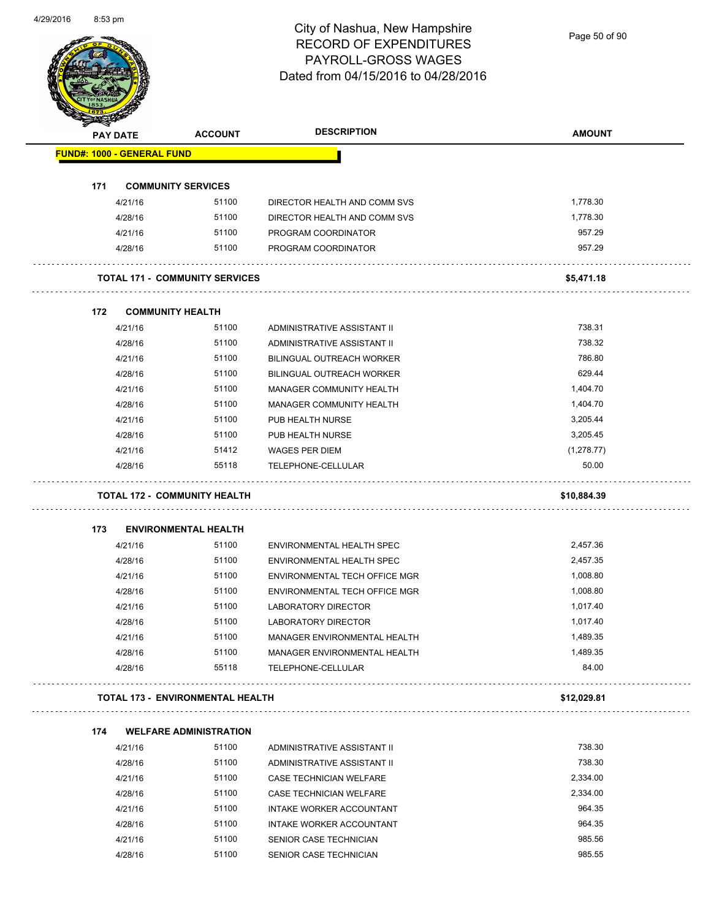Page 50 of 90

|     | <b>PAY DATE</b>                   | <b>ACCOUNT</b>                          | <b>DESCRIPTION</b>               | <b>AMOUNT</b> |
|-----|-----------------------------------|-----------------------------------------|----------------------------------|---------------|
|     | <b>FUND#: 1000 - GENERAL FUND</b> |                                         |                                  |               |
| 171 |                                   | <b>COMMUNITY SERVICES</b>               |                                  |               |
|     | 4/21/16                           | 51100                                   | DIRECTOR HEALTH AND COMM SVS     | 1,778.30      |
|     | 4/28/16                           | 51100                                   | DIRECTOR HEALTH AND COMM SVS     | 1,778.30      |
|     | 4/21/16                           | 51100                                   | PROGRAM COORDINATOR              | 957.29        |
|     | 4/28/16                           | 51100                                   | PROGRAM COORDINATOR              | 957.29        |
|     |                                   | <b>TOTAL 171 - COMMUNITY SERVICES</b>   |                                  | \$5,471.18    |
| 172 |                                   | <b>COMMUNITY HEALTH</b>                 |                                  |               |
|     | 4/21/16                           | 51100                                   | ADMINISTRATIVE ASSISTANT II      | 738.31        |
|     | 4/28/16                           | 51100                                   | ADMINISTRATIVE ASSISTANT II      | 738.32        |
|     | 4/21/16                           | 51100                                   | <b>BILINGUAL OUTREACH WORKER</b> | 786.80        |
|     | 4/28/16                           | 51100                                   | <b>BILINGUAL OUTREACH WORKER</b> | 629.44        |
|     | 4/21/16                           | 51100                                   | MANAGER COMMUNITY HEALTH         | 1,404.70      |
|     | 4/28/16                           | 51100                                   | MANAGER COMMUNITY HEALTH         | 1,404.70      |
|     | 4/21/16                           | 51100                                   | PUB HEALTH NURSE                 | 3,205.44      |
|     | 4/28/16                           | 51100                                   | PUB HEALTH NURSE                 | 3,205.45      |
|     | 4/21/16                           | 51412                                   | <b>WAGES PER DIEM</b>            | (1,278.77)    |
|     | 4/28/16                           | 55118                                   | TELEPHONE-CELLULAR               | 50.00         |
|     |                                   | <b>TOTAL 172 - COMMUNITY HEALTH</b>     |                                  | \$10,884.39   |
| 173 |                                   | <b>ENVIRONMENTAL HEALTH</b>             |                                  |               |
|     | 4/21/16                           | 51100                                   | ENVIRONMENTAL HEALTH SPEC        | 2,457.36      |
|     | 4/28/16                           | 51100                                   | ENVIRONMENTAL HEALTH SPEC        | 2,457.35      |
|     | 4/21/16                           | 51100                                   | ENVIRONMENTAL TECH OFFICE MGR    | 1,008.80      |
|     | 4/28/16                           | 51100                                   | ENVIRONMENTAL TECH OFFICE MGR    | 1,008.80      |
|     | 4/21/16                           | 51100                                   | LABORATORY DIRECTOR              | 1,017.40      |
|     | 4/28/16                           | 51100                                   | LABORATORY DIRECTOR              | 1,017.40      |
|     | 4/21/16                           | 51100                                   | MANAGER ENVIRONMENTAL HEALTH     | 1,489.35      |
|     | 4/28/16                           | 51100                                   | MANAGER ENVIRONMENTAL HEALTH     | 1,489.35      |
|     | 4/28/16                           | 55118                                   | TELEPHONE-CELLULAR               | 84.00         |
|     |                                   | <b>TOTAL 173 - ENVIRONMENTAL HEALTH</b> |                                  | \$12,029.81   |
| 174 |                                   | <b>WELFARE ADMINISTRATION</b>           |                                  |               |
|     | 4/21/16                           | 51100                                   | ADMINISTRATIVE ASSISTANT II      | 738.30        |
|     | 4/28/16                           | 51100                                   | ADMINISTRATIVE ASSISTANT II      | 738.30        |
|     | 4/21/16                           | 51100                                   | CASE TECHNICIAN WELFARE          | 2,334.00      |
|     | 4/28/16                           | 51100                                   | CASE TECHNICIAN WELFARE          | 2,334.00      |
|     | 4/21/16                           | 51100                                   | INTAKE WORKER ACCOUNTANT         | 964.35        |
|     |                                   |                                         |                                  |               |
|     | 4/28/16                           | 51100                                   | INTAKE WORKER ACCOUNTANT         | 964.35        |
|     | 4/21/16                           | 51100                                   | SENIOR CASE TECHNICIAN           | 985.56        |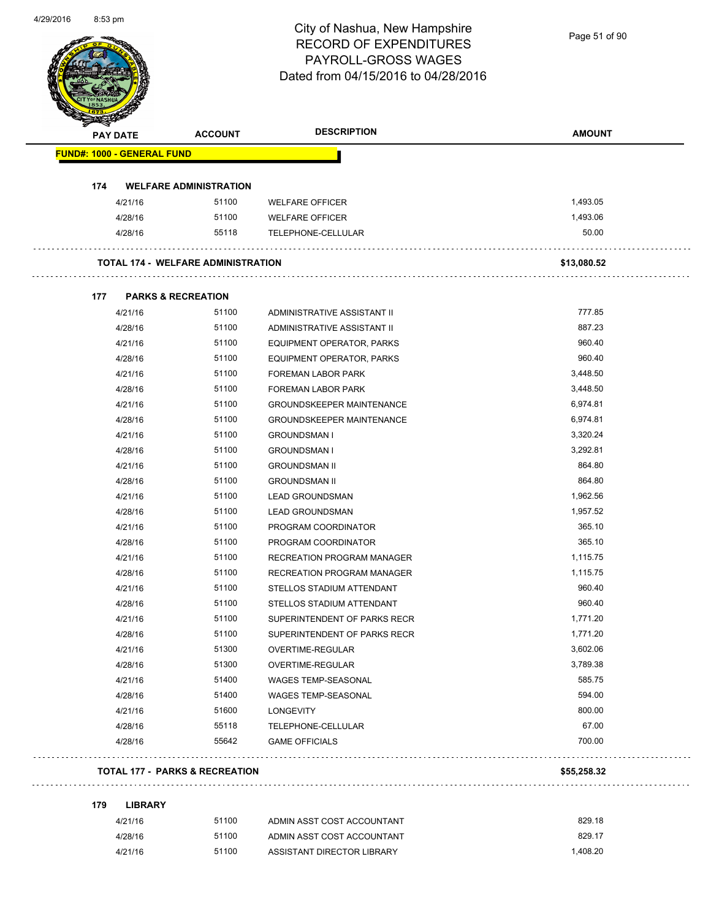Page 51 of 90

| <b>PAY DATE</b> |                                   | <b>ACCOUNT</b>                            | <b>DESCRIPTION</b>                | <b>AMOUNT</b> |
|-----------------|-----------------------------------|-------------------------------------------|-----------------------------------|---------------|
|                 | <b>FUND#: 1000 - GENERAL FUND</b> |                                           |                                   |               |
| 174             |                                   | <b>WELFARE ADMINISTRATION</b>             |                                   |               |
|                 | 4/21/16                           | 51100                                     | <b>WELFARE OFFICER</b>            | 1,493.05      |
|                 | 4/28/16                           | 51100                                     | <b>WELFARE OFFICER</b>            | 1,493.06      |
|                 | 4/28/16                           | 55118                                     | TELEPHONE-CELLULAR                | 50.00         |
|                 |                                   | <b>TOTAL 174 - WELFARE ADMINISTRATION</b> |                                   | \$13,080.52   |
| 177             |                                   | <b>PARKS &amp; RECREATION</b>             |                                   |               |
|                 | 4/21/16                           | 51100                                     | ADMINISTRATIVE ASSISTANT II       | 777.85        |
|                 | 4/28/16                           | 51100                                     | ADMINISTRATIVE ASSISTANT II       | 887.23        |
|                 | 4/21/16                           | 51100                                     | EQUIPMENT OPERATOR, PARKS         | 960.40        |
|                 | 4/28/16                           | 51100                                     | EQUIPMENT OPERATOR, PARKS         | 960.40        |
|                 | 4/21/16                           | 51100                                     | FOREMAN LABOR PARK                | 3,448.50      |
|                 | 4/28/16                           | 51100                                     | <b>FOREMAN LABOR PARK</b>         | 3,448.50      |
|                 | 4/21/16                           | 51100                                     | <b>GROUNDSKEEPER MAINTENANCE</b>  | 6,974.81      |
|                 | 4/28/16                           | 51100                                     | <b>GROUNDSKEEPER MAINTENANCE</b>  | 6,974.81      |
|                 | 4/21/16                           | 51100                                     | <b>GROUNDSMAN I</b>               | 3,320.24      |
|                 | 4/28/16                           | 51100                                     | <b>GROUNDSMAN I</b>               | 3,292.81      |
|                 | 4/21/16                           | 51100                                     | <b>GROUNDSMAN II</b>              | 864.80        |
|                 | 4/28/16                           | 51100                                     | <b>GROUNDSMAN II</b>              | 864.80        |
|                 | 4/21/16                           | 51100                                     | <b>LEAD GROUNDSMAN</b>            | 1,962.56      |
|                 | 4/28/16                           | 51100                                     | <b>LEAD GROUNDSMAN</b>            | 1,957.52      |
|                 | 4/21/16                           | 51100                                     | PROGRAM COORDINATOR               | 365.10        |
|                 | 4/28/16                           | 51100                                     | PROGRAM COORDINATOR               | 365.10        |
|                 | 4/21/16                           | 51100                                     | RECREATION PROGRAM MANAGER        | 1,115.75      |
|                 | 4/28/16                           | 51100                                     | <b>RECREATION PROGRAM MANAGER</b> | 1,115.75      |
|                 | 4/21/16                           | 51100                                     | STELLOS STADIUM ATTENDANT         | 960.40        |
|                 | 4/28/16                           | 51100                                     | STELLOS STADIUM ATTENDANT         | 960.40        |
|                 | 4/21/16                           | 51100                                     | SUPERINTENDENT OF PARKS RECR      | 1,771.20      |
|                 | 4/28/16                           | 51100                                     | SUPERINTENDENT OF PARKS RECR      | 1,771.20      |
|                 | 4/21/16                           | 51300                                     | OVERTIME-REGULAR                  | 3,602.06      |
|                 | 4/28/16                           | 51300                                     | OVERTIME-REGULAR                  | 3,789.38      |
|                 | 4/21/16                           | 51400                                     | WAGES TEMP-SEASONAL               | 585.75        |
|                 | 4/28/16                           | 51400                                     | WAGES TEMP-SEASONAL               | 594.00        |
|                 | 4/21/16                           | 51600                                     | <b>LONGEVITY</b>                  | 800.00        |
|                 | 4/28/16                           | 55118                                     | TELEPHONE-CELLULAR                | 67.00         |
|                 | 4/28/16                           | 55642                                     | <b>GAME OFFICIALS</b>             | 700.00        |
|                 |                                   | <b>TOTAL 177 - PARKS &amp; RECREATION</b> |                                   | \$55,258.32   |
| 179             | <b>LIBRARY</b>                    |                                           |                                   |               |
|                 | 4/21/16                           | 51100                                     | ADMIN ASST COST ACCOUNTANT        | 829.18        |
|                 | 4/28/16                           | 51100                                     | ADMIN ASST COST ACCOUNTANT        | 829.17        |
|                 | 4/21/16                           | 51100                                     | ASSISTANT DIRECTOR LIBRARY        | 1,408.20      |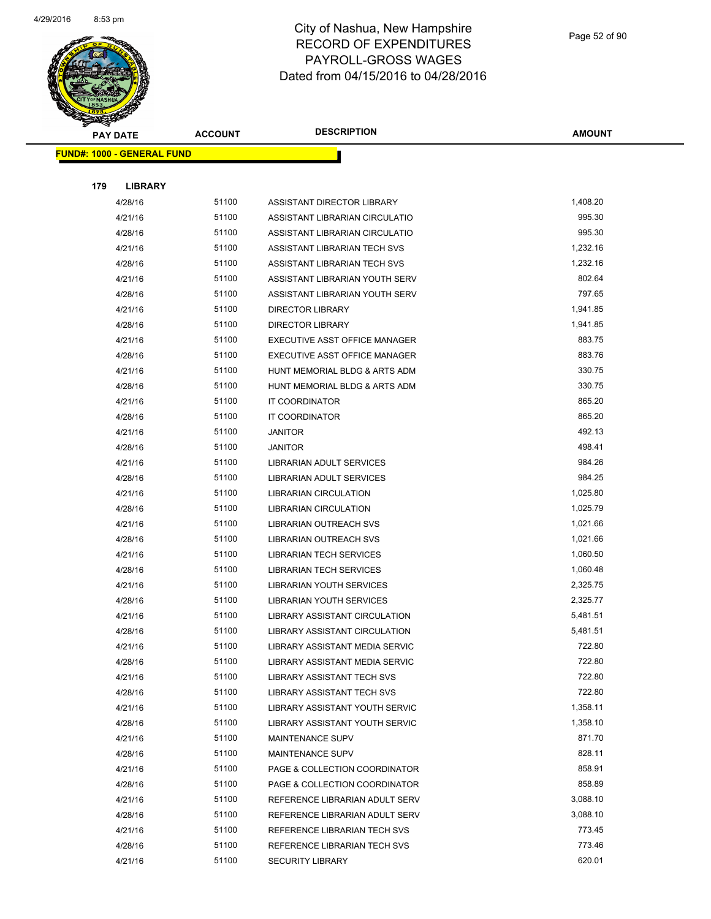

|     | <b>PAY DATE</b>                    | <b>ACCOUNT</b> | <b>DESCRIPTION</b>                   | <b>AMOUNT</b> |
|-----|------------------------------------|----------------|--------------------------------------|---------------|
|     | <u> FUND#: 1000 - GENERAL FUND</u> |                |                                      |               |
|     |                                    |                |                                      |               |
| 179 | <b>LIBRARY</b>                     |                |                                      |               |
|     | 4/28/16                            | 51100          | ASSISTANT DIRECTOR LIBRARY           | 1,408.20      |
|     | 4/21/16                            | 51100          | ASSISTANT LIBRARIAN CIRCULATIO       | 995.30        |
|     | 4/28/16                            | 51100          | ASSISTANT LIBRARIAN CIRCULATIO       | 995.30        |
|     | 4/21/16                            | 51100          | ASSISTANT LIBRARIAN TECH SVS         | 1,232.16      |
|     | 4/28/16                            | 51100          | ASSISTANT LIBRARIAN TECH SVS         | 1,232.16      |
|     | 4/21/16                            | 51100          | ASSISTANT LIBRARIAN YOUTH SERV       | 802.64        |
|     | 4/28/16                            | 51100          | ASSISTANT LIBRARIAN YOUTH SERV       | 797.65        |
|     | 4/21/16                            | 51100          | DIRECTOR LIBRARY                     | 1,941.85      |
|     | 4/28/16                            | 51100          | <b>DIRECTOR LIBRARY</b>              | 1,941.85      |
|     | 4/21/16                            | 51100          | EXECUTIVE ASST OFFICE MANAGER        | 883.75        |
|     | 4/28/16                            | 51100          | EXECUTIVE ASST OFFICE MANAGER        | 883.76        |
|     | 4/21/16                            | 51100          | HUNT MEMORIAL BLDG & ARTS ADM        | 330.75        |
|     | 4/28/16                            | 51100          | HUNT MEMORIAL BLDG & ARTS ADM        | 330.75        |
|     | 4/21/16                            | 51100          | IT COORDINATOR                       | 865.20        |
|     | 4/28/16                            | 51100          | IT COORDINATOR                       | 865.20        |
|     | 4/21/16                            | 51100          | <b>JANITOR</b>                       | 492.13        |
|     | 4/28/16                            | 51100          | <b>JANITOR</b>                       | 498.41        |
|     | 4/21/16                            | 51100          | LIBRARIAN ADULT SERVICES             | 984.26        |
|     | 4/28/16                            | 51100          | LIBRARIAN ADULT SERVICES             | 984.25        |
|     | 4/21/16                            | 51100          | <b>LIBRARIAN CIRCULATION</b>         | 1,025.80      |
|     | 4/28/16                            | 51100          | <b>LIBRARIAN CIRCULATION</b>         | 1,025.79      |
|     | 4/21/16                            | 51100          | LIBRARIAN OUTREACH SVS               | 1,021.66      |
|     | 4/28/16                            | 51100          | LIBRARIAN OUTREACH SVS               | 1,021.66      |
|     | 4/21/16                            | 51100          | <b>LIBRARIAN TECH SERVICES</b>       | 1,060.50      |
|     | 4/28/16                            | 51100          | <b>LIBRARIAN TECH SERVICES</b>       | 1,060.48      |
|     | 4/21/16                            | 51100          | LIBRARIAN YOUTH SERVICES             | 2,325.75      |
|     | 4/28/16                            | 51100          | LIBRARIAN YOUTH SERVICES             | 2,325.77      |
|     | 4/21/16                            | 51100          | LIBRARY ASSISTANT CIRCULATION        | 5,481.51      |
|     | 4/28/16                            | 51100          | <b>LIBRARY ASSISTANT CIRCULATION</b> | 5,481.51      |
|     | 4/21/16                            | 51100          | LIBRARY ASSISTANT MEDIA SERVIC       | 722.80        |
|     | 4/28/16                            | 51100          | LIBRARY ASSISTANT MEDIA SERVIC       | 722.80        |
|     | 4/21/16                            | 51100          | <b>LIBRARY ASSISTANT TECH SVS</b>    | 722.80        |
|     | 4/28/16                            | 51100          | LIBRARY ASSISTANT TECH SVS           | 722.80        |
|     | 4/21/16                            | 51100          | LIBRARY ASSISTANT YOUTH SERVIC       | 1,358.11      |
|     | 4/28/16                            | 51100          | LIBRARY ASSISTANT YOUTH SERVIC       | 1,358.10      |
|     | 4/21/16                            | 51100          | MAINTENANCE SUPV                     | 871.70        |
|     | 4/28/16                            | 51100          | <b>MAINTENANCE SUPV</b>              | 828.11        |
|     | 4/21/16                            | 51100          | PAGE & COLLECTION COORDINATOR        | 858.91        |
|     | 4/28/16                            | 51100          | PAGE & COLLECTION COORDINATOR        | 858.89        |
|     | 4/21/16                            | 51100          | REFERENCE LIBRARIAN ADULT SERV       | 3,088.10      |
|     | 4/28/16                            | 51100          | REFERENCE LIBRARIAN ADULT SERV       | 3,088.10      |
|     | 4/21/16                            | 51100          | REFERENCE LIBRARIAN TECH SVS         | 773.45        |
|     | 4/28/16                            | 51100          | REFERENCE LIBRARIAN TECH SVS         | 773.46        |
|     | 4/21/16                            | 51100          | <b>SECURITY LIBRARY</b>              | 620.01        |
|     |                                    |                |                                      |               |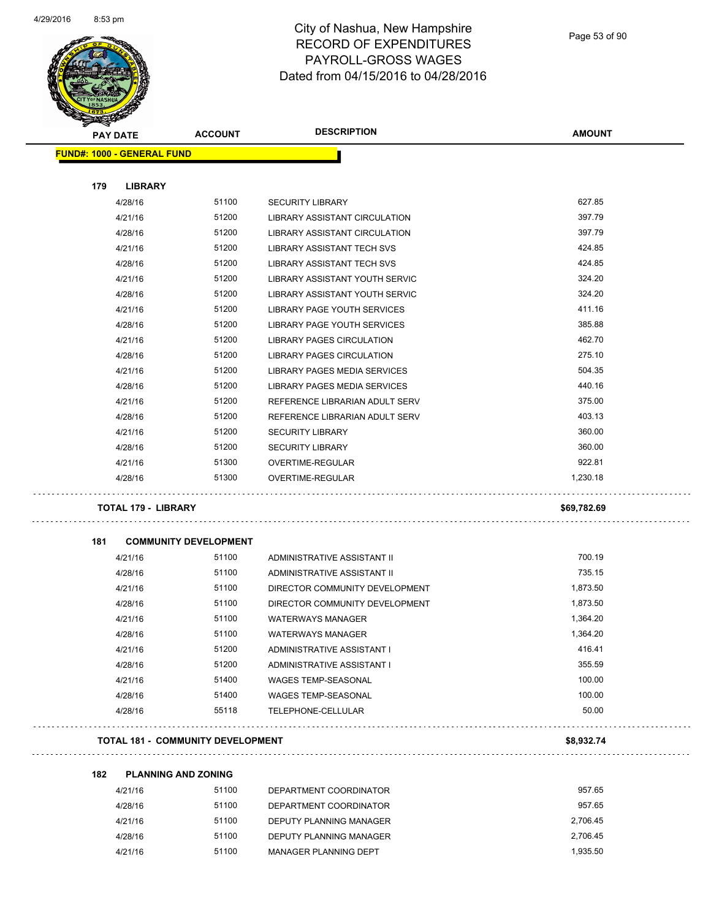

Page 53 of 90

| <b>STARBOOKS</b> |                                   |                                          |                                                               |               |
|------------------|-----------------------------------|------------------------------------------|---------------------------------------------------------------|---------------|
|                  | <b>PAY DATE</b>                   | <b>ACCOUNT</b>                           | <b>DESCRIPTION</b>                                            | <b>AMOUNT</b> |
|                  | <b>FUND#: 1000 - GENERAL FUND</b> |                                          |                                                               |               |
|                  |                                   |                                          |                                                               |               |
| 179              | <b>LIBRARY</b>                    |                                          |                                                               |               |
|                  | 4/28/16                           | 51100                                    | <b>SECURITY LIBRARY</b>                                       | 627.85        |
|                  | 4/21/16                           | 51200                                    | LIBRARY ASSISTANT CIRCULATION                                 | 397.79        |
|                  | 4/28/16                           | 51200                                    | LIBRARY ASSISTANT CIRCULATION                                 | 397.79        |
|                  | 4/21/16                           | 51200                                    | LIBRARY ASSISTANT TECH SVS                                    | 424.85        |
|                  | 4/28/16                           | 51200                                    | LIBRARY ASSISTANT TECH SVS                                    | 424.85        |
|                  | 4/21/16                           | 51200                                    | LIBRARY ASSISTANT YOUTH SERVIC                                | 324.20        |
|                  | 4/28/16                           | 51200                                    | LIBRARY ASSISTANT YOUTH SERVIC                                | 324.20        |
|                  | 4/21/16                           | 51200                                    | LIBRARY PAGE YOUTH SERVICES                                   | 411.16        |
|                  | 4/28/16                           | 51200                                    | LIBRARY PAGE YOUTH SERVICES                                   | 385.88        |
|                  | 4/21/16                           | 51200                                    | LIBRARY PAGES CIRCULATION                                     | 462.70        |
|                  | 4/28/16                           | 51200                                    | LIBRARY PAGES CIRCULATION                                     | 275.10        |
|                  | 4/21/16                           | 51200                                    | LIBRARY PAGES MEDIA SERVICES                                  | 504.35        |
|                  | 4/28/16                           | 51200                                    | LIBRARY PAGES MEDIA SERVICES                                  | 440.16        |
|                  | 4/21/16                           | 51200                                    | REFERENCE LIBRARIAN ADULT SERV                                | 375.00        |
|                  | 4/28/16                           | 51200                                    | REFERENCE LIBRARIAN ADULT SERV                                | 403.13        |
|                  | 4/21/16                           | 51200                                    | <b>SECURITY LIBRARY</b>                                       | 360.00        |
|                  | 4/28/16                           | 51200                                    | <b>SECURITY LIBRARY</b>                                       | 360.00        |
|                  | 4/21/16                           | 51300                                    | OVERTIME-REGULAR                                              | 922.81        |
|                  | 4/28/16                           | 51300                                    | OVERTIME-REGULAR                                              | 1,230.18      |
|                  | <b>TOTAL 179 - LIBRARY</b>        |                                          |                                                               | \$69,782.69   |
| 181              |                                   |                                          |                                                               |               |
|                  |                                   | <b>COMMUNITY DEVELOPMENT</b><br>51100    |                                                               | 700.19        |
|                  | 4/21/16                           | 51100                                    | ADMINISTRATIVE ASSISTANT II                                   | 735.15        |
|                  | 4/28/16<br>4/21/16                | 51100                                    | ADMINISTRATIVE ASSISTANT II<br>DIRECTOR COMMUNITY DEVELOPMENT | 1,873.50      |
|                  | 4/28/16                           | 51100                                    | DIRECTOR COMMUNITY DEVELOPMENT                                | 1,873.50      |
|                  | 4/21/16                           | 51100                                    | <b>WATERWAYS MANAGER</b>                                      | 1,364.20      |
|                  | 4/28/16                           | 51100                                    | <b>WATERWAYS MANAGER</b>                                      | 1,364.20      |
|                  | 4/21/16                           | 51200                                    |                                                               | 416.41        |
|                  | 4/28/16                           | 51200                                    | ADMINISTRATIVE ASSISTANT I<br>ADMINISTRATIVE ASSISTANT I      | 355.59        |
|                  | 4/21/16                           | 51400                                    | <b>WAGES TEMP-SEASONAL</b>                                    | 100.00        |
|                  | 4/28/16                           | 51400                                    | WAGES TEMP-SEASONAL                                           | 100.00        |
|                  | 4/28/16                           | 55118                                    | TELEPHONE-CELLULAR                                            | 50.00         |
|                  |                                   |                                          |                                                               |               |
|                  |                                   | <b>TOTAL 181 - COMMUNITY DEVELOPMENT</b> |                                                               | \$8,932.74    |
|                  |                                   |                                          |                                                               |               |
| 182              | <b>PLANNING AND ZONING</b>        |                                          |                                                               |               |
|                  | 4/21/16                           | 51100                                    | DEPARTMENT COORDINATOR                                        | 957.65        |
|                  | 4/28/16                           | 51100                                    | DEPARTMENT COORDINATOR                                        | 957.65        |
|                  | 4/21/16                           | 51100                                    | DEPUTY PLANNING MANAGER                                       | 2,706.45      |

4/28/16 51100 DEPUTY PLANNING MANAGER 2,706.45 4/21/16 51100 MANAGER PLANNING DEPT 1,935.50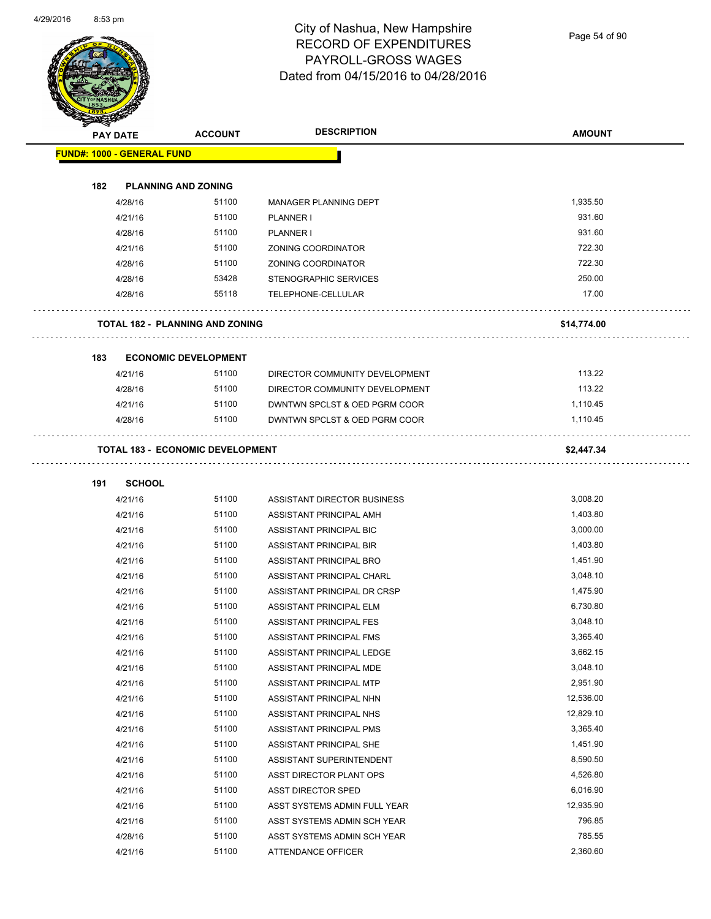Page 54 of 90

| A.  | <b>PAY DATE</b>                   | <b>ACCOUNT</b>                          | <b>DESCRIPTION</b>             | <b>AMOUNT</b> |
|-----|-----------------------------------|-----------------------------------------|--------------------------------|---------------|
|     | <b>FUND#: 1000 - GENERAL FUND</b> |                                         |                                |               |
|     |                                   |                                         |                                |               |
| 182 |                                   | <b>PLANNING AND ZONING</b>              |                                |               |
|     | 4/28/16                           | 51100                                   | MANAGER PLANNING DEPT          | 1,935.50      |
|     | 4/21/16                           | 51100                                   | PLANNER I                      | 931.60        |
|     | 4/28/16                           | 51100                                   | PLANNER I                      | 931.60        |
|     | 4/21/16                           | 51100                                   | ZONING COORDINATOR             | 722.30        |
|     | 4/28/16                           | 51100                                   | ZONING COORDINATOR             | 722.30        |
|     | 4/28/16                           | 53428                                   | <b>STENOGRAPHIC SERVICES</b>   | 250.00        |
|     | 4/28/16                           | 55118                                   | TELEPHONE-CELLULAR             | 17.00         |
|     |                                   | <b>TOTAL 182 - PLANNING AND ZONING</b>  |                                | \$14,774.00   |
| 183 |                                   | <b>ECONOMIC DEVELOPMENT</b>             |                                |               |
|     | 4/21/16                           | 51100                                   | DIRECTOR COMMUNITY DEVELOPMENT | 113.22        |
|     | 4/28/16                           | 51100                                   | DIRECTOR COMMUNITY DEVELOPMENT | 113.22        |
|     | 4/21/16                           | 51100                                   | DWNTWN SPCLST & OED PGRM COOR  | 1,110.45      |
|     | 4/28/16                           | 51100                                   | DWNTWN SPCLST & OED PGRM COOR  | 1,110.45      |
|     |                                   | <b>TOTAL 183 - ECONOMIC DEVELOPMENT</b> |                                | \$2,447.34    |
| 191 | <b>SCHOOL</b>                     |                                         |                                |               |
|     | 4/21/16                           | 51100                                   | ASSISTANT DIRECTOR BUSINESS    | 3,008.20      |
|     | 4/21/16                           | 51100                                   | ASSISTANT PRINCIPAL AMH        | 1,403.80      |
|     | 4/21/16                           | 51100                                   | ASSISTANT PRINCIPAL BIC        | 3,000.00      |
|     | 4/21/16                           | 51100                                   | ASSISTANT PRINCIPAL BIR        | 1,403.80      |
|     | 4/21/16                           | 51100                                   | ASSISTANT PRINCIPAL BRO        | 1,451.90      |
|     | 4/21/16                           | 51100                                   | ASSISTANT PRINCIPAL CHARL      | 3,048.10      |
|     | 4/21/16                           | 51100                                   | ASSISTANT PRINCIPAL DR CRSP    | 1,475.90      |
|     | 4/21/16                           | 51100                                   | <b>ASSISTANT PRINCIPAL ELM</b> | 6,730.80      |
|     | 4/21/16                           | 51100                                   | ASSISTANT PRINCIPAL FES        | 3,048.10      |
|     | 4/21/16                           | 51100                                   | ASSISTANT PRINCIPAL FMS        | 3,365.40      |
|     | 4/21/16                           | 51100                                   | ASSISTANT PRINCIPAL LEDGE      | 3,662.15      |
|     | 4/21/16                           | 51100                                   | ASSISTANT PRINCIPAL MDE        | 3,048.10      |
|     | 4/21/16                           | 51100                                   | ASSISTANT PRINCIPAL MTP        | 2,951.90      |
|     | 4/21/16                           | 51100                                   | ASSISTANT PRINCIPAL NHN        | 12,536.00     |
|     | 4/21/16                           | 51100                                   | ASSISTANT PRINCIPAL NHS        | 12,829.10     |
|     | 4/21/16                           | 51100                                   | ASSISTANT PRINCIPAL PMS        | 3,365.40      |
|     | 4/21/16                           | 51100                                   | ASSISTANT PRINCIPAL SHE        | 1,451.90      |
|     | 4/21/16                           | 51100                                   | ASSISTANT SUPERINTENDENT       | 8,590.50      |
|     | 4/21/16                           | 51100                                   | ASST DIRECTOR PLANT OPS        | 4,526.80      |
|     | 4/21/16                           | 51100                                   | ASST DIRECTOR SPED             | 6,016.90      |
|     | 4/21/16                           | 51100                                   | ASST SYSTEMS ADMIN FULL YEAR   | 12,935.90     |
|     | 4/21/16                           | 51100                                   | ASST SYSTEMS ADMIN SCH YEAR    | 796.85        |
|     | 4/28/16                           | 51100                                   | ASST SYSTEMS ADMIN SCH YEAR    | 785.55        |
|     | 4/21/16                           | 51100                                   | ATTENDANCE OFFICER             | 2,360.60      |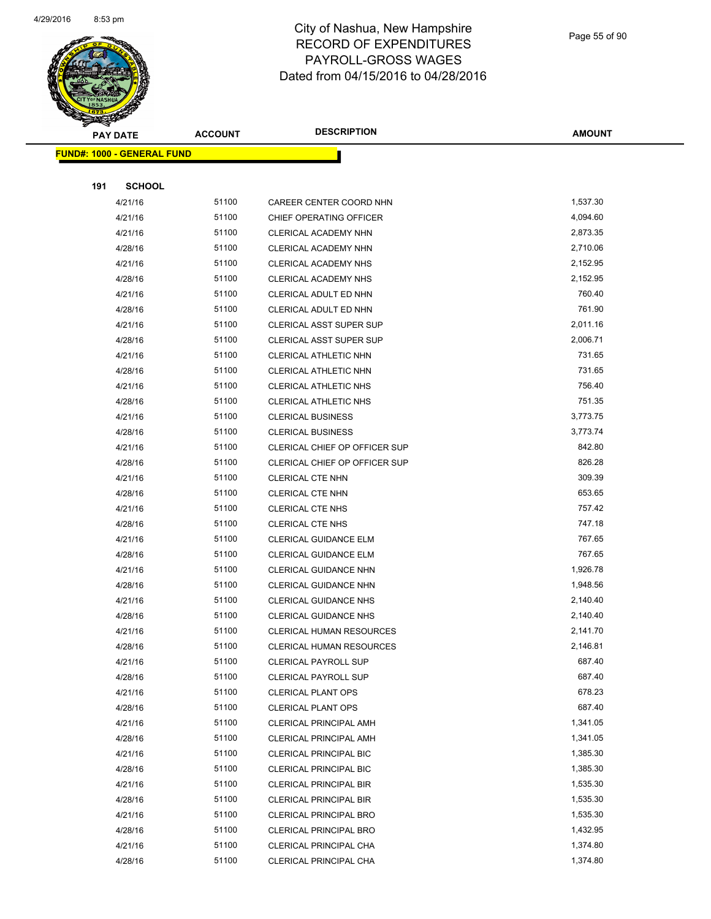

Page 55 of 90

|     | <b>PAY DATE</b>                   | <b>ACCOUNT</b> | <b>DESCRIPTION</b>                                         | <b>AMOUNT</b>    |
|-----|-----------------------------------|----------------|------------------------------------------------------------|------------------|
|     | <b>FUND#: 1000 - GENERAL FUND</b> |                |                                                            |                  |
|     |                                   |                |                                                            |                  |
| 191 | <b>SCHOOL</b>                     |                |                                                            |                  |
|     | 4/21/16                           | 51100          | CAREER CENTER COORD NHN                                    | 1,537.30         |
|     | 4/21/16                           | 51100          | CHIEF OPERATING OFFICER                                    | 4,094.60         |
|     | 4/21/16                           | 51100          | CLERICAL ACADEMY NHN                                       | 2,873.35         |
|     | 4/28/16                           | 51100          | CLERICAL ACADEMY NHN                                       | 2,710.06         |
|     | 4/21/16                           | 51100          | CLERICAL ACADEMY NHS                                       | 2,152.95         |
|     | 4/28/16                           | 51100          | CLERICAL ACADEMY NHS                                       | 2,152.95         |
|     | 4/21/16                           | 51100          | CLERICAL ADULT ED NHN                                      | 760.40           |
|     | 4/28/16                           | 51100          | CLERICAL ADULT ED NHN                                      | 761.90           |
|     | 4/21/16                           | 51100          | <b>CLERICAL ASST SUPER SUP</b>                             | 2,011.16         |
|     | 4/28/16                           | 51100          | <b>CLERICAL ASST SUPER SUP</b>                             | 2,006.71         |
|     | 4/21/16                           | 51100          | CLERICAL ATHLETIC NHN                                      | 731.65           |
|     | 4/28/16                           | 51100          | <b>CLERICAL ATHLETIC NHN</b>                               | 731.65           |
|     | 4/21/16                           | 51100          | <b>CLERICAL ATHLETIC NHS</b>                               | 756.40           |
|     | 4/28/16                           | 51100          | <b>CLERICAL ATHLETIC NHS</b>                               | 751.35           |
|     | 4/21/16                           | 51100          | <b>CLERICAL BUSINESS</b>                                   | 3,773.75         |
|     | 4/28/16                           | 51100          | <b>CLERICAL BUSINESS</b>                                   | 3,773.74         |
|     | 4/21/16                           | 51100          | <b>CLERICAL CHIEF OP OFFICER SUP</b>                       | 842.80           |
|     | 4/28/16                           | 51100          | CLERICAL CHIEF OP OFFICER SUP                              | 826.28           |
|     | 4/21/16                           | 51100          | <b>CLERICAL CTE NHN</b>                                    | 309.39           |
|     | 4/28/16                           | 51100          | <b>CLERICAL CTE NHN</b>                                    | 653.65           |
|     | 4/21/16                           | 51100          | <b>CLERICAL CTE NHS</b>                                    | 757.42           |
|     | 4/28/16                           | 51100          | CLERICAL CTE NHS                                           | 747.18           |
|     | 4/21/16                           | 51100          | CLERICAL GUIDANCE ELM                                      | 767.65           |
|     | 4/28/16                           | 51100          | CLERICAL GUIDANCE ELM                                      | 767.65           |
|     | 4/21/16                           | 51100          | <b>CLERICAL GUIDANCE NHN</b>                               | 1,926.78         |
|     | 4/28/16                           | 51100          | <b>CLERICAL GUIDANCE NHN</b>                               | 1,948.56         |
|     | 4/21/16                           | 51100          | <b>CLERICAL GUIDANCE NHS</b>                               | 2,140.40         |
|     | 4/28/16                           | 51100          | <b>CLERICAL GUIDANCE NHS</b>                               | 2,140.40         |
|     | 4/21/16                           | 51100          | <b>CLERICAL HUMAN RESOURCES</b>                            | 2,141.70         |
|     | 4/28/16                           | 51100          | <b>CLERICAL HUMAN RESOURCES</b>                            | 2,146.81         |
|     | 4/21/16                           | 51100          | <b>CLERICAL PAYROLL SUP</b>                                | 687.40<br>687.40 |
|     | 4/28/16                           | 51100          | <b>CLERICAL PAYROLL SUP</b>                                |                  |
|     | 4/21/16                           | 51100<br>51100 | <b>CLERICAL PLANT OPS</b>                                  | 678.23<br>687.40 |
|     | 4/28/16<br>4/21/16                | 51100          | <b>CLERICAL PLANT OPS</b><br><b>CLERICAL PRINCIPAL AMH</b> | 1,341.05         |
|     | 4/28/16                           | 51100          | <b>CLERICAL PRINCIPAL AMH</b>                              | 1,341.05         |
|     | 4/21/16                           | 51100          | <b>CLERICAL PRINCIPAL BIC</b>                              | 1,385.30         |
|     | 4/28/16                           | 51100          | <b>CLERICAL PRINCIPAL BIC</b>                              | 1,385.30         |
|     | 4/21/16                           | 51100          | <b>CLERICAL PRINCIPAL BIR</b>                              | 1,535.30         |
|     | 4/28/16                           | 51100          | <b>CLERICAL PRINCIPAL BIR</b>                              | 1,535.30         |
|     | 4/21/16                           | 51100          | <b>CLERICAL PRINCIPAL BRO</b>                              | 1,535.30         |
|     | 4/28/16                           | 51100          | <b>CLERICAL PRINCIPAL BRO</b>                              | 1,432.95         |
|     | 4/21/16                           | 51100          | CLERICAL PRINCIPAL CHA                                     | 1,374.80         |
|     | 4/28/16                           | 51100          | CLERICAL PRINCIPAL CHA                                     | 1,374.80         |
|     |                                   |                |                                                            |                  |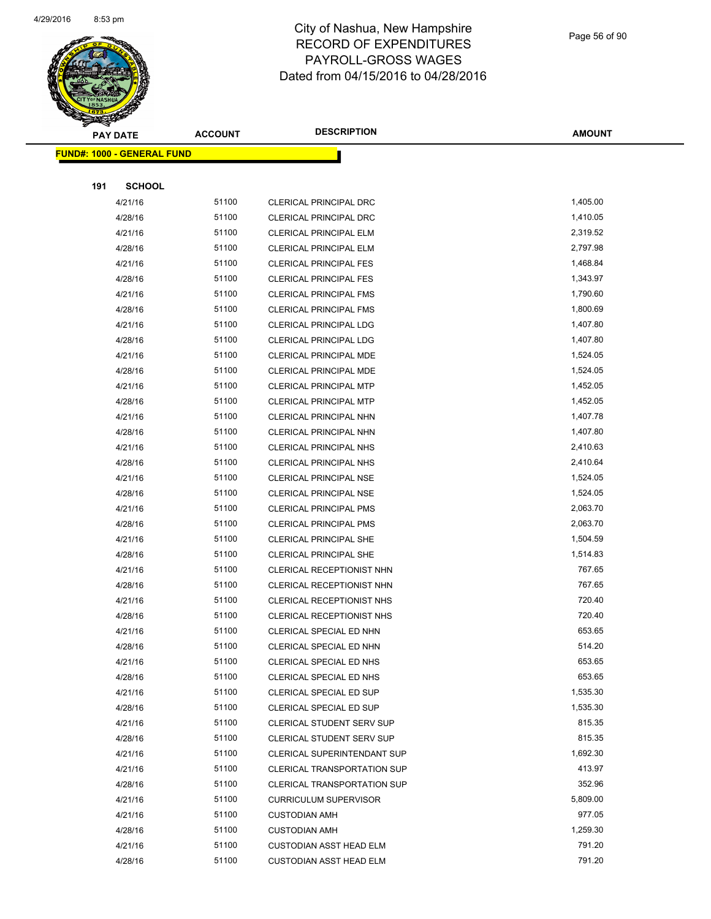

Page 56 of 90

| <u> FUND#: 1000 - GENERAL FUND</u><br>191<br><b>SCHOOL</b><br>51100<br>1,405.00<br>4/21/16<br><b>CLERICAL PRINCIPAL DRC</b><br>51100<br>1,410.05<br>4/28/16<br><b>CLERICAL PRINCIPAL DRC</b><br>4/21/16<br>51100<br><b>CLERICAL PRINCIPAL ELM</b><br>2,319.52<br>51100<br>2,797.98<br>4/28/16<br><b>CLERICAL PRINCIPAL ELM</b><br>51100<br>1,468.84<br>4/21/16<br><b>CLERICAL PRINCIPAL FES</b><br>51100<br>1,343.97<br>4/28/16<br><b>CLERICAL PRINCIPAL FES</b><br>51100<br>1,790.60<br>4/21/16<br><b>CLERICAL PRINCIPAL FMS</b><br>51100<br>1,800.69<br>4/28/16<br><b>CLERICAL PRINCIPAL FMS</b><br>51100<br>1,407.80<br>4/21/16<br><b>CLERICAL PRINCIPAL LDG</b><br>51100<br>1,407.80<br>4/28/16<br><b>CLERICAL PRINCIPAL LDG</b><br>51100<br>1,524.05<br>4/21/16<br>CLERICAL PRINCIPAL MDE<br>51100<br>1,524.05<br>4/28/16<br><b>CLERICAL PRINCIPAL MDE</b><br>4/21/16<br>51100<br><b>CLERICAL PRINCIPAL MTP</b><br>1,452.05<br>51100<br>1,452.05<br>4/28/16<br><b>CLERICAL PRINCIPAL MTP</b><br>51100<br>1,407.78<br>4/21/16<br><b>CLERICAL PRINCIPAL NHN</b><br>51100<br>1,407.80<br>4/28/16<br>CLERICAL PRINCIPAL NHN<br>51100<br>2,410.63<br>4/21/16<br><b>CLERICAL PRINCIPAL NHS</b><br>51100<br>2,410.64<br>4/28/16<br><b>CLERICAL PRINCIPAL NHS</b><br>51100<br>1,524.05<br>4/21/16<br><b>CLERICAL PRINCIPAL NSE</b><br>51100<br>1,524.05<br>4/28/16<br><b>CLERICAL PRINCIPAL NSE</b><br>51100<br>2,063.70<br>4/21/16<br><b>CLERICAL PRINCIPAL PMS</b><br>51100<br>2,063.70<br>4/28/16<br><b>CLERICAL PRINCIPAL PMS</b><br>51100<br>4/21/16<br><b>CLERICAL PRINCIPAL SHE</b><br>1,504.59<br>51100<br>1,514.83<br>4/28/16<br><b>CLERICAL PRINCIPAL SHE</b><br>51100<br>767.65<br>4/21/16<br>CLERICAL RECEPTIONIST NHN<br>767.65<br>51100<br>4/28/16<br>CLERICAL RECEPTIONIST NHN<br>51100<br>720.40<br>4/21/16<br>CLERICAL RECEPTIONIST NHS<br>51100<br>720.40<br>4/28/16<br><b>CLERICAL RECEPTIONIST NHS</b><br>51100<br>653.65<br>4/21/16<br>CLERICAL SPECIAL ED NHN<br>51100<br>514.20<br>4/28/16<br>CLERICAL SPECIAL ED NHN<br>51100<br>653.65<br>4/21/16<br>CLERICAL SPECIAL ED NHS<br>653.65<br>51100<br>4/28/16<br>CLERICAL SPECIAL ED NHS<br>51100<br>1,535.30<br>4/21/16<br>CLERICAL SPECIAL ED SUP<br>51100<br>1,535.30<br>4/28/16<br>CLERICAL SPECIAL ED SUP<br>51100<br>815.35<br>4/21/16<br><b>CLERICAL STUDENT SERV SUP</b><br>815.35<br>51100<br>4/28/16<br><b>CLERICAL STUDENT SERV SUP</b><br>51100<br>1,692.30<br>4/21/16<br>CLERICAL SUPERINTENDANT SUP<br>51100<br>413.97<br>4/21/16<br><b>CLERICAL TRANSPORTATION SUP</b><br>51100<br>352.96<br>4/28/16<br><b>CLERICAL TRANSPORTATION SUP</b><br>51100<br>5,809.00<br>4/21/16<br><b>CURRICULUM SUPERVISOR</b><br>51100<br>977.05<br>4/21/16<br><b>CUSTODIAN AMH</b><br>51100<br>1,259.30<br>4/28/16<br><b>CUSTODIAN AMH</b><br>51100<br>791.20<br>4/21/16<br><b>CUSTODIAN ASST HEAD ELM</b><br>51100<br>791.20<br>4/28/16<br><b>CUSTODIAN ASST HEAD ELM</b> |  | <b>PAY DATE</b> | <b>ACCOUNT</b> | <b>DESCRIPTION</b> | <b>AMOUNT</b> |
|--------------------------------------------------------------------------------------------------------------------------------------------------------------------------------------------------------------------------------------------------------------------------------------------------------------------------------------------------------------------------------------------------------------------------------------------------------------------------------------------------------------------------------------------------------------------------------------------------------------------------------------------------------------------------------------------------------------------------------------------------------------------------------------------------------------------------------------------------------------------------------------------------------------------------------------------------------------------------------------------------------------------------------------------------------------------------------------------------------------------------------------------------------------------------------------------------------------------------------------------------------------------------------------------------------------------------------------------------------------------------------------------------------------------------------------------------------------------------------------------------------------------------------------------------------------------------------------------------------------------------------------------------------------------------------------------------------------------------------------------------------------------------------------------------------------------------------------------------------------------------------------------------------------------------------------------------------------------------------------------------------------------------------------------------------------------------------------------------------------------------------------------------------------------------------------------------------------------------------------------------------------------------------------------------------------------------------------------------------------------------------------------------------------------------------------------------------------------------------------------------------------------------------------------------------------------------------------------------------------------------------------------------------------------------------------------------------------------------------------------------------------------------------------------------------------------------------------------------------------------------------------------------------------------------------------------|--|-----------------|----------------|--------------------|---------------|
|                                                                                                                                                                                                                                                                                                                                                                                                                                                                                                                                                                                                                                                                                                                                                                                                                                                                                                                                                                                                                                                                                                                                                                                                                                                                                                                                                                                                                                                                                                                                                                                                                                                                                                                                                                                                                                                                                                                                                                                                                                                                                                                                                                                                                                                                                                                                                                                                                                                                                                                                                                                                                                                                                                                                                                                                                                                                                                                                            |  |                 |                |                    |               |
|                                                                                                                                                                                                                                                                                                                                                                                                                                                                                                                                                                                                                                                                                                                                                                                                                                                                                                                                                                                                                                                                                                                                                                                                                                                                                                                                                                                                                                                                                                                                                                                                                                                                                                                                                                                                                                                                                                                                                                                                                                                                                                                                                                                                                                                                                                                                                                                                                                                                                                                                                                                                                                                                                                                                                                                                                                                                                                                                            |  |                 |                |                    |               |
|                                                                                                                                                                                                                                                                                                                                                                                                                                                                                                                                                                                                                                                                                                                                                                                                                                                                                                                                                                                                                                                                                                                                                                                                                                                                                                                                                                                                                                                                                                                                                                                                                                                                                                                                                                                                                                                                                                                                                                                                                                                                                                                                                                                                                                                                                                                                                                                                                                                                                                                                                                                                                                                                                                                                                                                                                                                                                                                                            |  |                 |                |                    |               |
|                                                                                                                                                                                                                                                                                                                                                                                                                                                                                                                                                                                                                                                                                                                                                                                                                                                                                                                                                                                                                                                                                                                                                                                                                                                                                                                                                                                                                                                                                                                                                                                                                                                                                                                                                                                                                                                                                                                                                                                                                                                                                                                                                                                                                                                                                                                                                                                                                                                                                                                                                                                                                                                                                                                                                                                                                                                                                                                                            |  |                 |                |                    |               |
|                                                                                                                                                                                                                                                                                                                                                                                                                                                                                                                                                                                                                                                                                                                                                                                                                                                                                                                                                                                                                                                                                                                                                                                                                                                                                                                                                                                                                                                                                                                                                                                                                                                                                                                                                                                                                                                                                                                                                                                                                                                                                                                                                                                                                                                                                                                                                                                                                                                                                                                                                                                                                                                                                                                                                                                                                                                                                                                                            |  |                 |                |                    |               |
|                                                                                                                                                                                                                                                                                                                                                                                                                                                                                                                                                                                                                                                                                                                                                                                                                                                                                                                                                                                                                                                                                                                                                                                                                                                                                                                                                                                                                                                                                                                                                                                                                                                                                                                                                                                                                                                                                                                                                                                                                                                                                                                                                                                                                                                                                                                                                                                                                                                                                                                                                                                                                                                                                                                                                                                                                                                                                                                                            |  |                 |                |                    |               |
|                                                                                                                                                                                                                                                                                                                                                                                                                                                                                                                                                                                                                                                                                                                                                                                                                                                                                                                                                                                                                                                                                                                                                                                                                                                                                                                                                                                                                                                                                                                                                                                                                                                                                                                                                                                                                                                                                                                                                                                                                                                                                                                                                                                                                                                                                                                                                                                                                                                                                                                                                                                                                                                                                                                                                                                                                                                                                                                                            |  |                 |                |                    |               |
|                                                                                                                                                                                                                                                                                                                                                                                                                                                                                                                                                                                                                                                                                                                                                                                                                                                                                                                                                                                                                                                                                                                                                                                                                                                                                                                                                                                                                                                                                                                                                                                                                                                                                                                                                                                                                                                                                                                                                                                                                                                                                                                                                                                                                                                                                                                                                                                                                                                                                                                                                                                                                                                                                                                                                                                                                                                                                                                                            |  |                 |                |                    |               |
|                                                                                                                                                                                                                                                                                                                                                                                                                                                                                                                                                                                                                                                                                                                                                                                                                                                                                                                                                                                                                                                                                                                                                                                                                                                                                                                                                                                                                                                                                                                                                                                                                                                                                                                                                                                                                                                                                                                                                                                                                                                                                                                                                                                                                                                                                                                                                                                                                                                                                                                                                                                                                                                                                                                                                                                                                                                                                                                                            |  |                 |                |                    |               |
|                                                                                                                                                                                                                                                                                                                                                                                                                                                                                                                                                                                                                                                                                                                                                                                                                                                                                                                                                                                                                                                                                                                                                                                                                                                                                                                                                                                                                                                                                                                                                                                                                                                                                                                                                                                                                                                                                                                                                                                                                                                                                                                                                                                                                                                                                                                                                                                                                                                                                                                                                                                                                                                                                                                                                                                                                                                                                                                                            |  |                 |                |                    |               |
|                                                                                                                                                                                                                                                                                                                                                                                                                                                                                                                                                                                                                                                                                                                                                                                                                                                                                                                                                                                                                                                                                                                                                                                                                                                                                                                                                                                                                                                                                                                                                                                                                                                                                                                                                                                                                                                                                                                                                                                                                                                                                                                                                                                                                                                                                                                                                                                                                                                                                                                                                                                                                                                                                                                                                                                                                                                                                                                                            |  |                 |                |                    |               |
|                                                                                                                                                                                                                                                                                                                                                                                                                                                                                                                                                                                                                                                                                                                                                                                                                                                                                                                                                                                                                                                                                                                                                                                                                                                                                                                                                                                                                                                                                                                                                                                                                                                                                                                                                                                                                                                                                                                                                                                                                                                                                                                                                                                                                                                                                                                                                                                                                                                                                                                                                                                                                                                                                                                                                                                                                                                                                                                                            |  |                 |                |                    |               |
|                                                                                                                                                                                                                                                                                                                                                                                                                                                                                                                                                                                                                                                                                                                                                                                                                                                                                                                                                                                                                                                                                                                                                                                                                                                                                                                                                                                                                                                                                                                                                                                                                                                                                                                                                                                                                                                                                                                                                                                                                                                                                                                                                                                                                                                                                                                                                                                                                                                                                                                                                                                                                                                                                                                                                                                                                                                                                                                                            |  |                 |                |                    |               |
|                                                                                                                                                                                                                                                                                                                                                                                                                                                                                                                                                                                                                                                                                                                                                                                                                                                                                                                                                                                                                                                                                                                                                                                                                                                                                                                                                                                                                                                                                                                                                                                                                                                                                                                                                                                                                                                                                                                                                                                                                                                                                                                                                                                                                                                                                                                                                                                                                                                                                                                                                                                                                                                                                                                                                                                                                                                                                                                                            |  |                 |                |                    |               |
|                                                                                                                                                                                                                                                                                                                                                                                                                                                                                                                                                                                                                                                                                                                                                                                                                                                                                                                                                                                                                                                                                                                                                                                                                                                                                                                                                                                                                                                                                                                                                                                                                                                                                                                                                                                                                                                                                                                                                                                                                                                                                                                                                                                                                                                                                                                                                                                                                                                                                                                                                                                                                                                                                                                                                                                                                                                                                                                                            |  |                 |                |                    |               |
|                                                                                                                                                                                                                                                                                                                                                                                                                                                                                                                                                                                                                                                                                                                                                                                                                                                                                                                                                                                                                                                                                                                                                                                                                                                                                                                                                                                                                                                                                                                                                                                                                                                                                                                                                                                                                                                                                                                                                                                                                                                                                                                                                                                                                                                                                                                                                                                                                                                                                                                                                                                                                                                                                                                                                                                                                                                                                                                                            |  |                 |                |                    |               |
|                                                                                                                                                                                                                                                                                                                                                                                                                                                                                                                                                                                                                                                                                                                                                                                                                                                                                                                                                                                                                                                                                                                                                                                                                                                                                                                                                                                                                                                                                                                                                                                                                                                                                                                                                                                                                                                                                                                                                                                                                                                                                                                                                                                                                                                                                                                                                                                                                                                                                                                                                                                                                                                                                                                                                                                                                                                                                                                                            |  |                 |                |                    |               |
|                                                                                                                                                                                                                                                                                                                                                                                                                                                                                                                                                                                                                                                                                                                                                                                                                                                                                                                                                                                                                                                                                                                                                                                                                                                                                                                                                                                                                                                                                                                                                                                                                                                                                                                                                                                                                                                                                                                                                                                                                                                                                                                                                                                                                                                                                                                                                                                                                                                                                                                                                                                                                                                                                                                                                                                                                                                                                                                                            |  |                 |                |                    |               |
|                                                                                                                                                                                                                                                                                                                                                                                                                                                                                                                                                                                                                                                                                                                                                                                                                                                                                                                                                                                                                                                                                                                                                                                                                                                                                                                                                                                                                                                                                                                                                                                                                                                                                                                                                                                                                                                                                                                                                                                                                                                                                                                                                                                                                                                                                                                                                                                                                                                                                                                                                                                                                                                                                                                                                                                                                                                                                                                                            |  |                 |                |                    |               |
|                                                                                                                                                                                                                                                                                                                                                                                                                                                                                                                                                                                                                                                                                                                                                                                                                                                                                                                                                                                                                                                                                                                                                                                                                                                                                                                                                                                                                                                                                                                                                                                                                                                                                                                                                                                                                                                                                                                                                                                                                                                                                                                                                                                                                                                                                                                                                                                                                                                                                                                                                                                                                                                                                                                                                                                                                                                                                                                                            |  |                 |                |                    |               |
|                                                                                                                                                                                                                                                                                                                                                                                                                                                                                                                                                                                                                                                                                                                                                                                                                                                                                                                                                                                                                                                                                                                                                                                                                                                                                                                                                                                                                                                                                                                                                                                                                                                                                                                                                                                                                                                                                                                                                                                                                                                                                                                                                                                                                                                                                                                                                                                                                                                                                                                                                                                                                                                                                                                                                                                                                                                                                                                                            |  |                 |                |                    |               |
|                                                                                                                                                                                                                                                                                                                                                                                                                                                                                                                                                                                                                                                                                                                                                                                                                                                                                                                                                                                                                                                                                                                                                                                                                                                                                                                                                                                                                                                                                                                                                                                                                                                                                                                                                                                                                                                                                                                                                                                                                                                                                                                                                                                                                                                                                                                                                                                                                                                                                                                                                                                                                                                                                                                                                                                                                                                                                                                                            |  |                 |                |                    |               |
|                                                                                                                                                                                                                                                                                                                                                                                                                                                                                                                                                                                                                                                                                                                                                                                                                                                                                                                                                                                                                                                                                                                                                                                                                                                                                                                                                                                                                                                                                                                                                                                                                                                                                                                                                                                                                                                                                                                                                                                                                                                                                                                                                                                                                                                                                                                                                                                                                                                                                                                                                                                                                                                                                                                                                                                                                                                                                                                                            |  |                 |                |                    |               |
|                                                                                                                                                                                                                                                                                                                                                                                                                                                                                                                                                                                                                                                                                                                                                                                                                                                                                                                                                                                                                                                                                                                                                                                                                                                                                                                                                                                                                                                                                                                                                                                                                                                                                                                                                                                                                                                                                                                                                                                                                                                                                                                                                                                                                                                                                                                                                                                                                                                                                                                                                                                                                                                                                                                                                                                                                                                                                                                                            |  |                 |                |                    |               |
|                                                                                                                                                                                                                                                                                                                                                                                                                                                                                                                                                                                                                                                                                                                                                                                                                                                                                                                                                                                                                                                                                                                                                                                                                                                                                                                                                                                                                                                                                                                                                                                                                                                                                                                                                                                                                                                                                                                                                                                                                                                                                                                                                                                                                                                                                                                                                                                                                                                                                                                                                                                                                                                                                                                                                                                                                                                                                                                                            |  |                 |                |                    |               |
|                                                                                                                                                                                                                                                                                                                                                                                                                                                                                                                                                                                                                                                                                                                                                                                                                                                                                                                                                                                                                                                                                                                                                                                                                                                                                                                                                                                                                                                                                                                                                                                                                                                                                                                                                                                                                                                                                                                                                                                                                                                                                                                                                                                                                                                                                                                                                                                                                                                                                                                                                                                                                                                                                                                                                                                                                                                                                                                                            |  |                 |                |                    |               |
|                                                                                                                                                                                                                                                                                                                                                                                                                                                                                                                                                                                                                                                                                                                                                                                                                                                                                                                                                                                                                                                                                                                                                                                                                                                                                                                                                                                                                                                                                                                                                                                                                                                                                                                                                                                                                                                                                                                                                                                                                                                                                                                                                                                                                                                                                                                                                                                                                                                                                                                                                                                                                                                                                                                                                                                                                                                                                                                                            |  |                 |                |                    |               |
|                                                                                                                                                                                                                                                                                                                                                                                                                                                                                                                                                                                                                                                                                                                                                                                                                                                                                                                                                                                                                                                                                                                                                                                                                                                                                                                                                                                                                                                                                                                                                                                                                                                                                                                                                                                                                                                                                                                                                                                                                                                                                                                                                                                                                                                                                                                                                                                                                                                                                                                                                                                                                                                                                                                                                                                                                                                                                                                                            |  |                 |                |                    |               |
|                                                                                                                                                                                                                                                                                                                                                                                                                                                                                                                                                                                                                                                                                                                                                                                                                                                                                                                                                                                                                                                                                                                                                                                                                                                                                                                                                                                                                                                                                                                                                                                                                                                                                                                                                                                                                                                                                                                                                                                                                                                                                                                                                                                                                                                                                                                                                                                                                                                                                                                                                                                                                                                                                                                                                                                                                                                                                                                                            |  |                 |                |                    |               |
|                                                                                                                                                                                                                                                                                                                                                                                                                                                                                                                                                                                                                                                                                                                                                                                                                                                                                                                                                                                                                                                                                                                                                                                                                                                                                                                                                                                                                                                                                                                                                                                                                                                                                                                                                                                                                                                                                                                                                                                                                                                                                                                                                                                                                                                                                                                                                                                                                                                                                                                                                                                                                                                                                                                                                                                                                                                                                                                                            |  |                 |                |                    |               |
|                                                                                                                                                                                                                                                                                                                                                                                                                                                                                                                                                                                                                                                                                                                                                                                                                                                                                                                                                                                                                                                                                                                                                                                                                                                                                                                                                                                                                                                                                                                                                                                                                                                                                                                                                                                                                                                                                                                                                                                                                                                                                                                                                                                                                                                                                                                                                                                                                                                                                                                                                                                                                                                                                                                                                                                                                                                                                                                                            |  |                 |                |                    |               |
|                                                                                                                                                                                                                                                                                                                                                                                                                                                                                                                                                                                                                                                                                                                                                                                                                                                                                                                                                                                                                                                                                                                                                                                                                                                                                                                                                                                                                                                                                                                                                                                                                                                                                                                                                                                                                                                                                                                                                                                                                                                                                                                                                                                                                                                                                                                                                                                                                                                                                                                                                                                                                                                                                                                                                                                                                                                                                                                                            |  |                 |                |                    |               |
|                                                                                                                                                                                                                                                                                                                                                                                                                                                                                                                                                                                                                                                                                                                                                                                                                                                                                                                                                                                                                                                                                                                                                                                                                                                                                                                                                                                                                                                                                                                                                                                                                                                                                                                                                                                                                                                                                                                                                                                                                                                                                                                                                                                                                                                                                                                                                                                                                                                                                                                                                                                                                                                                                                                                                                                                                                                                                                                                            |  |                 |                |                    |               |
|                                                                                                                                                                                                                                                                                                                                                                                                                                                                                                                                                                                                                                                                                                                                                                                                                                                                                                                                                                                                                                                                                                                                                                                                                                                                                                                                                                                                                                                                                                                                                                                                                                                                                                                                                                                                                                                                                                                                                                                                                                                                                                                                                                                                                                                                                                                                                                                                                                                                                                                                                                                                                                                                                                                                                                                                                                                                                                                                            |  |                 |                |                    |               |
|                                                                                                                                                                                                                                                                                                                                                                                                                                                                                                                                                                                                                                                                                                                                                                                                                                                                                                                                                                                                                                                                                                                                                                                                                                                                                                                                                                                                                                                                                                                                                                                                                                                                                                                                                                                                                                                                                                                                                                                                                                                                                                                                                                                                                                                                                                                                                                                                                                                                                                                                                                                                                                                                                                                                                                                                                                                                                                                                            |  |                 |                |                    |               |
|                                                                                                                                                                                                                                                                                                                                                                                                                                                                                                                                                                                                                                                                                                                                                                                                                                                                                                                                                                                                                                                                                                                                                                                                                                                                                                                                                                                                                                                                                                                                                                                                                                                                                                                                                                                                                                                                                                                                                                                                                                                                                                                                                                                                                                                                                                                                                                                                                                                                                                                                                                                                                                                                                                                                                                                                                                                                                                                                            |  |                 |                |                    |               |
|                                                                                                                                                                                                                                                                                                                                                                                                                                                                                                                                                                                                                                                                                                                                                                                                                                                                                                                                                                                                                                                                                                                                                                                                                                                                                                                                                                                                                                                                                                                                                                                                                                                                                                                                                                                                                                                                                                                                                                                                                                                                                                                                                                                                                                                                                                                                                                                                                                                                                                                                                                                                                                                                                                                                                                                                                                                                                                                                            |  |                 |                |                    |               |
|                                                                                                                                                                                                                                                                                                                                                                                                                                                                                                                                                                                                                                                                                                                                                                                                                                                                                                                                                                                                                                                                                                                                                                                                                                                                                                                                                                                                                                                                                                                                                                                                                                                                                                                                                                                                                                                                                                                                                                                                                                                                                                                                                                                                                                                                                                                                                                                                                                                                                                                                                                                                                                                                                                                                                                                                                                                                                                                                            |  |                 |                |                    |               |
|                                                                                                                                                                                                                                                                                                                                                                                                                                                                                                                                                                                                                                                                                                                                                                                                                                                                                                                                                                                                                                                                                                                                                                                                                                                                                                                                                                                                                                                                                                                                                                                                                                                                                                                                                                                                                                                                                                                                                                                                                                                                                                                                                                                                                                                                                                                                                                                                                                                                                                                                                                                                                                                                                                                                                                                                                                                                                                                                            |  |                 |                |                    |               |
|                                                                                                                                                                                                                                                                                                                                                                                                                                                                                                                                                                                                                                                                                                                                                                                                                                                                                                                                                                                                                                                                                                                                                                                                                                                                                                                                                                                                                                                                                                                                                                                                                                                                                                                                                                                                                                                                                                                                                                                                                                                                                                                                                                                                                                                                                                                                                                                                                                                                                                                                                                                                                                                                                                                                                                                                                                                                                                                                            |  |                 |                |                    |               |
|                                                                                                                                                                                                                                                                                                                                                                                                                                                                                                                                                                                                                                                                                                                                                                                                                                                                                                                                                                                                                                                                                                                                                                                                                                                                                                                                                                                                                                                                                                                                                                                                                                                                                                                                                                                                                                                                                                                                                                                                                                                                                                                                                                                                                                                                                                                                                                                                                                                                                                                                                                                                                                                                                                                                                                                                                                                                                                                                            |  |                 |                |                    |               |
|                                                                                                                                                                                                                                                                                                                                                                                                                                                                                                                                                                                                                                                                                                                                                                                                                                                                                                                                                                                                                                                                                                                                                                                                                                                                                                                                                                                                                                                                                                                                                                                                                                                                                                                                                                                                                                                                                                                                                                                                                                                                                                                                                                                                                                                                                                                                                                                                                                                                                                                                                                                                                                                                                                                                                                                                                                                                                                                                            |  |                 |                |                    |               |
|                                                                                                                                                                                                                                                                                                                                                                                                                                                                                                                                                                                                                                                                                                                                                                                                                                                                                                                                                                                                                                                                                                                                                                                                                                                                                                                                                                                                                                                                                                                                                                                                                                                                                                                                                                                                                                                                                                                                                                                                                                                                                                                                                                                                                                                                                                                                                                                                                                                                                                                                                                                                                                                                                                                                                                                                                                                                                                                                            |  |                 |                |                    |               |
|                                                                                                                                                                                                                                                                                                                                                                                                                                                                                                                                                                                                                                                                                                                                                                                                                                                                                                                                                                                                                                                                                                                                                                                                                                                                                                                                                                                                                                                                                                                                                                                                                                                                                                                                                                                                                                                                                                                                                                                                                                                                                                                                                                                                                                                                                                                                                                                                                                                                                                                                                                                                                                                                                                                                                                                                                                                                                                                                            |  |                 |                |                    |               |
|                                                                                                                                                                                                                                                                                                                                                                                                                                                                                                                                                                                                                                                                                                                                                                                                                                                                                                                                                                                                                                                                                                                                                                                                                                                                                                                                                                                                                                                                                                                                                                                                                                                                                                                                                                                                                                                                                                                                                                                                                                                                                                                                                                                                                                                                                                                                                                                                                                                                                                                                                                                                                                                                                                                                                                                                                                                                                                                                            |  |                 |                |                    |               |
|                                                                                                                                                                                                                                                                                                                                                                                                                                                                                                                                                                                                                                                                                                                                                                                                                                                                                                                                                                                                                                                                                                                                                                                                                                                                                                                                                                                                                                                                                                                                                                                                                                                                                                                                                                                                                                                                                                                                                                                                                                                                                                                                                                                                                                                                                                                                                                                                                                                                                                                                                                                                                                                                                                                                                                                                                                                                                                                                            |  |                 |                |                    |               |
|                                                                                                                                                                                                                                                                                                                                                                                                                                                                                                                                                                                                                                                                                                                                                                                                                                                                                                                                                                                                                                                                                                                                                                                                                                                                                                                                                                                                                                                                                                                                                                                                                                                                                                                                                                                                                                                                                                                                                                                                                                                                                                                                                                                                                                                                                                                                                                                                                                                                                                                                                                                                                                                                                                                                                                                                                                                                                                                                            |  |                 |                |                    |               |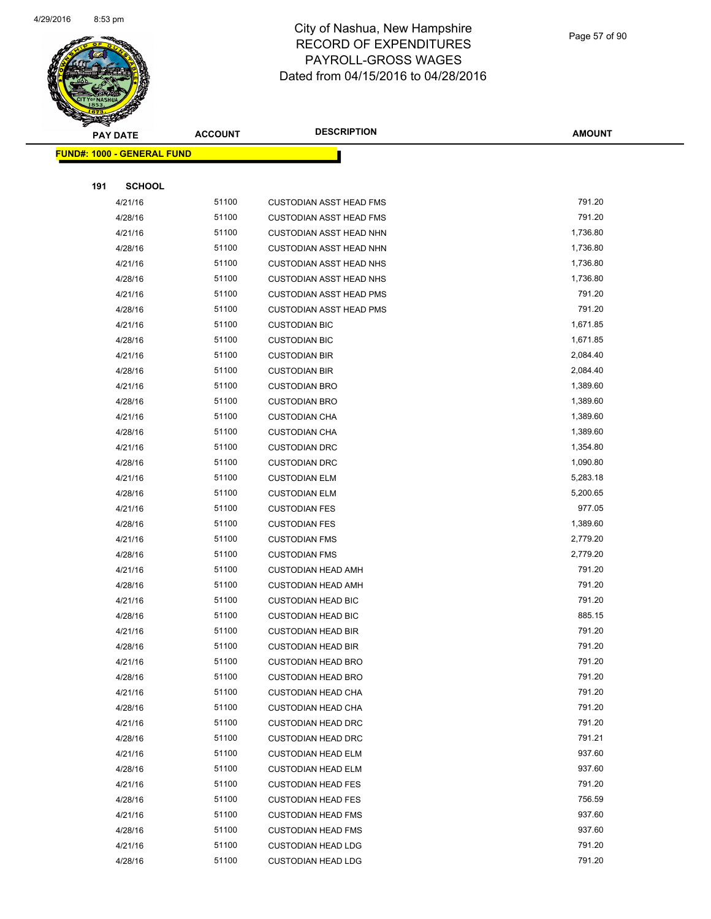

Page 57 of 90

| ॼ   | <b>PAY DATE</b>                    | <b>ACCOUNT</b> | <b>DESCRIPTION</b>                                     | <b>AMOUNT</b>    |
|-----|------------------------------------|----------------|--------------------------------------------------------|------------------|
|     | <u> FUND#: 1000 - GENERAL FUND</u> |                |                                                        |                  |
|     |                                    |                |                                                        |                  |
| 191 | <b>SCHOOL</b>                      |                |                                                        |                  |
|     | 4/21/16                            | 51100          | <b>CUSTODIAN ASST HEAD FMS</b>                         | 791.20           |
|     | 4/28/16                            | 51100          | <b>CUSTODIAN ASST HEAD FMS</b>                         | 791.20           |
|     | 4/21/16                            | 51100          | <b>CUSTODIAN ASST HEAD NHN</b>                         | 1,736.80         |
|     | 4/28/16                            | 51100          | <b>CUSTODIAN ASST HEAD NHN</b>                         | 1,736.80         |
|     | 4/21/16                            | 51100          | <b>CUSTODIAN ASST HEAD NHS</b>                         | 1,736.80         |
|     | 4/28/16                            | 51100          | <b>CUSTODIAN ASST HEAD NHS</b>                         | 1,736.80         |
|     | 4/21/16                            | 51100          | <b>CUSTODIAN ASST HEAD PMS</b>                         | 791.20           |
|     | 4/28/16                            | 51100          | <b>CUSTODIAN ASST HEAD PMS</b>                         | 791.20           |
|     | 4/21/16                            | 51100          | <b>CUSTODIAN BIC</b>                                   | 1,671.85         |
|     | 4/28/16                            | 51100          | <b>CUSTODIAN BIC</b>                                   | 1,671.85         |
|     | 4/21/16                            | 51100          | <b>CUSTODIAN BIR</b>                                   | 2,084.40         |
|     | 4/28/16                            | 51100          | <b>CUSTODIAN BIR</b>                                   | 2,084.40         |
|     | 4/21/16                            | 51100          | <b>CUSTODIAN BRO</b>                                   | 1,389.60         |
|     | 4/28/16                            | 51100          | <b>CUSTODIAN BRO</b>                                   | 1,389.60         |
|     | 4/21/16                            | 51100          | <b>CUSTODIAN CHA</b>                                   | 1,389.60         |
|     | 4/28/16                            | 51100          | <b>CUSTODIAN CHA</b>                                   | 1,389.60         |
|     | 4/21/16                            | 51100          | <b>CUSTODIAN DRC</b>                                   | 1,354.80         |
|     | 4/28/16                            | 51100          | <b>CUSTODIAN DRC</b>                                   | 1,090.80         |
|     | 4/21/16                            | 51100          | <b>CUSTODIAN ELM</b>                                   | 5,283.18         |
|     | 4/28/16                            | 51100          | <b>CUSTODIAN ELM</b>                                   | 5,200.65         |
|     | 4/21/16                            | 51100          | <b>CUSTODIAN FES</b>                                   | 977.05           |
|     | 4/28/16                            | 51100          | <b>CUSTODIAN FES</b>                                   | 1,389.60         |
|     | 4/21/16                            | 51100          | <b>CUSTODIAN FMS</b>                                   | 2,779.20         |
|     | 4/28/16                            | 51100          | <b>CUSTODIAN FMS</b>                                   | 2,779.20         |
|     | 4/21/16                            | 51100          | <b>CUSTODIAN HEAD AMH</b>                              | 791.20           |
|     | 4/28/16                            | 51100          | <b>CUSTODIAN HEAD AMH</b>                              | 791.20           |
|     | 4/21/16                            | 51100          | <b>CUSTODIAN HEAD BIC</b>                              | 791.20           |
|     | 4/28/16                            | 51100          | <b>CUSTODIAN HEAD BIC</b>                              | 885.15           |
|     | 4/21/16                            | 51100<br>51100 | <b>CUSTODIAN HEAD BIR</b>                              | 791.20           |
|     | 4/28/16                            | 51100          | <b>CUSTODIAN HEAD BIR</b>                              | 791.20<br>791.20 |
|     | 4/21/16<br>4/28/16                 | 51100          | <b>CUSTODIAN HEAD BRO</b><br><b>CUSTODIAN HEAD BRO</b> | 791.20           |
|     | 4/21/16                            | 51100          | <b>CUSTODIAN HEAD CHA</b>                              | 791.20           |
|     | 4/28/16                            | 51100          | <b>CUSTODIAN HEAD CHA</b>                              | 791.20           |
|     | 4/21/16                            | 51100          | <b>CUSTODIAN HEAD DRC</b>                              | 791.20           |
|     | 4/28/16                            | 51100          | <b>CUSTODIAN HEAD DRC</b>                              | 791.21           |
|     | 4/21/16                            | 51100          | <b>CUSTODIAN HEAD ELM</b>                              | 937.60           |
|     | 4/28/16                            | 51100          | <b>CUSTODIAN HEAD ELM</b>                              | 937.60           |
|     | 4/21/16                            | 51100          | <b>CUSTODIAN HEAD FES</b>                              | 791.20           |
|     | 4/28/16                            | 51100          | <b>CUSTODIAN HEAD FES</b>                              | 756.59           |
|     | 4/21/16                            | 51100          | <b>CUSTODIAN HEAD FMS</b>                              | 937.60           |
|     | 4/28/16                            | 51100          | <b>CUSTODIAN HEAD FMS</b>                              | 937.60           |
|     | 4/21/16                            | 51100          | <b>CUSTODIAN HEAD LDG</b>                              | 791.20           |
|     | 4/28/16                            | 51100          | <b>CUSTODIAN HEAD LDG</b>                              | 791.20           |
|     |                                    |                |                                                        |                  |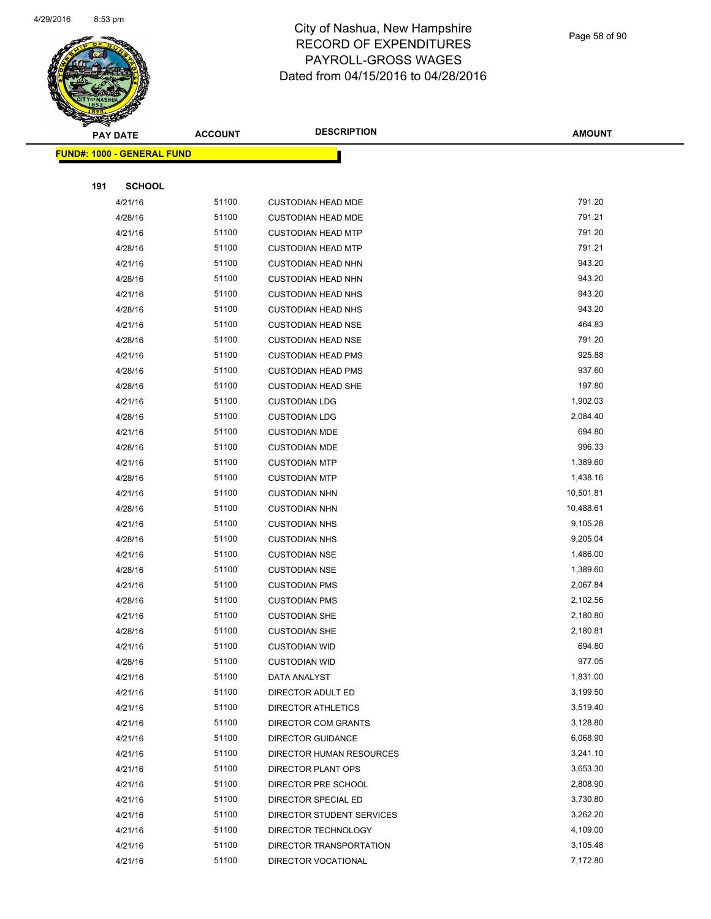

Page 58 of 90

| <b>PAY DATE</b> |                                   | <b>ACCOUNT</b> | <b>DESCRIPTION</b>        | <b>AMOUNT</b> |
|-----------------|-----------------------------------|----------------|---------------------------|---------------|
|                 | <b>FUND#: 1000 - GENERAL FUND</b> |                |                           |               |
|                 |                                   |                |                           |               |
| 191             | <b>SCHOOL</b>                     |                |                           |               |
|                 | 4/21/16                           | 51100          | <b>CUSTODIAN HEAD MDE</b> | 791.20        |
|                 | 4/28/16                           | 51100          | <b>CUSTODIAN HEAD MDE</b> | 791.21        |
|                 | 4/21/16                           | 51100          | <b>CUSTODIAN HEAD MTP</b> | 791.20        |
|                 | 4/28/16                           | 51100          | <b>CUSTODIAN HEAD MTP</b> | 791.21        |
|                 | 4/21/16                           | 51100          | <b>CUSTODIAN HEAD NHN</b> | 943.20        |
|                 | 4/28/16                           | 51100          | <b>CUSTODIAN HEAD NHN</b> | 943.20        |
|                 | 4/21/16                           | 51100          | <b>CUSTODIAN HEAD NHS</b> | 943.20        |
|                 | 4/28/16                           | 51100          | <b>CUSTODIAN HEAD NHS</b> | 943.20        |
|                 | 4/21/16                           | 51100          | <b>CUSTODIAN HEAD NSE</b> | 464.83        |
|                 | 4/28/16                           | 51100          | <b>CUSTODIAN HEAD NSE</b> | 791.20        |
|                 | 4/21/16                           | 51100          | <b>CUSTODIAN HEAD PMS</b> | 925.88        |
|                 | 4/28/16                           | 51100          | <b>CUSTODIAN HEAD PMS</b> | 937.60        |
|                 | 4/28/16                           | 51100          | <b>CUSTODIAN HEAD SHE</b> | 197.80        |
|                 | 4/21/16                           | 51100          | <b>CUSTODIAN LDG</b>      | 1,902.03      |
|                 | 4/28/16                           | 51100          | <b>CUSTODIAN LDG</b>      | 2,084.40      |
|                 | 4/21/16                           | 51100          | <b>CUSTODIAN MDE</b>      | 694.80        |
|                 | 4/28/16                           | 51100          | <b>CUSTODIAN MDE</b>      | 996.33        |
|                 | 4/21/16                           | 51100          | <b>CUSTODIAN MTP</b>      | 1,389.60      |
|                 | 4/28/16                           | 51100          | <b>CUSTODIAN MTP</b>      | 1,438.16      |
|                 | 4/21/16                           | 51100          | <b>CUSTODIAN NHN</b>      | 10,501.81     |
|                 | 4/28/16                           | 51100          | <b>CUSTODIAN NHN</b>      | 10,488.61     |
|                 | 4/21/16                           | 51100          | <b>CUSTODIAN NHS</b>      | 9,105.28      |
|                 | 4/28/16                           | 51100          | <b>CUSTODIAN NHS</b>      | 9,205.04      |
|                 | 4/21/16                           | 51100          | <b>CUSTODIAN NSE</b>      | 1,486.00      |
|                 | 4/28/16                           | 51100          | <b>CUSTODIAN NSE</b>      | 1,389.60      |
|                 | 4/21/16                           | 51100          | <b>CUSTODIAN PMS</b>      | 2,067.84      |
|                 | 4/28/16                           | 51100          | <b>CUSTODIAN PMS</b>      | 2,102.56      |
|                 | 4/21/16                           | 51100          | <b>CUSTODIAN SHE</b>      | 2,180.80      |
|                 | 4/28/16                           | 51100          | <b>CUSTODIAN SHE</b>      | 2,180.81      |
|                 | 4/21/16                           | 51100          | <b>CUSTODIAN WID</b>      | 694.80        |
|                 | 4/28/16                           | 51100          | <b>CUSTODIAN WID</b>      | 977.05        |
|                 | 4/21/16                           | 51100          | DATA ANALYST              | 1,831.00      |
|                 | 4/21/16                           | 51100          | DIRECTOR ADULT ED         | 3,199.50      |
|                 | 4/21/16                           | 51100          | <b>DIRECTOR ATHLETICS</b> | 3,519.40      |
|                 | 4/21/16                           | 51100          | DIRECTOR COM GRANTS       | 3,128.80      |
|                 | 4/21/16                           | 51100          | DIRECTOR GUIDANCE         | 6,068.90      |
|                 | 4/21/16                           | 51100          | DIRECTOR HUMAN RESOURCES  | 3,241.10      |
|                 | 4/21/16                           | 51100          | DIRECTOR PLANT OPS        | 3,653.30      |
|                 | 4/21/16                           | 51100          | DIRECTOR PRE SCHOOL       | 2,808.90      |
|                 | 4/21/16                           | 51100          | DIRECTOR SPECIAL ED       | 3,730.80      |
|                 | 4/21/16                           | 51100          | DIRECTOR STUDENT SERVICES | 3,262.20      |
|                 | 4/21/16                           | 51100          | DIRECTOR TECHNOLOGY       | 4,109.00      |
|                 | 4/21/16                           | 51100          | DIRECTOR TRANSPORTATION   | 3,105.48      |
|                 | 4/21/16                           | 51100          | DIRECTOR VOCATIONAL       | 7,172.80      |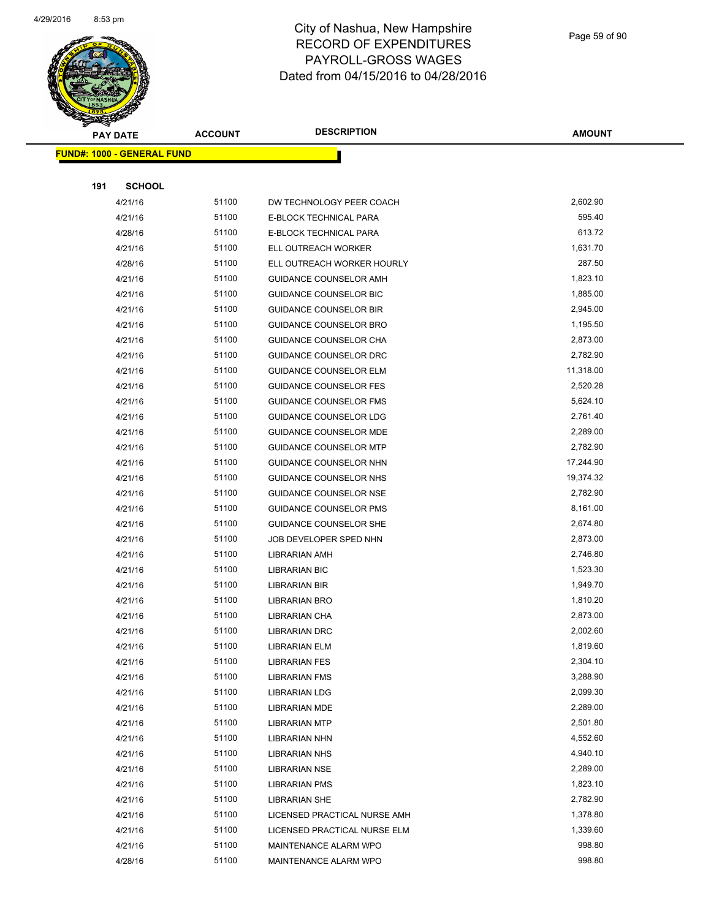

Page 59 of 90

| <b>PAY DATE</b>                   | <b>ACCOUNT</b> | <b>DESCRIPTION</b>            | <b>AMOUNT</b> |
|-----------------------------------|----------------|-------------------------------|---------------|
| <b>FUND#: 1000 - GENERAL FUND</b> |                |                               |               |
|                                   |                |                               |               |
| <b>SCHOOL</b><br>191              |                |                               |               |
| 4/21/16                           | 51100          | DW TECHNOLOGY PEER COACH      | 2,602.90      |
| 4/21/16                           | 51100          | E-BLOCK TECHNICAL PARA        | 595.40        |
| 4/28/16                           | 51100          | E-BLOCK TECHNICAL PARA        | 613.72        |
| 4/21/16                           | 51100          | ELL OUTREACH WORKER           | 1,631.70      |
| 4/28/16                           | 51100          | ELL OUTREACH WORKER HOURLY    | 287.50        |
| 4/21/16                           | 51100          | GUIDANCE COUNSELOR AMH        | 1,823.10      |
| 4/21/16                           | 51100          | <b>GUIDANCE COUNSELOR BIC</b> | 1,885.00      |
| 4/21/16                           | 51100          | <b>GUIDANCE COUNSELOR BIR</b> | 2,945.00      |
| 4/21/16                           | 51100          | GUIDANCE COUNSELOR BRO        | 1,195.50      |
| 4/21/16                           | 51100          | GUIDANCE COUNSELOR CHA        | 2,873.00      |
| 4/21/16                           | 51100          | <b>GUIDANCE COUNSELOR DRC</b> | 2,782.90      |
| 4/21/16                           | 51100          | <b>GUIDANCE COUNSELOR ELM</b> | 11,318.00     |
| 4/21/16                           | 51100          | <b>GUIDANCE COUNSELOR FES</b> | 2,520.28      |
| 4/21/16                           | 51100          | GUIDANCE COUNSELOR FMS        | 5,624.10      |
| 4/21/16                           | 51100          | GUIDANCE COUNSELOR LDG        | 2,761.40      |
| 4/21/16                           | 51100          | <b>GUIDANCE COUNSELOR MDE</b> | 2,289.00      |
| 4/21/16                           | 51100          | <b>GUIDANCE COUNSELOR MTP</b> | 2,782.90      |
| 4/21/16                           | 51100          | GUIDANCE COUNSELOR NHN        | 17,244.90     |
| 4/21/16                           | 51100          | GUIDANCE COUNSELOR NHS        | 19,374.32     |
| 4/21/16                           | 51100          | <b>GUIDANCE COUNSELOR NSE</b> | 2,782.90      |
| 4/21/16                           | 51100          | <b>GUIDANCE COUNSELOR PMS</b> | 8,161.00      |
| 4/21/16                           | 51100          | <b>GUIDANCE COUNSELOR SHE</b> | 2,674.80      |
| 4/21/16                           | 51100          | JOB DEVELOPER SPED NHN        | 2,873.00      |
| 4/21/16                           | 51100          | LIBRARIAN AMH                 | 2,746.80      |
| 4/21/16                           | 51100          | <b>LIBRARIAN BIC</b>          | 1,523.30      |
| 4/21/16                           | 51100          | LIBRARIAN BIR                 | 1,949.70      |
| 4/21/16                           | 51100          | LIBRARIAN BRO                 | 1,810.20      |
| 4/21/16                           | 51100          | <b>LIBRARIAN CHA</b>          | 2,873.00      |
| 4/21/16                           | 51100          | <b>LIBRARIAN DRC</b>          | 2,002.60      |
| 4/21/16                           | 51100          | LIBRARIAN ELM                 | 1,819.60      |
| 4/21/16                           | 51100          | <b>LIBRARIAN FES</b>          | 2,304.10      |
| 4/21/16                           | 51100          | <b>LIBRARIAN FMS</b>          | 3,288.90      |
| 4/21/16                           | 51100          | <b>LIBRARIAN LDG</b>          | 2,099.30      |
| 4/21/16                           | 51100          | LIBRARIAN MDE                 | 2,289.00      |
| 4/21/16                           | 51100          | <b>LIBRARIAN MTP</b>          | 2,501.80      |
| 4/21/16                           | 51100          | LIBRARIAN NHN                 | 4,552.60      |
| 4/21/16                           | 51100          | LIBRARIAN NHS                 | 4,940.10      |
| 4/21/16                           | 51100          | <b>LIBRARIAN NSE</b>          | 2,289.00      |
| 4/21/16                           | 51100          | <b>LIBRARIAN PMS</b>          | 1,823.10      |
| 4/21/16                           | 51100          | <b>LIBRARIAN SHE</b>          | 2,782.90      |
| 4/21/16                           | 51100          | LICENSED PRACTICAL NURSE AMH  | 1,378.80      |
| 4/21/16                           | 51100          | LICENSED PRACTICAL NURSE ELM  | 1,339.60      |
| 4/21/16                           | 51100          | MAINTENANCE ALARM WPO         | 998.80        |
| 4/28/16                           | 51100          | MAINTENANCE ALARM WPO         | 998.80        |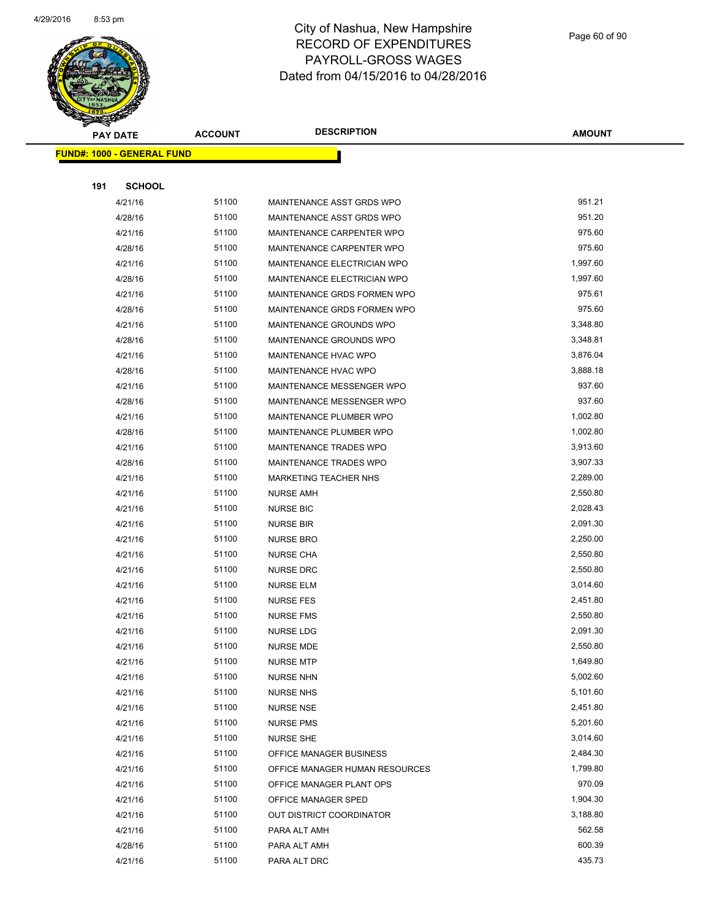

Page 60 of 90

| <b>PAY DATE</b>                   | <b>ACCOUNT</b> | <b>DESCRIPTION</b>             | <b>AMOUNT</b> |
|-----------------------------------|----------------|--------------------------------|---------------|
| <b>FUND#: 1000 - GENERAL FUND</b> |                |                                |               |
|                                   |                |                                |               |
| <b>SCHOOL</b><br>191              |                |                                |               |
| 4/21/16                           | 51100          | MAINTENANCE ASST GRDS WPO      | 951.21        |
| 4/28/16                           | 51100          | MAINTENANCE ASST GRDS WPO      | 951.20        |
| 4/21/16                           | 51100          | MAINTENANCE CARPENTER WPO      | 975.60        |
| 4/28/16                           | 51100          | MAINTENANCE CARPENTER WPO      | 975.60        |
| 4/21/16                           | 51100          | MAINTENANCE ELECTRICIAN WPO    | 1,997.60      |
| 4/28/16                           | 51100          | MAINTENANCE ELECTRICIAN WPO    | 1,997.60      |
| 4/21/16                           | 51100          | MAINTENANCE GRDS FORMEN WPO    | 975.61        |
| 4/28/16                           | 51100          | MAINTENANCE GRDS FORMEN WPO    | 975.60        |
| 4/21/16                           | 51100          | MAINTENANCE GROUNDS WPO        | 3,348.80      |
| 4/28/16                           | 51100          | MAINTENANCE GROUNDS WPO        | 3,348.81      |
| 4/21/16                           | 51100          | MAINTENANCE HVAC WPO           | 3,876.04      |
| 4/28/16                           | 51100          | MAINTENANCE HVAC WPO           | 3,888.18      |
| 4/21/16                           | 51100          | MAINTENANCE MESSENGER WPO      | 937.60        |
| 4/28/16                           | 51100          | MAINTENANCE MESSENGER WPO      | 937.60        |
| 4/21/16                           | 51100          | MAINTENANCE PLUMBER WPO        | 1,002.80      |
| 4/28/16                           | 51100          | MAINTENANCE PLUMBER WPO        | 1,002.80      |
| 4/21/16                           | 51100          | MAINTENANCE TRADES WPO         | 3,913.60      |
| 4/28/16                           | 51100          | MAINTENANCE TRADES WPO         | 3,907.33      |
| 4/21/16                           | 51100          | MARKETING TEACHER NHS          | 2,289.00      |
| 4/21/16                           | 51100          | <b>NURSE AMH</b>               | 2,550.80      |
| 4/21/16                           | 51100          | <b>NURSE BIC</b>               | 2,028.43      |
| 4/21/16                           | 51100          | <b>NURSE BIR</b>               | 2,091.30      |
| 4/21/16                           | 51100          | <b>NURSE BRO</b>               | 2,250.00      |
| 4/21/16                           | 51100          | <b>NURSE CHA</b>               | 2,550.80      |
| 4/21/16                           | 51100          | <b>NURSE DRC</b>               | 2,550.80      |
| 4/21/16                           | 51100          | <b>NURSE ELM</b>               | 3,014.60      |
| 4/21/16                           | 51100          | <b>NURSE FES</b>               | 2,451.80      |
| 4/21/16                           | 51100          | <b>NURSE FMS</b>               | 2,550.80      |
| 4/21/16                           | 51100          | NURSE LDG                      | 2,091.30      |
| 4/21/16                           | 51100          | <b>NURSE MDE</b>               | 2,550.80      |
| 4/21/16                           | 51100          | <b>NURSE MTP</b>               | 1,649.80      |
| 4/21/16                           | 51100          | <b>NURSE NHN</b>               | 5,002.60      |
| 4/21/16                           | 51100          | <b>NURSE NHS</b>               | 5,101.60      |
| 4/21/16                           | 51100          | <b>NURSE NSE</b>               | 2,451.80      |
| 4/21/16                           | 51100          | <b>NURSE PMS</b>               | 5,201.60      |
| 4/21/16                           | 51100          | <b>NURSE SHE</b>               | 3,014.60      |
| 4/21/16                           | 51100          | OFFICE MANAGER BUSINESS        | 2,484.30      |
| 4/21/16                           | 51100          | OFFICE MANAGER HUMAN RESOURCES | 1,799.80      |
| 4/21/16                           | 51100          | OFFICE MANAGER PLANT OPS       | 970.09        |
| 4/21/16                           | 51100          | OFFICE MANAGER SPED            | 1,904.30      |
| 4/21/16                           | 51100          | OUT DISTRICT COORDINATOR       | 3,188.80      |
| 4/21/16                           | 51100          | PARA ALT AMH                   | 562.58        |
| 4/28/16                           | 51100          | PARA ALT AMH                   | 600.39        |
| 4/21/16                           | 51100          | PARA ALT DRC                   | 435.73        |
|                                   |                |                                |               |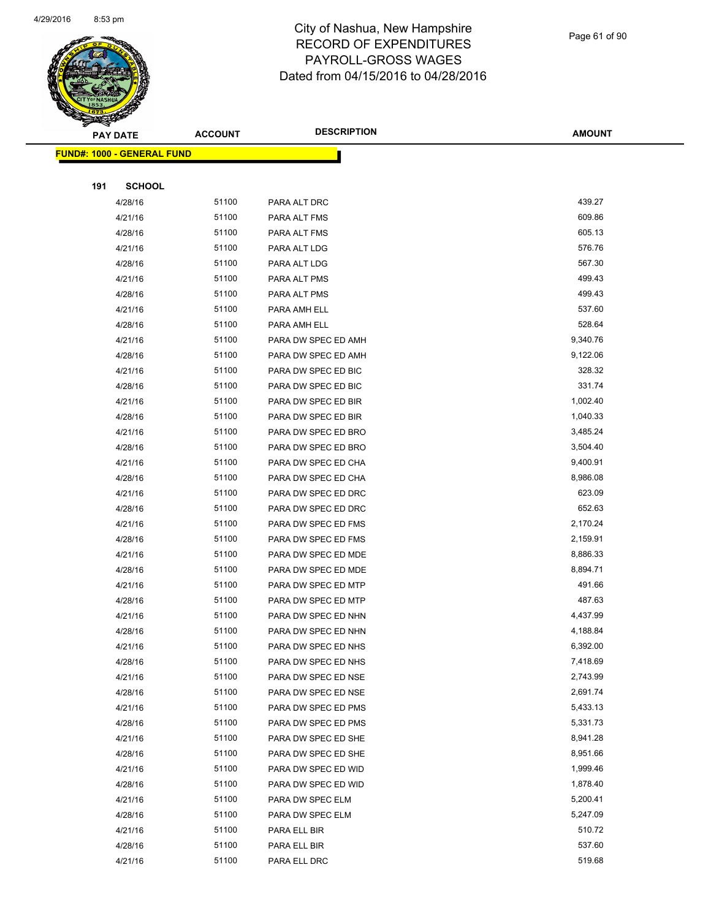

#### Page 61 of 90

|     | <b>PAY DATE</b>                    | <b>ACCOUNT</b> | <b>DESCRIPTION</b>  | <b>AMOUNT</b> |
|-----|------------------------------------|----------------|---------------------|---------------|
|     | <u> FUND#: 1000 - GENERAL FUND</u> |                |                     |               |
|     |                                    |                |                     |               |
| 191 | <b>SCHOOL</b>                      |                |                     |               |
|     | 4/28/16                            | 51100          | PARA ALT DRC        | 439.27        |
|     | 4/21/16                            | 51100          | PARA ALT FMS        | 609.86        |
|     | 4/28/16                            | 51100          | PARA ALT FMS        | 605.13        |
|     | 4/21/16                            | 51100          | PARA ALT LDG        | 576.76        |
|     | 4/28/16                            | 51100          | PARA ALT LDG        | 567.30        |
|     | 4/21/16                            | 51100          | PARA ALT PMS        | 499.43        |
|     | 4/28/16                            | 51100          | PARA ALT PMS        | 499.43        |
|     | 4/21/16                            | 51100          | PARA AMH ELL        | 537.60        |
|     | 4/28/16                            | 51100          | PARA AMH ELL        | 528.64        |
|     | 4/21/16                            | 51100          | PARA DW SPEC ED AMH | 9,340.76      |
|     | 4/28/16                            | 51100          | PARA DW SPEC ED AMH | 9,122.06      |
|     | 4/21/16                            | 51100          | PARA DW SPEC ED BIC | 328.32        |
|     | 4/28/16                            | 51100          | PARA DW SPEC ED BIC | 331.74        |
|     | 4/21/16                            | 51100          | PARA DW SPEC ED BIR | 1,002.40      |
|     | 4/28/16                            | 51100          | PARA DW SPEC ED BIR | 1,040.33      |
|     | 4/21/16                            | 51100          | PARA DW SPEC ED BRO | 3,485.24      |
|     | 4/28/16                            | 51100          | PARA DW SPEC ED BRO | 3,504.40      |
|     | 4/21/16                            | 51100          | PARA DW SPEC ED CHA | 9,400.91      |
|     | 4/28/16                            | 51100          | PARA DW SPEC ED CHA | 8,986.08      |
|     | 4/21/16                            | 51100          | PARA DW SPEC ED DRC | 623.09        |
|     | 4/28/16                            | 51100          | PARA DW SPEC ED DRC | 652.63        |
|     | 4/21/16                            | 51100          | PARA DW SPEC ED FMS | 2,170.24      |
|     | 4/28/16                            | 51100          | PARA DW SPEC ED FMS | 2,159.91      |
|     | 4/21/16                            | 51100          | PARA DW SPEC ED MDE | 8,886.33      |
|     | 4/28/16                            | 51100          | PARA DW SPEC ED MDE | 8,894.71      |
|     | 4/21/16                            | 51100          | PARA DW SPEC ED MTP | 491.66        |
|     | 4/28/16                            | 51100          | PARA DW SPEC ED MTP | 487.63        |
|     | 4/21/16                            | 51100          | PARA DW SPEC ED NHN | 4,437.99      |
|     | 4/28/16                            | 51100          | PARA DW SPEC ED NHN | 4,188.84      |
|     | 4/21/16                            | 51100          | PARA DW SPEC ED NHS | 6,392.00      |
|     | 4/28/16                            | 51100          | PARA DW SPEC ED NHS | 7,418.69      |
|     | 4/21/16                            | 51100          | PARA DW SPEC ED NSE | 2,743.99      |
|     | 4/28/16                            | 51100          | PARA DW SPEC ED NSE | 2,691.74      |
|     | 4/21/16                            | 51100          | PARA DW SPEC ED PMS | 5,433.13      |
|     | 4/28/16                            | 51100          | PARA DW SPEC ED PMS | 5,331.73      |
|     | 4/21/16                            | 51100          | PARA DW SPEC ED SHE | 8,941.28      |
|     | 4/28/16                            | 51100          | PARA DW SPEC ED SHE | 8,951.66      |
|     | 4/21/16                            | 51100          | PARA DW SPEC ED WID | 1,999.46      |
|     | 4/28/16                            | 51100          | PARA DW SPEC ED WID | 1,878.40      |
|     | 4/21/16                            | 51100          | PARA DW SPEC ELM    | 5,200.41      |
|     | 4/28/16                            | 51100          | PARA DW SPEC ELM    | 5,247.09      |
|     | 4/21/16                            | 51100          | PARA ELL BIR        | 510.72        |
|     | 4/28/16                            | 51100          | PARA ELL BIR        | 537.60        |
|     | 4/21/16                            | 51100          | PARA ELL DRC        | 519.68        |
|     |                                    |                |                     |               |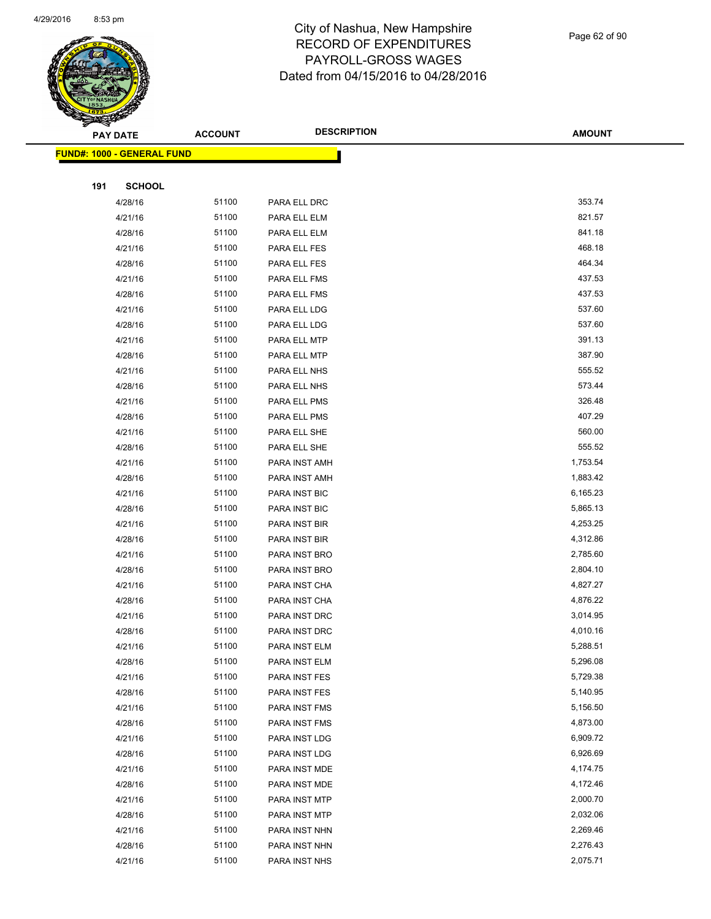

| ॼ   | <b>PAY DATE</b>                   | <b>ACCOUNT</b> | <b>DESCRIPTION</b>             | <b>AMOUNT</b>        |
|-----|-----------------------------------|----------------|--------------------------------|----------------------|
|     | <b>FUND#: 1000 - GENERAL FUND</b> |                |                                |                      |
|     |                                   |                |                                |                      |
| 191 | <b>SCHOOL</b>                     |                |                                |                      |
|     | 4/28/16                           | 51100          | PARA ELL DRC                   | 353.74               |
|     | 4/21/16                           | 51100          | PARA ELL ELM                   | 821.57               |
|     | 4/28/16                           | 51100          | PARA ELL ELM                   | 841.18               |
|     | 4/21/16                           | 51100          | PARA ELL FES                   | 468.18               |
|     | 4/28/16                           | 51100          | PARA ELL FES                   | 464.34               |
|     | 4/21/16                           | 51100          | PARA ELL FMS                   | 437.53               |
|     | 4/28/16                           | 51100          | PARA ELL FMS                   | 437.53               |
|     | 4/21/16                           | 51100          | PARA ELL LDG                   | 537.60               |
|     | 4/28/16                           | 51100          | PARA ELL LDG                   | 537.60               |
|     | 4/21/16                           | 51100          | PARA ELL MTP                   | 391.13               |
|     | 4/28/16                           | 51100          | PARA ELL MTP                   | 387.90               |
|     | 4/21/16                           | 51100          | PARA ELL NHS                   | 555.52               |
|     | 4/28/16                           | 51100          | PARA ELL NHS                   | 573.44               |
|     | 4/21/16                           | 51100          | PARA ELL PMS                   | 326.48               |
|     | 4/28/16                           | 51100          | PARA ELL PMS                   | 407.29               |
|     | 4/21/16                           | 51100          | PARA ELL SHE                   | 560.00               |
|     | 4/28/16                           | 51100          | PARA ELL SHE                   | 555.52               |
|     | 4/21/16                           | 51100          | PARA INST AMH                  | 1,753.54             |
|     | 4/28/16                           | 51100          | PARA INST AMH                  | 1,883.42             |
|     | 4/21/16                           | 51100          | PARA INST BIC                  | 6,165.23             |
|     | 4/28/16                           | 51100          | PARA INST BIC                  | 5,865.13             |
|     | 4/21/16                           | 51100          | PARA INST BIR                  | 4,253.25             |
|     | 4/28/16                           | 51100          | PARA INST BIR                  | 4,312.86             |
|     | 4/21/16                           | 51100          | PARA INST BRO                  | 2,785.60             |
|     | 4/28/16                           | 51100          | PARA INST BRO                  | 2,804.10             |
|     | 4/21/16                           | 51100          | PARA INST CHA                  | 4,827.27             |
|     | 4/28/16                           | 51100          | PARA INST CHA                  | 4,876.22             |
|     | 4/21/16                           | 51100          | PARA INST DRC                  | 3,014.95             |
|     | 4/28/16                           | 51100          | PARA INST DRC                  | 4,010.16             |
|     | 4/21/16                           | 51100          | PARA INST ELM                  | 5,288.51             |
|     | 4/28/16                           | 51100<br>51100 | PARA INST ELM                  | 5,296.08<br>5,729.38 |
|     | 4/21/16<br>4/28/16                | 51100          | PARA INST FES<br>PARA INST FES | 5,140.95             |
|     | 4/21/16                           | 51100          | PARA INST FMS                  | 5,156.50             |
|     | 4/28/16                           | 51100          | PARA INST FMS                  | 4,873.00             |
|     | 4/21/16                           | 51100          | PARA INST LDG                  | 6,909.72             |
|     | 4/28/16                           | 51100          | PARA INST LDG                  | 6,926.69             |
|     | 4/21/16                           | 51100          | PARA INST MDE                  | 4,174.75             |
|     | 4/28/16                           | 51100          | PARA INST MDE                  | 4,172.46             |
|     | 4/21/16                           | 51100          | PARA INST MTP                  | 2,000.70             |
|     | 4/28/16                           | 51100          | PARA INST MTP                  | 2,032.06             |
|     | 4/21/16                           | 51100          | PARA INST NHN                  | 2,269.46             |
|     | 4/28/16                           | 51100          | PARA INST NHN                  | 2,276.43             |
|     | 4/21/16                           | 51100          | PARA INST NHS                  | 2,075.71             |
|     |                                   |                |                                |                      |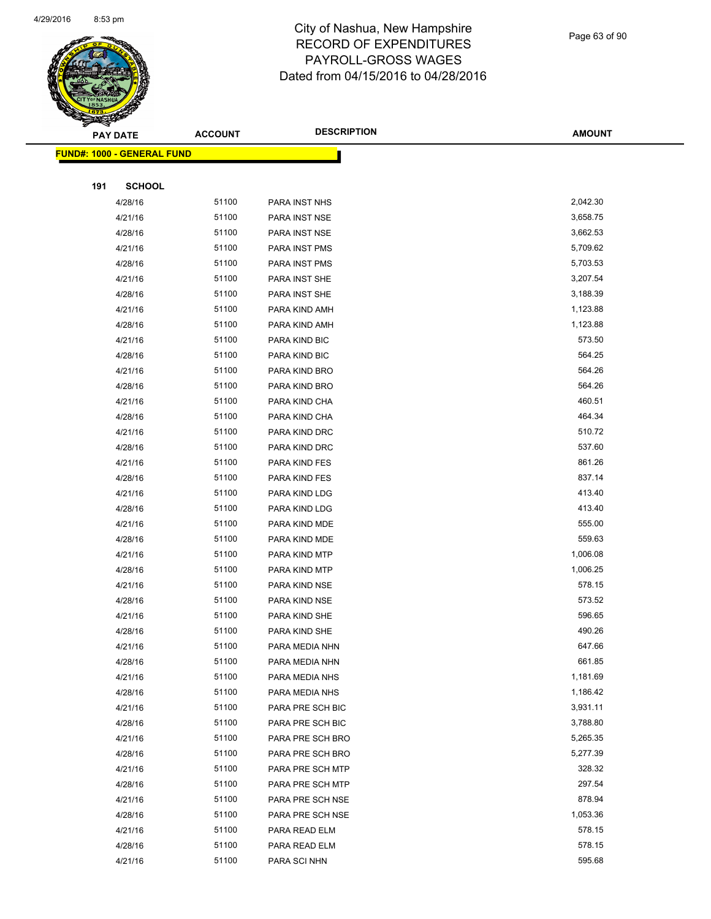

Page 63 of 90

| <b>PAY DATE</b> |                                    | <b>ACCOUNT</b> | <b>DESCRIPTION</b> | <b>AMOUNT</b> |
|-----------------|------------------------------------|----------------|--------------------|---------------|
|                 | <u> FUND#: 1000 - GENERAL FUND</u> |                |                    |               |
|                 |                                    |                |                    |               |
| 191             | <b>SCHOOL</b>                      |                |                    |               |
|                 | 4/28/16                            | 51100          | PARA INST NHS      | 2,042.30      |
|                 | 4/21/16                            | 51100          | PARA INST NSE      | 3,658.75      |
|                 | 4/28/16                            | 51100          | PARA INST NSE      | 3,662.53      |
|                 | 4/21/16                            | 51100          | PARA INST PMS      | 5,709.62      |
|                 | 4/28/16                            | 51100          | PARA INST PMS      | 5,703.53      |
|                 | 4/21/16                            | 51100          | PARA INST SHE      | 3,207.54      |
|                 | 4/28/16                            | 51100          | PARA INST SHE      | 3,188.39      |
|                 | 4/21/16                            | 51100          | PARA KIND AMH      | 1,123.88      |
|                 | 4/28/16                            | 51100          | PARA KIND AMH      | 1,123.88      |
|                 | 4/21/16                            | 51100          | PARA KIND BIC      | 573.50        |
|                 | 4/28/16                            | 51100          | PARA KIND BIC      | 564.25        |
|                 | 4/21/16                            | 51100          | PARA KIND BRO      | 564.26        |
|                 | 4/28/16                            | 51100          | PARA KIND BRO      | 564.26        |
|                 | 4/21/16                            | 51100          | PARA KIND CHA      | 460.51        |
|                 | 4/28/16                            | 51100          | PARA KIND CHA      | 464.34        |
|                 | 4/21/16                            | 51100          | PARA KIND DRC      | 510.72        |
|                 | 4/28/16                            | 51100          | PARA KIND DRC      | 537.60        |
|                 | 4/21/16                            | 51100          | PARA KIND FES      | 861.26        |
|                 | 4/28/16                            | 51100          | PARA KIND FES      | 837.14        |
|                 | 4/21/16                            | 51100          | PARA KIND LDG      | 413.40        |
|                 | 4/28/16                            | 51100          | PARA KIND LDG      | 413.40        |
|                 | 4/21/16                            | 51100          | PARA KIND MDE      | 555.00        |
|                 | 4/28/16                            | 51100          | PARA KIND MDE      | 559.63        |
|                 | 4/21/16                            | 51100          | PARA KIND MTP      | 1,006.08      |
|                 | 4/28/16                            | 51100          | PARA KIND MTP      | 1,006.25      |
|                 | 4/21/16                            | 51100          | PARA KIND NSE      | 578.15        |
|                 | 4/28/16                            | 51100          | PARA KIND NSE      | 573.52        |
|                 | 4/21/16                            | 51100          | PARA KIND SHE      | 596.65        |
|                 | 4/28/16                            | 51100          | PARA KIND SHE      | 490.26        |
|                 | 4/21/16                            | 51100          | PARA MEDIA NHN     | 647.66        |
|                 | 4/28/16                            | 51100          | PARA MEDIA NHN     | 661.85        |
|                 | 4/21/16                            | 51100          | PARA MEDIA NHS     | 1,181.69      |
|                 | 4/28/16                            | 51100          | PARA MEDIA NHS     | 1,186.42      |
|                 | 4/21/16                            | 51100          | PARA PRE SCH BIC   | 3,931.11      |
|                 | 4/28/16                            | 51100          | PARA PRE SCH BIC   | 3,788.80      |
|                 | 4/21/16                            | 51100          | PARA PRE SCH BRO   | 5,265.35      |
|                 | 4/28/16                            | 51100          | PARA PRE SCH BRO   | 5,277.39      |
|                 | 4/21/16                            | 51100          | PARA PRE SCH MTP   | 328.32        |
|                 | 4/28/16                            | 51100          | PARA PRE SCH MTP   | 297.54        |
|                 | 4/21/16                            | 51100          | PARA PRE SCH NSE   | 878.94        |
|                 | 4/28/16                            | 51100          | PARA PRE SCH NSE   | 1,053.36      |
|                 | 4/21/16                            | 51100          | PARA READ ELM      | 578.15        |
|                 | 4/28/16                            | 51100          | PARA READ ELM      | 578.15        |
|                 | 4/21/16                            | 51100          | PARA SCI NHN       | 595.68        |
|                 |                                    |                |                    |               |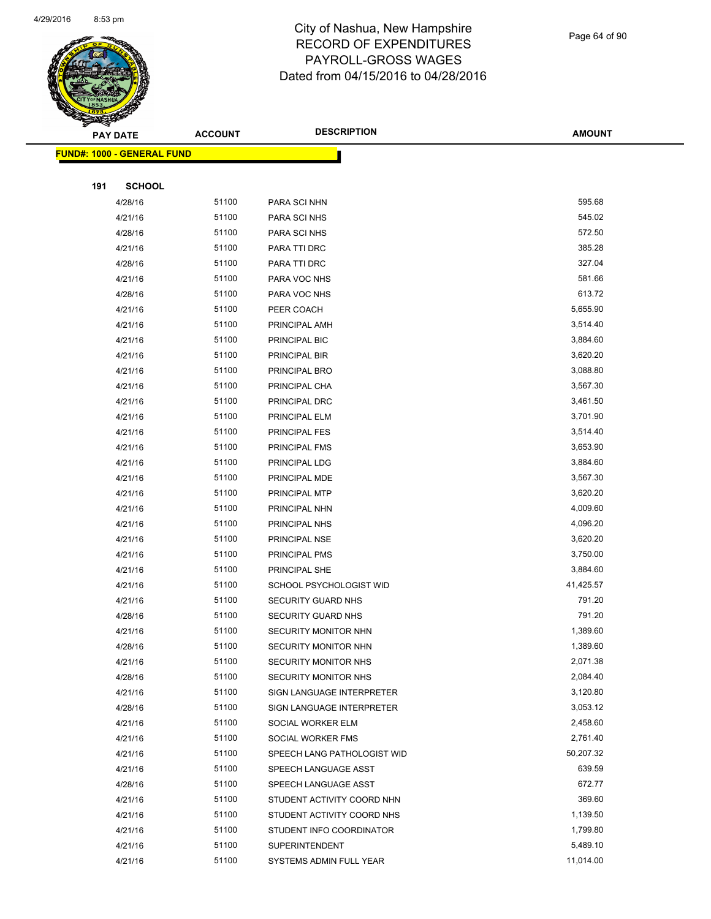

Page 64 of 90

|     | <b>PAY DATE</b>                   | <b>ACCOUNT</b> | <b>DESCRIPTION</b>          | <b>AMOUNT</b> |
|-----|-----------------------------------|----------------|-----------------------------|---------------|
|     | <b>FUND#: 1000 - GENERAL FUND</b> |                |                             |               |
|     |                                   |                |                             |               |
| 191 | <b>SCHOOL</b>                     |                |                             |               |
|     | 4/28/16                           | 51100          | PARA SCI NHN                | 595.68        |
|     | 4/21/16                           | 51100          | PARA SCI NHS                | 545.02        |
|     | 4/28/16                           | 51100          | PARA SCI NHS                | 572.50        |
|     | 4/21/16                           | 51100          | PARA TTI DRC                | 385.28        |
|     | 4/28/16                           | 51100          | PARA TTI DRC                | 327.04        |
|     | 4/21/16                           | 51100          | PARA VOC NHS                | 581.66        |
|     | 4/28/16                           | 51100          | PARA VOC NHS                | 613.72        |
|     | 4/21/16                           | 51100          | PEER COACH                  | 5,655.90      |
|     | 4/21/16                           | 51100          | PRINCIPAL AMH               | 3,514.40      |
|     | 4/21/16                           | 51100          | PRINCIPAL BIC               | 3,884.60      |
|     | 4/21/16                           | 51100          | PRINCIPAL BIR               | 3,620.20      |
|     | 4/21/16                           | 51100          | PRINCIPAL BRO               | 3,088.80      |
|     | 4/21/16                           | 51100          | PRINCIPAL CHA               | 3,567.30      |
|     | 4/21/16                           | 51100          | PRINCIPAL DRC               | 3,461.50      |
|     | 4/21/16                           | 51100          | PRINCIPAL ELM               | 3,701.90      |
|     | 4/21/16                           | 51100          | PRINCIPAL FES               | 3,514.40      |
|     | 4/21/16                           | 51100          | PRINCIPAL FMS               | 3,653.90      |
|     | 4/21/16                           | 51100          | PRINCIPAL LDG               | 3,884.60      |
|     | 4/21/16                           | 51100          | PRINCIPAL MDE               | 3,567.30      |
|     | 4/21/16                           | 51100          | PRINCIPAL MTP               | 3,620.20      |
|     | 4/21/16                           | 51100          | PRINCIPAL NHN               | 4,009.60      |
|     | 4/21/16                           | 51100          | PRINCIPAL NHS               | 4,096.20      |
|     | 4/21/16                           | 51100          | PRINCIPAL NSE               | 3,620.20      |
|     | 4/21/16                           | 51100          | PRINCIPAL PMS               | 3,750.00      |
|     | 4/21/16                           | 51100          | PRINCIPAL SHE               | 3,884.60      |
|     | 4/21/16                           | 51100          | SCHOOL PSYCHOLOGIST WID     | 41,425.57     |
|     | 4/21/16                           | 51100          | <b>SECURITY GUARD NHS</b>   | 791.20        |
|     | 4/28/16                           | 51100          | <b>SECURITY GUARD NHS</b>   | 791.20        |
|     | 4/21/16                           | 51100          | SECURITY MONITOR NHN        | 1,389.60      |
|     | 4/28/16                           | 51100          | SECURITY MONITOR NHN        | 1,389.60      |
|     | 4/21/16                           | 51100          | SECURITY MONITOR NHS        | 2,071.38      |
|     | 4/28/16                           | 51100          | <b>SECURITY MONITOR NHS</b> | 2,084.40      |
|     | 4/21/16                           | 51100          | SIGN LANGUAGE INTERPRETER   | 3,120.80      |
|     | 4/28/16                           | 51100          | SIGN LANGUAGE INTERPRETER   | 3,053.12      |
|     | 4/21/16                           | 51100          | SOCIAL WORKER ELM           | 2,458.60      |
|     | 4/21/16                           | 51100          | SOCIAL WORKER FMS           | 2,761.40      |
|     | 4/21/16                           | 51100          | SPEECH LANG PATHOLOGIST WID | 50,207.32     |
|     | 4/21/16                           | 51100          | SPEECH LANGUAGE ASST        | 639.59        |
|     | 4/28/16                           | 51100          | SPEECH LANGUAGE ASST        | 672.77        |
|     | 4/21/16                           | 51100          | STUDENT ACTIVITY COORD NHN  | 369.60        |
|     | 4/21/16                           | 51100          | STUDENT ACTIVITY COORD NHS  | 1,139.50      |
|     | 4/21/16                           | 51100          | STUDENT INFO COORDINATOR    | 1,799.80      |
|     | 4/21/16                           | 51100          | <b>SUPERINTENDENT</b>       | 5,489.10      |
|     | 4/21/16                           | 51100          | SYSTEMS ADMIN FULL YEAR     | 11,014.00     |
|     |                                   |                |                             |               |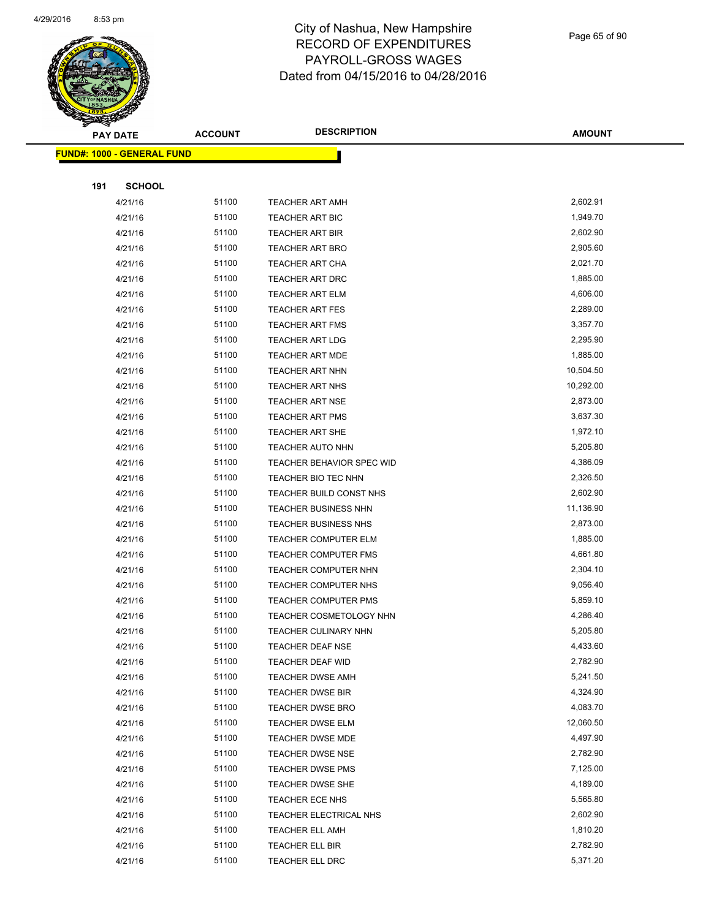

Page 65 of 90

|     | <b>PAY DATE</b>                   | <b>ACCOUNT</b> | <b>DESCRIPTION</b>               | <b>AMOUNT</b> |
|-----|-----------------------------------|----------------|----------------------------------|---------------|
|     | <b>FUND#: 1000 - GENERAL FUND</b> |                |                                  |               |
|     |                                   |                |                                  |               |
| 191 | <b>SCHOOL</b>                     |                |                                  |               |
|     | 4/21/16                           | 51100          | <b>TEACHER ART AMH</b>           | 2,602.91      |
|     | 4/21/16                           | 51100          | <b>TEACHER ART BIC</b>           | 1,949.70      |
|     | 4/21/16                           | 51100          | <b>TEACHER ART BIR</b>           | 2,602.90      |
|     | 4/21/16                           | 51100          | TEACHER ART BRO                  | 2,905.60      |
|     | 4/21/16                           | 51100          | <b>TEACHER ART CHA</b>           | 2,021.70      |
|     | 4/21/16                           | 51100          | <b>TEACHER ART DRC</b>           | 1,885.00      |
|     | 4/21/16                           | 51100          | <b>TEACHER ART ELM</b>           | 4,606.00      |
|     | 4/21/16                           | 51100          | <b>TEACHER ART FES</b>           | 2,289.00      |
|     | 4/21/16                           | 51100          | TEACHER ART FMS                  | 3,357.70      |
|     | 4/21/16                           | 51100          | <b>TEACHER ART LDG</b>           | 2,295.90      |
|     | 4/21/16                           | 51100          | <b>TEACHER ART MDE</b>           | 1,885.00      |
|     | 4/21/16                           | 51100          | TEACHER ART NHN                  | 10,504.50     |
|     | 4/21/16                           | 51100          | <b>TEACHER ART NHS</b>           | 10,292.00     |
|     | 4/21/16                           | 51100          | <b>TEACHER ART NSE</b>           | 2,873.00      |
|     | 4/21/16                           | 51100          | <b>TEACHER ART PMS</b>           | 3,637.30      |
|     | 4/21/16                           | 51100          | <b>TEACHER ART SHE</b>           | 1,972.10      |
|     | 4/21/16                           | 51100          | <b>TEACHER AUTO NHN</b>          | 5,205.80      |
|     | 4/21/16                           | 51100          | <b>TEACHER BEHAVIOR SPEC WID</b> | 4,386.09      |
|     | 4/21/16                           | 51100          | TEACHER BIO TEC NHN              | 2,326.50      |
|     | 4/21/16                           | 51100          | TEACHER BUILD CONST NHS          | 2,602.90      |
|     | 4/21/16                           | 51100          | <b>TEACHER BUSINESS NHN</b>      | 11,136.90     |
|     | 4/21/16                           | 51100          | <b>TEACHER BUSINESS NHS</b>      | 2,873.00      |
|     | 4/21/16                           | 51100          | <b>TEACHER COMPUTER ELM</b>      | 1,885.00      |
|     | 4/21/16                           | 51100          | <b>TEACHER COMPUTER FMS</b>      | 4,661.80      |
|     | 4/21/16                           | 51100          | <b>TEACHER COMPUTER NHN</b>      | 2,304.10      |
|     | 4/21/16                           | 51100          | TEACHER COMPUTER NHS             | 9,056.40      |
|     | 4/21/16                           | 51100          | TEACHER COMPUTER PMS             | 5,859.10      |
|     | 4/21/16                           | 51100          | TEACHER COSMETOLOGY NHN          | 4,286.40      |
|     | 4/21/16                           | 51100          | <b>TEACHER CULINARY NHN</b>      | 5,205.80      |
|     | 4/21/16                           | 51100          | TEACHER DEAF NSE                 | 4,433.60      |
|     | 4/21/16                           | 51100          | TEACHER DEAF WID                 | 2,782.90      |
|     | 4/21/16                           | 51100          | <b>TEACHER DWSE AMH</b>          | 5,241.50      |
|     | 4/21/16                           | 51100          | <b>TEACHER DWSE BIR</b>          | 4,324.90      |
|     | 4/21/16                           | 51100          | TEACHER DWSE BRO                 | 4,083.70      |
|     | 4/21/16                           | 51100          | TEACHER DWSE ELM                 | 12,060.50     |
|     | 4/21/16                           | 51100          | TEACHER DWSE MDE                 | 4,497.90      |
|     | 4/21/16                           | 51100          | TEACHER DWSE NSE                 | 2,782.90      |
|     | 4/21/16                           | 51100          | TEACHER DWSE PMS                 | 7,125.00      |
|     | 4/21/16                           | 51100          | TEACHER DWSE SHE                 | 4,189.00      |
|     | 4/21/16                           | 51100          | TEACHER ECE NHS                  | 5,565.80      |
|     | 4/21/16                           | 51100          | TEACHER ELECTRICAL NHS           | 2,602.90      |
|     | 4/21/16                           | 51100          | <b>TEACHER ELL AMH</b>           | 1,810.20      |
|     | 4/21/16                           | 51100          | TEACHER ELL BIR                  | 2,782.90      |
|     | 4/21/16                           | 51100          | TEACHER ELL DRC                  | 5,371.20      |
|     |                                   |                |                                  |               |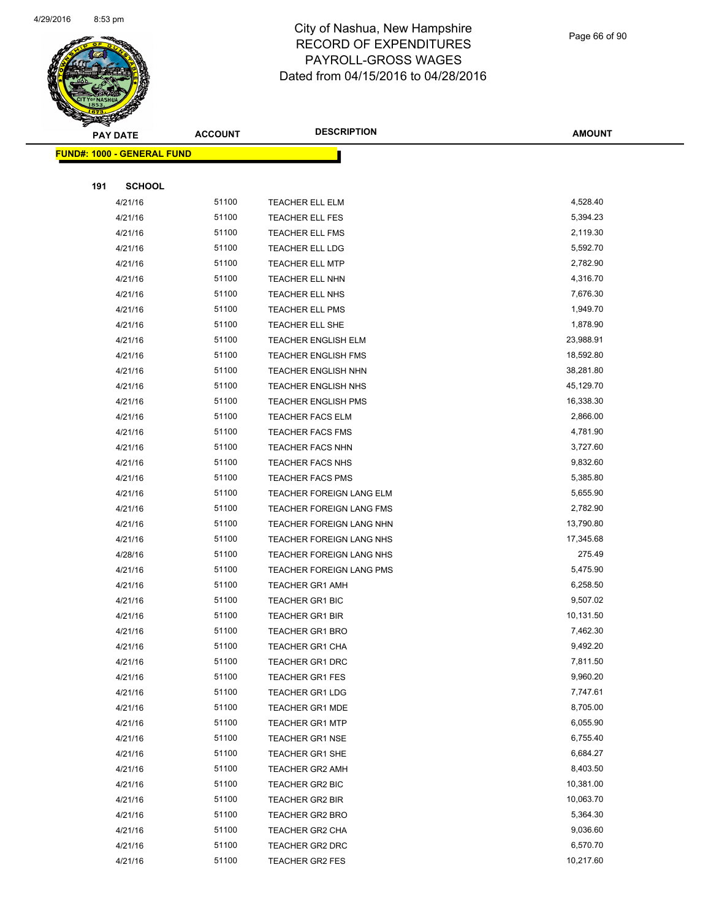

Page 66 of 90

| <b>PAY DATE</b>                    | <b>ACCOUNT</b> | <b>DESCRIPTION</b>              | <b>AMOUNT</b> |
|------------------------------------|----------------|---------------------------------|---------------|
| <u> FUND#: 1000 - GENERAL FUND</u> |                |                                 |               |
|                                    |                |                                 |               |
| 191                                | <b>SCHOOL</b>  |                                 |               |
| 4/21/16                            | 51100          | <b>TEACHER ELL ELM</b>          | 4,528.40      |
| 4/21/16                            | 51100          | <b>TEACHER ELL FES</b>          | 5,394.23      |
| 4/21/16                            | 51100          | <b>TEACHER ELL FMS</b>          | 2,119.30      |
| 4/21/16                            | 51100          | <b>TEACHER ELL LDG</b>          | 5,592.70      |
| 4/21/16                            | 51100          | <b>TEACHER ELL MTP</b>          | 2,782.90      |
| 4/21/16                            | 51100          | TEACHER ELL NHN                 | 4,316.70      |
| 4/21/16                            | 51100          | TEACHER ELL NHS                 | 7,676.30      |
| 4/21/16                            | 51100          | <b>TEACHER ELL PMS</b>          | 1,949.70      |
| 4/21/16                            | 51100          | TEACHER ELL SHE                 | 1,878.90      |
| 4/21/16                            | 51100          | <b>TEACHER ENGLISH ELM</b>      | 23,988.91     |
| 4/21/16                            | 51100          | <b>TEACHER ENGLISH FMS</b>      | 18,592.80     |
| 4/21/16                            | 51100          | <b>TEACHER ENGLISH NHN</b>      | 38,281.80     |
| 4/21/16                            | 51100          | <b>TEACHER ENGLISH NHS</b>      | 45,129.70     |
| 4/21/16                            | 51100          | <b>TEACHER ENGLISH PMS</b>      | 16,338.30     |
| 4/21/16                            | 51100          | <b>TEACHER FACS ELM</b>         | 2,866.00      |
| 4/21/16                            | 51100          | <b>TEACHER FACS FMS</b>         | 4,781.90      |
| 4/21/16                            | 51100          | <b>TEACHER FACS NHN</b>         | 3,727.60      |
| 4/21/16                            | 51100          | <b>TEACHER FACS NHS</b>         | 9,832.60      |
| 4/21/16                            | 51100          | <b>TEACHER FACS PMS</b>         | 5,385.80      |
| 4/21/16                            | 51100          | TEACHER FOREIGN LANG ELM        | 5,655.90      |
| 4/21/16                            | 51100          | TEACHER FOREIGN LANG FMS        | 2,782.90      |
| 4/21/16                            | 51100          | TEACHER FOREIGN LANG NHN        | 13,790.80     |
| 4/21/16                            | 51100          | TEACHER FOREIGN LANG NHS        | 17,345.68     |
| 4/28/16                            | 51100          | TEACHER FOREIGN LANG NHS        | 275.49        |
| 4/21/16                            | 51100          | <b>TEACHER FOREIGN LANG PMS</b> | 5,475.90      |
| 4/21/16                            | 51100          | <b>TEACHER GR1 AMH</b>          | 6,258.50      |
| 4/21/16                            | 51100          | <b>TEACHER GR1 BIC</b>          | 9,507.02      |
| 4/21/16                            | 51100          | <b>TEACHER GR1 BIR</b>          | 10,131.50     |
| 4/21/16                            | 51100          | <b>TEACHER GR1 BRO</b>          | 7,462.30      |
| 4/21/16                            | 51100          | <b>TEACHER GR1 CHA</b>          | 9,492.20      |
| 4/21/16                            | 51100          | <b>TEACHER GR1 DRC</b>          | 7,811.50      |
| 4/21/16                            | 51100          | <b>TEACHER GR1 FES</b>          | 9,960.20      |
| 4/21/16                            | 51100          | <b>TEACHER GR1 LDG</b>          | 7,747.61      |
| 4/21/16                            | 51100          | <b>TEACHER GR1 MDE</b>          | 8,705.00      |
| 4/21/16                            | 51100          | <b>TEACHER GR1 MTP</b>          | 6,055.90      |
| 4/21/16                            | 51100          | TEACHER GR1 NSE                 | 6,755.40      |
| 4/21/16                            | 51100          | <b>TEACHER GR1 SHE</b>          | 6,684.27      |
| 4/21/16                            | 51100          | <b>TEACHER GR2 AMH</b>          | 8,403.50      |
| 4/21/16                            | 51100          | TEACHER GR2 BIC                 | 10,381.00     |
| 4/21/16                            | 51100          | <b>TEACHER GR2 BIR</b>          | 10,063.70     |
| 4/21/16                            | 51100          | TEACHER GR2 BRO                 | 5,364.30      |
| 4/21/16                            | 51100          | TEACHER GR2 CHA                 | 9,036.60      |
| 4/21/16                            | 51100          | TEACHER GR2 DRC                 | 6,570.70      |
| 4/21/16                            | 51100          | TEACHER GR2 FES                 | 10,217.60     |
|                                    |                |                                 |               |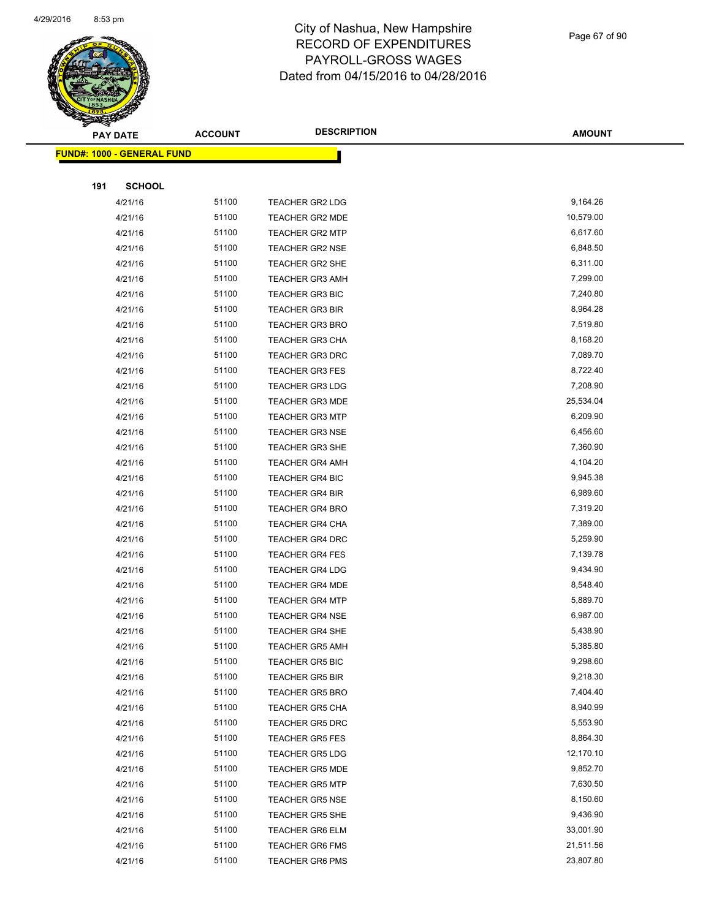

Page 67 of 90

| <b>PAY DATE</b>                    | <b>ACCOUNT</b> | <b>DESCRIPTION</b>     | <b>AMOUNT</b> |
|------------------------------------|----------------|------------------------|---------------|
| <u> FUND#: 1000 - GENERAL FUND</u> |                |                        |               |
|                                    |                |                        |               |
| <b>SCHOOL</b><br>191               |                |                        |               |
| 4/21/16                            | 51100          | <b>TEACHER GR2 LDG</b> | 9,164.26      |
| 4/21/16                            | 51100          | <b>TEACHER GR2 MDE</b> | 10,579.00     |
| 4/21/16                            | 51100          | <b>TEACHER GR2 MTP</b> | 6,617.60      |
| 4/21/16                            | 51100          | <b>TEACHER GR2 NSE</b> | 6,848.50      |
| 4/21/16                            | 51100          | <b>TEACHER GR2 SHE</b> | 6,311.00      |
| 4/21/16                            | 51100          | <b>TEACHER GR3 AMH</b> | 7,299.00      |
| 4/21/16                            | 51100          | <b>TEACHER GR3 BIC</b> | 7,240.80      |
| 4/21/16                            | 51100          | <b>TEACHER GR3 BIR</b> | 8,964.28      |
| 4/21/16                            | 51100          | <b>TEACHER GR3 BRO</b> | 7,519.80      |
| 4/21/16                            | 51100          | <b>TEACHER GR3 CHA</b> | 8,168.20      |
| 4/21/16                            | 51100          | <b>TEACHER GR3 DRC</b> | 7,089.70      |
| 4/21/16                            | 51100          | <b>TEACHER GR3 FES</b> | 8,722.40      |
| 4/21/16                            | 51100          | <b>TEACHER GR3 LDG</b> | 7,208.90      |
| 4/21/16                            | 51100          | <b>TEACHER GR3 MDE</b> | 25,534.04     |
| 4/21/16                            | 51100          | <b>TEACHER GR3 MTP</b> | 6,209.90      |
| 4/21/16                            | 51100          | <b>TEACHER GR3 NSE</b> | 6,456.60      |
| 4/21/16                            | 51100          | <b>TEACHER GR3 SHE</b> | 7,360.90      |
| 4/21/16                            | 51100          | <b>TEACHER GR4 AMH</b> | 4,104.20      |
| 4/21/16                            | 51100          | TEACHER GR4 BIC        | 9,945.38      |
| 4/21/16                            | 51100          | <b>TEACHER GR4 BIR</b> | 6,989.60      |
| 4/21/16                            | 51100          | <b>TEACHER GR4 BRO</b> | 7,319.20      |
| 4/21/16                            | 51100          | <b>TEACHER GR4 CHA</b> | 7,389.00      |
| 4/21/16                            | 51100          | <b>TEACHER GR4 DRC</b> | 5,259.90      |
| 4/21/16                            | 51100          | <b>TEACHER GR4 FES</b> | 7,139.78      |
| 4/21/16                            | 51100          | <b>TEACHER GR4 LDG</b> | 9,434.90      |
| 4/21/16                            | 51100          | <b>TEACHER GR4 MDE</b> | 8,548.40      |
| 4/21/16                            | 51100          | <b>TEACHER GR4 MTP</b> | 5,889.70      |
| 4/21/16                            | 51100          | <b>TEACHER GR4 NSE</b> | 6,987.00      |
| 4/21/16                            | 51100          | <b>TEACHER GR4 SHE</b> | 5,438.90      |
| 4/21/16                            | 51100          | <b>TEACHER GR5 AMH</b> | 5,385.80      |
| 4/21/16                            | 51100          | <b>TEACHER GR5 BIC</b> | 9,298.60      |
| 4/21/16                            | 51100          | <b>TEACHER GR5 BIR</b> | 9,218.30      |
| 4/21/16                            | 51100          | <b>TEACHER GR5 BRO</b> | 7,404.40      |
| 4/21/16                            | 51100          | <b>TEACHER GR5 CHA</b> | 8,940.99      |
| 4/21/16                            | 51100          | <b>TEACHER GR5 DRC</b> | 5,553.90      |
| 4/21/16                            | 51100          | <b>TEACHER GR5 FES</b> | 8,864.30      |
| 4/21/16                            | 51100          | <b>TEACHER GR5 LDG</b> | 12,170.10     |
| 4/21/16                            | 51100          | <b>TEACHER GR5 MDE</b> | 9,852.70      |
| 4/21/16                            | 51100          | <b>TEACHER GR5 MTP</b> | 7,630.50      |
| 4/21/16                            | 51100          | <b>TEACHER GR5 NSE</b> | 8,150.60      |
| 4/21/16                            | 51100          | TEACHER GR5 SHE        | 9,436.90      |
| 4/21/16                            | 51100          | TEACHER GR6 ELM        | 33,001.90     |
| 4/21/16                            | 51100          | <b>TEACHER GR6 FMS</b> | 21,511.56     |
| 4/21/16                            | 51100          | <b>TEACHER GR6 PMS</b> | 23,807.80     |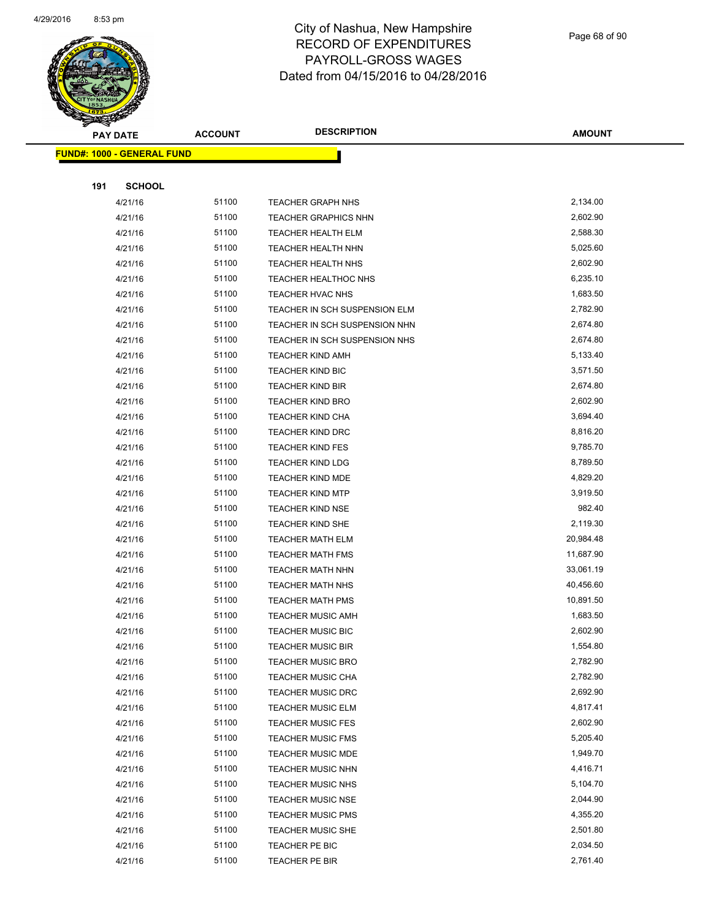

Page 68 of 90

| <b>PAY DATE</b>                   | <b>ACCOUNT</b> | <b>DESCRIPTION</b>            | <b>AMOUNT</b> |
|-----------------------------------|----------------|-------------------------------|---------------|
| <b>FUND#: 1000 - GENERAL FUND</b> |                |                               |               |
|                                   |                |                               |               |
| 191<br><b>SCHOOL</b>              |                |                               |               |
| 4/21/16                           | 51100          | <b>TEACHER GRAPH NHS</b>      | 2,134.00      |
| 4/21/16                           | 51100          | <b>TEACHER GRAPHICS NHN</b>   | 2,602.90      |
| 4/21/16                           | 51100          | <b>TEACHER HEALTH ELM</b>     | 2,588.30      |
| 4/21/16                           | 51100          | <b>TEACHER HEALTH NHN</b>     | 5,025.60      |
| 4/21/16                           | 51100          | <b>TEACHER HEALTH NHS</b>     | 2,602.90      |
| 4/21/16                           | 51100          | TEACHER HEALTHOC NHS          | 6,235.10      |
| 4/21/16                           | 51100          | <b>TEACHER HVAC NHS</b>       | 1,683.50      |
| 4/21/16                           | 51100          | TEACHER IN SCH SUSPENSION ELM | 2,782.90      |
| 4/21/16                           | 51100          | TEACHER IN SCH SUSPENSION NHN | 2,674.80      |
| 4/21/16                           | 51100          | TEACHER IN SCH SUSPENSION NHS | 2,674.80      |
| 4/21/16                           | 51100          | <b>TEACHER KIND AMH</b>       | 5,133.40      |
| 4/21/16                           | 51100          | <b>TEACHER KIND BIC</b>       | 3,571.50      |
| 4/21/16                           | 51100          | <b>TEACHER KIND BIR</b>       | 2,674.80      |
| 4/21/16                           | 51100          | <b>TEACHER KIND BRO</b>       | 2,602.90      |
| 4/21/16                           | 51100          | TEACHER KIND CHA              | 3,694.40      |
| 4/21/16                           | 51100          | TEACHER KIND DRC              | 8,816.20      |
| 4/21/16                           | 51100          | <b>TEACHER KIND FES</b>       | 9,785.70      |
| 4/21/16                           | 51100          | <b>TEACHER KIND LDG</b>       | 8,789.50      |
| 4/21/16                           | 51100          | TEACHER KIND MDE              | 4,829.20      |
| 4/21/16                           | 51100          | <b>TEACHER KIND MTP</b>       | 3,919.50      |
| 4/21/16                           | 51100          | <b>TEACHER KIND NSE</b>       | 982.40        |
| 4/21/16                           | 51100          | <b>TEACHER KIND SHE</b>       | 2,119.30      |
| 4/21/16                           | 51100          | <b>TEACHER MATH ELM</b>       | 20,984.48     |
| 4/21/16                           | 51100          | <b>TEACHER MATH FMS</b>       | 11,687.90     |
| 4/21/16                           | 51100          | <b>TEACHER MATH NHN</b>       | 33,061.19     |
| 4/21/16                           | 51100          | <b>TEACHER MATH NHS</b>       | 40,456.60     |
| 4/21/16                           | 51100          | TEACHER MATH PMS              | 10,891.50     |
| 4/21/16                           | 51100          | <b>TEACHER MUSIC AMH</b>      | 1,683.50      |
| 4/21/16                           | 51100          | <b>TEACHER MUSIC BIC</b>      | 2,602.90      |
| 4/21/16                           | 51100          | <b>TEACHER MUSIC BIR</b>      | 1,554.80      |
| 4/21/16                           | 51100          | <b>TEACHER MUSIC BRO</b>      | 2,782.90      |
| 4/21/16                           | 51100          | <b>TEACHER MUSIC CHA</b>      | 2,782.90      |
| 4/21/16                           | 51100          | <b>TEACHER MUSIC DRC</b>      | 2,692.90      |
| 4/21/16                           | 51100          | TEACHER MUSIC ELM             | 4,817.41      |
| 4/21/16                           | 51100          | <b>TEACHER MUSIC FES</b>      | 2,602.90      |
| 4/21/16                           | 51100          | <b>TEACHER MUSIC FMS</b>      | 5,205.40      |
| 4/21/16                           | 51100          | <b>TEACHER MUSIC MDE</b>      | 1,949.70      |
| 4/21/16                           | 51100          | <b>TEACHER MUSIC NHN</b>      | 4,416.71      |
| 4/21/16                           | 51100          | <b>TEACHER MUSIC NHS</b>      | 5,104.70      |
| 4/21/16                           | 51100          | <b>TEACHER MUSIC NSE</b>      | 2,044.90      |
| 4/21/16                           | 51100          | <b>TEACHER MUSIC PMS</b>      | 4,355.20      |
| 4/21/16                           | 51100          | <b>TEACHER MUSIC SHE</b>      | 2,501.80      |
| 4/21/16                           | 51100          | TEACHER PE BIC                | 2,034.50      |
| 4/21/16                           | 51100          | TEACHER PE BIR                | 2,761.40      |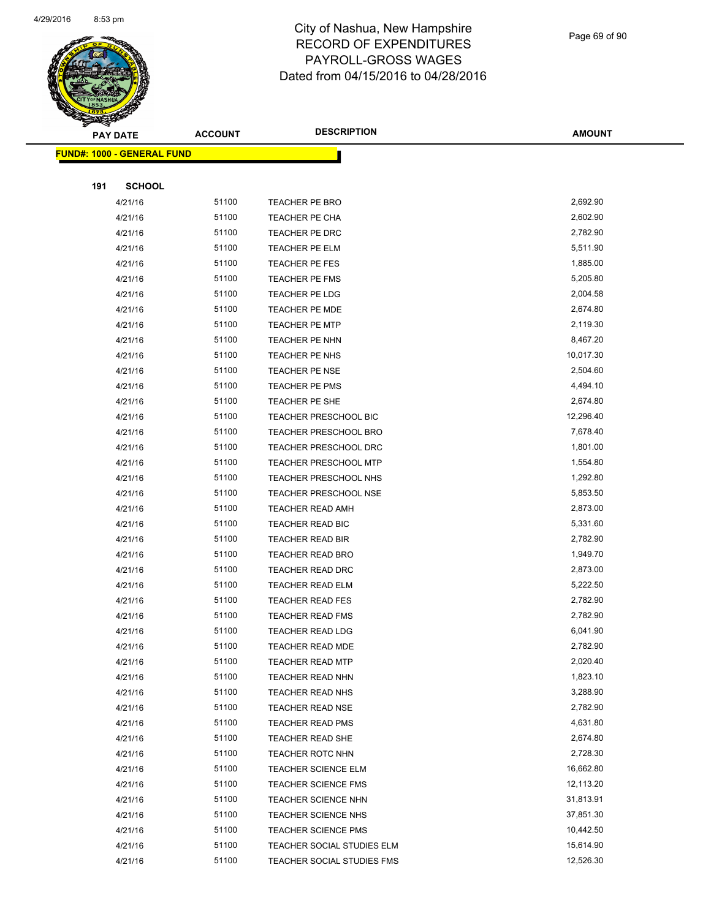

Page 69 of 90

|     | <b>PAY DATE</b>                   | <b>ACCOUNT</b> | <b>DESCRIPTION</b>           | <b>AMOUNT</b> |
|-----|-----------------------------------|----------------|------------------------------|---------------|
|     | <b>FUND#: 1000 - GENERAL FUND</b> |                |                              |               |
|     |                                   |                |                              |               |
| 191 | <b>SCHOOL</b>                     |                |                              |               |
|     | 4/21/16                           | 51100          | TEACHER PE BRO               | 2,692.90      |
|     | 4/21/16                           | 51100          | <b>TEACHER PE CHA</b>        | 2,602.90      |
|     | 4/21/16                           | 51100          | <b>TEACHER PE DRC</b>        | 2,782.90      |
|     | 4/21/16                           | 51100          | TEACHER PE ELM               | 5,511.90      |
|     | 4/21/16                           | 51100          | <b>TEACHER PE FES</b>        | 1,885.00      |
|     | 4/21/16                           | 51100          | <b>TEACHER PE FMS</b>        | 5,205.80      |
|     | 4/21/16                           | 51100          | <b>TEACHER PE LDG</b>        | 2,004.58      |
|     | 4/21/16                           | 51100          | <b>TEACHER PE MDE</b>        | 2,674.80      |
|     | 4/21/16                           | 51100          | <b>TEACHER PE MTP</b>        | 2,119.30      |
|     | 4/21/16                           | 51100          | <b>TEACHER PE NHN</b>        | 8,467.20      |
|     | 4/21/16                           | 51100          | TEACHER PE NHS               | 10,017.30     |
|     | 4/21/16                           | 51100          | <b>TEACHER PE NSE</b>        | 2,504.60      |
|     | 4/21/16                           | 51100          | <b>TEACHER PE PMS</b>        | 4,494.10      |
|     | 4/21/16                           | 51100          | TEACHER PE SHE               | 2,674.80      |
|     | 4/21/16                           | 51100          | TEACHER PRESCHOOL BIC        | 12,296.40     |
|     | 4/21/16                           | 51100          | <b>TEACHER PRESCHOOL BRO</b> | 7,678.40      |
|     | 4/21/16                           | 51100          | TEACHER PRESCHOOL DRC        | 1,801.00      |
|     | 4/21/16                           | 51100          | <b>TEACHER PRESCHOOL MTP</b> | 1,554.80      |
|     | 4/21/16                           | 51100          | TEACHER PRESCHOOL NHS        | 1,292.80      |
|     | 4/21/16                           | 51100          | <b>TEACHER PRESCHOOL NSE</b> | 5,853.50      |
|     | 4/21/16                           | 51100          | TEACHER READ AMH             | 2,873.00      |
|     | 4/21/16                           | 51100          | TEACHER READ BIC             | 5,331.60      |
|     | 4/21/16                           | 51100          | TEACHER READ BIR             | 2,782.90      |
|     | 4/21/16                           | 51100          | <b>TEACHER READ BRO</b>      | 1,949.70      |
|     | 4/21/16                           | 51100          | TEACHER READ DRC             | 2,873.00      |
|     | 4/21/16                           | 51100          | TEACHER READ ELM             | 5,222.50      |
|     | 4/21/16                           | 51100          | <b>TEACHER READ FES</b>      | 2,782.90      |
|     | 4/21/16                           | 51100          | <b>TEACHER READ FMS</b>      | 2,782.90      |
|     | 4/21/16                           | 51100          | <b>TEACHER READ LDG</b>      | 6,041.90      |
|     | 4/21/16                           | 51100          | TEACHER READ MDE             | 2,782.90      |
|     | 4/21/16                           | 51100          | <b>TEACHER READ MTP</b>      | 2,020.40      |
|     | 4/21/16                           | 51100          | TEACHER READ NHN             | 1,823.10      |
|     | 4/21/16                           | 51100          | <b>TEACHER READ NHS</b>      | 3,288.90      |
|     | 4/21/16                           | 51100          | <b>TEACHER READ NSE</b>      | 2,782.90      |
|     | 4/21/16                           | 51100          | <b>TEACHER READ PMS</b>      | 4,631.80      |
|     | 4/21/16                           | 51100          | <b>TEACHER READ SHE</b>      | 2,674.80      |
|     | 4/21/16                           | 51100          | <b>TEACHER ROTC NHN</b>      | 2,728.30      |
|     | 4/21/16                           | 51100          | <b>TEACHER SCIENCE ELM</b>   | 16,662.80     |
|     | 4/21/16                           | 51100          | <b>TEACHER SCIENCE FMS</b>   | 12,113.20     |
|     | 4/21/16                           | 51100          | <b>TEACHER SCIENCE NHN</b>   | 31,813.91     |
|     | 4/21/16                           | 51100          | <b>TEACHER SCIENCE NHS</b>   | 37,851.30     |
|     | 4/21/16                           | 51100          | <b>TEACHER SCIENCE PMS</b>   | 10,442.50     |
|     | 4/21/16                           | 51100          | TEACHER SOCIAL STUDIES ELM   | 15,614.90     |
|     | 4/21/16                           | 51100          | TEACHER SOCIAL STUDIES FMS   | 12,526.30     |
|     |                                   |                |                              |               |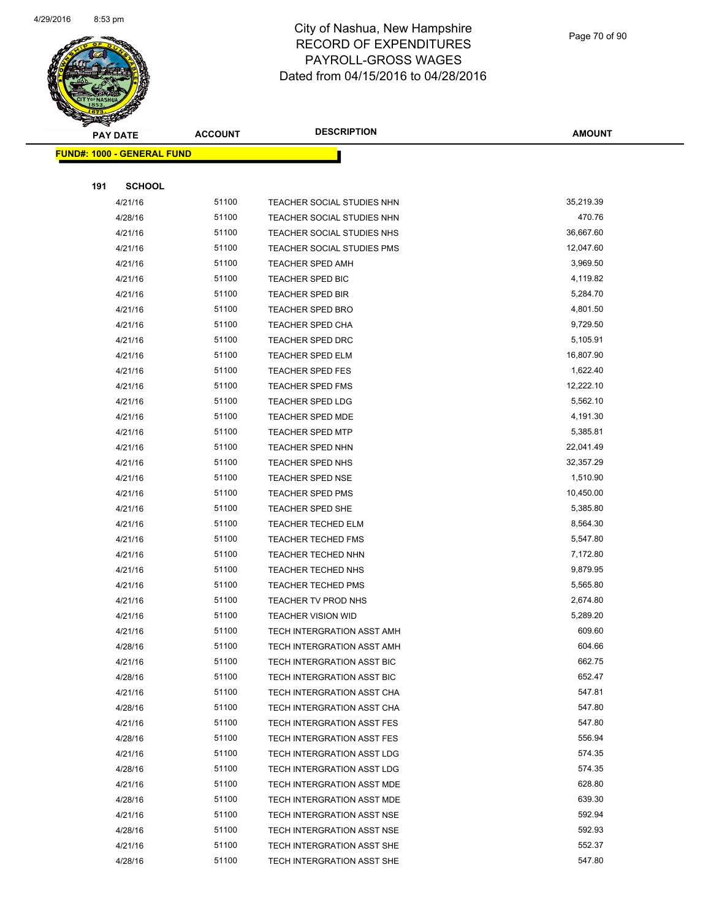

Page 70 of 90

| <b>PAY DATE</b>                   | <b>ACCOUNT</b> | <b>DESCRIPTION</b>         | <b>AMOUNT</b>    |
|-----------------------------------|----------------|----------------------------|------------------|
| <b>FUND#: 1000 - GENERAL FUND</b> |                |                            |                  |
|                                   |                |                            |                  |
| <b>SCHOOL</b><br>191              |                |                            |                  |
| 4/21/16                           | 51100          | TEACHER SOCIAL STUDIES NHN | 35,219.39        |
| 4/28/16                           | 51100          | TEACHER SOCIAL STUDIES NHN | 470.76           |
| 4/21/16                           | 51100          | TEACHER SOCIAL STUDIES NHS | 36,667.60        |
| 4/21/16                           | 51100          | TEACHER SOCIAL STUDIES PMS | 12,047.60        |
| 4/21/16                           | 51100          | <b>TEACHER SPED AMH</b>    | 3,969.50         |
| 4/21/16                           | 51100          | <b>TEACHER SPED BIC</b>    | 4,119.82         |
| 4/21/16                           | 51100          | <b>TEACHER SPED BIR</b>    | 5,284.70         |
| 4/21/16                           | 51100          | <b>TEACHER SPED BRO</b>    | 4,801.50         |
| 4/21/16                           | 51100          | <b>TEACHER SPED CHA</b>    | 9,729.50         |
| 4/21/16                           | 51100          | <b>TEACHER SPED DRC</b>    | 5,105.91         |
| 4/21/16                           | 51100          | <b>TEACHER SPED ELM</b>    | 16,807.90        |
| 4/21/16                           | 51100          | <b>TEACHER SPED FES</b>    | 1,622.40         |
| 4/21/16                           | 51100          | <b>TEACHER SPED FMS</b>    | 12,222.10        |
| 4/21/16                           | 51100          | <b>TEACHER SPED LDG</b>    | 5,562.10         |
| 4/21/16                           | 51100          | <b>TEACHER SPED MDE</b>    | 4,191.30         |
| 4/21/16                           | 51100          | <b>TEACHER SPED MTP</b>    | 5,385.81         |
| 4/21/16                           | 51100          | <b>TEACHER SPED NHN</b>    | 22,041.49        |
| 4/21/16                           | 51100          | <b>TEACHER SPED NHS</b>    | 32,357.29        |
| 4/21/16                           | 51100          | <b>TEACHER SPED NSE</b>    | 1,510.90         |
| 4/21/16                           | 51100          | <b>TEACHER SPED PMS</b>    | 10,450.00        |
| 4/21/16                           | 51100          | <b>TEACHER SPED SHE</b>    | 5,385.80         |
| 4/21/16                           | 51100          | <b>TEACHER TECHED ELM</b>  | 8,564.30         |
| 4/21/16                           | 51100          | <b>TEACHER TECHED FMS</b>  | 5,547.80         |
| 4/21/16                           | 51100          | <b>TEACHER TECHED NHN</b>  | 7,172.80         |
| 4/21/16                           | 51100          | <b>TEACHER TECHED NHS</b>  | 9,879.95         |
| 4/21/16                           | 51100          | <b>TEACHER TECHED PMS</b>  | 5,565.80         |
| 4/21/16                           | 51100          | TEACHER TV PROD NHS        | 2,674.80         |
| 4/21/16                           | 51100          | <b>TEACHER VISION WID</b>  | 5,289.20         |
| 4/21/16                           | 51100          | TECH INTERGRATION ASST AMH | 609.60           |
| 4/28/16                           | 51100          | TECH INTERGRATION ASST AMH | 604.66           |
| 4/21/16                           | 51100          | TECH INTERGRATION ASST BIC | 662.75           |
| 4/28/16                           | 51100          | TECH INTERGRATION ASST BIC | 652.47           |
| 4/21/16                           | 51100          | TECH INTERGRATION ASST CHA | 547.81           |
| 4/28/16                           | 51100          | TECH INTERGRATION ASST CHA | 547.80           |
| 4/21/16                           | 51100          | TECH INTERGRATION ASST FES | 547.80           |
| 4/28/16                           | 51100          | TECH INTERGRATION ASST FES | 556.94           |
| 4/21/16                           | 51100          | TECH INTERGRATION ASST LDG | 574.35           |
| 4/28/16                           | 51100          | TECH INTERGRATION ASST LDG | 574.35           |
| 4/21/16                           | 51100          | TECH INTERGRATION ASST MDE | 628.80           |
| 4/28/16                           | 51100          | TECH INTERGRATION ASST MDE | 639.30<br>592.94 |
| 4/21/16                           | 51100          | TECH INTERGRATION ASST NSE |                  |
| 4/28/16                           | 51100          | TECH INTERGRATION ASST NSE | 592.93           |
| 4/21/16                           | 51100<br>51100 | TECH INTERGRATION ASST SHE | 552.37<br>547.80 |
| 4/28/16                           |                | TECH INTERGRATION ASST SHE |                  |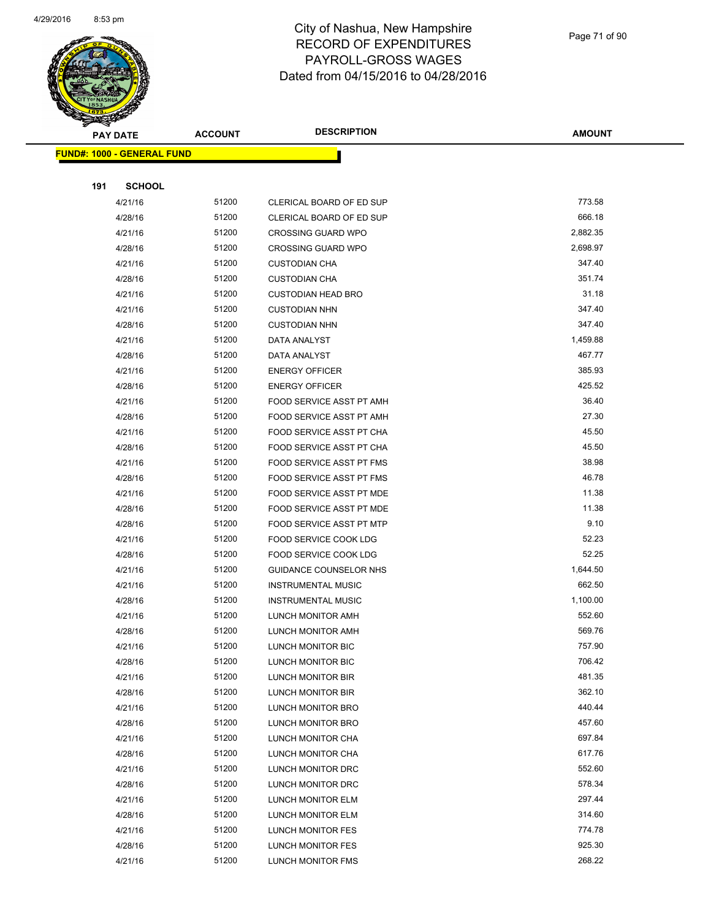

Page 71 of 90

| <b>PAY DATE</b>                   |               | <b>ACCOUNT</b> | <b>DESCRIPTION</b>            | <b>AMOUNT</b> |
|-----------------------------------|---------------|----------------|-------------------------------|---------------|
| <b>FUND#: 1000 - GENERAL FUND</b> |               |                |                               |               |
|                                   |               |                |                               |               |
| 191                               | <b>SCHOOL</b> |                |                               |               |
|                                   | 4/21/16       | 51200          | CLERICAL BOARD OF ED SUP      | 773.58        |
|                                   | 4/28/16       | 51200          | CLERICAL BOARD OF ED SUP      | 666.18        |
|                                   | 4/21/16       | 51200          | <b>CROSSING GUARD WPO</b>     | 2,882.35      |
|                                   | 4/28/16       | 51200          | <b>CROSSING GUARD WPO</b>     | 2,698.97      |
|                                   | 4/21/16       | 51200          | <b>CUSTODIAN CHA</b>          | 347.40        |
|                                   | 4/28/16       | 51200          | <b>CUSTODIAN CHA</b>          | 351.74        |
|                                   | 4/21/16       | 51200          | <b>CUSTODIAN HEAD BRO</b>     | 31.18         |
|                                   | 4/21/16       | 51200          | <b>CUSTODIAN NHN</b>          | 347.40        |
|                                   | 4/28/16       | 51200          | <b>CUSTODIAN NHN</b>          | 347.40        |
|                                   | 4/21/16       | 51200          | DATA ANALYST                  | 1,459.88      |
|                                   | 4/28/16       | 51200          | DATA ANALYST                  | 467.77        |
|                                   | 4/21/16       | 51200          | <b>ENERGY OFFICER</b>         | 385.93        |
|                                   | 4/28/16       | 51200          | <b>ENERGY OFFICER</b>         | 425.52        |
|                                   | 4/21/16       | 51200          | FOOD SERVICE ASST PT AMH      | 36.40         |
|                                   | 4/28/16       | 51200          | FOOD SERVICE ASST PT AMH      | 27.30         |
|                                   | 4/21/16       | 51200          | FOOD SERVICE ASST PT CHA      | 45.50         |
|                                   | 4/28/16       | 51200          | FOOD SERVICE ASST PT CHA      | 45.50         |
|                                   | 4/21/16       | 51200          | FOOD SERVICE ASST PT FMS      | 38.98         |
|                                   | 4/28/16       | 51200          | FOOD SERVICE ASST PT FMS      | 46.78         |
|                                   | 4/21/16       | 51200          | FOOD SERVICE ASST PT MDE      | 11.38         |
|                                   | 4/28/16       | 51200          | FOOD SERVICE ASST PT MDE      | 11.38         |
|                                   | 4/28/16       | 51200          | FOOD SERVICE ASST PT MTP      | 9.10          |
|                                   | 4/21/16       | 51200          | <b>FOOD SERVICE COOK LDG</b>  | 52.23         |
|                                   | 4/28/16       | 51200          | FOOD SERVICE COOK LDG         | 52.25         |
|                                   | 4/21/16       | 51200          | <b>GUIDANCE COUNSELOR NHS</b> | 1,644.50      |
|                                   | 4/21/16       | 51200          | <b>INSTRUMENTAL MUSIC</b>     | 662.50        |
|                                   | 4/28/16       | 51200          | <b>INSTRUMENTAL MUSIC</b>     | 1,100.00      |
|                                   | 4/21/16       | 51200          | LUNCH MONITOR AMH             | 552.60        |
|                                   | 4/28/16       | 51200          | LUNCH MONITOR AMH             | 569.76        |
|                                   | 4/21/16       | 51200          | LUNCH MONITOR BIC             | 757.90        |
|                                   | 4/28/16       | 51200          | LUNCH MONITOR BIC             | 706.42        |
|                                   | 4/21/16       | 51200          | LUNCH MONITOR BIR             | 481.35        |
|                                   | 4/28/16       | 51200          | LUNCH MONITOR BIR             | 362.10        |
|                                   | 4/21/16       | 51200          | LUNCH MONITOR BRO             | 440.44        |
|                                   | 4/28/16       | 51200          | <b>LUNCH MONITOR BRO</b>      | 457.60        |
|                                   | 4/21/16       | 51200          | LUNCH MONITOR CHA             | 697.84        |
|                                   | 4/28/16       | 51200          | LUNCH MONITOR CHA             | 617.76        |
|                                   | 4/21/16       | 51200          | LUNCH MONITOR DRC             | 552.60        |
|                                   | 4/28/16       | 51200          | LUNCH MONITOR DRC             | 578.34        |
|                                   | 4/21/16       | 51200          | LUNCH MONITOR ELM             | 297.44        |
|                                   | 4/28/16       | 51200          | LUNCH MONITOR ELM             | 314.60        |
|                                   | 4/21/16       | 51200          | LUNCH MONITOR FES             | 774.78        |
|                                   | 4/28/16       | 51200          | LUNCH MONITOR FES             | 925.30        |
|                                   | 4/21/16       | 51200          | LUNCH MONITOR FMS             | 268.22        |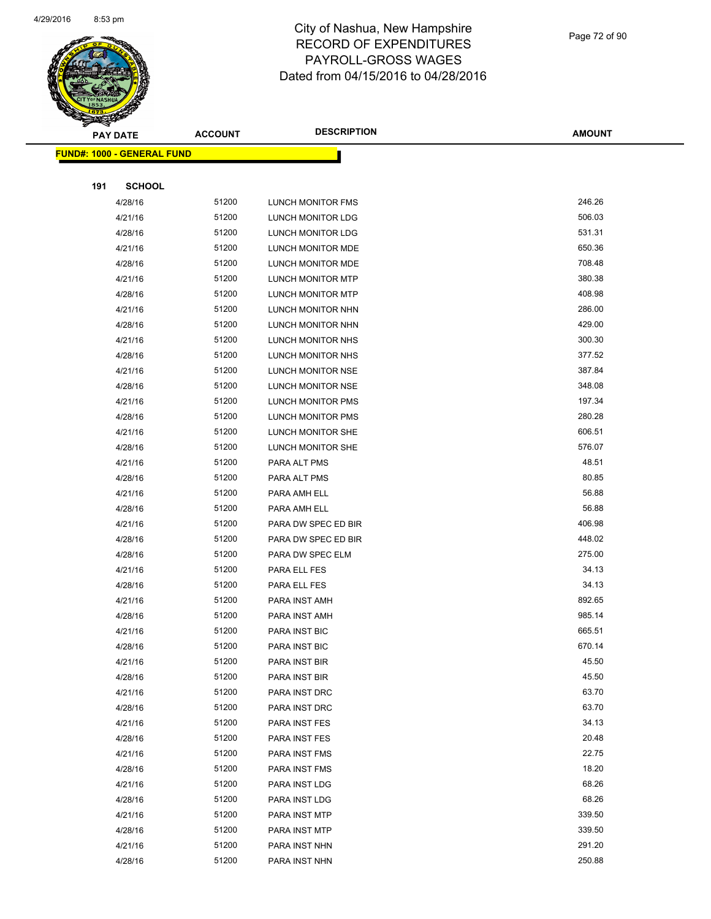

#### Page 72 of 90

|     | <b>PAY DATE</b>                    | <b>ACCOUNT</b> | <b>DESCRIPTION</b>       | <b>AMOUNT</b> |
|-----|------------------------------------|----------------|--------------------------|---------------|
|     | <u> FUND#: 1000 - GENERAL FUND</u> |                |                          |               |
|     |                                    |                |                          |               |
| 191 | <b>SCHOOL</b>                      |                |                          |               |
|     | 4/28/16                            | 51200          | LUNCH MONITOR FMS        | 246.26        |
|     | 4/21/16                            | 51200          | LUNCH MONITOR LDG        | 506.03        |
|     | 4/28/16                            | 51200          | LUNCH MONITOR LDG        | 531.31        |
|     | 4/21/16                            | 51200          | LUNCH MONITOR MDE        | 650.36        |
|     | 4/28/16                            | 51200          | LUNCH MONITOR MDE        | 708.48        |
|     | 4/21/16                            | 51200          | LUNCH MONITOR MTP        | 380.38        |
|     | 4/28/16                            | 51200          | LUNCH MONITOR MTP        | 408.98        |
|     | 4/21/16                            | 51200          | LUNCH MONITOR NHN        | 286.00        |
|     | 4/28/16                            | 51200          | LUNCH MONITOR NHN        | 429.00        |
|     | 4/21/16                            | 51200          | LUNCH MONITOR NHS        | 300.30        |
|     | 4/28/16                            | 51200          | LUNCH MONITOR NHS        | 377.52        |
|     | 4/21/16                            | 51200          | LUNCH MONITOR NSE        | 387.84        |
|     | 4/28/16                            | 51200          | LUNCH MONITOR NSE        | 348.08        |
|     | 4/21/16                            | 51200          | LUNCH MONITOR PMS        | 197.34        |
|     | 4/28/16                            | 51200          | <b>LUNCH MONITOR PMS</b> | 280.28        |
|     | 4/21/16                            | 51200          | LUNCH MONITOR SHE        | 606.51        |
|     | 4/28/16                            | 51200          | LUNCH MONITOR SHE        | 576.07        |
|     | 4/21/16                            | 51200          | PARA ALT PMS             | 48.51         |
|     | 4/28/16                            | 51200          | PARA ALT PMS             | 80.85         |
|     | 4/21/16                            | 51200          | PARA AMH ELL             | 56.88         |
|     | 4/28/16                            | 51200          | PARA AMH ELL             | 56.88         |
|     | 4/21/16                            | 51200          | PARA DW SPEC ED BIR      | 406.98        |
|     | 4/28/16                            | 51200          | PARA DW SPEC ED BIR      | 448.02        |
|     | 4/28/16                            | 51200          | PARA DW SPEC ELM         | 275.00        |
|     | 4/21/16                            | 51200          | PARA ELL FES             | 34.13         |
|     | 4/28/16                            | 51200          | PARA ELL FES             | 34.13         |
|     | 4/21/16                            | 51200          | PARA INST AMH            | 892.65        |
|     | 4/28/16                            | 51200          | PARA INST AMH            | 985.14        |
|     | 4/21/16                            | 51200          | <b>PARA INST BIC</b>     | 665.51        |
|     | 4/28/16                            | 51200          | PARA INST BIC            | 670.14        |
|     | 4/21/16                            | 51200          | PARA INST BIR            | 45.50         |
|     | 4/28/16                            | 51200          | PARA INST BIR            | 45.50         |
|     | 4/21/16                            | 51200          | PARA INST DRC            | 63.70         |
|     | 4/28/16                            | 51200          | PARA INST DRC            | 63.70         |
|     | 4/21/16                            | 51200          | PARA INST FES            | 34.13         |
|     | 4/28/16                            | 51200          | PARA INST FES            | 20.48         |
|     | 4/21/16                            | 51200          | PARA INST FMS            | 22.75         |
|     | 4/28/16                            | 51200          | PARA INST FMS            | 18.20         |
|     | 4/21/16                            | 51200          | PARA INST LDG            | 68.26         |
|     | 4/28/16                            | 51200          | PARA INST LDG            | 68.26         |
|     | 4/21/16                            | 51200          | PARA INST MTP            | 339.50        |
|     | 4/28/16                            | 51200          | PARA INST MTP            | 339.50        |
|     | 4/21/16                            | 51200          | PARA INST NHN            | 291.20        |
|     | 4/28/16                            | 51200          | PARA INST NHN            | 250.88        |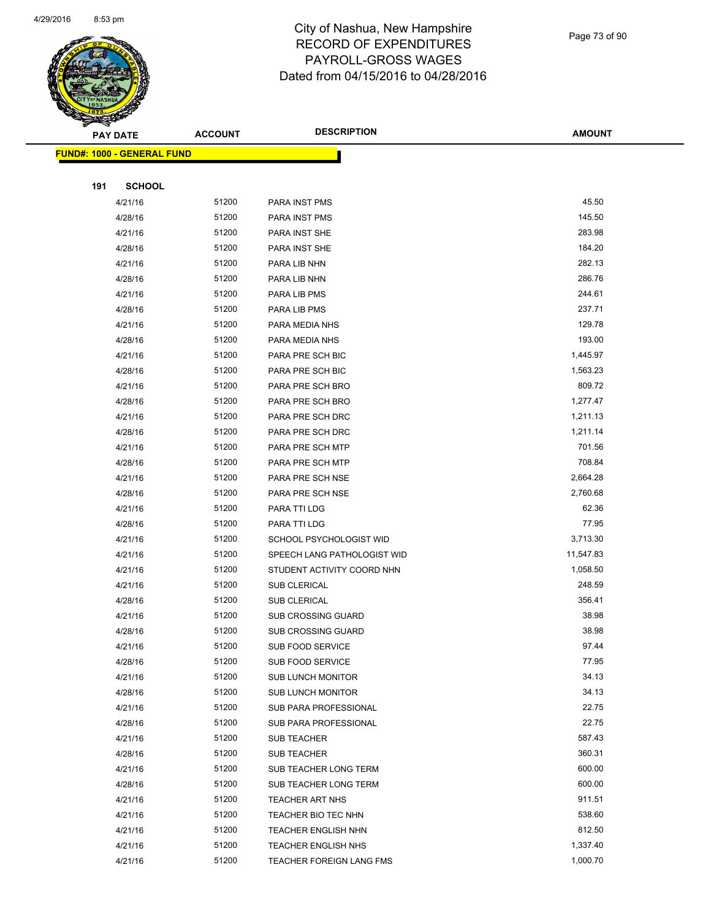

Page 73 of 90

|     | <b>PAY DATE</b>                   | <b>ACCOUNT</b> | <b>DESCRIPTION</b>                            | <b>AMOUNT</b>    |
|-----|-----------------------------------|----------------|-----------------------------------------------|------------------|
|     | <b>FUND#: 1000 - GENERAL FUND</b> |                |                                               |                  |
|     |                                   |                |                                               |                  |
| 191 | <b>SCHOOL</b>                     |                |                                               |                  |
|     | 4/21/16                           | 51200          | PARA INST PMS                                 | 45.50            |
|     | 4/28/16                           | 51200          | PARA INST PMS                                 | 145.50           |
|     | 4/21/16                           | 51200          | PARA INST SHE                                 | 283.98           |
|     | 4/28/16                           | 51200          | PARA INST SHE                                 | 184.20           |
|     | 4/21/16                           | 51200          | PARA LIB NHN                                  | 282.13           |
|     | 4/28/16                           | 51200          | PARA LIB NHN                                  | 286.76           |
|     | 4/21/16                           | 51200          | PARA LIB PMS                                  | 244.61           |
|     | 4/28/16                           | 51200          | PARA LIB PMS                                  | 237.71           |
|     | 4/21/16                           | 51200          | PARA MEDIA NHS                                | 129.78           |
|     | 4/28/16                           | 51200          | PARA MEDIA NHS                                | 193.00           |
|     | 4/21/16                           | 51200          | PARA PRE SCH BIC                              | 1,445.97         |
|     | 4/28/16                           | 51200          | PARA PRE SCH BIC                              | 1,563.23         |
|     | 4/21/16                           | 51200          | PARA PRE SCH BRO                              | 809.72           |
|     | 4/28/16                           | 51200          | PARA PRE SCH BRO                              | 1,277.47         |
|     | 4/21/16                           | 51200          | PARA PRE SCH DRC                              | 1,211.13         |
|     | 4/28/16                           | 51200          | PARA PRE SCH DRC                              | 1,211.14         |
|     | 4/21/16                           | 51200          | PARA PRE SCH MTP                              | 701.56           |
|     | 4/28/16                           | 51200          | PARA PRE SCH MTP                              | 708.84           |
|     | 4/21/16                           | 51200          | PARA PRE SCH NSE                              | 2,664.28         |
|     | 4/28/16                           | 51200          | PARA PRE SCH NSE                              | 2,760.68         |
|     | 4/21/16                           | 51200          | PARA TTI LDG                                  | 62.36            |
|     | 4/28/16                           | 51200          | PARA TTI LDG                                  | 77.95            |
|     | 4/21/16                           | 51200          | SCHOOL PSYCHOLOGIST WID                       | 3,713.30         |
|     | 4/21/16                           | 51200          | SPEECH LANG PATHOLOGIST WID                   | 11,547.83        |
|     | 4/21/16                           | 51200          | STUDENT ACTIVITY COORD NHN                    | 1,058.50         |
|     | 4/21/16                           | 51200          | <b>SUB CLERICAL</b>                           | 248.59           |
|     | 4/28/16                           | 51200          | <b>SUB CLERICAL</b>                           | 356.41           |
|     | 4/21/16                           | 51200          | <b>SUB CROSSING GUARD</b>                     | 38.98            |
|     | 4/28/16                           | 51200          | <b>SUB CROSSING GUARD</b>                     | 38.98            |
|     | 4/21/16                           | 51200          | SUB FOOD SERVICE                              | 97.44            |
|     | 4/28/16                           | 51200          | <b>SUB FOOD SERVICE</b>                       | 77.95            |
|     | 4/21/16                           | 51200          | <b>SUB LUNCH MONITOR</b>                      | 34.13            |
|     | 4/28/16                           | 51200          | <b>SUB LUNCH MONITOR</b>                      | 34.13            |
|     | 4/21/16                           | 51200          | SUB PARA PROFESSIONAL                         | 22.75            |
|     | 4/28/16                           | 51200          | SUB PARA PROFESSIONAL                         | 22.75            |
|     | 4/21/16                           | 51200          | SUB TEACHER                                   | 587.43           |
|     | 4/28/16                           | 51200          | <b>SUB TEACHER</b>                            | 360.31           |
|     | 4/21/16                           | 51200<br>51200 | SUB TEACHER LONG TERM                         | 600.00<br>600.00 |
|     | 4/28/16                           | 51200          | SUB TEACHER LONG TERM                         | 911.51           |
|     | 4/21/16<br>4/21/16                | 51200          | <b>TEACHER ART NHS</b><br>TEACHER BIO TEC NHN | 538.60           |
|     | 4/21/16                           | 51200          | <b>TEACHER ENGLISH NHN</b>                    | 812.50           |
|     | 4/21/16                           | 51200          | <b>TEACHER ENGLISH NHS</b>                    | 1,337.40         |
|     | 4/21/16                           | 51200          | TEACHER FOREIGN LANG FMS                      | 1,000.70         |
|     |                                   |                |                                               |                  |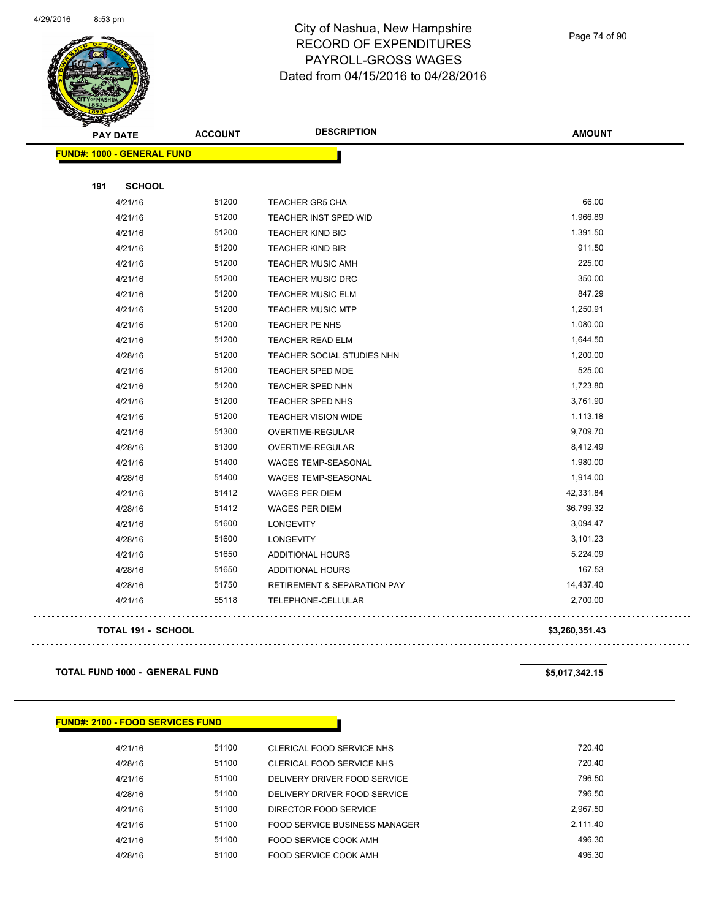

Page 74 of 90

| <b>PAY DATE</b>                   | <b>ACCOUNT</b> | <b>DESCRIPTION</b>                     | <b>AMOUNT</b>  |
|-----------------------------------|----------------|----------------------------------------|----------------|
| <b>FUND#: 1000 - GENERAL FUND</b> |                |                                        |                |
| 191<br><b>SCHOOL</b>              |                |                                        |                |
| 4/21/16                           | 51200          | <b>TEACHER GR5 CHA</b>                 | 66.00          |
| 4/21/16                           | 51200          | TEACHER INST SPED WID                  | 1,966.89       |
| 4/21/16                           | 51200          | <b>TEACHER KIND BIC</b>                | 1,391.50       |
| 4/21/16                           | 51200          | <b>TEACHER KIND BIR</b>                | 911.50         |
| 4/21/16                           | 51200          | <b>TEACHER MUSIC AMH</b>               | 225.00         |
| 4/21/16                           | 51200          | <b>TEACHER MUSIC DRC</b>               | 350.00         |
| 4/21/16                           | 51200          | <b>TEACHER MUSIC ELM</b>               | 847.29         |
| 4/21/16                           | 51200          | <b>TEACHER MUSIC MTP</b>               | 1,250.91       |
| 4/21/16                           | 51200          | <b>TEACHER PE NHS</b>                  | 1,080.00       |
| 4/21/16                           | 51200          | <b>TEACHER READ ELM</b>                | 1,644.50       |
| 4/28/16                           | 51200          | <b>TEACHER SOCIAL STUDIES NHN</b>      | 1,200.00       |
| 4/21/16                           | 51200          | <b>TEACHER SPED MDE</b>                | 525.00         |
| 4/21/16                           | 51200          | <b>TEACHER SPED NHN</b>                | 1,723.80       |
| 4/21/16                           | 51200          | TEACHER SPED NHS                       | 3,761.90       |
| 4/21/16                           | 51200          | <b>TEACHER VISION WIDE</b>             | 1,113.18       |
| 4/21/16                           | 51300          | OVERTIME-REGULAR                       | 9,709.70       |
| 4/28/16                           | 51300          | OVERTIME-REGULAR                       | 8,412.49       |
| 4/21/16                           | 51400          | WAGES TEMP-SEASONAL                    | 1,980.00       |
| 4/28/16                           | 51400          | WAGES TEMP-SEASONAL                    | 1,914.00       |
| 4/21/16                           | 51412          | WAGES PER DIEM                         | 42,331.84      |
| 4/28/16                           | 51412          | <b>WAGES PER DIEM</b>                  | 36,799.32      |
| 4/21/16                           | 51600          | <b>LONGEVITY</b>                       | 3,094.47       |
| 4/28/16                           | 51600          | <b>LONGEVITY</b>                       | 3,101.23       |
| 4/21/16                           | 51650          | ADDITIONAL HOURS                       | 5,224.09       |
| 4/28/16                           | 51650          | ADDITIONAL HOURS                       | 167.53         |
| 4/28/16                           | 51750          | <b>RETIREMENT &amp; SEPARATION PAY</b> | 14,437.40      |
| 4/21/16                           | 55118          | TELEPHONE-CELLULAR                     | 2,700.00       |
| TOTAL 191 - SCHOOL                |                |                                        | \$3,260,351.43 |

**TOTAL FUND 1000 - GENERAL FUND \$5,017,342.15** 

 $\mathbb{R}^2$ 

. . . . . . . . . . . . . . . . .

| <b>FUND#: 2100 - FOOD SERVICES FUND</b> |       |                               |          |  |  |  |  |  |
|-----------------------------------------|-------|-------------------------------|----------|--|--|--|--|--|
| 4/21/16                                 | 51100 | CLERICAL FOOD SERVICE NHS     | 720.40   |  |  |  |  |  |
| 4/28/16                                 | 51100 | CLERICAL FOOD SERVICE NHS     | 720.40   |  |  |  |  |  |
| 4/21/16                                 | 51100 | DELIVERY DRIVER FOOD SERVICE  | 796.50   |  |  |  |  |  |
| 4/28/16                                 | 51100 | DELIVERY DRIVER FOOD SERVICE  | 796.50   |  |  |  |  |  |
| 4/21/16                                 | 51100 | DIRECTOR FOOD SERVICE         | 2.967.50 |  |  |  |  |  |
| 4/21/16                                 | 51100 | FOOD SERVICE BUSINESS MANAGER | 2.111.40 |  |  |  |  |  |
| 4/21/16                                 | 51100 | FOOD SERVICE COOK AMH         | 496.30   |  |  |  |  |  |
| 4/28/16                                 | 51100 | FOOD SERVICE COOK AMH         | 496.30   |  |  |  |  |  |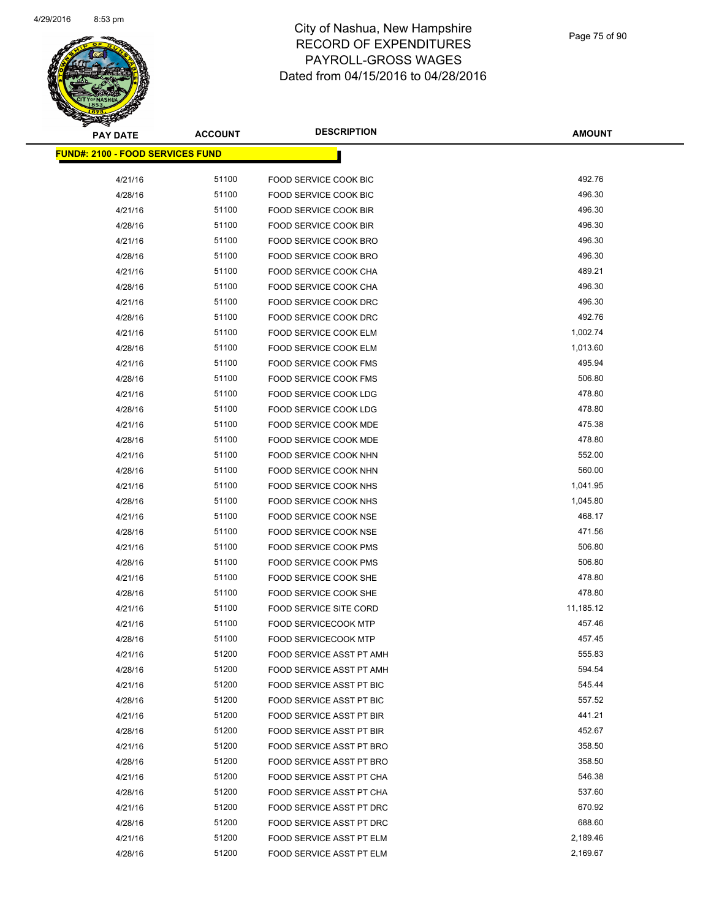

| <b>PAY DATE</b>                          | <b>ACCOUNT</b> | <b>DESCRIPTION</b>            | <b>AMOUNT</b> |
|------------------------------------------|----------------|-------------------------------|---------------|
| <u> FUND#: 2100 - FOOD SERVICES FUND</u> |                |                               |               |
|                                          |                |                               |               |
| 4/21/16                                  | 51100          | <b>FOOD SERVICE COOK BIC</b>  | 492.76        |
| 4/28/16                                  | 51100          | <b>FOOD SERVICE COOK BIC</b>  | 496.30        |
| 4/21/16                                  | 51100          | <b>FOOD SERVICE COOK BIR</b>  | 496.30        |
| 4/28/16                                  | 51100          | FOOD SERVICE COOK BIR         | 496.30        |
| 4/21/16                                  | 51100          | FOOD SERVICE COOK BRO         | 496.30        |
| 4/28/16                                  | 51100          | FOOD SERVICE COOK BRO         | 496.30        |
| 4/21/16                                  | 51100          | <b>FOOD SERVICE COOK CHA</b>  | 489.21        |
| 4/28/16                                  | 51100          | FOOD SERVICE COOK CHA         | 496.30        |
| 4/21/16                                  | 51100          | FOOD SERVICE COOK DRC         | 496.30        |
| 4/28/16                                  | 51100          | FOOD SERVICE COOK DRC         | 492.76        |
| 4/21/16                                  | 51100          | FOOD SERVICE COOK ELM         | 1,002.74      |
| 4/28/16                                  | 51100          | FOOD SERVICE COOK ELM         | 1,013.60      |
| 4/21/16                                  | 51100          | <b>FOOD SERVICE COOK FMS</b>  | 495.94        |
| 4/28/16                                  | 51100          | <b>FOOD SERVICE COOK FMS</b>  | 506.80        |
| 4/21/16                                  | 51100          | FOOD SERVICE COOK LDG         | 478.80        |
| 4/28/16                                  | 51100          | FOOD SERVICE COOK LDG         | 478.80        |
| 4/21/16                                  | 51100          | FOOD SERVICE COOK MDE         | 475.38        |
| 4/28/16                                  | 51100          | <b>FOOD SERVICE COOK MDE</b>  | 478.80        |
| 4/21/16                                  | 51100          | FOOD SERVICE COOK NHN         | 552.00        |
| 4/28/16                                  | 51100          | FOOD SERVICE COOK NHN         | 560.00        |
| 4/21/16                                  | 51100          | FOOD SERVICE COOK NHS         | 1,041.95      |
| 4/28/16                                  | 51100          | FOOD SERVICE COOK NHS         | 1,045.80      |
| 4/21/16                                  | 51100          | FOOD SERVICE COOK NSE         | 468.17        |
| 4/28/16                                  | 51100          | FOOD SERVICE COOK NSE         | 471.56        |
| 4/21/16                                  | 51100          | <b>FOOD SERVICE COOK PMS</b>  | 506.80        |
| 4/28/16                                  | 51100          | FOOD SERVICE COOK PMS         | 506.80        |
| 4/21/16                                  | 51100          | FOOD SERVICE COOK SHE         | 478.80        |
| 4/28/16                                  | 51100          | FOOD SERVICE COOK SHE         | 478.80        |
| 4/21/16                                  | 51100          | <b>FOOD SERVICE SITE CORD</b> | 11,185.12     |
| 4/21/16                                  | 51100          | <b>FOOD SERVICECOOK MTP</b>   | 457.46        |
| 4/28/16                                  | 51100          | <b>FOOD SERVICECOOK MTP</b>   | 457.45        |
| 4/21/16                                  | 51200          | FOOD SERVICE ASST PT AMH      | 555.83        |
| 4/28/16                                  | 51200          | FOOD SERVICE ASST PT AMH      | 594.54        |
| 4/21/16                                  | 51200          | FOOD SERVICE ASST PT BIC      | 545.44        |
| 4/28/16                                  | 51200          | FOOD SERVICE ASST PT BIC      | 557.52        |
| 4/21/16                                  | 51200          | FOOD SERVICE ASST PT BIR      | 441.21        |
| 4/28/16                                  | 51200          | FOOD SERVICE ASST PT BIR      | 452.67        |
| 4/21/16                                  | 51200          | FOOD SERVICE ASST PT BRO      | 358.50        |
| 4/28/16                                  | 51200          | FOOD SERVICE ASST PT BRO      | 358.50        |
| 4/21/16                                  | 51200          | FOOD SERVICE ASST PT CHA      | 546.38        |
| 4/28/16                                  | 51200          | FOOD SERVICE ASST PT CHA      | 537.60        |
| 4/21/16                                  | 51200          | FOOD SERVICE ASST PT DRC      | 670.92        |
| 4/28/16                                  | 51200          | FOOD SERVICE ASST PT DRC      | 688.60        |
| 4/21/16                                  | 51200          | FOOD SERVICE ASST PT ELM      | 2,189.46      |
| 4/28/16                                  | 51200          | FOOD SERVICE ASST PT ELM      | 2,169.67      |
|                                          |                |                               |               |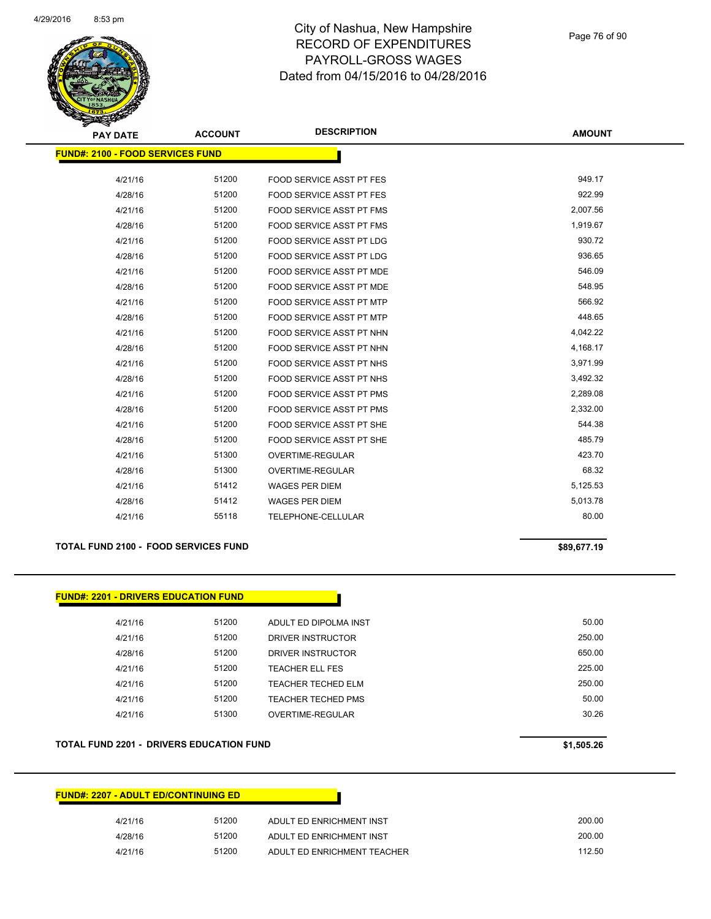

| <b>PAY DATE</b>                         | <b>ACCOUNT</b> | <b>DESCRIPTION</b>              | <b>AMOUNT</b> |
|-----------------------------------------|----------------|---------------------------------|---------------|
| <b>FUND#: 2100 - FOOD SERVICES FUND</b> |                |                                 |               |
|                                         |                |                                 |               |
| 4/21/16                                 | 51200          | <b>FOOD SERVICE ASST PT FES</b> | 949.17        |
| 4/28/16                                 | 51200          | <b>FOOD SERVICE ASST PT FES</b> | 922.99        |
| 4/21/16                                 | 51200          | <b>FOOD SERVICE ASST PT FMS</b> | 2,007.56      |
| 4/28/16                                 | 51200          | <b>FOOD SERVICE ASST PT FMS</b> | 1,919.67      |
| 4/21/16                                 | 51200          | FOOD SERVICE ASST PT LDG        | 930.72        |
| 4/28/16                                 | 51200          | <b>FOOD SERVICE ASST PT LDG</b> | 936.65        |
| 4/21/16                                 | 51200          | FOOD SERVICE ASST PT MDE        | 546.09        |
| 4/28/16                                 | 51200          | <b>FOOD SERVICE ASST PT MDE</b> | 548.95        |
| 4/21/16                                 | 51200          | <b>FOOD SERVICE ASST PT MTP</b> | 566.92        |
| 4/28/16                                 | 51200          | <b>FOOD SERVICE ASST PT MTP</b> | 448.65        |
| 4/21/16                                 | 51200          | FOOD SERVICE ASST PT NHN        | 4,042.22      |
| 4/28/16                                 | 51200          | FOOD SERVICE ASST PT NHN        | 4,168.17      |
| 4/21/16                                 | 51200          | FOOD SERVICE ASST PT NHS        | 3,971.99      |
| 4/28/16                                 | 51200          | FOOD SERVICE ASST PT NHS        | 3,492.32      |
| 4/21/16                                 | 51200          | <b>FOOD SERVICE ASST PT PMS</b> | 2,289.08      |
| 4/28/16                                 | 51200          | <b>FOOD SERVICE ASST PT PMS</b> | 2,332.00      |
| 4/21/16                                 | 51200          | FOOD SERVICE ASST PT SHE        | 544.38        |
| 4/28/16                                 | 51200          | FOOD SERVICE ASST PT SHE        | 485.79        |
| 4/21/16                                 | 51300          | <b>OVERTIME-REGULAR</b>         | 423.70        |
| 4/28/16                                 | 51300          | OVERTIME-REGULAR                | 68.32         |
| 4/21/16                                 | 51412          | <b>WAGES PER DIEM</b>           | 5,125.53      |
| 4/28/16                                 | 51412          | <b>WAGES PER DIEM</b>           | 5,013.78      |
| 4/21/16                                 | 55118          | TELEPHONE-CELLULAR              | 80.00         |
|                                         |                |                                 |               |

#### **TOTAL FUND 2100 - FOOD SERVICES FUND \$89,677.19**

**FUND#: 2201 - DRIVERS EDUCATION FUND** 4/21/16 51200 ADULT ED DIPOLMA INST 50.00 4/21/16 51200 DRIVER INSTRUCTOR 250.00 4/28/16 51200 DRIVER INSTRUCTOR 650.00 4/21/16 51200 TEACHER ELL FES 225.00 4/21/16 51200 TEACHER TECHED ELM 250.00 4/21/16 51200 TEACHER TECHED PMS 50.00 4/21/16 51300 OVERTIME-REGULAR 30.26

### **TOTAL FUND 2201 - DRIVERS EDUCATION FUND \$1,505.26**

| <b>FUND#: 2207 - ADULT ED/CONTINUING ED</b> |       |                             |
|---------------------------------------------|-------|-----------------------------|
| 4/21/16                                     | 51200 | ADULT ED ENRICHMENT INST    |
| 4/28/16                                     | 51200 | ADULT ED ENRICHMENT INST    |
| 4/21/16                                     | 51200 | ADULT ED ENRICHMENT TEACHER |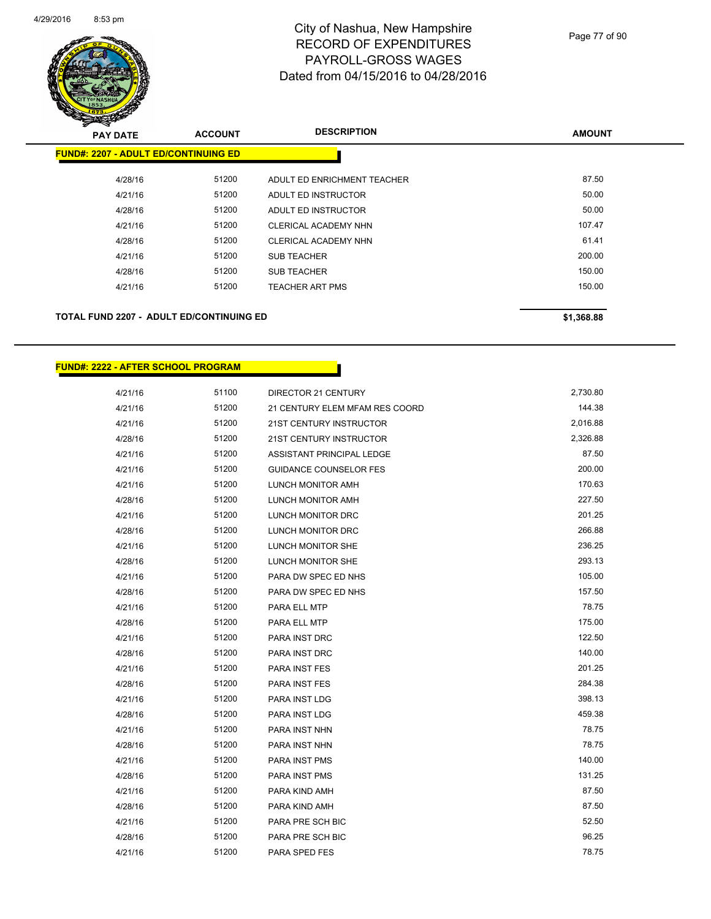

| <b>AMOUNT</b> | <b>DESCRIPTION</b>          | <b>ACCOUNT</b> | <b>PAY DATE</b>                             |
|---------------|-----------------------------|----------------|---------------------------------------------|
|               |                             |                | <b>FUND#: 2207 - ADULT ED/CONTINUING ED</b> |
| 87.50         | ADULT ED ENRICHMENT TEACHER | 51200          | 4/28/16                                     |
| 50.00         | ADULT ED INSTRUCTOR         | 51200          | 4/21/16                                     |
| 50.00         | ADULT ED INSTRUCTOR         | 51200          | 4/28/16                                     |
| 107.47        | <b>CLERICAL ACADEMY NHN</b> | 51200          | 4/21/16                                     |
| 61.41         | <b>CLERICAL ACADEMY NHN</b> | 51200          | 4/28/16                                     |
| 200.00        | <b>SUB TEACHER</b>          | 51200          | 4/21/16                                     |
| 150.00        | <b>SUB TEACHER</b>          | 51200          | 4/28/16                                     |
| 150.00        | <b>TEACHER ART PMS</b>      | 51200          | 4/21/16                                     |
|               |                             |                |                                             |
|               |                             |                |                                             |

### **TOTAL FUND 2207 - ADULT ED/CONTINUING ED \$1,368.88**

**FUND#: 2222 - AFTER SCHOOL PROGRAM**

| 4/21/16 | 51100 | DIRECTOR 21 CENTURY            | 2,730.80 |
|---------|-------|--------------------------------|----------|
| 4/21/16 | 51200 | 21 CENTURY ELEM MFAM RES COORD | 144.38   |
| 4/21/16 | 51200 | 21ST CENTURY INSTRUCTOR        | 2,016.88 |
| 4/28/16 | 51200 | 21ST CENTURY INSTRUCTOR        | 2,326.88 |
| 4/21/16 | 51200 | ASSISTANT PRINCIPAL LEDGE      | 87.50    |
| 4/21/16 | 51200 | GUIDANCE COUNSELOR FES         | 200.00   |
| 4/21/16 | 51200 | LUNCH MONITOR AMH              | 170.63   |
| 4/28/16 | 51200 | LUNCH MONITOR AMH              | 227.50   |
| 4/21/16 | 51200 | LUNCH MONITOR DRC              | 201.25   |
| 4/28/16 | 51200 | LUNCH MONITOR DRC              | 266.88   |
| 4/21/16 | 51200 | LUNCH MONITOR SHE              | 236.25   |
| 4/28/16 | 51200 | LUNCH MONITOR SHE              | 293.13   |
| 4/21/16 | 51200 | PARA DW SPEC ED NHS            | 105.00   |
| 4/28/16 | 51200 | PARA DW SPEC ED NHS            | 157.50   |
| 4/21/16 | 51200 | PARA ELL MTP                   | 78.75    |
| 4/28/16 | 51200 | PARA ELL MTP                   | 175.00   |
| 4/21/16 | 51200 | PARA INST DRC                  | 122.50   |
| 4/28/16 | 51200 | PARA INST DRC                  | 140.00   |
| 4/21/16 | 51200 | <b>PARA INST FES</b>           | 201.25   |
| 4/28/16 | 51200 | PARA INST FES                  | 284.38   |
| 4/21/16 | 51200 | PARA INST LDG                  | 398.13   |
| 4/28/16 | 51200 | PARA INST LDG                  | 459.38   |
| 4/21/16 | 51200 | PARA INST NHN                  | 78.75    |
| 4/28/16 | 51200 | PARA INST NHN                  | 78.75    |
| 4/21/16 | 51200 | PARA INST PMS                  | 140.00   |
| 4/28/16 | 51200 | PARA INST PMS                  | 131.25   |
| 4/21/16 | 51200 | PARA KIND AMH                  | 87.50    |
| 4/28/16 | 51200 | PARA KIND AMH                  | 87.50    |
| 4/21/16 | 51200 | PARA PRE SCH BIC               | 52.50    |
| 4/28/16 | 51200 | PARA PRE SCH BIC               | 96.25    |
| 4/21/16 | 51200 | PARA SPED FES                  | 78.75    |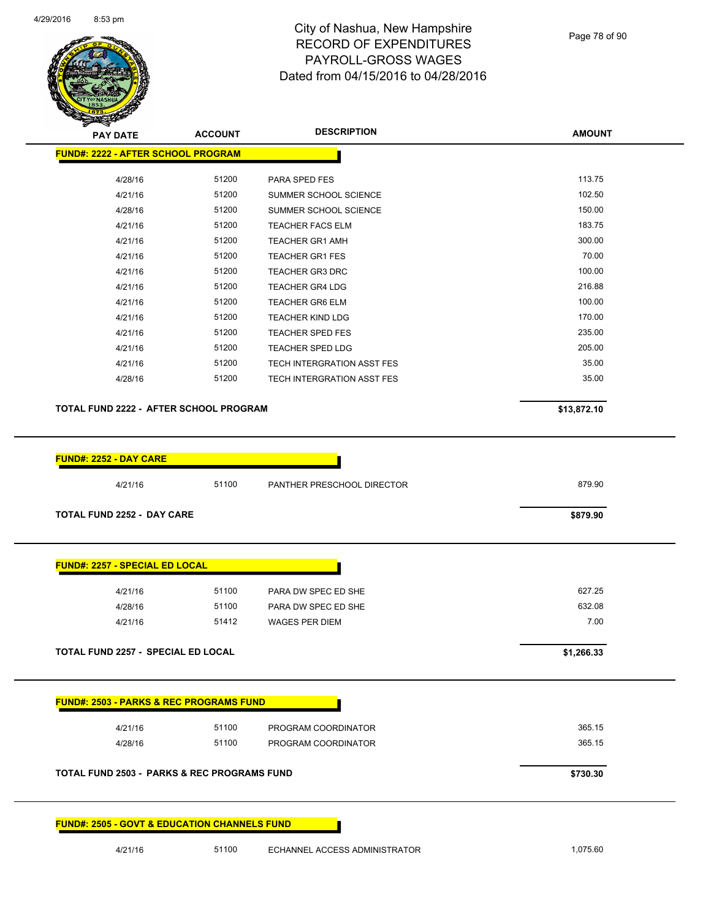

Page 78 of 90

**AMOUNT**

| <b>FUND#: 2222 - AFTER SCHOOL PROGRAM</b>                                                            |       |                                       |             |
|------------------------------------------------------------------------------------------------------|-------|---------------------------------------|-------------|
| 4/28/16                                                                                              | 51200 | PARA SPED FES                         | 113.75      |
| 4/21/16                                                                                              | 51200 | SUMMER SCHOOL SCIENCE                 | 102.50      |
| 4/28/16                                                                                              | 51200 | SUMMER SCHOOL SCIENCE                 | 150.00      |
| 4/21/16                                                                                              | 51200 | <b>TEACHER FACS ELM</b>               | 183.75      |
| 4/21/16                                                                                              | 51200 | <b>TEACHER GR1 AMH</b>                | 300.00      |
| 4/21/16                                                                                              | 51200 | <b>TEACHER GR1 FES</b>                | 70.00       |
| 4/21/16                                                                                              | 51200 | <b>TEACHER GR3 DRC</b>                | 100.00      |
| 4/21/16                                                                                              | 51200 | <b>TEACHER GR4 LDG</b>                | 216.88      |
| 4/21/16                                                                                              | 51200 | <b>TEACHER GR6 ELM</b>                | 100.00      |
| 4/21/16                                                                                              | 51200 | <b>TEACHER KIND LDG</b>               | 170.00      |
| 4/21/16                                                                                              | 51200 | <b>TEACHER SPED FES</b>               | 235.00      |
| 4/21/16                                                                                              | 51200 | <b>TEACHER SPED LDG</b>               | 205.00      |
| 4/21/16                                                                                              | 51200 | TECH INTERGRATION ASST FES            | 35.00       |
| 4/28/16                                                                                              | 51200 | TECH INTERGRATION ASST FES            | 35.00       |
| TOTAL FUND 2222 - AFTER SCHOOL PROGRAM                                                               |       |                                       | \$13,872.10 |
|                                                                                                      |       |                                       |             |
|                                                                                                      |       |                                       |             |
|                                                                                                      |       |                                       |             |
| 4/21/16                                                                                              | 51100 | PANTHER PRESCHOOL DIRECTOR            | 879.90      |
|                                                                                                      |       |                                       | \$879.90    |
| FUND#: 2252 - DAY CARE<br><b>TOTAL FUND 2252 - DAY CARE</b><br>FUND#: 2257 - SPECIAL ED LOCAL        |       |                                       |             |
| 4/21/16                                                                                              | 51100 | PARA DW SPEC ED SHE                   | 627.25      |
|                                                                                                      | 51100 |                                       | 632.08      |
| 4/28/16<br>4/21/16                                                                                   | 51412 | PARA DW SPEC ED SHE<br>WAGES PER DIEM | 7.00        |
|                                                                                                      |       |                                       | \$1,266.33  |
|                                                                                                      |       |                                       |             |
| TOTAL FUND 2257 - SPECIAL ED LOCAL<br><u> FUND#: 2503 - PARKS &amp; REC PROGRAMS FUND</u><br>4/21/16 | 51100 | PROGRAM COORDINATOR                   | 365.15      |
| 4/28/16                                                                                              | 51100 | PROGRAM COORDINATOR                   | 365.15      |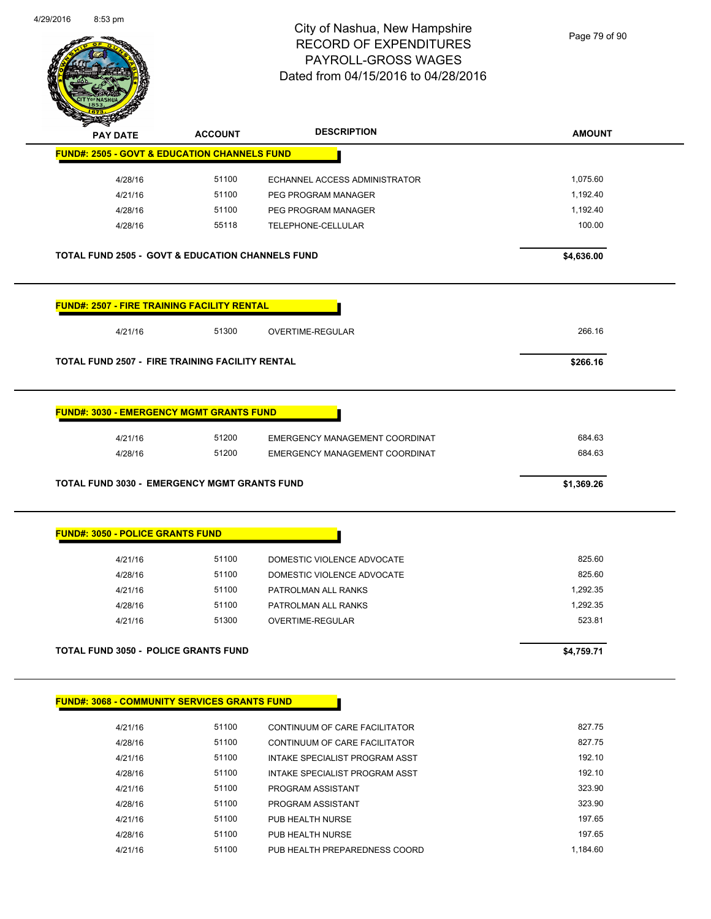

Page 79 of 90

| <b>PAY DATE</b>                                               | <b>ACCOUNT</b>                                              | <b>DESCRIPTION</b>                                  | <b>AMOUNT</b>    |
|---------------------------------------------------------------|-------------------------------------------------------------|-----------------------------------------------------|------------------|
|                                                               | <b>FUND#: 2505 - GOVT &amp; EDUCATION CHANNELS FUND</b>     |                                                     |                  |
| 4/28/16                                                       | 51100                                                       | ECHANNEL ACCESS ADMINISTRATOR                       | 1,075.60         |
| 4/21/16                                                       | 51100                                                       | PEG PROGRAM MANAGER                                 | 1,192.40         |
| 4/28/16                                                       | 51100                                                       | PEG PROGRAM MANAGER                                 | 1,192.40         |
| 4/28/16                                                       | 55118                                                       | TELEPHONE-CELLULAR                                  | 100.00           |
|                                                               | <b>TOTAL FUND 2505 - GOVT &amp; EDUCATION CHANNELS FUND</b> |                                                     | \$4,636.00       |
|                                                               | <b>FUND#: 2507 - FIRE TRAINING FACILITY RENTAL</b>          |                                                     |                  |
| 4/21/16                                                       | 51300                                                       | <b>OVERTIME-REGULAR</b>                             | 266.16           |
|                                                               | TOTAL FUND 2507 - FIRE TRAINING FACILITY RENTAL             |                                                     | \$266.16         |
| 4/21/16                                                       | 51200                                                       | EMERGENCY MANAGEMENT COORDINAT                      | 684.63           |
| 4/28/16                                                       | 51200                                                       | EMERGENCY MANAGEMENT COORDINAT                      | 684.63           |
|                                                               | <b>TOTAL FUND 3030 - EMERGENCY MGMT GRANTS FUND</b>         |                                                     | \$1,369.26       |
|                                                               |                                                             |                                                     |                  |
| 4/21/16                                                       | 51100                                                       | DOMESTIC VIOLENCE ADVOCATE                          | 825.60           |
| 4/28/16                                                       | 51100                                                       | DOMESTIC VIOLENCE ADVOCATE                          | 825.60           |
| 4/21/16                                                       | 51100                                                       | PATROLMAN ALL RANKS                                 | 1,292.35         |
| 4/28/16                                                       | 51100                                                       | PATROLMAN ALL RANKS                                 | 1,292.35         |
| 4/21/16                                                       | 51300                                                       | OVERTIME-REGULAR                                    | 523.81           |
|                                                               | <b>TOTAL FUND 3050 - POLICE GRANTS FUND</b>                 |                                                     | \$4,759.71       |
|                                                               | <b>FUND#: 3068 - COMMUNITY SERVICES GRANTS FUND</b>         |                                                     |                  |
|                                                               |                                                             |                                                     |                  |
| 4/21/16                                                       | 51100                                                       | CONTINUUM OF CARE FACILITATOR                       | 827.75           |
| 4/28/16                                                       | 51100                                                       | CONTINUUM OF CARE FACILITATOR                       | 827.75           |
| 4/21/16                                                       | 51100                                                       | INTAKE SPECIALIST PROGRAM ASST                      | 192.10           |
| <b>FUND#: 3050 - POLICE GRANTS FUND</b><br>4/28/16<br>4/21/16 | 51100<br>51100                                              | INTAKE SPECIALIST PROGRAM ASST<br>PROGRAM ASSISTANT | 192.10<br>323.90 |

4/21/16 51100 PUB HEALTH NURSE 197.65 4/28/16 51100 PUB HEALTH NURSE 197.65 4/21/16 51100 PUB HEALTH PREPAREDNESS COORD 1,184.60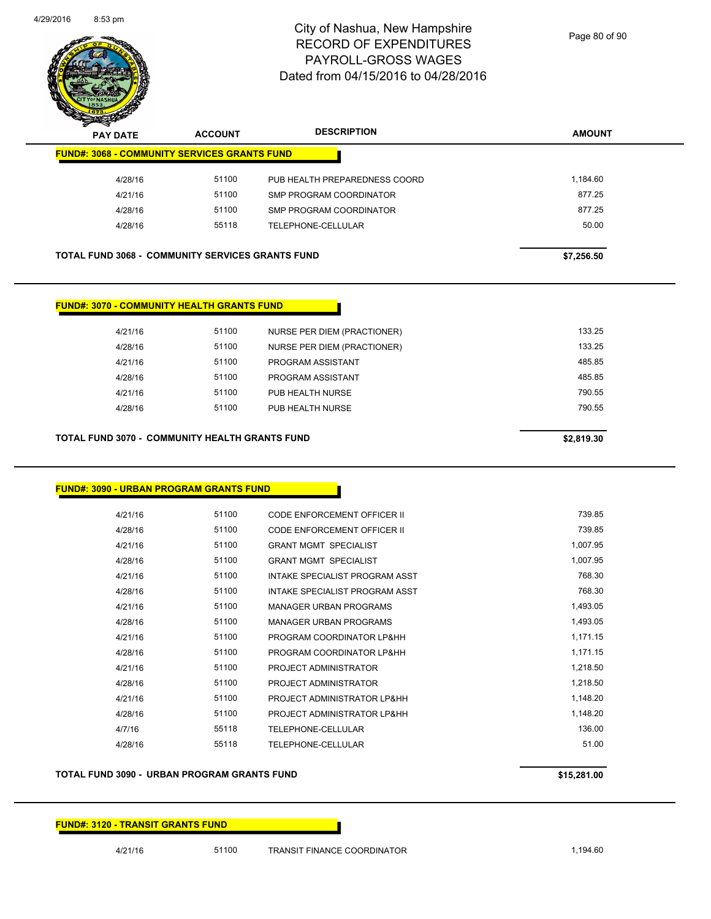

| $\boldsymbol{z}$<br>--<br><b>PAY DATE</b>               | <b>ACCOUNT</b> | <b>DESCRIPTION</b>            | <b>AMOUNT</b> |
|---------------------------------------------------------|----------------|-------------------------------|---------------|
| <b>FUND#: 3068 - COMMUNITY SERVICES GRANTS FUND</b>     |                |                               |               |
| 4/28/16                                                 | 51100          | PUB HEALTH PREPAREDNESS COORD | 1,184.60      |
| 4/21/16                                                 | 51100          | SMP PROGRAM COORDINATOR       | 877.25        |
| 4/28/16                                                 | 51100          | SMP PROGRAM COORDINATOR       | 877.25        |
| 4/28/16                                                 | 55118          | TELEPHONE-CELLULAR            | 50.00         |
|                                                         |                |                               |               |
| <b>TOTAL FUND 3068 - COMMUNITY SERVICES GRANTS FUND</b> |                |                               | \$7,256.50    |

### **FUND#: 3070 - COMMUNITY HEALTH GRANTS FUND**

| 4/21/16 | 51100 | NURSE PER DIEM (PRACTIONER) | 133.25 |
|---------|-------|-----------------------------|--------|
| 4/28/16 | 51100 | NURSE PER DIEM (PRACTIONER) | 133.25 |
| 4/21/16 | 51100 | PROGRAM ASSISTANT           | 485.85 |
| 4/28/16 | 51100 | PROGRAM ASSISTANT           | 485.85 |
| 4/21/16 | 51100 | PUB HEALTH NURSE            | 790.55 |
| 4/28/16 | 51100 | PUB HEALTH NURSE            | 790.55 |
|         |       |                             |        |
|         |       |                             |        |

### **TOTAL FUND 3070 - COMMUNITY HEALTH GRANTS FUND \$2,819.30**

| <u> FUND#: 3090 - URBAN PROGRAM GRANTS FUND</u> |       |                                    |          |
|-------------------------------------------------|-------|------------------------------------|----------|
| 4/21/16                                         | 51100 | CODE ENFORCEMENT OFFICER II        | 739.85   |
| 4/28/16                                         | 51100 | <b>CODE ENFORCEMENT OFFICER II</b> | 739.85   |
| 4/21/16                                         | 51100 | <b>GRANT MGMT SPECIALIST</b>       | 1,007.95 |
| 4/28/16                                         | 51100 | <b>GRANT MGMT SPECIALIST</b>       | 1,007.95 |
| 4/21/16                                         | 51100 | INTAKE SPECIALIST PROGRAM ASST     | 768.30   |
| 4/28/16                                         | 51100 | INTAKE SPECIALIST PROGRAM ASST     | 768.30   |
| 4/21/16                                         | 51100 | <b>MANAGER URBAN PROGRAMS</b>      | 1,493.05 |
| 4/28/16                                         | 51100 | <b>MANAGER URBAN PROGRAMS</b>      | 1,493.05 |
| 4/21/16                                         | 51100 | PROGRAM COORDINATOR LP&HH          | 1,171.15 |
| 4/28/16                                         | 51100 | PROGRAM COORDINATOR LP&HH          | 1,171.15 |
| 4/21/16                                         | 51100 | PROJECT ADMINISTRATOR              | 1,218.50 |
| 4/28/16                                         | 51100 | PROJECT ADMINISTRATOR              | 1,218.50 |
| 4/21/16                                         | 51100 | PROJECT ADMINISTRATOR LP&HH        | 1,148.20 |
| 4/28/16                                         | 51100 | PROJECT ADMINISTRATOR LP&HH        | 1,148.20 |
| 4/7/16                                          | 55118 | TELEPHONE-CELLULAR                 | 136.00   |
| 4/28/16                                         | 55118 | <b>TELEPHONE-CELLULAR</b>          | 51.00    |

### **TOTAL FUND 3090 - URBAN PROGRAM GRANTS FUND \$15,281.00**

### **FUND#: 3120 - TRANSIT GRANTS FUND**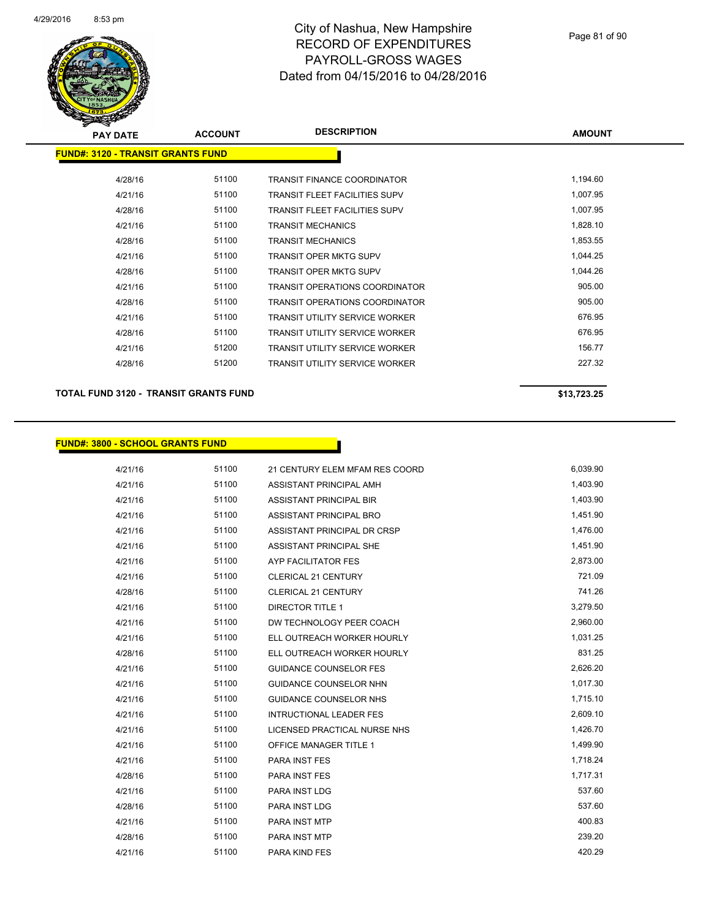

| <b>PAY DATE</b>                          | <b>ACCOUNT</b> | <b>DESCRIPTION</b>                    | <b>AMOUNT</b> |
|------------------------------------------|----------------|---------------------------------------|---------------|
| <b>FUND#: 3120 - TRANSIT GRANTS FUND</b> |                |                                       |               |
| 4/28/16                                  | 51100          | <b>TRANSIT FINANCE COORDINATOR</b>    | 1,194.60      |
| 4/21/16                                  | 51100          | <b>TRANSIT FLEET FACILITIES SUPV</b>  | 1,007.95      |
| 4/28/16                                  | 51100          | <b>TRANSIT FLEET FACILITIES SUPV</b>  | 1,007.95      |
| 4/21/16                                  | 51100          | <b>TRANSIT MECHANICS</b>              | 1,828.10      |
| 4/28/16                                  | 51100          | <b>TRANSIT MECHANICS</b>              | 1,853.55      |
| 4/21/16                                  | 51100          | <b>TRANSIT OPER MKTG SUPV</b>         | 1,044.25      |
| 4/28/16                                  | 51100          | <b>TRANSIT OPER MKTG SUPV</b>         | 1,044.26      |
| 4/21/16                                  | 51100          | <b>TRANSIT OPERATIONS COORDINATOR</b> | 905.00        |
| 4/28/16                                  | 51100          | <b>TRANSIT OPERATIONS COORDINATOR</b> | 905.00        |
| 4/21/16                                  | 51100          | <b>TRANSIT UTILITY SERVICE WORKER</b> | 676.95        |
| 4/28/16                                  | 51100          | <b>TRANSIT UTILITY SERVICE WORKER</b> | 676.95        |
| 4/21/16                                  | 51200          | <b>TRANSIT UTILITY SERVICE WORKER</b> | 156.77        |
| 4/28/16                                  | 51200          | <b>TRANSIT UTILITY SERVICE WORKER</b> | 227.32        |
|                                          |                |                                       |               |

**TOTAL FUND 3120 - TRANSIT GRANTS FUND \$13,723.25** 

#### **FUND#: 3800 - SCHOOL GRANTS FUND**

4/21/16 51100 21 CENTURY ELEM MFAM RES COORD 6,039.90 4/21/16 51100 ASSISTANT PRINCIPAL AMH 4/21/16 51100 ASSISTANT PRINCIPAL BIR 1,403.90 4/21/16 51100 ASSISTANT PRINCIPAL BRO 1,451.90 4/21/16 51100 ASSISTANT PRINCIPAL DR CRSP 1,476.00 4/21/16 51100 ASSISTANT PRINCIPAL SHE 1,451.90 4/21/16 51100 AYP FACILITATOR FES 2,873.00 4/21/16 51100 CLERICAL 21 CENTURY 721.09 4/28/16 51100 CLERICAL 21 CENTURY 741.26 4/21/16 51100 DIRECTOR TITLE 1 3,279.50 4/21/16 51100 DW TECHNOLOGY PEER COACH 2,960.00 4/21/16 51100 ELL OUTREACH WORKER HOURLY 1,031.25 4/28/16 51100 ELL OUTREACH WORKER HOURLY 831.25 4/21/16 51100 GUIDANCE COUNSELOR FES 2,626.20 4/21/16 51100 GUIDANCE COUNSELOR NHN 51,017.30 4/21/16 51100 GUIDANCE COUNSELOR NHS 1,715.10 4/21/16 51100 INTRUCTIONAL LEADER FES 2,609.10 4/21/16 51100 LICENSED PRACTICAL NURSE NHS 1,426.70 4/21/16 51100 OFFICE MANAGER TITLE 1 1 1,499.90 4/21/16 51100 PARA INST FES 1,718.24 4/28/16 51100 PARA INST FES 1,717.31 4/21/16 537.60 51100 PARA INST LDG 537.60 4/28/16 537.60 51100 PARA INST LDG 537.60 4/21/16 51100 PARA INST MTP 400.83 4/28/16 51100 PARA INST MTP 239.20 4/21/16 51100 PARA KIND FES 420.29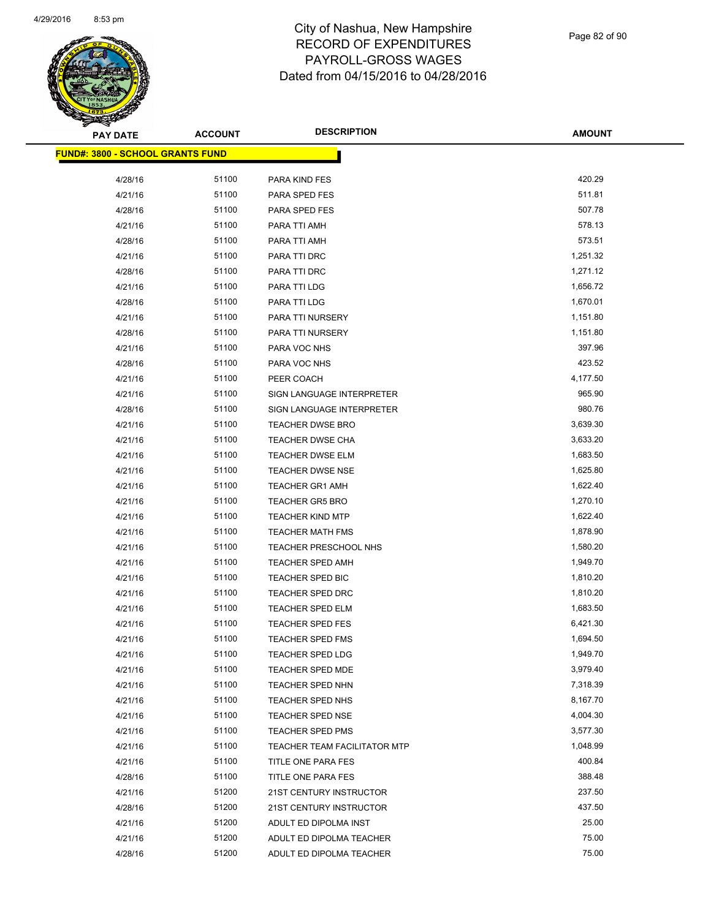

| <b>PAY DATE</b>                          | <b>ACCOUNT</b> | <b>DESCRIPTION</b>                  | <b>AMOUNT</b> |
|------------------------------------------|----------------|-------------------------------------|---------------|
| <u> FUND#: 3800 - SCHOOL GRANTS FUND</u> |                |                                     |               |
|                                          |                |                                     |               |
| 4/28/16                                  | 51100          | PARA KIND FES                       | 420.29        |
| 4/21/16                                  | 51100          | PARA SPED FES                       | 511.81        |
| 4/28/16                                  | 51100          | PARA SPED FES                       | 507.78        |
| 4/21/16                                  | 51100          | PARA TTI AMH                        | 578.13        |
| 4/28/16                                  | 51100          | PARA TTI AMH                        | 573.51        |
| 4/21/16                                  | 51100          | PARA TTI DRC                        | 1,251.32      |
| 4/28/16                                  | 51100          | PARA TTI DRC                        | 1,271.12      |
| 4/21/16                                  | 51100          | PARA TTI LDG                        | 1,656.72      |
| 4/28/16                                  | 51100          | PARA TTI LDG                        | 1,670.01      |
| 4/21/16                                  | 51100          | PARA TTI NURSERY                    | 1,151.80      |
| 4/28/16                                  | 51100          | PARA TTI NURSERY                    | 1,151.80      |
| 4/21/16                                  | 51100          | PARA VOC NHS                        | 397.96        |
| 4/28/16                                  | 51100          | PARA VOC NHS                        | 423.52        |
| 4/21/16                                  | 51100          | PEER COACH                          | 4,177.50      |
| 4/21/16                                  | 51100          | SIGN LANGUAGE INTERPRETER           | 965.90        |
| 4/28/16                                  | 51100          | SIGN LANGUAGE INTERPRETER           | 980.76        |
| 4/21/16                                  | 51100          | <b>TEACHER DWSE BRO</b>             | 3,639.30      |
| 4/21/16                                  | 51100          | <b>TEACHER DWSE CHA</b>             | 3,633.20      |
| 4/21/16                                  | 51100          | <b>TEACHER DWSE ELM</b>             | 1,683.50      |
| 4/21/16                                  | 51100          | <b>TEACHER DWSE NSE</b>             | 1,625.80      |
| 4/21/16                                  | 51100          | <b>TEACHER GR1 AMH</b>              | 1,622.40      |
| 4/21/16                                  | 51100          | <b>TEACHER GR5 BRO</b>              | 1,270.10      |
| 4/21/16                                  | 51100          | <b>TEACHER KIND MTP</b>             | 1,622.40      |
| 4/21/16                                  | 51100          | <b>TEACHER MATH FMS</b>             | 1,878.90      |
| 4/21/16                                  | 51100          | TEACHER PRESCHOOL NHS               | 1,580.20      |
| 4/21/16                                  | 51100          | TEACHER SPED AMH                    | 1,949.70      |
| 4/21/16                                  | 51100          | TEACHER SPED BIC                    | 1,810.20      |
| 4/21/16                                  | 51100          | <b>TEACHER SPED DRC</b>             | 1,810.20      |
| 4/21/16                                  | 51100          | <b>TEACHER SPED ELM</b>             | 1,683.50      |
| 4/21/16                                  | 51100          | <b>TEACHER SPED FES</b>             | 6,421.30      |
| 4/21/16                                  | 51100          | <b>TEACHER SPED FMS</b>             | 1,694.50      |
| 4/21/16                                  | 51100          | <b>TEACHER SPED LDG</b>             | 1,949.70      |
| 4/21/16                                  | 51100          | TEACHER SPED MDE                    | 3,979.40      |
| 4/21/16                                  | 51100          | <b>TEACHER SPED NHN</b>             | 7,318.39      |
| 4/21/16                                  | 51100          | <b>TEACHER SPED NHS</b>             | 8,167.70      |
| 4/21/16                                  | 51100          | TEACHER SPED NSE                    | 4,004.30      |
| 4/21/16                                  | 51100          | <b>TEACHER SPED PMS</b>             | 3,577.30      |
| 4/21/16                                  | 51100          | <b>TEACHER TEAM FACILITATOR MTP</b> | 1,048.99      |
| 4/21/16                                  | 51100          | TITLE ONE PARA FES                  | 400.84        |
| 4/28/16                                  | 51100          | TITLE ONE PARA FES                  | 388.48        |
| 4/21/16                                  | 51200          | 21ST CENTURY INSTRUCTOR             | 237.50        |
| 4/28/16                                  | 51200          | 21ST CENTURY INSTRUCTOR             | 437.50        |
| 4/21/16                                  | 51200          | ADULT ED DIPOLMA INST               | 25.00         |
| 4/21/16                                  | 51200          | ADULT ED DIPOLMA TEACHER            | 75.00         |
| 4/28/16                                  | 51200          | ADULT ED DIPOLMA TEACHER            | 75.00         |
|                                          |                |                                     |               |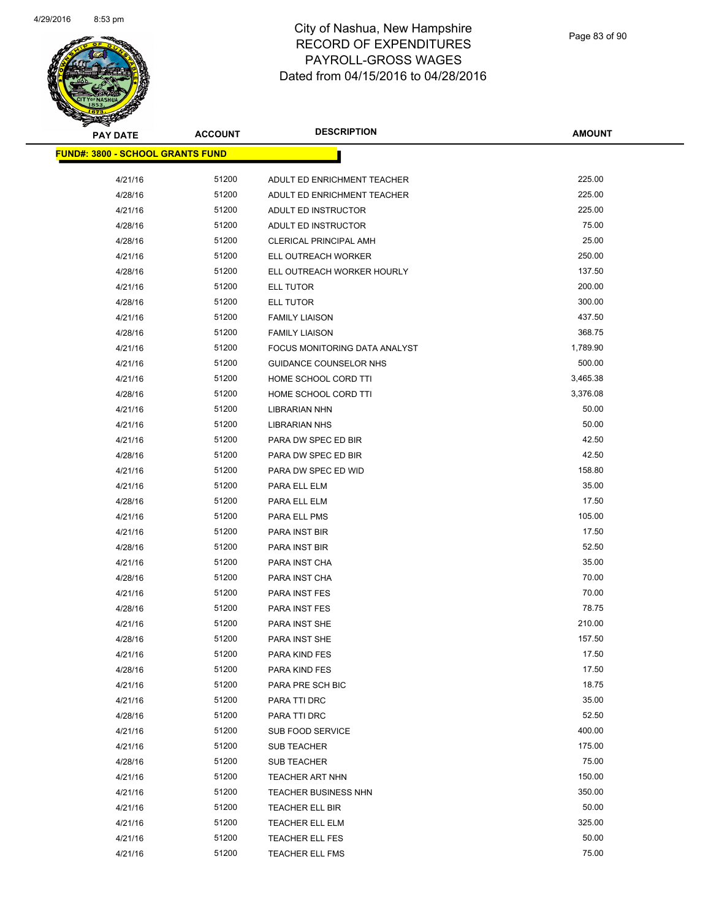

| <b>PAY DATE</b>                          | <b>ACCOUNT</b> | <b>DESCRIPTION</b>            | <b>AMOUNT</b> |
|------------------------------------------|----------------|-------------------------------|---------------|
| <u> FUND#: 3800 - SCHOOL GRANTS FUND</u> |                |                               |               |
|                                          |                |                               |               |
| 4/21/16                                  | 51200          | ADULT ED ENRICHMENT TEACHER   | 225.00        |
| 4/28/16                                  | 51200          | ADULT ED ENRICHMENT TEACHER   | 225.00        |
| 4/21/16                                  | 51200          | ADULT ED INSTRUCTOR           | 225.00        |
| 4/28/16                                  | 51200          | ADULT ED INSTRUCTOR           | 75.00         |
| 4/28/16                                  | 51200          | <b>CLERICAL PRINCIPAL AMH</b> | 25.00         |
| 4/21/16                                  | 51200          | ELL OUTREACH WORKER           | 250.00        |
| 4/28/16                                  | 51200          | ELL OUTREACH WORKER HOURLY    | 137.50        |
| 4/21/16                                  | 51200          | ELL TUTOR                     | 200.00        |
| 4/28/16                                  | 51200          | ELL TUTOR                     | 300.00        |
| 4/21/16                                  | 51200          | <b>FAMILY LIAISON</b>         | 437.50        |
| 4/28/16                                  | 51200          | <b>FAMILY LIAISON</b>         | 368.75        |
| 4/21/16                                  | 51200          | FOCUS MONITORING DATA ANALYST | 1,789.90      |
| 4/21/16                                  | 51200          | <b>GUIDANCE COUNSELOR NHS</b> | 500.00        |
| 4/21/16                                  | 51200          | HOME SCHOOL CORD TTI          | 3,465.38      |
| 4/28/16                                  | 51200          | HOME SCHOOL CORD TTI          | 3,376.08      |
| 4/21/16                                  | 51200          | <b>LIBRARIAN NHN</b>          | 50.00         |
| 4/21/16                                  | 51200          | <b>LIBRARIAN NHS</b>          | 50.00         |
| 4/21/16                                  | 51200          | PARA DW SPEC ED BIR           | 42.50         |
| 4/28/16                                  | 51200          | PARA DW SPEC ED BIR           | 42.50         |
| 4/21/16                                  | 51200          | PARA DW SPEC ED WID           | 158.80        |
| 4/21/16                                  | 51200          | PARA ELL ELM                  | 35.00         |
| 4/28/16                                  | 51200          | PARA ELL ELM                  | 17.50         |
| 4/21/16                                  | 51200          | PARA ELL PMS                  | 105.00        |
| 4/21/16                                  | 51200          | PARA INST BIR                 | 17.50         |
| 4/28/16                                  | 51200          | PARA INST BIR                 | 52.50         |
| 4/21/16                                  | 51200          | PARA INST CHA                 | 35.00         |
| 4/28/16                                  | 51200          | PARA INST CHA                 | 70.00         |
| 4/21/16                                  | 51200          | PARA INST FES                 | 70.00         |
| 4/28/16                                  | 51200          | PARA INST FES                 | 78.75         |
| 4/21/16                                  | 51200          | PARA INST SHE                 | 210.00        |
| 4/28/16                                  | 51200          | PARA INST SHE                 | 157.50        |
| 4/21/16                                  | 51200          | PARA KIND FES                 | 17.50         |
| 4/28/16                                  | 51200          | PARA KIND FES                 | 17.50         |
| 4/21/16                                  | 51200          | PARA PRE SCH BIC              | 18.75         |
| 4/21/16                                  | 51200          | PARA TTI DRC                  | 35.00         |
| 4/28/16                                  | 51200          | PARA TTI DRC                  | 52.50         |
| 4/21/16                                  | 51200          | SUB FOOD SERVICE              | 400.00        |
| 4/21/16                                  | 51200          | <b>SUB TEACHER</b>            | 175.00        |
| 4/28/16                                  | 51200          | SUB TEACHER                   | 75.00         |
| 4/21/16                                  | 51200          | <b>TEACHER ART NHN</b>        | 150.00        |
| 4/21/16                                  | 51200          | TEACHER BUSINESS NHN          | 350.00        |
| 4/21/16                                  | 51200          | TEACHER ELL BIR               | 50.00         |
| 4/21/16                                  | 51200          | TEACHER ELL ELM               | 325.00        |
| 4/21/16                                  | 51200          | TEACHER ELL FES               | 50.00         |
| 4/21/16                                  | 51200          | <b>TEACHER ELL FMS</b>        | 75.00         |
|                                          |                |                               |               |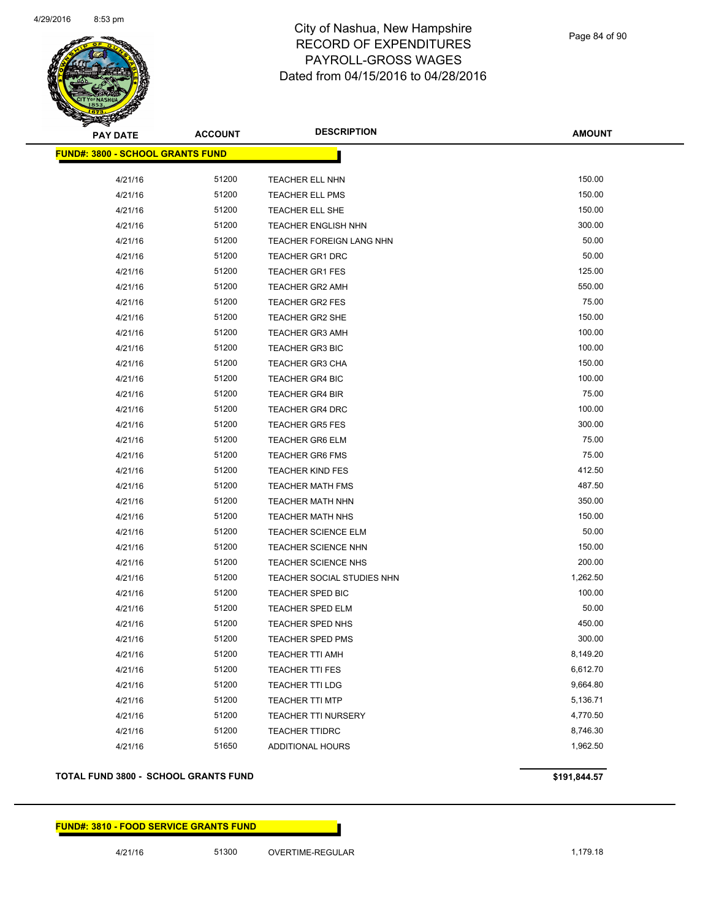

| <b>PAY DATE</b>                         | <b>ACCOUNT</b> | <b>DESCRIPTION</b>         | <b>AMOUNT</b> |
|-----------------------------------------|----------------|----------------------------|---------------|
| <b>FUND#: 3800 - SCHOOL GRANTS FUND</b> |                |                            |               |
|                                         |                |                            |               |
| 4/21/16                                 | 51200          | TEACHER ELL NHN            | 150.00        |
| 4/21/16                                 | 51200          | <b>TEACHER ELL PMS</b>     | 150.00        |
| 4/21/16                                 | 51200          | TEACHER ELL SHE            | 150.00        |
| 4/21/16                                 | 51200          | TEACHER ENGLISH NHN        | 300.00        |
| 4/21/16                                 | 51200          | TEACHER FOREIGN LANG NHN   | 50.00         |
| 4/21/16                                 | 51200          | TEACHER GR1 DRC            | 50.00         |
| 4/21/16                                 | 51200          | <b>TEACHER GR1 FES</b>     | 125.00        |
| 4/21/16                                 | 51200          | TEACHER GR2 AMH            | 550.00        |
| 4/21/16                                 | 51200          | TEACHER GR2 FES            | 75.00         |
| 4/21/16                                 | 51200          | <b>TEACHER GR2 SHE</b>     | 150.00        |
| 4/21/16                                 | 51200          | <b>TEACHER GR3 AMH</b>     | 100.00        |
| 4/21/16                                 | 51200          | <b>TEACHER GR3 BIC</b>     | 100.00        |
| 4/21/16                                 | 51200          | <b>TEACHER GR3 CHA</b>     | 150.00        |
| 4/21/16                                 | 51200          | <b>TEACHER GR4 BIC</b>     | 100.00        |
| 4/21/16                                 | 51200          | <b>TEACHER GR4 BIR</b>     | 75.00         |
| 4/21/16                                 | 51200          | <b>TEACHER GR4 DRC</b>     | 100.00        |
| 4/21/16                                 | 51200          | <b>TEACHER GR5 FES</b>     | 300.00        |
| 4/21/16                                 | 51200          | <b>TEACHER GR6 ELM</b>     | 75.00         |
| 4/21/16                                 | 51200          | <b>TEACHER GR6 FMS</b>     | 75.00         |
| 4/21/16                                 | 51200          | <b>TEACHER KIND FES</b>    | 412.50        |
| 4/21/16                                 | 51200          | <b>TEACHER MATH FMS</b>    | 487.50        |
| 4/21/16                                 | 51200          | <b>TEACHER MATH NHN</b>    | 350.00        |
| 4/21/16                                 | 51200          | <b>TEACHER MATH NHS</b>    | 150.00        |
| 4/21/16                                 | 51200          | <b>TEACHER SCIENCE ELM</b> | 50.00         |
| 4/21/16                                 | 51200          | <b>TEACHER SCIENCE NHN</b> | 150.00        |
| 4/21/16                                 | 51200          | TEACHER SCIENCE NHS        | 200.00        |
| 4/21/16                                 | 51200          | TEACHER SOCIAL STUDIES NHN | 1,262.50      |
| 4/21/16                                 | 51200          | TEACHER SPED BIC           | 100.00        |
| 4/21/16                                 | 51200          | <b>TEACHER SPED ELM</b>    | 50.00         |
| 4/21/16                                 | 51200          | TEACHER SPED NHS           | 450.00        |
| 4/21/16                                 | 51200          | <b>TEACHER SPED PMS</b>    | 300.00        |
| 4/21/16                                 | 51200          | TEACHER TTI AMH            | 8,149.20      |
| 4/21/16                                 | 51200          | <b>TEACHER TTI FES</b>     | 6,612.70      |
| 4/21/16                                 | 51200          | TEACHER TTI LDG            | 9,664.80      |
| 4/21/16                                 | 51200          | <b>TEACHER TTI MTP</b>     | 5,136.71      |
| 4/21/16                                 | 51200          | <b>TEACHER TTI NURSERY</b> | 4,770.50      |
| 4/21/16                                 | 51200          | <b>TEACHER TTIDRC</b>      | 8,746.30      |
| 4/21/16                                 | 51650          | <b>ADDITIONAL HOURS</b>    | 1,962.50      |

### **TOTAL FUND 3800 - SCHOOL GRANTS FUND \$191,844.57**

### **FUND#: 3810 - FOOD SERVICE GRANTS FUND**

4/21/16 51300 OVERTIME-REGULAR 1,179.18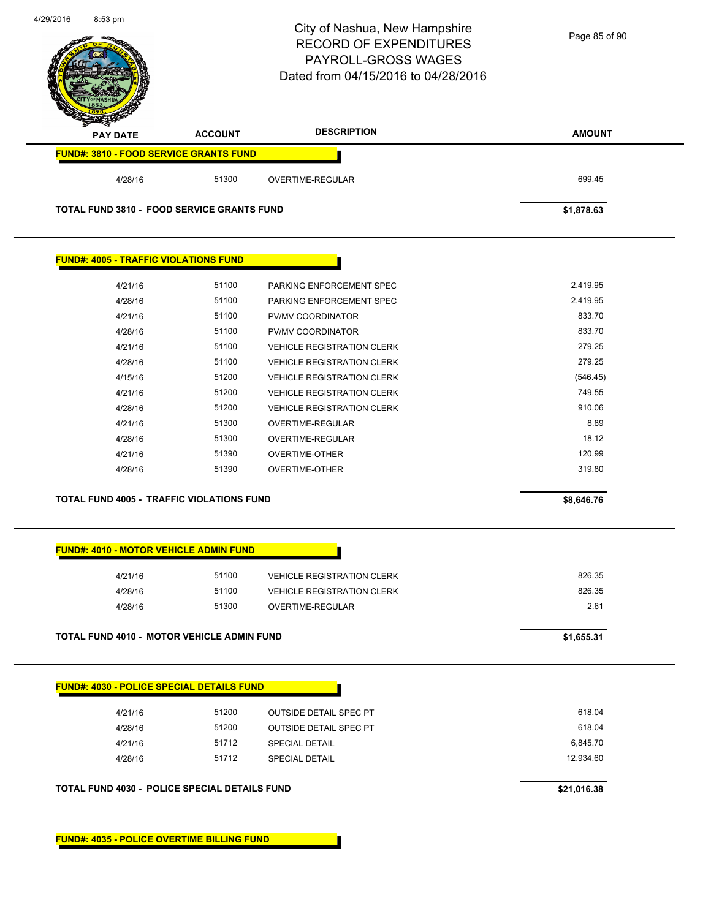| 4/29/2016<br>8:53 pm                              |                | City of Nashua, New Hampshire<br><b>RECORD OF EXPENDITURES</b><br><b>PAYROLL-GROSS WAGES</b><br>Dated from 04/15/2016 to 04/28/2016 | Page 85 of 90 |
|---------------------------------------------------|----------------|-------------------------------------------------------------------------------------------------------------------------------------|---------------|
| <b>PAY DATE</b>                                   | <b>ACCOUNT</b> | <b>DESCRIPTION</b>                                                                                                                  | <b>AMOUNT</b> |
| FUND#: 3810 - FOOD SERVICE GRANTS FUND            |                |                                                                                                                                     |               |
| 4/28/16                                           | 51300          | OVERTIME-REGULAR                                                                                                                    | 699.45        |
| <b>TOTAL FUND 3810 - FOOD SERVICE GRANTS FUND</b> |                |                                                                                                                                     | \$1,878.63    |
| <b>FUND#: 4005 - TRAFFIC VIOLATIONS FUND</b>      |                |                                                                                                                                     |               |
| 4/21/16                                           | 51100          | PARKING ENFORCEMENT SPEC                                                                                                            | 2,419.95      |
| 4/28/16                                           | 51100          | PARKING ENFORCEMENT SPEC                                                                                                            | 2,419.95      |
| 4/21/16                                           | 51100          | PV/MV COORDINATOR                                                                                                                   | 833.70        |
| 4/28/16                                           | 51100          | PV/MV COORDINATOR                                                                                                                   | 833.70        |
| 4/21/16                                           | 51100          | <b>VEHICLE REGISTRATION CLERK</b>                                                                                                   | 279.25        |
| 4/28/16                                           | 51100          | <b>VEHICLE REGISTRATION CLERK</b>                                                                                                   | 279.25        |
| 4/15/16                                           | 51200          | <b>VEHICLE REGISTRATION CLERK</b>                                                                                                   | (546.45)      |
| 4/21/16                                           | 51200          | <b>VEHICLE REGISTRATION CLERK</b>                                                                                                   | 749.55        |
| 4/28/16                                           | 51200          | <b>VEHICLE REGISTRATION CLERK</b>                                                                                                   | 910.06        |
| 4/21/16                                           | 51300          | OVERTIME-REGULAR                                                                                                                    | 8.89          |
| 4/28/16                                           | 51300          | OVERTIME-REGULAR                                                                                                                    | 18.12         |
| 4/21/16                                           | 51390          | <b>OVERTIME-OTHER</b>                                                                                                               | 120.99        |
| 4/28/16                                           | 51390          | <b>OVERTIME-OTHER</b>                                                                                                               | 319.80        |
| TOTAL FUND 4005 - TRAFFIC VIOLATIONS FUND         |                |                                                                                                                                     | \$8,646.76    |
| <b>FUND#: 4010 - MOTOR VEHICLE ADMIN FUND</b>     |                |                                                                                                                                     |               |
| 4/21/16                                           | 51100          | <b>VEHICLE REGISTRATION CLERK</b>                                                                                                   | 826.35        |
| 4/28/16                                           | 51100          | <b>VEHICLE REGISTRATION CLERK</b>                                                                                                   | 826.35        |
| 4/28/16                                           | 51300          | OVERTIME-REGULAR                                                                                                                    | 2.61          |
| TOTAL FUND 4010 - MOTOR VEHICLE ADMIN FUND        |                |                                                                                                                                     | \$1,655.31    |
| <b>FUND#: 4030 - POLICE SPECIAL DETAILS FUND</b>  |                |                                                                                                                                     |               |
| 4/21/16                                           | 51200          | <b>OUTSIDE DETAIL SPEC PT</b>                                                                                                       | 618.04        |
| 4/28/16                                           | 51200          | <b>OUTSIDE DETAIL SPEC PT</b>                                                                                                       | 618.04        |
| 4/21/16                                           | 51712          | <b>SPECIAL DETAIL</b>                                                                                                               | 6,845.70      |
| 4/28/16                                           | 51712          | <b>SPECIAL DETAIL</b>                                                                                                               | 12,934.60     |
|                                                   |                |                                                                                                                                     | \$21,016.38   |
| TOTAL FUND 4030 - POLICE SPECIAL DETAILS FUND     |                |                                                                                                                                     |               |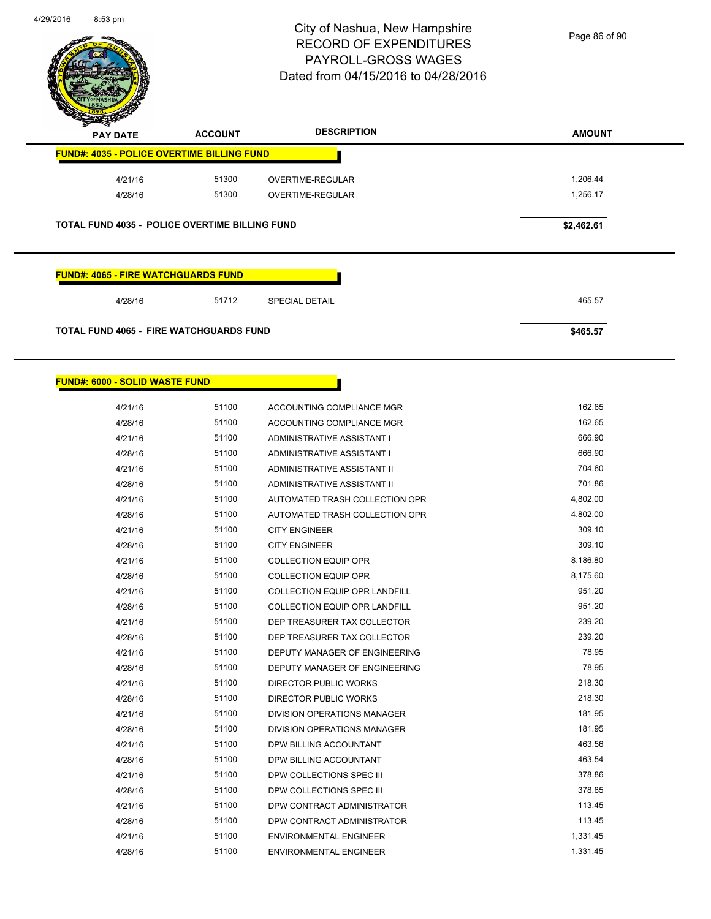

Page 86 of 90

| <b>PAY DATE</b>                                       | <b>ACCOUNT</b> | <b>DESCRIPTION</b>         | <b>AMOUNT</b> |
|-------------------------------------------------------|----------------|----------------------------|---------------|
| <b>FUND#: 4035 - POLICE OVERTIME BILLING FUND</b>     |                |                            |               |
| 4/21/16                                               | 51300          | OVERTIME-REGULAR           | 1,206.44      |
| 4/28/16                                               | 51300          | <b>OVERTIME-REGULAR</b>    | 1,256.17      |
| <b>TOTAL FUND 4035 - POLICE OVERTIME BILLING FUND</b> |                |                            | \$2,462.61    |
| <b>FUND#: 4065 - FIRE WATCHGUARDS FUND</b>            |                |                            |               |
| 4/28/16                                               | 51712          | <b>SPECIAL DETAIL</b>      | 465.57        |
| <b>TOTAL FUND 4065 - FIRE WATCHGUARDS FUND</b>        |                |                            | \$465.57      |
|                                                       |                |                            |               |
| <b>FUND#: 6000 - SOLID WASTE FUND</b>                 |                |                            |               |
| 4/21/16                                               | 51100          | ACCOUNTING COMPLIANCE MGR  | 162.65        |
| 4/28/16                                               | 51100          | ACCOUNTING COMPLIANCE MGR  | 162.65        |
| 4/21/16                                               | 51100          | ADMINISTRATIVE ASSISTANT I | 666.90        |
| 4/28/16                                               | 51100          | ADMINISTRATIVE ASSISTANT I | 666.90        |
|                                                       |                |                            |               |

| 4/28/16 |       | ADMINISTRATIVE ASSISTANT I           | <b>000.90</b> |
|---------|-------|--------------------------------------|---------------|
| 4/21/16 | 51100 | ADMINISTRATIVE ASSISTANT II          | 704.60        |
| 4/28/16 | 51100 | ADMINISTRATIVE ASSISTANT II          | 701.86        |
| 4/21/16 | 51100 | AUTOMATED TRASH COLLECTION OPR       | 4,802.00      |
| 4/28/16 | 51100 | AUTOMATED TRASH COLLECTION OPR       | 4,802.00      |
| 4/21/16 | 51100 | <b>CITY ENGINEER</b>                 | 309.10        |
| 4/28/16 | 51100 | <b>CITY ENGINEER</b>                 | 309.10        |
| 4/21/16 | 51100 | <b>COLLECTION EQUIP OPR</b>          | 8,186.80      |
| 4/28/16 | 51100 | <b>COLLECTION EQUIP OPR</b>          | 8,175.60      |
| 4/21/16 | 51100 | <b>COLLECTION EQUIP OPR LANDFILL</b> | 951.20        |
| 4/28/16 | 51100 | COLLECTION EQUIP OPR LANDFILL        | 951.20        |
| 4/21/16 | 51100 | DEP TREASURER TAX COLLECTOR          | 239.20        |
| 4/28/16 | 51100 | DEP TREASURER TAX COLLECTOR          | 239.20        |
| 4/21/16 | 51100 | DEPUTY MANAGER OF ENGINEERING        | 78.95         |
| 4/28/16 | 51100 | DEPUTY MANAGER OF ENGINEERING        | 78.95         |
| 4/21/16 | 51100 | <b>DIRECTOR PUBLIC WORKS</b>         | 218.30        |
| 4/28/16 | 51100 | DIRECTOR PUBLIC WORKS                | 218.30        |
| 4/21/16 | 51100 | <b>DIVISION OPERATIONS MANAGER</b>   | 181.95        |
| 4/28/16 | 51100 | <b>DIVISION OPERATIONS MANAGER</b>   | 181.95        |
| 4/21/16 | 51100 | DPW BILLING ACCOUNTANT               | 463.56        |
| 4/28/16 | 51100 | <b>DPW BILLING ACCOUNTANT</b>        | 463.54        |
| 4/21/16 | 51100 | DPW COLLECTIONS SPEC III             | 378.86        |
| 4/28/16 | 51100 | DPW COLLECTIONS SPEC III             | 378.85        |
| 4/21/16 | 51100 | DPW CONTRACT ADMINISTRATOR           | 113.45        |
| 4/28/16 | 51100 | DPW CONTRACT ADMINISTRATOR           | 113.45        |
| 4/21/16 | 51100 | <b>ENVIRONMENTAL ENGINEER</b>        | 1,331.45      |
| 4/28/16 | 51100 | <b>ENVIRONMENTAL ENGINEER</b>        | 1,331.45      |
|         |       |                                      |               |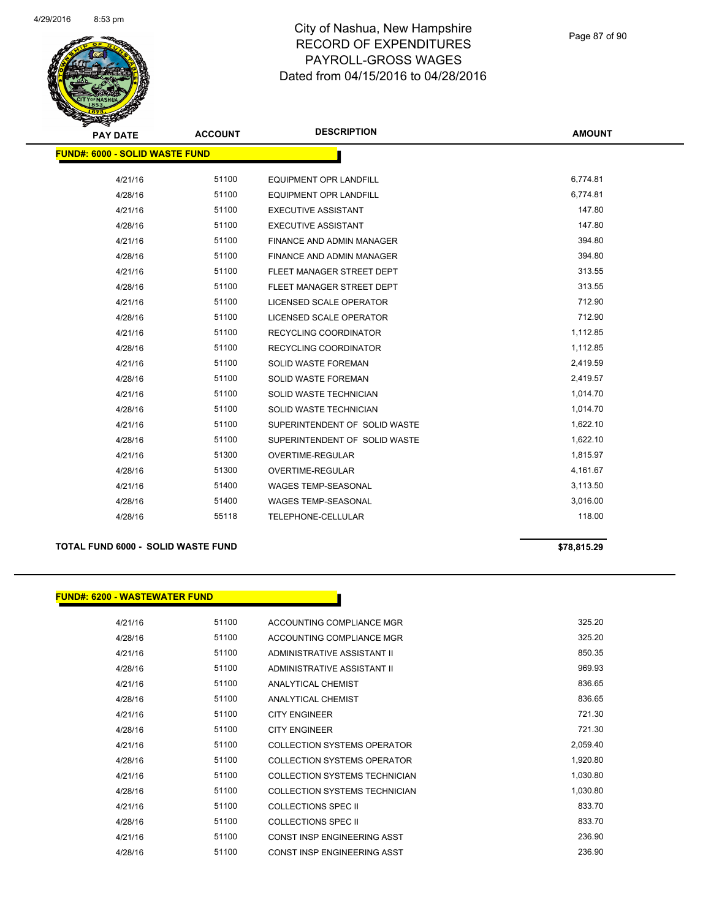

| <b>PAY DATE</b>                       | <b>ACCOUNT</b> | <b>DESCRIPTION</b>               | <b>AMOUNT</b> |
|---------------------------------------|----------------|----------------------------------|---------------|
| <b>FUND#: 6000 - SOLID WASTE FUND</b> |                |                                  |               |
|                                       |                |                                  |               |
| 4/21/16                               | 51100          | <b>EQUIPMENT OPR LANDFILL</b>    | 6,774.81      |
| 4/28/16                               | 51100          | <b>EQUIPMENT OPR LANDFILL</b>    | 6,774.81      |
| 4/21/16                               | 51100          | <b>EXECUTIVE ASSISTANT</b>       | 147.80        |
| 4/28/16                               | 51100          | <b>EXECUTIVE ASSISTANT</b>       | 147.80        |
| 4/21/16                               | 51100          | <b>FINANCE AND ADMIN MANAGER</b> | 394.80        |
| 4/28/16                               | 51100          | <b>FINANCE AND ADMIN MANAGER</b> | 394.80        |
| 4/21/16                               | 51100          | FLEET MANAGER STREET DEPT        | 313.55        |
| 4/28/16                               | 51100          | FLEET MANAGER STREET DEPT        | 313.55        |
| 4/21/16                               | 51100          | LICENSED SCALE OPERATOR          | 712.90        |
| 4/28/16                               | 51100          | <b>LICENSED SCALE OPERATOR</b>   | 712.90        |
| 4/21/16                               | 51100          | <b>RECYCLING COORDINATOR</b>     | 1,112.85      |
| 4/28/16                               | 51100          | RECYCLING COORDINATOR            | 1,112.85      |
| 4/21/16                               | 51100          | SOLID WASTE FOREMAN              | 2,419.59      |
| 4/28/16                               | 51100          | <b>SOLID WASTE FOREMAN</b>       | 2,419.57      |
| 4/21/16                               | 51100          | SOLID WASTE TECHNICIAN           | 1,014.70      |
| 4/28/16                               | 51100          | SOLID WASTE TECHNICIAN           | 1,014.70      |
| 4/21/16                               | 51100          | SUPERINTENDENT OF SOLID WASTE    | 1,622.10      |
| 4/28/16                               | 51100          | SUPERINTENDENT OF SOLID WASTE    | 1,622.10      |
| 4/21/16                               | 51300          | <b>OVERTIME-REGULAR</b>          | 1,815.97      |
| 4/28/16                               | 51300          | OVERTIME-REGULAR                 | 4,161.67      |
| 4/21/16                               | 51400          | WAGES TEMP-SEASONAL              | 3,113.50      |
| 4/28/16                               | 51400          | WAGES TEMP-SEASONAL              | 3,016.00      |
| 4/28/16                               | 55118          | TELEPHONE-CELLULAR               | 118.00        |
|                                       |                |                                  |               |

### **TOTAL FUND 6000 - SOLID WASTE FUND \$78,815.29**

**FUND#: 6200 - WASTEWATER FUND**

| 4/21/16 | 51100 | ACCOUNTING COMPLIANCE MGR          | 325.20   |
|---------|-------|------------------------------------|----------|
| 4/28/16 | 51100 | ACCOUNTING COMPLIANCE MGR          | 325.20   |
| 4/21/16 | 51100 | ADMINISTRATIVE ASSISTANT II        | 850.35   |
| 4/28/16 | 51100 | ADMINISTRATIVE ASSISTANT II        | 969.93   |
| 4/21/16 | 51100 | ANALYTICAL CHEMIST                 | 836.65   |
| 4/28/16 | 51100 | ANALYTICAL CHEMIST                 | 836.65   |
| 4/21/16 | 51100 | <b>CITY ENGINEER</b>               | 721.30   |
| 4/28/16 | 51100 | <b>CITY ENGINEER</b>               | 721.30   |
| 4/21/16 | 51100 | <b>COLLECTION SYSTEMS OPERATOR</b> | 2,059.40 |
| 4/28/16 | 51100 | COLLECTION SYSTEMS OPERATOR        | 1,920.80 |
| 4/21/16 | 51100 | COLLECTION SYSTEMS TECHNICIAN      | 1,030.80 |
| 4/28/16 | 51100 | COLLECTION SYSTEMS TECHNICIAN      | 1,030.80 |
| 4/21/16 | 51100 | COLLECTIONS SPEC II                | 833.70   |
| 4/28/16 | 51100 | <b>COLLECTIONS SPEC II</b>         | 833.70   |
| 4/21/16 | 51100 | CONST INSP ENGINEERING ASST        | 236.90   |
| 4/28/16 | 51100 | CONST INSP ENGINEERING ASST        | 236.90   |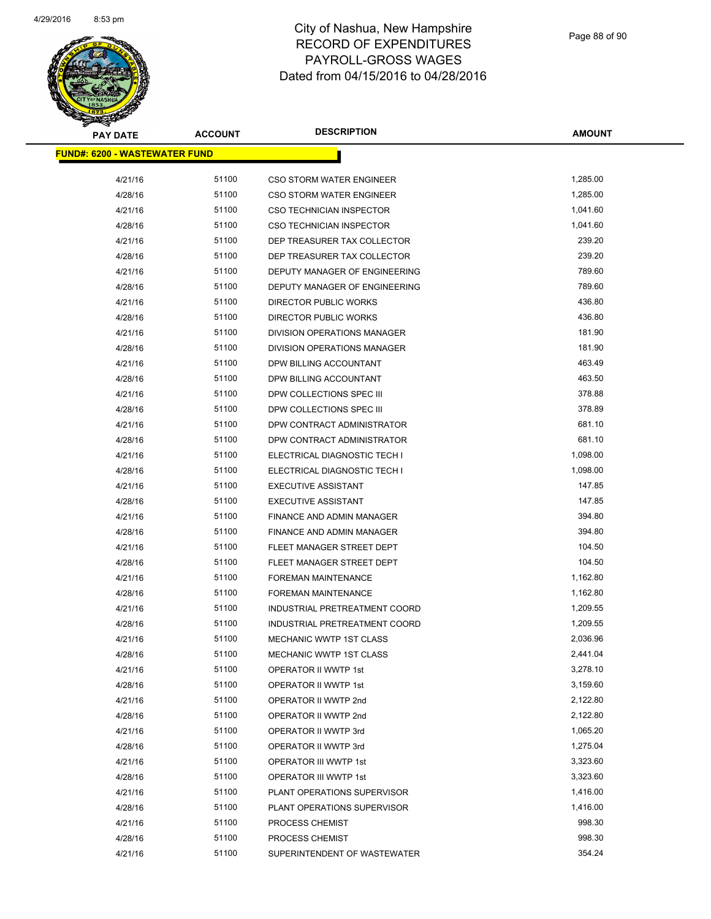

| PAY DATE                              | <b>ACCOUNT</b> | <b>DESCRIPTION</b>              | <b>AMOUNT</b> |
|---------------------------------------|----------------|---------------------------------|---------------|
| <u> FUND#: 6200 - WASTEWATER FUND</u> |                |                                 |               |
|                                       |                |                                 |               |
| 4/21/16                               | 51100          | <b>CSO STORM WATER ENGINEER</b> | 1,285.00      |
| 4/28/16                               | 51100          | <b>CSO STORM WATER ENGINEER</b> | 1,285.00      |
| 4/21/16                               | 51100          | <b>CSO TECHNICIAN INSPECTOR</b> | 1,041.60      |
| 4/28/16                               | 51100          | CSO TECHNICIAN INSPECTOR        | 1,041.60      |
| 4/21/16                               | 51100          | DEP TREASURER TAX COLLECTOR     | 239.20        |
| 4/28/16                               | 51100          | DEP TREASURER TAX COLLECTOR     | 239.20        |
| 4/21/16                               | 51100          | DEPUTY MANAGER OF ENGINEERING   | 789.60        |
| 4/28/16                               | 51100          | DEPUTY MANAGER OF ENGINEERING   | 789.60        |
| 4/21/16                               | 51100          | DIRECTOR PUBLIC WORKS           | 436.80        |
| 4/28/16                               | 51100          | DIRECTOR PUBLIC WORKS           | 436.80        |
| 4/21/16                               | 51100          | DIVISION OPERATIONS MANAGER     | 181.90        |
| 4/28/16                               | 51100          | DIVISION OPERATIONS MANAGER     | 181.90        |
| 4/21/16                               | 51100          | DPW BILLING ACCOUNTANT          | 463.49        |
| 4/28/16                               | 51100          | DPW BILLING ACCOUNTANT          | 463.50        |
| 4/21/16                               | 51100          | DPW COLLECTIONS SPEC III        | 378.88        |
| 4/28/16                               | 51100          | DPW COLLECTIONS SPEC III        | 378.89        |
| 4/21/16                               | 51100          | DPW CONTRACT ADMINISTRATOR      | 681.10        |
| 4/28/16                               | 51100          | DPW CONTRACT ADMINISTRATOR      | 681.10        |
| 4/21/16                               | 51100          | ELECTRICAL DIAGNOSTIC TECH I    | 1,098.00      |
| 4/28/16                               | 51100          | ELECTRICAL DIAGNOSTIC TECH I    | 1,098.00      |
| 4/21/16                               | 51100          | <b>EXECUTIVE ASSISTANT</b>      | 147.85        |
| 4/28/16                               | 51100          | <b>EXECUTIVE ASSISTANT</b>      | 147.85        |
| 4/21/16                               | 51100          | FINANCE AND ADMIN MANAGER       | 394.80        |
| 4/28/16                               | 51100          | FINANCE AND ADMIN MANAGER       | 394.80        |
| 4/21/16                               | 51100          | FLEET MANAGER STREET DEPT       | 104.50        |
| 4/28/16                               | 51100          | FLEET MANAGER STREET DEPT       | 104.50        |
| 4/21/16                               | 51100          | <b>FOREMAN MAINTENANCE</b>      | 1,162.80      |
| 4/28/16                               | 51100          | <b>FOREMAN MAINTENANCE</b>      | 1,162.80      |
| 4/21/16                               | 51100          | INDUSTRIAL PRETREATMENT COORD   | 1,209.55      |
| 4/28/16                               | 51100          | INDUSTRIAL PRETREATMENT COORD   | 1,209.55      |
| 4/21/16                               | 51100          | <b>MECHANIC WWTP 1ST CLASS</b>  | 2,036.96      |
| 4/28/16                               | 51100          | MECHANIC WWTP 1ST CLASS         | 2,441.04      |
| 4/21/16                               | 51100          | OPERATOR II WWTP 1st            | 3,278.10      |
| 4/28/16                               | 51100          | OPERATOR II WWTP 1st            | 3,159.60      |
| 4/21/16                               | 51100          | OPERATOR II WWTP 2nd            | 2,122.80      |
| 4/28/16                               | 51100          | OPERATOR II WWTP 2nd            | 2,122.80      |
| 4/21/16                               | 51100          | OPERATOR II WWTP 3rd            | 1,065.20      |
| 4/28/16                               | 51100          | OPERATOR II WWTP 3rd            | 1,275.04      |
| 4/21/16                               | 51100          | OPERATOR III WWTP 1st           | 3,323.60      |
| 4/28/16                               | 51100          | OPERATOR III WWTP 1st           | 3,323.60      |
| 4/21/16                               | 51100          | PLANT OPERATIONS SUPERVISOR     | 1,416.00      |
| 4/28/16                               | 51100          | PLANT OPERATIONS SUPERVISOR     | 1,416.00      |
| 4/21/16                               | 51100          | PROCESS CHEMIST                 | 998.30        |
| 4/28/16                               | 51100          | PROCESS CHEMIST                 | 998.30        |
| 4/21/16                               | 51100          | SUPERINTENDENT OF WASTEWATER    | 354.24        |
|                                       |                |                                 |               |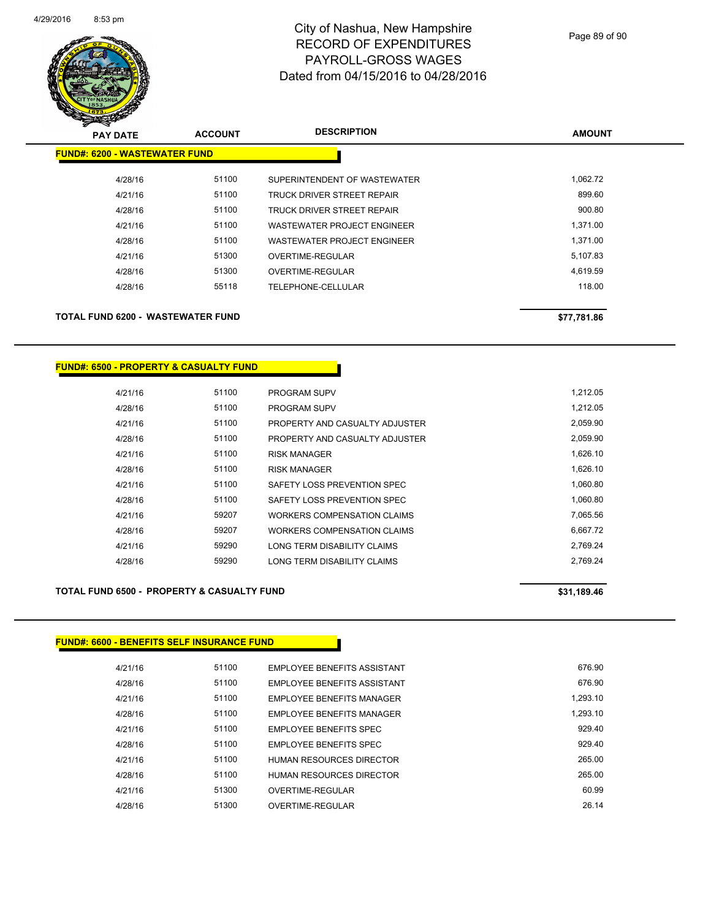

| <b>PAY DATE</b>                      | <b>ACCOUNT</b> | <b>DESCRIPTION</b>           | <b>AMOUNT</b> |
|--------------------------------------|----------------|------------------------------|---------------|
| <b>FUND#: 6200 - WASTEWATER FUND</b> |                |                              |               |
| 4/28/16                              | 51100          | SUPERINTENDENT OF WASTEWATER | 1,062.72      |
| 4/21/16                              | 51100          | TRUCK DRIVER STREET REPAIR   | 899.60        |
| 4/28/16                              | 51100          | TRUCK DRIVER STREET REPAIR   | 900.80        |
| 4/21/16                              | 51100          | WASTEWATER PROJECT ENGINEER  | 1,371.00      |
| 4/28/16                              | 51100          | WASTEWATER PROJECT ENGINEER  | 1,371.00      |
| 4/21/16                              | 51300          | OVERTIME-REGULAR             | 5,107.83      |
| 4/28/16                              | 51300          | OVERTIME-REGULAR             | 4,619.59      |
| 4/28/16                              | 55118          | <b>TELEPHONE-CELLULAR</b>    | 118.00        |
|                                      |                |                              |               |
| TOTAL FUND 6200 - WASTEWATER FUND    |                |                              | \$77,781.86   |

| <u> FUND#: 6500 - PROPERTY &amp; CASUALTY FUND</u> |  |
|----------------------------------------------------|--|
|----------------------------------------------------|--|

| 4/21/16 | 51100 | <b>PROGRAM SUPV</b>            | 1.212.05 |
|---------|-------|--------------------------------|----------|
| 4/28/16 | 51100 | <b>PROGRAM SUPV</b>            | 1.212.05 |
| 4/21/16 | 51100 | PROPERTY AND CASUALTY ADJUSTER | 2,059.90 |
| 4/28/16 | 51100 | PROPERTY AND CASUALTY ADJUSTER | 2,059.90 |
| 4/21/16 | 51100 | <b>RISK MANAGER</b>            | 1,626.10 |
| 4/28/16 | 51100 | <b>RISK MANAGER</b>            | 1,626.10 |
| 4/21/16 | 51100 | SAFETY LOSS PREVENTION SPEC    | 1.060.80 |
| 4/28/16 | 51100 | SAFETY LOSS PREVENTION SPEC    | 1.060.80 |
| 4/21/16 | 59207 | WORKERS COMPENSATION CLAIMS    | 7.065.56 |
| 4/28/16 | 59207 | WORKERS COMPENSATION CLAIMS    | 6.667.72 |
| 4/21/16 | 59290 | LONG TERM DISABILITY CLAIMS    | 2.769.24 |
| 4/28/16 | 59290 | LONG TERM DISABILITY CLAIMS    | 2.769.24 |

### **TOTAL FUND 6500 - PROPERTY & CASUALTY FUND \$31,189.46 \$31,189.46**

### **FUND#: 6600 - BENEFITS SELF INSURANCE FUND**

| 4/21/16 | 51100 | EMPLOYEE BENEFITS ASSISTANT     | 676.90   |
|---------|-------|---------------------------------|----------|
| 4/28/16 | 51100 | EMPLOYEE BENEFITS ASSISTANT     | 676.90   |
| 4/21/16 | 51100 | EMPLOYEE BENEFITS MANAGER       | 1.293.10 |
| 4/28/16 | 51100 | EMPLOYEE BENEFITS MANAGER       | 1.293.10 |
| 4/21/16 | 51100 | <b>EMPLOYEE BENEEITS SPEC</b>   | 929.40   |
| 4/28/16 | 51100 | EMPLOYEE BENEFITS SPEC          | 929.40   |
| 4/21/16 | 51100 | HUMAN RESOURCES DIRECTOR        | 265.00   |
| 4/28/16 | 51100 | <b>HUMAN RESOURCES DIRECTOR</b> | 265.00   |
| 4/21/16 | 51300 | OVERTIME-REGULAR                | 60.99    |
| 4/28/16 | 51300 | OVERTIME-REGULAR                | 26 14    |
|         |       |                                 |          |